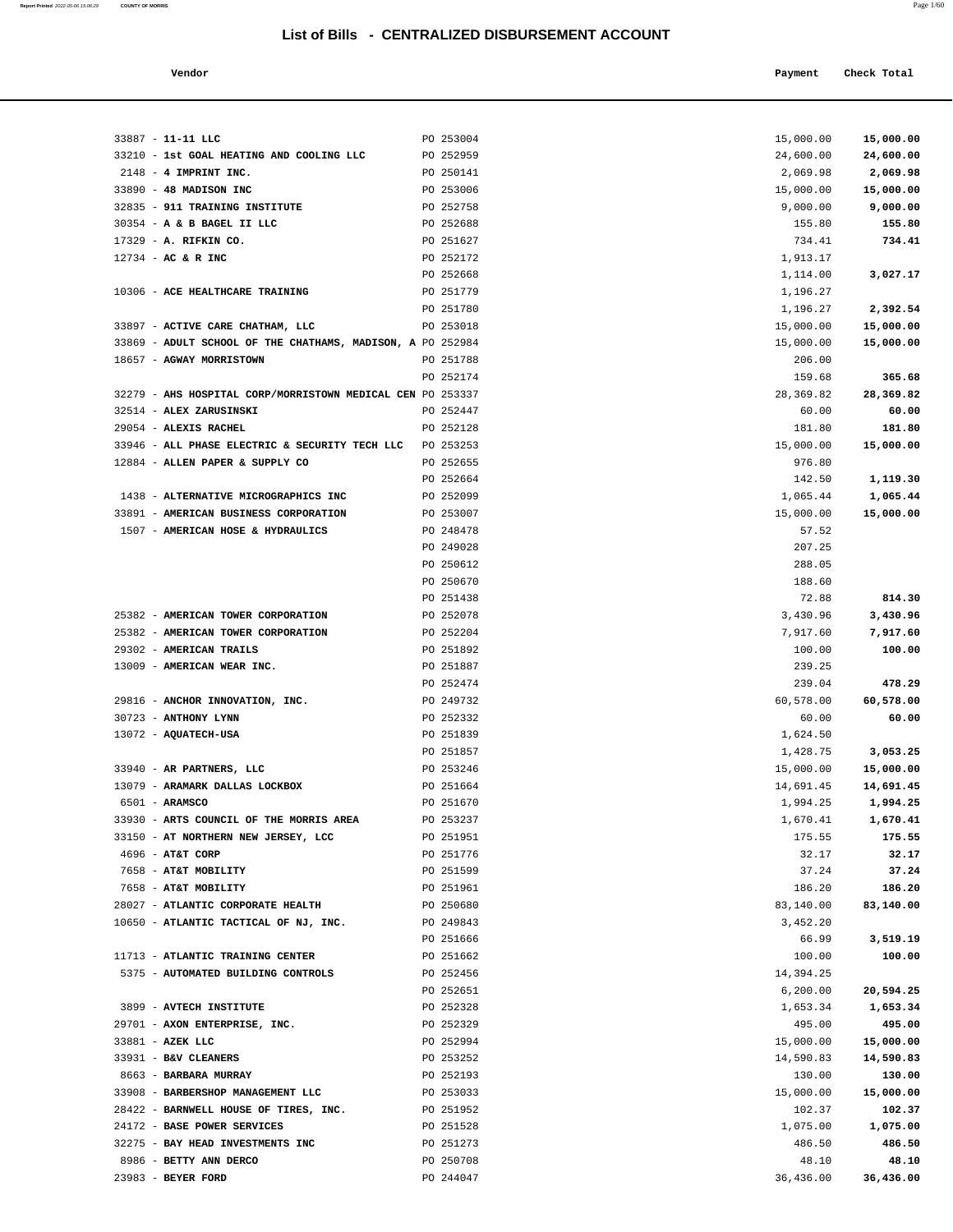**Report Printed** 2022-05-06 15:06:29 **COUNTY OF MORRIS** Page 1/60

#### **Vendor Check Total**   $\blacksquare$  **Payment** Check Total **Payment** Check Total **Payment**

| 33887 - 11-11 LLC                                          | PO 253004 | 15,000.00 | 15,000.00 |
|------------------------------------------------------------|-----------|-----------|-----------|
| 33210 - 1st GOAL HEATING AND COOLING LLC                   | PO 252959 | 24,600.00 | 24,600.00 |
| $2148$ - 4 IMPRINT INC.                                    | PO 250141 | 2,069.98  | 2,069.98  |
| 33890 - 48 MADISON INC                                     | PO 253006 | 15,000.00 | 15,000.00 |
| 32835 - 911 TRAINING INSTITUTE                             | PO 252758 | 9,000.00  | 9,000.00  |
| 30354 - A & B BAGEL II LLC                                 | PO 252688 | 155.80    | 155.80    |
| 17329 - A. RIFKIN CO.                                      | PO 251627 | 734.41    | 734.41    |
| 12734 - AC & R INC                                         | PO 252172 | 1,913.17  |           |
|                                                            | PO 252668 | 1,114.00  | 3,027.17  |
|                                                            | PO 251779 | 1,196.27  |           |
| 10306 - ACE HEALTHCARE TRAINING                            |           |           |           |
|                                                            | PO 251780 | 1,196.27  | 2,392.54  |
| 33897 - ACTIVE CARE CHATHAM, LLC                           | PO 253018 | 15,000.00 | 15,000.00 |
| 33869 - ADULT SCHOOL OF THE CHATHAMS, MADISON, A PO 252984 |           | 15,000.00 | 15,000.00 |
| 18657 - AGWAY MORRISTOWN                                   | PO 251788 | 206.00    |           |
|                                                            | PO 252174 | 159.68    | 365.68    |
| 32279 - AHS HOSPITAL CORP/MORRISTOWN MEDICAL CEN PO 253337 |           | 28,369.82 | 28,369.82 |
| 32514 - ALEX ZARUSINSKI                                    | PO 252447 | 60.00     | 60.00     |
| 29054 - ALEXIS RACHEL                                      | PO 252128 | 181.80    | 181.80    |
| 33946 - ALL PHASE ELECTRIC & SECURITY TECH LLC             | PO 253253 | 15,000.00 | 15,000.00 |
| 12884 - ALLEN PAPER & SUPPLY CO                            | PO 252655 | 976.80    |           |
|                                                            | PO 252664 | 142.50    | 1,119.30  |
| 1438 - ALTERNATIVE MICROGRAPHICS INC                       | PO 252099 | 1,065.44  | 1,065.44  |
| 33891 - AMERICAN BUSINESS CORPORATION                      | PO 253007 | 15,000.00 | 15,000.00 |
| 1507 - AMERICAN HOSE & HYDRAULICS                          | PO 248478 | 57.52     |           |
|                                                            | PO 249028 | 207.25    |           |
|                                                            | PO 250612 | 288.05    |           |
|                                                            | PO 250670 | 188.60    |           |
|                                                            | PO 251438 | 72.88     | 814.30    |
| 25382 - AMERICAN TOWER CORPORATION                         | PO 252078 | 3,430.96  | 3,430.96  |
| 25382 - AMERICAN TOWER CORPORATION                         | PO 252204 | 7,917.60  | 7,917.60  |
| 29302 - AMERICAN TRAILS                                    | PO 251892 | 100.00    | 100.00    |
| 13009 - AMERICAN WEAR INC.                                 | PO 251887 | 239.25    |           |
|                                                            | PO 252474 | 239.04    | 478.29    |
|                                                            |           |           |           |
| 29816 - ANCHOR INNOVATION, INC.<br>30723 - ANTHONY LYNN    | PO 249732 | 60,578.00 | 60,578.00 |
|                                                            | PO 252332 | 60.00     | 60.00     |
| 13072 - AQUATECH-USA                                       | PO 251839 | 1,624.50  |           |
|                                                            | PO 251857 | 1,428.75  | 3,053.25  |
| 33940 - AR PARTNERS, LLC                                   | PO 253246 | 15,000.00 | 15,000.00 |
| 13079 - ARAMARK DALLAS LOCKBOX                             | PO 251664 | 14,691.45 | 14,691.45 |
| 6501 - ARAMSCO                                             | PO 251670 | 1,994.25  | 1,994.25  |
| 33930 - ARTS COUNCIL OF THE MORRIS AREA                    | PO 253237 | 1,670.41  | 1,670.41  |
| 33150 - AT NORTHERN NEW JERSEY, LCC                        | PO 251951 | 175.55    | 175.55    |
| 4696 - AT&T CORP                                           | PO 251776 | 32.17     | 32.17     |
| 7658 - AT&T MOBILITY                                       | PO 251599 | 37.24     | 37.24     |
| 7658 - AT&T MOBILITY                                       | PO 251961 | 186.20    | 186.20    |
| 28027 - ATLANTIC CORPORATE HEALTH                          | PO 250680 | 83,140.00 | 83,140.00 |
| 10650 - ATLANTIC TACTICAL OF NJ, INC.                      | PO 249843 | 3,452.20  |           |
|                                                            | PO 251666 | 66.99     | 3,519.19  |
| 11713 - ATLANTIC TRAINING CENTER                           | PO 251662 | 100.00    | 100.00    |
| 5375 - AUTOMATED BUILDING CONTROLS                         | PO 252456 | 14,394.25 |           |
|                                                            | PO 252651 | 6, 200.00 | 20,594.25 |
| 3899 - AVTECH INSTITUTE                                    | PO 252328 | 1,653.34  | 1,653.34  |
| 29701 - AXON ENTERPRISE, INC.                              | PO 252329 | 495.00    | 495.00    |
| 33881 - AZEK LLC                                           | PO 252994 | 15,000.00 | 15,000.00 |
| 33931 - B&V CLEANERS                                       | PO 253252 | 14,590.83 | 14,590.83 |
| 8663 - BARBARA MURRAY                                      | PO 252193 | 130.00    | 130.00    |
| 33908 - BARBERSHOP MANAGEMENT LLC                          | PO 253033 | 15,000.00 | 15,000.00 |
| 28422 - BARNWELL HOUSE OF TIRES, INC.                      | PO 251952 | 102.37    | 102.37    |
| 24172 - BASE POWER SERVICES                                | PO 251528 | 1,075.00  | 1,075.00  |
| 32275 - BAY HEAD INVESTMENTS INC                           | PO 251273 | 486.50    | 486.50    |
| 8986 - BETTY ANN DERCO                                     | PO 250708 | 48.10     | 48.10     |
|                                                            |           |           |           |

23983 - **BEYER FORD** PO 244047 36,436.00 **36,436.00**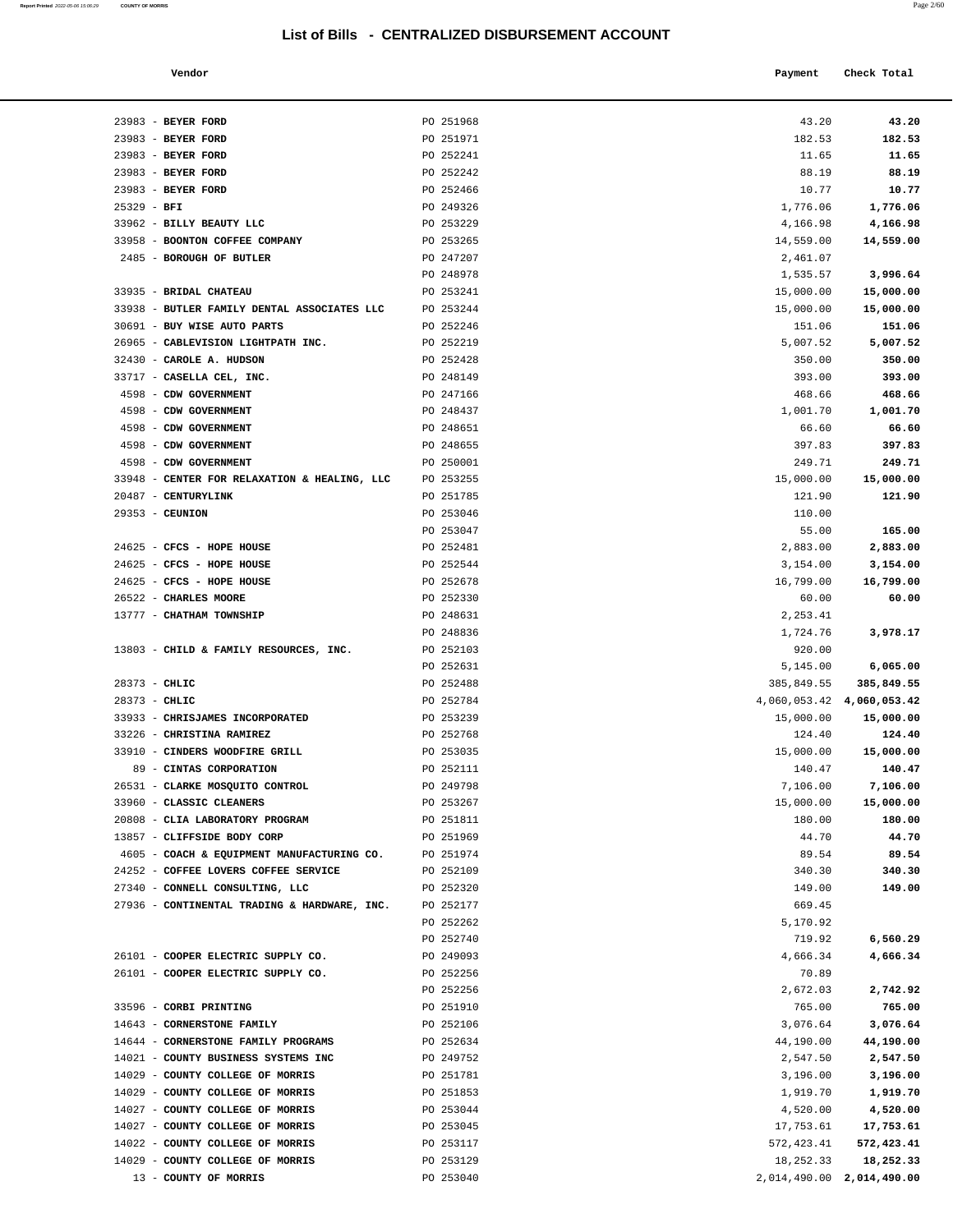| Vendor | Payment Check Total |
|--------|---------------------|
|        |                     |

| 23983 - BEYER FORD                                   | PO 251968              | 43.20                     | 43.20              |
|------------------------------------------------------|------------------------|---------------------------|--------------------|
| 23983 - BEYER FORD                                   | PO 251971              | 182.53                    | 182.53             |
| 23983 - BEYER FORD                                   | PO 252241              | 11.65                     | 11.65              |
| 23983 - BEYER FORD                                   | PO 252242              | 88.19                     | 88.19              |
| 23983 - BEYER FORD                                   | PO 252466              | 10.77                     | 10.77              |
| $25329 - BFI$                                        | PO 249326              | 1,776.06                  | 1,776.06           |
| 33962 - BILLY BEAUTY LLC                             | PO 253229              | 4,166.98                  | 4,166.98           |
| 33958 - BOONTON COFFEE COMPANY                       | PO 253265              | 14,559.00                 | 14,559.00          |
| 2485 - BOROUGH OF BUTLER                             | PO 247207              | 2,461.07                  |                    |
|                                                      | PO 248978              | 1,535.57                  | 3,996.64           |
| 33935 - BRIDAL CHATEAU                               | PO 253241              | 15,000.00                 | 15,000.00          |
| 33938 - BUTLER FAMILY DENTAL ASSOCIATES LLC          | PO 253244              | 15,000.00                 | 15,000.00          |
| 30691 - BUY WISE AUTO PARTS                          | PO 252246              | 151.06                    | 151.06             |
| 26965 - CABLEVISION LIGHTPATH INC.                   | PO 252219              | 5,007.52                  | 5,007.52           |
| 32430 - CAROLE A. HUDSON                             | PO 252428              | 350.00                    | 350.00             |
| 33717 - CASELLA CEL, INC.                            | PO 248149              | 393.00                    | 393.00             |
| 4598 - CDW GOVERNMENT                                | PO 247166              | 468.66                    | 468.66             |
| 4598 - CDW GOVERNMENT                                | PO 248437              | 1,001.70                  | 1,001.70           |
| 4598 - CDW GOVERNMENT                                | PO 248651              | 66.60                     | 66.60              |
| 4598 - CDW GOVERNMENT                                | PO 248655              | 397.83                    | 397.83             |
| 4598 - CDW GOVERNMENT                                | PO 250001              | 249.71                    | 249.71             |
| 33948 - CENTER FOR RELAXATION & HEALING, LLC         | PO 253255              | 15,000.00                 | 15,000.00          |
| 20487 - CENTURYLINK                                  | PO 251785              | 121.90                    | 121.90             |
| $29353 -$ CEUNION                                    | PO 253046              | 110.00                    |                    |
|                                                      | PO 253047              | 55.00                     | 165.00             |
| 24625 - CFCS - HOPE HOUSE                            | PO 252481              | 2,883.00                  | 2,883.00           |
| 24625 - CFCS - HOPE HOUSE                            | PO 252544              | 3,154.00                  | 3,154.00           |
| 24625 - CFCS - HOPE HOUSE                            | PO 252678              | 16,799.00                 | 16,799.00          |
| 26522 - CHARLES MOORE                                | PO 252330              | 60.00                     | 60.00              |
| 13777 - CHATHAM TOWNSHIP                             | PO 248631<br>PO 248836 | 2,253.41<br>1,724.76      | 3,978.17           |
| 13803 - CHILD & FAMILY RESOURCES, INC.               | PO 252103              | 920.00                    |                    |
|                                                      | PO 252631              | 5,145.00                  | 6,065.00           |
| $28373 - CHLIC$                                      | PO 252488              | 385,849.55                | 385,849.55         |
| $28373 - CHLIC$                                      | PO 252784              | 4,060,053.42 4,060,053.42 |                    |
| 33933 - CHRISJAMES INCORPORATED                      | PO 253239              | 15,000.00                 | 15,000.00          |
| 33226 - CHRISTINA RAMIREZ                            | PO 252768              | 124.40                    | 124.40             |
| 33910 - CINDERS WOODFIRE GRILL                       | PO 253035              | 15,000.00                 | 15,000.00          |
| 89 - CINTAS CORPORATION                              | PO 252111              | 140.47                    | 140.47             |
| 26531 - CLARKE MOSQUITO CONTROL                      | PO 249798              | 7,106.00                  | 7,106.00           |
| 33960 - CLASSIC CLEANERS                             | PO 253267              | 15,000.00                 | 15,000.00          |
| 20808 - CLIA LABORATORY PROGRAM                      | PO 251811              | 180.00                    | 180.00             |
| 13857 - CLIFFSIDE BODY CORP                          | PO 251969              | 44.70                     | 44.70              |
| 4605 - COACH & EQUIPMENT MANUFACTURING CO.           | PO 251974              | 89.54                     | 89.54              |
| 24252 - COFFEE LOVERS COFFEE SERVICE                 | PO 252109              | 340.30                    | 340.30             |
| 27340 - CONNELL CONSULTING, LLC                      | PO 252320              | 149.00                    | 149.00             |
| 27936 - CONTINENTAL TRADING & HARDWARE, INC.         | PO 252177              | 669.45                    |                    |
|                                                      | PO 252262              | 5,170.92                  |                    |
|                                                      | PO 252740              | 719.92                    | 6,560.29           |
| 26101 - COOPER ELECTRIC SUPPLY CO.                   | PO 249093              | 4,666.34                  | 4,666.34           |
| 26101 - COOPER ELECTRIC SUPPLY CO.                   | PO 252256              | 70.89                     |                    |
|                                                      | PO 252256              | 2,672.03                  | 2,742.92           |
| 33596 - CORBI PRINTING<br>14643 - CORNERSTONE FAMILY | PO 251910<br>PO 252106 | 765.00<br>3,076.64        | 765.00<br>3,076.64 |
| 14644 - CORNERSTONE FAMILY PROGRAMS                  | PO 252634              | 44,190.00                 | 44,190.00          |
| 14021 - COUNTY BUSINESS SYSTEMS INC                  | PO 249752              | 2,547.50                  | 2,547.50           |
| 14029 - COUNTY COLLEGE OF MORRIS                     | PO 251781              | 3,196.00                  | 3,196.00           |
| 14029 - COUNTY COLLEGE OF MORRIS                     | PO 251853              | 1,919.70                  | 1,919.70           |
| 14027 - COUNTY COLLEGE OF MORRIS                     | PO 253044              | 4,520.00                  | 4,520.00           |
| 14027 - COUNTY COLLEGE OF MORRIS                     | PO 253045              | 17,753.61                 | 17,753.61          |
| 14022 - COUNTY COLLEGE OF MORRIS                     | PO 253117              | 572,423.41                | 572,423.41         |
| 14029 - COUNTY COLLEGE OF MORRIS                     | PO 253129              | 18,252.33                 | 18,252.33          |
| 13 - COUNTY OF MORRIS                                | PO 253040              | 2,014,490.00 2,014,490.00 |                    |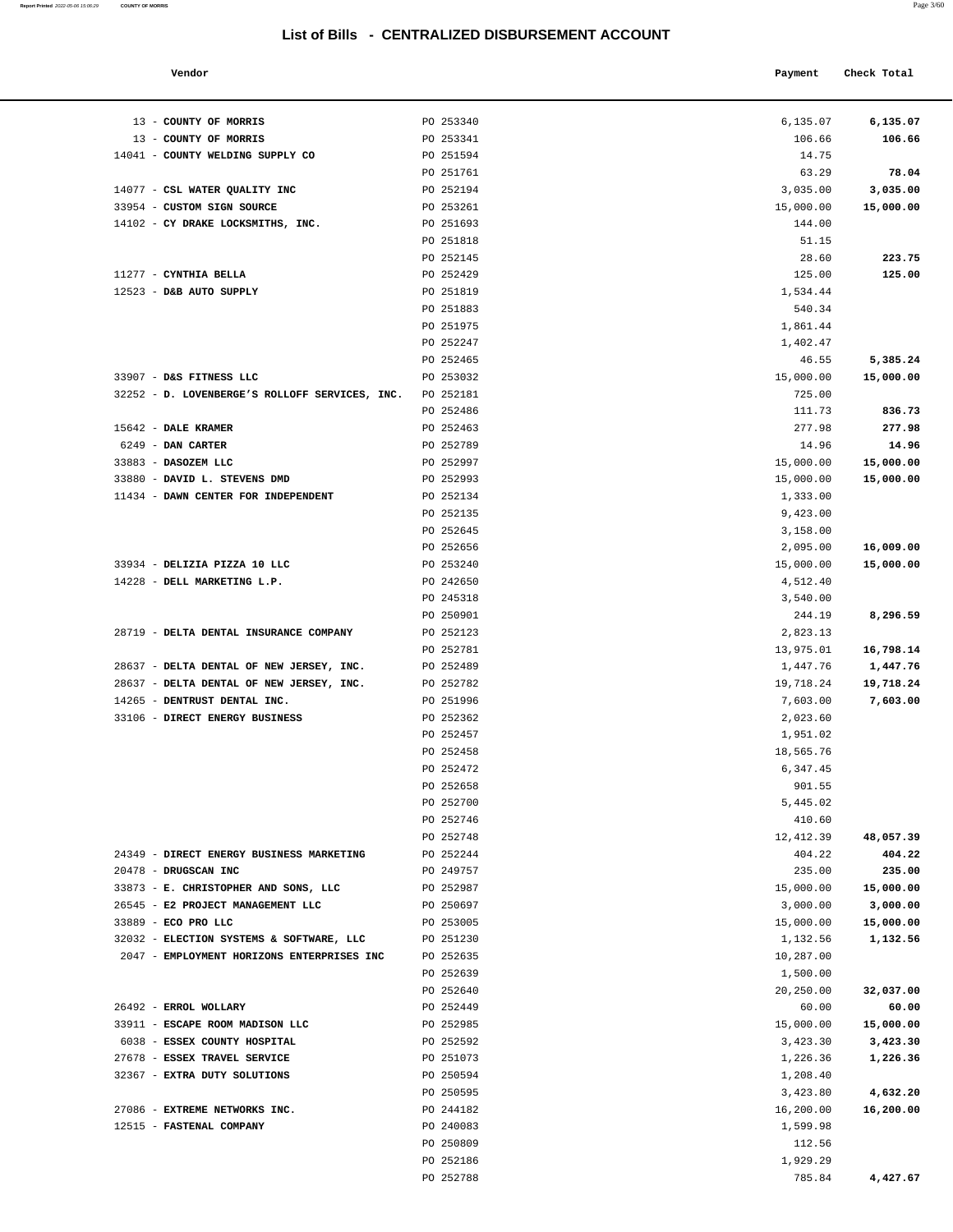#### **Vendor Check Total Payment Check Total**

**Report Printed** 2022-05-06 15:06:29 **COUNTY OF MORRIS** 

| 6,135.07              | 6,135.07               |
|-----------------------|------------------------|
| 106.66<br>14.75       | 106.66                 |
| 63.29                 | 78.04                  |
| 3,035.00              | 3,035.00               |
| 15,000.00             | 15,000.00              |
| 144.00                |                        |
| 51.15                 |                        |
| 28.60                 | 223.75                 |
| 125.00                | 125.00                 |
| 1,534.44              |                        |
| 540.34                |                        |
| 1,861.44              |                        |
| 1,402.47              |                        |
| 46.55                 | 5,385.24               |
| 15,000.00             | 15,000.00              |
| 725.00                |                        |
| 111.73                | 836.73                 |
| 277.98                | 277.98                 |
| 14.96                 | 14.96                  |
| 15,000.00             | 15,000.00              |
| 15,000.00             | 15,000.00              |
| 1,333.00              |                        |
| 9,423.00              |                        |
| 3,158.00              |                        |
| 2,095.00<br>15,000.00 | 16,009.00<br>15,000.00 |
| 4,512.40              |                        |
| 3,540.00              |                        |
| 244.19                | 8,296.59               |
| 2,823.13              |                        |
| 13,975.01             | 16,798.14              |
| 1,447.76              | 1,447.76               |
| 19,718.24             | 19,718.24              |
| 7,603.00              | 7,603.00               |
| 2,023.60              |                        |
| 1,951.02              |                        |
| 18,565.76             |                        |
| 6,347.45              |                        |
| 901.55                |                        |
| 5,445.02              |                        |
| 410.60                |                        |
| 12, 412.39            | 48,057.39              |
| 404.22<br>235.00      | 404.22<br>235.00       |
| 15,000.00             | 15,000.00              |
| 3,000.00              | 3,000.00               |
| 15,000.00             | 15,000.00              |
| 1,132.56              | 1,132.56               |
| 10,287.00             |                        |
| 1,500.00              |                        |
| 20,250.00             | 32,037.00              |
| 60.00                 | 60.00                  |
| 15,000.00             | 15,000.00              |
| 3,423.30              | 3,423.30               |
| 1,226.36              | 1,226.36               |
| 1,208.40              |                        |
| 3,423.80              | 4,632.20               |
| 16,200.00             | 16,200.00              |
| 1,599.98              |                        |
| 112.56                |                        |
| 1,929.29              | 4,427.67               |
| 785.84                |                        |

| PO 253340 |                                                                                                                                                                                                                                                                                                         | 6,135.07                                                                                                                                                                                                                                                                                                 |
|-----------|---------------------------------------------------------------------------------------------------------------------------------------------------------------------------------------------------------------------------------------------------------------------------------------------------------|----------------------------------------------------------------------------------------------------------------------------------------------------------------------------------------------------------------------------------------------------------------------------------------------------------|
| PO 253341 | 106.66                                                                                                                                                                                                                                                                                                  | 106.66                                                                                                                                                                                                                                                                                                   |
| PO 251594 | 14.75                                                                                                                                                                                                                                                                                                   |                                                                                                                                                                                                                                                                                                          |
| PO 251761 | 63.29                                                                                                                                                                                                                                                                                                   | 78.04                                                                                                                                                                                                                                                                                                    |
| PO 252194 | 3,035.00                                                                                                                                                                                                                                                                                                | 3,035.00                                                                                                                                                                                                                                                                                                 |
| PO 253261 | 15,000.00                                                                                                                                                                                                                                                                                               | 15,000.00                                                                                                                                                                                                                                                                                                |
| PO 251693 | 144.00                                                                                                                                                                                                                                                                                                  |                                                                                                                                                                                                                                                                                                          |
| PO 251818 | 51.15                                                                                                                                                                                                                                                                                                   |                                                                                                                                                                                                                                                                                                          |
| PO 252145 | 28.60                                                                                                                                                                                                                                                                                                   | 223.75                                                                                                                                                                                                                                                                                                   |
| PO 252429 |                                                                                                                                                                                                                                                                                                         | 125.00                                                                                                                                                                                                                                                                                                   |
| PO 251819 |                                                                                                                                                                                                                                                                                                         |                                                                                                                                                                                                                                                                                                          |
|           |                                                                                                                                                                                                                                                                                                         |                                                                                                                                                                                                                                                                                                          |
|           |                                                                                                                                                                                                                                                                                                         |                                                                                                                                                                                                                                                                                                          |
|           |                                                                                                                                                                                                                                                                                                         |                                                                                                                                                                                                                                                                                                          |
|           |                                                                                                                                                                                                                                                                                                         | 5,385.24                                                                                                                                                                                                                                                                                                 |
|           |                                                                                                                                                                                                                                                                                                         | 15,000.00                                                                                                                                                                                                                                                                                                |
|           |                                                                                                                                                                                                                                                                                                         |                                                                                                                                                                                                                                                                                                          |
|           |                                                                                                                                                                                                                                                                                                         | 836.73                                                                                                                                                                                                                                                                                                   |
|           |                                                                                                                                                                                                                                                                                                         | 277.98                                                                                                                                                                                                                                                                                                   |
|           |                                                                                                                                                                                                                                                                                                         | 14.96                                                                                                                                                                                                                                                                                                    |
|           |                                                                                                                                                                                                                                                                                                         | 15,000.00                                                                                                                                                                                                                                                                                                |
|           |                                                                                                                                                                                                                                                                                                         |                                                                                                                                                                                                                                                                                                          |
|           |                                                                                                                                                                                                                                                                                                         | 15,000.00                                                                                                                                                                                                                                                                                                |
|           |                                                                                                                                                                                                                                                                                                         |                                                                                                                                                                                                                                                                                                          |
|           |                                                                                                                                                                                                                                                                                                         |                                                                                                                                                                                                                                                                                                          |
|           |                                                                                                                                                                                                                                                                                                         |                                                                                                                                                                                                                                                                                                          |
|           |                                                                                                                                                                                                                                                                                                         | 16,009.00                                                                                                                                                                                                                                                                                                |
|           |                                                                                                                                                                                                                                                                                                         | 15,000.00                                                                                                                                                                                                                                                                                                |
|           |                                                                                                                                                                                                                                                                                                         |                                                                                                                                                                                                                                                                                                          |
|           |                                                                                                                                                                                                                                                                                                         |                                                                                                                                                                                                                                                                                                          |
|           |                                                                                                                                                                                                                                                                                                         | 8,296.59                                                                                                                                                                                                                                                                                                 |
|           |                                                                                                                                                                                                                                                                                                         |                                                                                                                                                                                                                                                                                                          |
|           |                                                                                                                                                                                                                                                                                                         | 16,798.14                                                                                                                                                                                                                                                                                                |
|           |                                                                                                                                                                                                                                                                                                         | 1,447.76                                                                                                                                                                                                                                                                                                 |
|           |                                                                                                                                                                                                                                                                                                         | 19,718.24                                                                                                                                                                                                                                                                                                |
| PO 251996 | 7,603.00                                                                                                                                                                                                                                                                                                | 7,603.00                                                                                                                                                                                                                                                                                                 |
| PO 252362 | 2,023.60                                                                                                                                                                                                                                                                                                |                                                                                                                                                                                                                                                                                                          |
| PO 252457 | 1,951.02                                                                                                                                                                                                                                                                                                |                                                                                                                                                                                                                                                                                                          |
| PO 252458 | 18,565.76                                                                                                                                                                                                                                                                                               |                                                                                                                                                                                                                                                                                                          |
| PO 252472 | 6,347.45                                                                                                                                                                                                                                                                                                |                                                                                                                                                                                                                                                                                                          |
| PO 252658 | 901.55                                                                                                                                                                                                                                                                                                  |                                                                                                                                                                                                                                                                                                          |
| PO 252700 | 5,445.02                                                                                                                                                                                                                                                                                                |                                                                                                                                                                                                                                                                                                          |
| PO 252746 | 410.60                                                                                                                                                                                                                                                                                                  |                                                                                                                                                                                                                                                                                                          |
| PO 252748 | 12,412.39                                                                                                                                                                                                                                                                                               | 48,057.39                                                                                                                                                                                                                                                                                                |
| PO 252244 | 404.22                                                                                                                                                                                                                                                                                                  | 404.22                                                                                                                                                                                                                                                                                                   |
| PO 249757 | 235.00                                                                                                                                                                                                                                                                                                  | 235.00                                                                                                                                                                                                                                                                                                   |
| PO 252987 | 15,000.00                                                                                                                                                                                                                                                                                               | 15,000.00                                                                                                                                                                                                                                                                                                |
| PO 250697 | 3,000.00                                                                                                                                                                                                                                                                                                | 3,000.00                                                                                                                                                                                                                                                                                                 |
| PO 253005 | 15,000.00                                                                                                                                                                                                                                                                                               | 15,000.00                                                                                                                                                                                                                                                                                                |
| PO 251230 | 1,132.56                                                                                                                                                                                                                                                                                                | 1,132.56                                                                                                                                                                                                                                                                                                 |
| PO 252635 | 10,287.00                                                                                                                                                                                                                                                                                               |                                                                                                                                                                                                                                                                                                          |
| PO 252639 | 1,500.00                                                                                                                                                                                                                                                                                                |                                                                                                                                                                                                                                                                                                          |
| PO 252640 | 20,250.00                                                                                                                                                                                                                                                                                               | 32,037.00                                                                                                                                                                                                                                                                                                |
| PO 252449 | 60.00                                                                                                                                                                                                                                                                                                   | 60.00                                                                                                                                                                                                                                                                                                    |
| PO 252985 | 15,000.00                                                                                                                                                                                                                                                                                               | 15,000.00                                                                                                                                                                                                                                                                                                |
| PO 252592 | 3,423.30                                                                                                                                                                                                                                                                                                | 3,423.30                                                                                                                                                                                                                                                                                                 |
| PO 251073 | 1,226.36                                                                                                                                                                                                                                                                                                | 1,226.36                                                                                                                                                                                                                                                                                                 |
| PO 250594 | 1,208.40                                                                                                                                                                                                                                                                                                |                                                                                                                                                                                                                                                                                                          |
| PO 250595 | 3,423.80                                                                                                                                                                                                                                                                                                | 4,632.20                                                                                                                                                                                                                                                                                                 |
| PO 244182 | 16,200.00                                                                                                                                                                                                                                                                                               | 16,200.00                                                                                                                                                                                                                                                                                                |
| PO 240083 | 1,599.98                                                                                                                                                                                                                                                                                                |                                                                                                                                                                                                                                                                                                          |
| PO 250809 | 112.56                                                                                                                                                                                                                                                                                                  |                                                                                                                                                                                                                                                                                                          |
| PO 252186 | 1,929.29                                                                                                                                                                                                                                                                                                |                                                                                                                                                                                                                                                                                                          |
| PO 252788 | 785.84                                                                                                                                                                                                                                                                                                  | 4,427.67                                                                                                                                                                                                                                                                                                 |
|           |                                                                                                                                                                                                                                                                                                         |                                                                                                                                                                                                                                                                                                          |
|           | PO 251883<br>PO 251975<br>PO 252247<br>PO 252465<br>PO 253032<br>PO 252181<br>PO 252486<br>PO 252463<br>PO 252789<br>PO 252997<br>PO 252993<br>PO 252134<br>PO 252135<br>PO 252645<br>PO 252656<br>PO 253240<br>PO 242650<br>PO 245318<br>PO 250901<br>PO 252123<br>PO 252781<br>PO 252489<br>PO 252782 | 6,135.07<br>125.00<br>1,534.44<br>540.34<br>1,861.44<br>1,402.47<br>46.55<br>15,000.00<br>725.00<br>111.73<br>277.98<br>14.96<br>15,000.00<br>15,000.00<br>1,333.00<br>9,423.00<br>3,158.00<br>2,095.00<br>15,000.00<br>4,512.40<br>3,540.00<br>244.19<br>2,823.13<br>13,975.01<br>1,447.76<br>19,718.24 |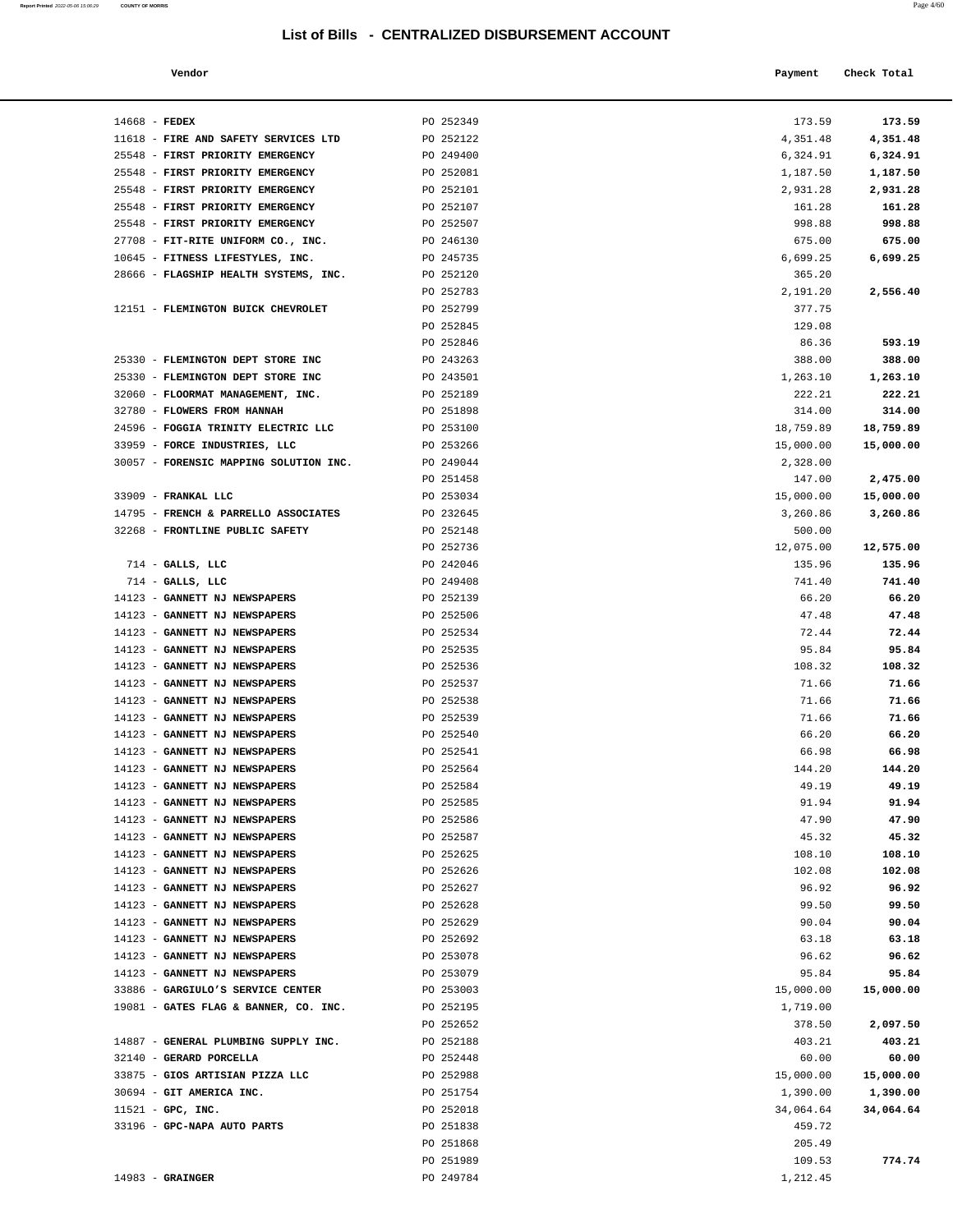| Report Printed 2022-05-06 15:06:29 COUNTY OF MORRIS |  |  |  | Page 4/60 |  |
|-----------------------------------------------------|--|--|--|-----------|--|
|-----------------------------------------------------|--|--|--|-----------|--|

| Vendor | Payment | Check Total |
|--------|---------|-------------|
|        |         |             |

| $14668$ - FEDEX                                  | PO 252349              | 173.59                | 173.59             |
|--------------------------------------------------|------------------------|-----------------------|--------------------|
| 11618 - FIRE AND SAFETY SERVICES LTD             | PO 252122              | 4,351.48              | 4,351.48           |
| 25548 - FIRST PRIORITY EMERGENCY                 | PO 249400              | 6,324.91              | 6,324.91           |
| 25548 - FIRST PRIORITY EMERGENCY                 | PO 252081              | 1,187.50              | 1,187.50           |
| 25548 - FIRST PRIORITY EMERGENCY                 | PO 252101              | 2,931.28              | 2,931.28           |
| 25548 - FIRST PRIORITY EMERGENCY                 | PO 252107              | 161.28                | 161.28             |
| 25548 - FIRST PRIORITY EMERGENCY                 | PO 252507              | 998.88                | 998.88             |
| 27708 - FIT-RITE UNIFORM CO., INC.               | PO 246130              | 675.00                | 675.00             |
| 10645 - FITNESS LIFESTYLES, INC.                 | PO 245735              | 6,699.25              | 6,699.25           |
| 28666 - FLAGSHIP HEALTH SYSTEMS, INC.            | PO 252120              | 365.20                |                    |
|                                                  | PO 252783              | 2,191.20              | 2,556.40           |
| 12151 - FLEMINGTON BUICK CHEVROLET               | PO 252799              | 377.75                |                    |
|                                                  | PO 252845              | 129.08                |                    |
|                                                  | PO 252846              | 86.36                 | 593.19             |
| 25330 - FLEMINGTON DEPT STORE INC                | PO 243263              | 388.00                | 388.00             |
| 25330 - FLEMINGTON DEPT STORE INC                | PO 243501              | 1,263.10              | 1,263.10           |
| 32060 - FLOORMAT MANAGEMENT, INC.                | PO 252189              | 222.21                | 222.21             |
| 32780 - FLOWERS FROM HANNAH                      | PO 251898              | 314.00                | 314.00             |
| 24596 - FOGGIA TRINITY ELECTRIC LLC              | PO 253100              | 18,759.89             | 18,759.89          |
| 33959 - FORCE INDUSTRIES, LLC                    | PO 253266              | 15,000.00             | 15,000.00          |
| 30057 - FORENSIC MAPPING SOLUTION INC. PO 249044 |                        | 2,328.00              |                    |
|                                                  | PO 251458              | 147.00                | 2,475.00           |
| 33909 - FRANKAL LLC                              | PO 253034              | 15,000.00<br>3,260.86 | 15,000.00          |
| 14795 - FRENCH & PARRELLO ASSOCIATES             | PO 232645              |                       | 3,260.86           |
| 32268 - FRONTLINE PUBLIC SAFETY                  | PO 252148<br>PO 252736 | 500.00<br>12,075.00   | 12,575.00          |
| $714$ - GALLS, LLC                               | PO 242046              | 135.96                | 135.96             |
| $714$ - GALLS, LLC                               | PO 249408              | 741.40                | 741.40             |
| 14123 - GANNETT NJ NEWSPAPERS                    | PO 252139              | 66.20                 | 66.20              |
| 14123 - GANNETT NJ NEWSPAPERS                    | PO 252506              | 47.48                 | 47.48              |
| 14123 - GANNETT NJ NEWSPAPERS                    | PO 252534              | 72.44                 | 72.44              |
| 14123 - GANNETT NJ NEWSPAPERS                    | PO 252535              | 95.84                 | 95.84              |
| 14123 - GANNETT NJ NEWSPAPERS                    | PO 252536              | 108.32                | 108.32             |
| 14123 - GANNETT NJ NEWSPAPERS                    | PO 252537              | 71.66                 | 71.66              |
| 14123 - GANNETT NJ NEWSPAPERS                    | PO 252538              | 71.66                 | 71.66              |
| 14123 - GANNETT NJ NEWSPAPERS                    | PO 252539              | 71.66                 | 71.66              |
| 14123 - GANNETT NJ NEWSPAPERS                    | PO 252540              | 66.20                 | 66.20              |
| 14123 - GANNETT NJ NEWSPAPERS                    | PO 252541              | 66.98                 | 66.98              |
| 14123 - GANNETT NJ NEWSPAPERS                    | PO 252564              | 144.20                | 144.20             |
| 14123 - GANNETT NJ NEWSPAPERS                    | PO 252584              | 49.19                 | 49.19              |
| 14123 - GANNETT NJ NEWSPAPERS                    | PO 252585              | 91.94                 | 91.94              |
| 14123 - GANNETT NJ NEWSPAPERS                    | PO 252586              | 47.90                 | 47.90              |
| 14123 - GANNETT NJ NEWSPAPERS                    | PO 252587              | 45.32                 | 45.32              |
| 14123 - GANNETT NJ NEWSPAPERS                    | PO 252625              | 108.10                | 108.10             |
| 14123 - GANNETT NJ NEWSPAPERS                    | PO 252626              | 102.08                | 102.08             |
| 14123 - GANNETT NJ NEWSPAPERS                    | PO 252627              | 96.92                 | 96.92              |
| 14123 - GANNETT NJ NEWSPAPERS                    | PO 252628              | 99.50                 | 99.50              |
| 14123 - GANNETT NJ NEWSPAPERS                    | PO 252629              | 90.04                 | 90.04              |
| 14123 - GANNETT NJ NEWSPAPERS                    | PO 252692              | 63.18                 | 63.18              |
| 14123 - GANNETT NJ NEWSPAPERS                    | PO 253078              | 96.62                 | 96.62              |
| 14123 - GANNETT NJ NEWSPAPERS                    | PO 253079              | 95.84                 | 95.84              |
| 33886 - GARGIULO'S SERVICE CENTER                | PO 253003              | 15,000.00             | 15,000.00          |
| 19081 - GATES FLAG & BANNER, CO. INC.            | PO 252195              | 1,719.00              |                    |
| 14887 - GENERAL PLUMBING SUPPLY INC.             | PO 252652<br>PO 252188 | 378.50<br>403.21      | 2,097.50<br>403.21 |
| 32140 - GERARD PORCELLA                          | PO 252448              | 60.00                 | 60.00              |
| 33875 - GIOS ARTISIAN PIZZA LLC                  | PO 252988              | 15,000.00             | 15,000.00          |
| 30694 - GIT AMERICA INC.                         | PO 251754              | 1,390.00              | 1,390.00           |
| $11521$ - GPC, INC.                              | PO 252018              | 34,064.64             | 34,064.64          |
| 33196 - GPC-NAPA AUTO PARTS                      | PO 251838              | 459.72                |                    |
|                                                  | PO 251868              | 205.49                |                    |
|                                                  | PO 251989              | 109.53                | 774.74             |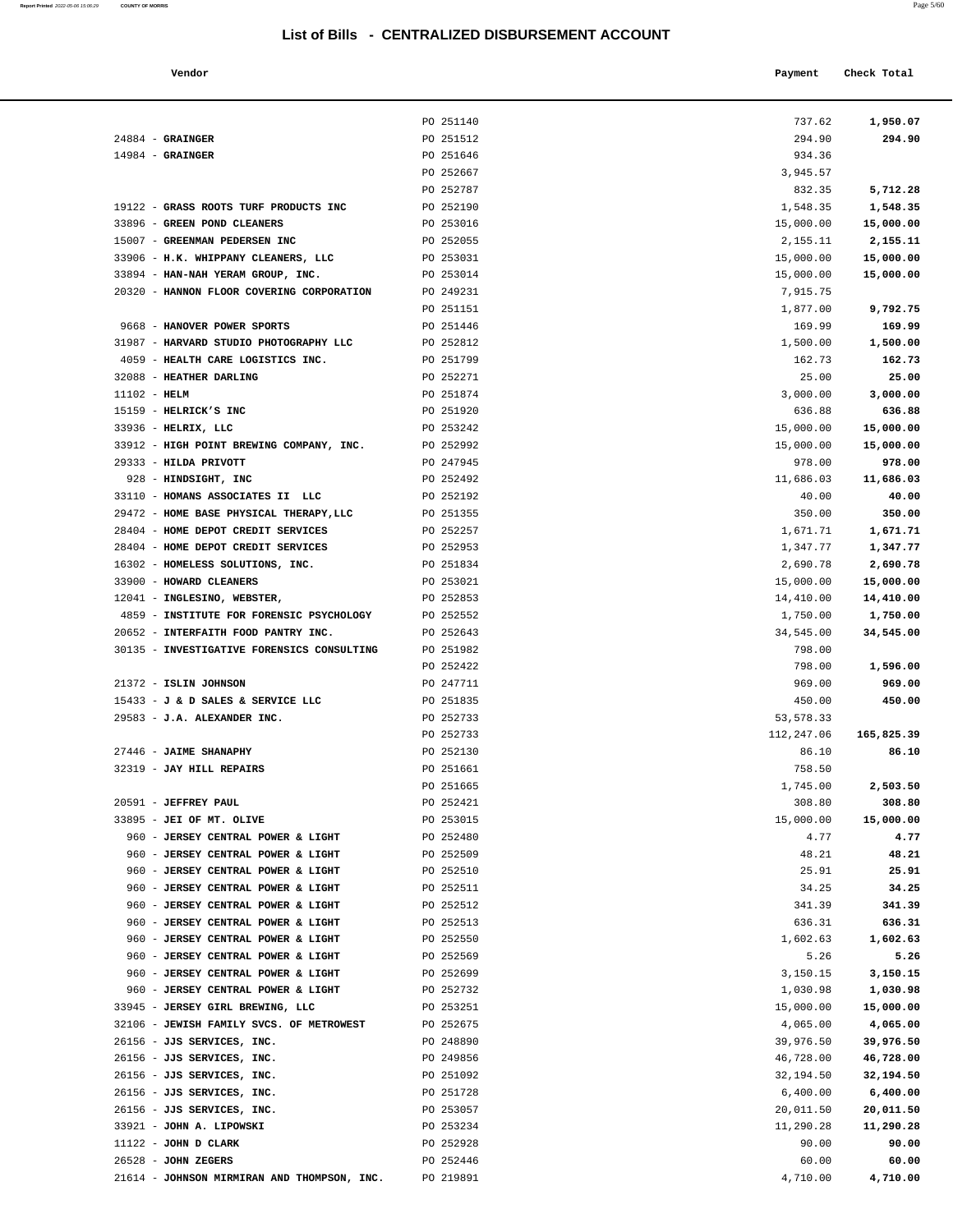**Report Printed** 2022-05-06 15:06:29 **COUNTY OF MORRIS** Page 5/60

| Vendor                                                                       |                        | Payment               | Check Total           |
|------------------------------------------------------------------------------|------------------------|-----------------------|-----------------------|
|                                                                              |                        |                       |                       |
|                                                                              |                        |                       |                       |
|                                                                              | PO 251140              | 737.62                | 1,950.07              |
| $24884$ - GRAINGER<br>$14984$ - GRAINGER                                     | PO 251512<br>PO 251646 | 294.90<br>934.36      | 294.90                |
|                                                                              | PO 252667              | 3,945.57              |                       |
|                                                                              | PO 252787              | 832.35                | 5,712.28              |
| 19122 - GRASS ROOTS TURF PRODUCTS INC                                        | PO 252190              | 1,548.35              | 1,548.35              |
| 33896 - GREEN POND CLEANERS                                                  | PO 253016              | 15,000.00             | 15,000.00             |
| 15007 - GREENMAN PEDERSEN INC                                                | PO 252055              | 2,155.11              | 2,155.11              |
| 33906 - H.K. WHIPPANY CLEANERS, LLC                                          | PO 253031              | 15,000.00             | 15,000.00             |
| 33894 - HAN-NAH YERAM GROUP, INC.                                            | PO 253014              | 15,000.00             | 15,000.00             |
| 20320 - HANNON FLOOR COVERING CORPORATION                                    | PO 249231              | 7,915.75              |                       |
|                                                                              | PO 251151              | 1,877.00              | 9,792.75              |
| 9668 - HANOVER POWER SPORTS                                                  | PO 251446              | 169.99                | 169.99                |
| 31987 - HARVARD STUDIO PHOTOGRAPHY LLC                                       | PO 252812              | 1,500.00              | 1,500.00              |
| 4059 - HEALTH CARE LOGISTICS INC.                                            | PO 251799              | 162.73                | 162.73                |
| 32088 - HEATHER DARLING                                                      | PO 252271              | 25.00                 | 25.00                 |
| $11102$ - HELM                                                               | PO 251874              | 3,000.00              | 3,000.00              |
| 15159 - HELRICK'S INC                                                        | PO 251920              | 636.88                | 636.88                |
| 33936 - HELRIX, LLC                                                          | PO 253242              | 15,000.00             | 15,000.00             |
| 33912 - HIGH POINT BREWING COMPANY, INC.                                     | PO 252992              | 15,000.00             | 15,000.00             |
| 29333 - HILDA PRIVOTT                                                        | PO 247945              | 978.00                | 978.00                |
| 928 - HINDSIGHT, INC                                                         | PO 252492              | 11,686.03             | 11,686.03             |
| 33110 - HOMANS ASSOCIATES II LLC                                             | PO 252192              | 40.00                 | 40.00                 |
| 29472 - HOME BASE PHYSICAL THERAPY, LLC                                      | PO 251355              | 350.00                | 350.00                |
| 28404 - HOME DEPOT CREDIT SERVICES                                           | PO 252257              | 1,671.71              | 1,671.71              |
| 28404 - HOME DEPOT CREDIT SERVICES                                           | PO 252953              | 1,347.77              | 1,347.77              |
| 16302 - HOMELESS SOLUTIONS, INC.<br>33900 - HOWARD CLEANERS                  | PO 251834<br>PO 253021 | 2,690.78<br>15,000.00 | 2,690.78<br>15,000.00 |
| 12041 - INGLESINO, WEBSTER,                                                  | PO 252853              | 14,410.00             | 14,410.00             |
| 4859 - INSTITUTE FOR FORENSIC PSYCHOLOGY                                     | PO 252552              | 1,750.00              | 1,750.00              |
| 20652 - INTERFAITH FOOD PANTRY INC.                                          | PO 252643              | 34,545.00             | 34,545.00             |
| 30135 - INVESTIGATIVE FORENSICS CONSULTING                                   | PO 251982              | 798.00                |                       |
|                                                                              | PO 252422              | 798.00                | 1,596.00              |
| 21372 - ISLIN JOHNSON                                                        | PO 247711              | 969.00                | 969.00                |
| 15433 - J & D SALES & SERVICE LLC                                            | PO 251835              | 450.00                | 450.00                |
| 29583 - J.A. ALEXANDER INC.                                                  | PO 252733              | 53, 578.33            |                       |
|                                                                              | PO 252733              | 112,247.06            | 165,825.39            |
| 27446 - JAIME SHANAPHY                                                       | PO 252130              | 86.10                 | 86.10                 |
| 32319 - JAY HILL REPAIRS                                                     | PO 251661              | 758.50                |                       |
|                                                                              | PO 251665              | 1,745.00              | 2,503.50              |
| 20591 - JEFFREY PAUL                                                         | PO 252421              | 308.80                | 308.80                |
| 33895 - JEI OF MT. OLIVE                                                     | PO 253015              | 15,000.00             | 15,000.00             |
| 960 - JERSEY CENTRAL POWER & LIGHT                                           | PO 252480              | 4.77                  | 4.77                  |
| 960 - JERSEY CENTRAL POWER & LIGHT                                           | PO 252509              | 48.21                 | 48.21                 |
| 960 - JERSEY CENTRAL POWER & LIGHT                                           | PO 252510              | 25.91                 | 25.91                 |
| 960 - JERSEY CENTRAL POWER & LIGHT                                           | PO 252511              | 34.25                 | 34.25                 |
| 960 - JERSEY CENTRAL POWER & LIGHT                                           | PO 252512              | 341.39                | 341.39                |
| 960 - JERSEY CENTRAL POWER & LIGHT                                           | PO 252513              | 636.31                | 636.31                |
| 960 - JERSEY CENTRAL POWER & LIGHT                                           | PO 252550              | 1,602.63              | 1,602.63              |
| 960 - JERSEY CENTRAL POWER & LIGHT                                           | PO 252569              | 5.26                  | 5.26                  |
| 960 - JERSEY CENTRAL POWER & LIGHT                                           | PO 252699              | 3,150.15              | 3,150.15              |
| 960 - JERSEY CENTRAL POWER & LIGHT                                           | PO 252732<br>PO 253251 | 1,030.98              | 1,030.98              |
| 33945 - JERSEY GIRL BREWING, LLC<br>32106 - JEWISH FAMILY SVCS. OF METROWEST | PO 252675              | 15,000.00<br>4,065.00 | 15,000.00<br>4,065.00 |
| 26156 - JJS SERVICES, INC.                                                   | PO 248890              | 39,976.50             | 39,976.50             |
| 26156 - JJS SERVICES, INC.                                                   | PO 249856              | 46,728.00             | 46,728.00             |
| 26156 - JJS SERVICES, INC.                                                   | PO 251092              | 32,194.50             | 32,194.50             |
| 26156 - JJS SERVICES, INC.                                                   | PO 251728              | 6,400.00              | 6,400.00              |
| 26156 - JJS SERVICES, INC.                                                   | PO 253057              | 20,011.50             | 20,011.50             |
| 33921 - JOHN A. LIPOWSKI                                                     | PO 253234              | 11,290.28             | 11,290.28             |
| 11122 - JOHN D CLARK                                                         | PO 252928              | 90.00                 | 90.00                 |
| 26528 - JOHN ZEGERS                                                          | PO 252446              | 60.00                 | 60.00                 |
| 21614 - JOHNSON MIRMIRAN AND THOMPSON, INC.                                  | PO 219891              | 4,710.00              | 4,710.00              |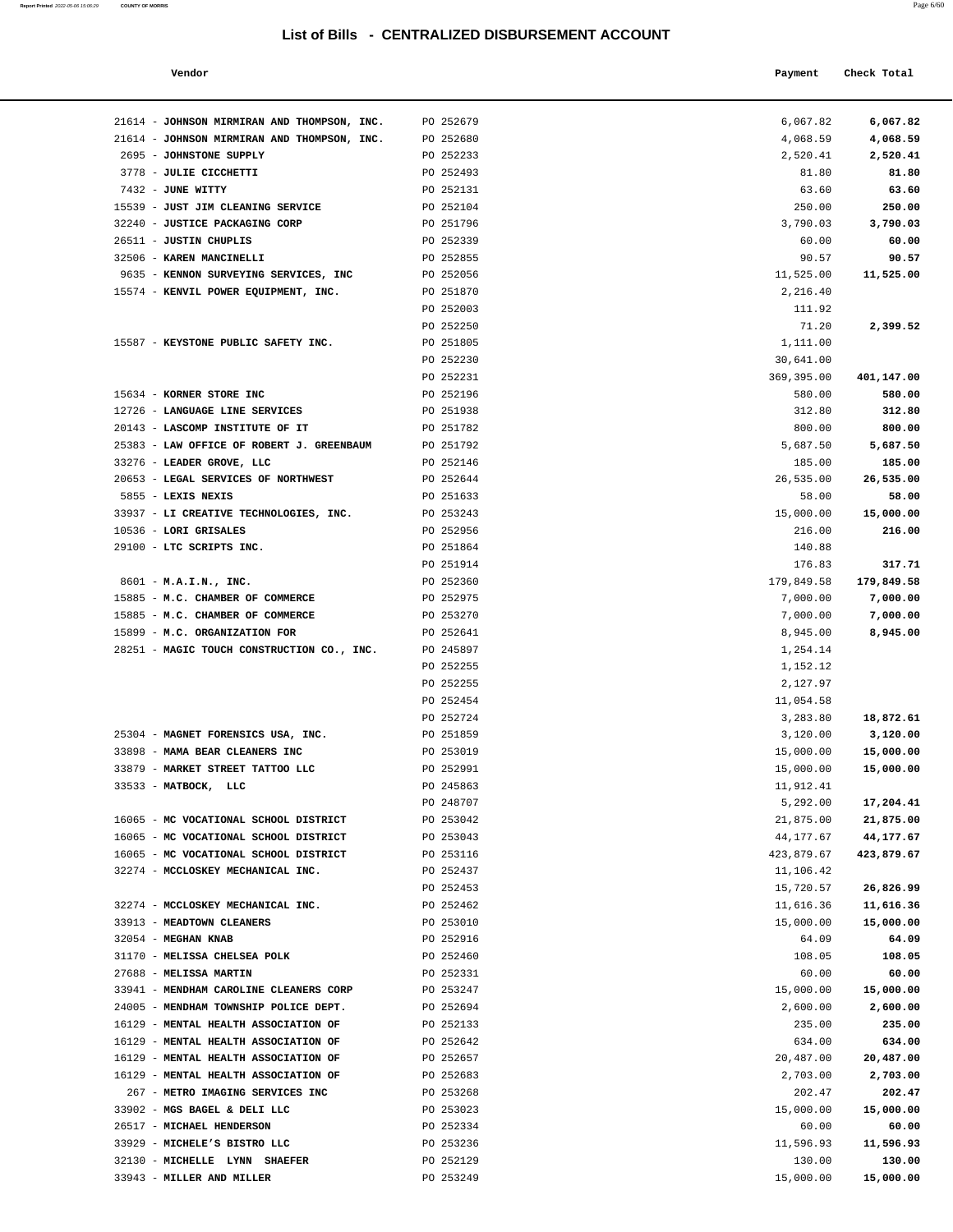**Report Printed** 2022-05-06 15:06:29 **COUNTY OF MORRIS** 

| æ<br>PS L | - hr |
|-----------|------|
|           |      |

| s                                   |           |                                                  | Page 6/60   |  |
|-------------------------------------|-----------|--------------------------------------------------|-------------|--|
|                                     |           | List of Bills - CENTRALIZED DISBURSEMENT ACCOUNT |             |  |
| Vendor                              |           | Payment                                          | Check Total |  |
| JOHNSON MIRMIRAN AND THOMPSON, INC. | PO 252679 | 6,067.82                                         | 6,067.82    |  |
| JOHNSON MIRMIRAN AND THOMPSON, INC. | PO 252680 | 4,068.59                                         | 4,068.59    |  |
| <b>JOHNSTONE SUPPLY</b>             | PO 252233 | 2,520.41                                         | 2,520.41    |  |
| <b>JULIE CICCHETTI</b>              | PO 252493 | 81.80                                            | 81.80       |  |
| <b>JUNE WITTY</b>                   | PO 252131 | 63.60                                            | 63.60       |  |
| <b>JUST JIM CLEANING SERVICE</b>    | PO 252104 | 250.00                                           | 250.00      |  |
| <b>JUSTICE PACKAGING CORP</b>       | PO 251796 | 3,790.03                                         | 3,790.03    |  |
| JUSTIN CHUPLIS                      | PO 252339 | 60.00                                            | 60.00       |  |
| KAREN MANCINELLI                    | PO 252855 | 90.57                                            | 90.57       |  |
| KENNON SURVEYING SERVICES, INC      | PO 252056 | 11,525.00                                        | 11,525.00   |  |
| KENVIL POWER EQUIPMENT, INC.        | PO 251870 | 2,216.40                                         |             |  |
|                                     | PO 252003 | 111.92                                           |             |  |
|                                     | PO 252250 | 71.20                                            | 2,399.52    |  |
| KEYSTONE PUBLIC SAFETY INC.         | PO 251805 | 1,111.00                                         |             |  |
|                                     | PO 252230 | 30,641.00                                        |             |  |
|                                     | PO 252231 | 369,395.00                                       | 401,147.00  |  |
| KORNER STORE INC                    | PO 252196 | 580.00                                           | 580.00      |  |
| LANGUAGE LINE SERVICES              | PO 251938 | 312.80                                           | 312.80      |  |
| <b>LASCOMP INSTITUTE OF IT</b>      | PO 251782 | 800.00                                           | 800.00      |  |
| LAW OFFICE OF ROBERT J. GREENBAUM   | PO 251792 | 5,687.50                                         | 5,687.50    |  |
| LEADER GROVE, LLC                   | PO 252146 | 185.00                                           | 185.00      |  |
| LEGAL SERVICES OF NORTHWEST         | PO 252644 | 26,535.00                                        | 26,535.00   |  |
| LEXIS NEXIS                         | PO 251633 | 58.00                                            | 58.00       |  |
| LI CREATIVE TECHNOLOGIES, INC.      | PO 253243 | 15,000.00                                        | 15,000.00   |  |
| <b>LORI GRISALES</b>                | PO 252956 | 216.00                                           | 216.00      |  |
| LTC SCRIPTS INC.                    | PO 251864 | 140.88                                           |             |  |
|                                     | PO 251914 | 176.83                                           | 317.71      |  |
| M.A.I.N., INC.                      | PO 252360 | 179,849.58                                       | 179,849.58  |  |
|                                     |           |                                                  |             |  |

| 21614 - JOHNSON MIRMIRAN AND THOMPSON, INC. | PO 252679 | 6,067.82   | 6,067.82   |
|---------------------------------------------|-----------|------------|------------|
| 21614 - JOHNSON MIRMIRAN AND THOMPSON, INC. | PO 252680 | 4,068.59   | 4,068.59   |
| 2695 - JOHNSTONE SUPPLY                     | PO 252233 | 2,520.41   | 2,520.41   |
| 3778 - JULIE CICCHETTI                      | PO 252493 | 81.80      | 81.80      |
| 7432 - JUNE WITTY                           | PO 252131 | 63.60      | 63.60      |
| 15539 - JUST JIM CLEANING SERVICE           | PO 252104 | 250.00     | 250.00     |
| 32240 - JUSTICE PACKAGING CORP              | PO 251796 | 3,790.03   | 3,790.03   |
| 26511 - JUSTIN CHUPLIS                      | PO 252339 | 60.00      | 60.00      |
| 32506 - KAREN MANCINELLI                    | PO 252855 | 90.57      | 90.57      |
| 9635 - KENNON SURVEYING SERVICES, INC       | PO 252056 | 11,525.00  | 11,525.00  |
| 15574 - KENVIL POWER EQUIPMENT, INC.        | PO 251870 | 2,216.40   |            |
|                                             | PO 252003 | 111.92     |            |
|                                             | PO 252250 | 71.20      | 2,399.52   |
| 15587 - KEYSTONE PUBLIC SAFETY INC.         | PO 251805 | 1,111.00   |            |
|                                             | PO 252230 | 30,641.00  |            |
|                                             | PO 252231 | 369,395.00 | 401,147.00 |
| 15634 - KORNER STORE INC                    | PO 252196 | 580.00     | 580.00     |
| 12726 - LANGUAGE LINE SERVICES              | PO 251938 | 312.80     | 312.80     |
| 20143 - LASCOMP INSTITUTE OF IT             | PO 251782 | 800.00     | 800.00     |
| 25383 - LAW OFFICE OF ROBERT J. GREENBAUM   | PO 251792 | 5,687.50   | 5,687.50   |
| 33276 - LEADER GROVE, LLC                   | PO 252146 | 185.00     | 185.00     |
| 20653 - LEGAL SERVICES OF NORTHWEST         | PO 252644 | 26,535.00  | 26,535.00  |
| 5855 - LEXIS NEXIS                          | PO 251633 | 58.00      | 58.00      |
| 33937 - LI CREATIVE TECHNOLOGIES, INC.      | PO 253243 | 15,000.00  | 15,000.00  |
| 10536 - LORI GRISALES                       | PO 252956 | 216.00     | 216.00     |
| 29100 - LTC SCRIPTS INC.                    | PO 251864 | 140.88     |            |
|                                             | PO 251914 | 176.83     | 317.71     |
| 8601 - M.A.I.N., INC.                       | PO 252360 | 179,849.58 | 179,849.58 |
| 15885 - M.C. CHAMBER OF COMMERCE            | PO 252975 | 7,000.00   | 7,000.00   |
| 15885 - M.C. CHAMBER OF COMMERCE            | PO 253270 | 7,000.00   | 7,000.00   |
| 15899 - M.C. ORGANIZATION FOR               | PO 252641 | 8,945.00   | 8,945.00   |
| 28251 - MAGIC TOUCH CONSTRUCTION CO., INC.  | PO 245897 | 1,254.14   |            |
|                                             | PO 252255 | 1,152.12   |            |
|                                             | PO 252255 | 2,127.97   |            |
|                                             | PO 252454 | 11,054.58  |            |
|                                             | PO 252724 | 3,283.80   | 18,872.61  |
| 25304 - MAGNET FORENSICS USA, INC.          | PO 251859 | 3,120.00   | 3,120.00   |
| 33898 - MAMA BEAR CLEANERS INC              | PO 253019 | 15,000.00  | 15,000.00  |
| 33879 - MARKET STREET TATTOO LLC            | PO 252991 | 15,000.00  | 15,000.00  |
| $33533 - MATBOCK$ , LLC                     | PO 245863 | 11,912.41  |            |
|                                             | PO 248707 | 5,292.00   | 17,204.41  |
| 16065 - MC VOCATIONAL SCHOOL DISTRICT       | PO 253042 | 21,875.00  | 21,875.00  |
| 16065 - MC VOCATIONAL SCHOOL DISTRICT       | PO 253043 | 44,177.67  | 44,177.67  |
| 16065 - MC VOCATIONAL SCHOOL DISTRICT       | PO 253116 | 423,879.67 | 423,879.67 |
| 32274 - MCCLOSKEY MECHANICAL INC.           | PO 252437 | 11,106.42  |            |
|                                             | PO 252453 | 15,720.57  | 26,826.99  |
| 32274 - MCCLOSKEY MECHANICAL INC.           | PO 252462 | 11,616.36  | 11,616.36  |
| 33913 - MEADTOWN CLEANERS                   | PO 253010 | 15,000.00  | 15,000.00  |
| 32054 - MEGHAN KNAB                         | PO 252916 | 64.09      | 64.09      |
| 31170 - MELISSA CHELSEA POLK                | PO 252460 | 108.05     | 108.05     |
| 27688 - MELISSA MARTIN                      | PO 252331 | 60.00      | 60.00      |
| 33941 - MENDHAM CAROLINE CLEANERS CORP      | PO 253247 | 15,000.00  | 15,000.00  |
| 24005 - MENDHAM TOWNSHIP POLICE DEPT.       | PO 252694 | 2,600.00   | 2,600.00   |
| 16129 - MENTAL HEALTH ASSOCIATION OF        | PO 252133 | 235.00     | 235.00     |
| 16129 - MENTAL HEALTH ASSOCIATION OF        | PO 252642 | 634.00     | 634.00     |
| 16129 - MENTAL HEALTH ASSOCIATION OF        | PO 252657 | 20,487.00  | 20,487.00  |
| 16129 - MENTAL HEALTH ASSOCIATION OF        | PO 252683 | 2,703.00   | 2,703.00   |
| 267 - METRO IMAGING SERVICES INC            | PO 253268 | 202.47     | 202.47     |
| 33902 - MGS BAGEL & DELI LLC                | PO 253023 | 15,000.00  | 15,000.00  |
| 26517 - MICHAEL HENDERSON                   | PO 252334 | 60.00      | 60.00      |
| 33929 - MICHELE'S BISTRO LLC                | PO 253236 | 11,596.93  | 11,596.93  |
| 32130 - MICHELLE LYNN SHAEFER               | PO 252129 | 130.00     | 130.00     |
| 33943 - MILLER AND MILLER                   | PO 253249 | 15,000.00  | 15,000.00  |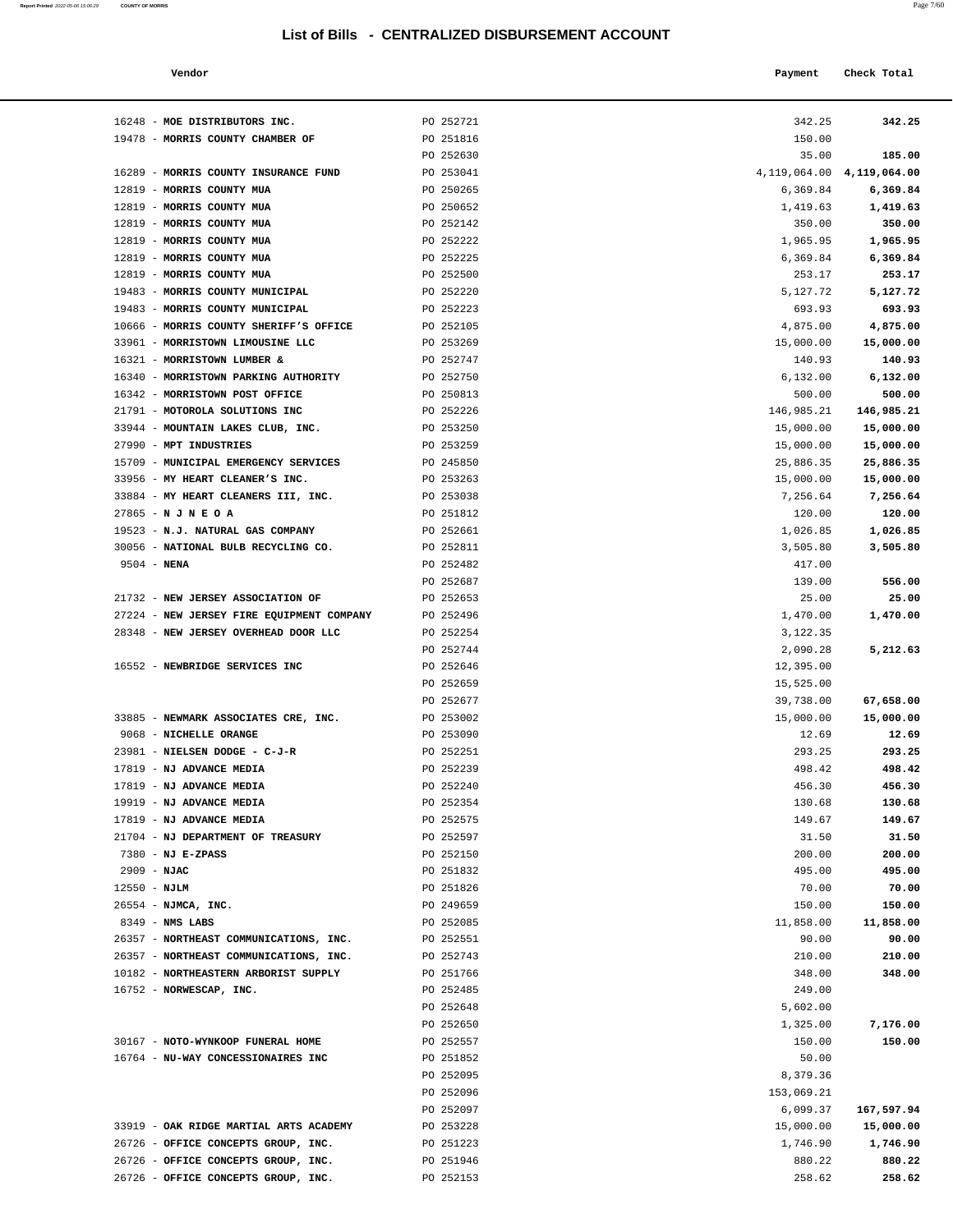| Report Printed 2022-05-06 15:06:29 | <b>COUNTY OF MORRIS</b> |  |  | Page 7/60 |
|------------------------------------|-------------------------|--|--|-----------|
|                                    |                         |  |  |           |

| Vendor                                 |           | Payment                                      | Check Total                   |  |
|----------------------------------------|-----------|----------------------------------------------|-------------------------------|--|
| 16248 - MOE DISTRIBUTORS INC.          | PO 252721 | 342.25                                       | 342.25                        |  |
| 19478 - MORRIS COUNTY CHAMBER OF       | PO 251816 | 150.00                                       |                               |  |
|                                        | PO 252630 | 35.00                                        | 185.00                        |  |
| 16289 - MORRIS COUNTY INSURANCE FUND   | PO 253041 |                                              | 4, 119, 064.00 4, 119, 064.00 |  |
| 12819 - MORRIS COUNTY MUA              | PO 250265 | 6,369.84                                     | 6,369.84                      |  |
| MORRIS COUNTY MUA<br>$12819 -$         | PO 250652 | 1,419.63                                     | 1,419.63                      |  |
| 12819 - MORRIS COUNTY MUA              | PO 252142 | 350.00                                       | 350.00                        |  |
| 12819 - MORRIS COUNTY MUA              | PO 252222 | 1,965.95                                     | 1,965.95                      |  |
| 12819 - MORRIS COUNTY MUA              | PO 252225 | 6,369.84                                     | 6,369.84                      |  |
| 12819 - MORRIS COUNTY MUA              | PO 252500 | 253.17                                       | 253.17                        |  |
| 19483 - MORRIS COUNTY MUNICIPAL        | PO 252220 | 5,127.72                                     | 5,127.72                      |  |
| 19483 - MORRIS COUNTY MUNICIPAL        | PO 252223 | 693.93                                       | 693.93                        |  |
| 10666 - MORRIS COUNTY SHERIFF'S OFFICE | PO 252105 | 4,875.00                                     | 4,875.00                      |  |
| 33961 - MORRISTOWN LIMOUSINE LLC       | PO 253269 | 15,000.00                                    | 15,000.00                     |  |
| 16321 - MORRISTOWN LUMBER &            | PO 252747 | 140.93                                       | 140.93                        |  |
| 16340 - MORRISTOWN PARKING AUTHORITY   | PO 252750 | 6,132.00                                     | 6,132.00                      |  |
| 16342 - MORRISTOWN POST OFFICE         | PO 250813 | 500.00                                       | 500.00                        |  |
| 21791 - MOTOROLA SOLUTIONS INC         | PO 252226 | 146,985.21                                   | 146,985.21                    |  |
| 33944 - MOUNTAIN LAKES CLUB, INC.      | PO 253250 | 15,000.00                                    | 15,000.00                     |  |
| 27990 - MPT INDUSTRIES                 | PO 253259 | 15,000.00                                    | 15,000.00                     |  |
| $1 - 2 - 2$                            | $      -$ | $\theta = \theta + \theta + \theta + \theta$ |                               |  |

| 12819 - MORRIS COUNTY MUA                 | PO 252222 | 1,965.95   | 1,965.95   |
|-------------------------------------------|-----------|------------|------------|
| 12819 - MORRIS COUNTY MUA                 | PO 252225 | 6,369.84   | 6,369.84   |
| 12819 - MORRIS COUNTY MUA                 | PO 252500 | 253.17     | 253.17     |
| 19483 - MORRIS COUNTY MUNICIPAL           | PO 252220 | 5,127.72   | 5,127.72   |
| 19483 - MORRIS COUNTY MUNICIPAL           | PO 252223 | 693.93     | 693.93     |
| 10666 - MORRIS COUNTY SHERIFF'S OFFICE    | PO 252105 | 4,875.00   | 4,875.00   |
| 33961 - MORRISTOWN LIMOUSINE LLC          | PO 253269 | 15,000.00  | 15,000.00  |
| 16321 - MORRISTOWN LUMBER &               | PO 252747 | 140.93     | 140.93     |
| 16340 - MORRISTOWN PARKING AUTHORITY      | PO 252750 | 6, 132.00  | 6,132.00   |
| 16342 - MORRISTOWN POST OFFICE            | PO 250813 | 500.00     | 500.00     |
| 21791 - MOTOROLA SOLUTIONS INC            | PO 252226 | 146,985.21 | 146,985.21 |
| 33944 - MOUNTAIN LAKES CLUB, INC.         | PO 253250 | 15,000.00  | 15,000.00  |
| 27990 - MPT INDUSTRIES                    | PO 253259 | 15,000.00  | 15,000.00  |
| 15709 - MUNICIPAL EMERGENCY SERVICES      | PO 245850 | 25,886.35  | 25,886.35  |
| 33956 - MY HEART CLEANER'S INC.           | PO 253263 | 15,000.00  | 15,000.00  |
| 33884 - MY HEART CLEANERS III, INC.       | PO 253038 | 7,256.64   | 7,256.64   |
| $27865 - N J N E O A$                     | PO 251812 | 120.00     | 120.00     |
| 19523 - N.J. NATURAL GAS COMPANY          | PO 252661 | 1,026.85   | 1,026.85   |
| 30056 - NATIONAL BULB RECYCLING CO.       | PO 252811 | 3,505.80   | 3,505.80   |
| $9504 - NENA$                             | PO 252482 | 417.00     |            |
|                                           | PO 252687 | 139.00     | 556.00     |
| 21732 - NEW JERSEY ASSOCIATION OF         | PO 252653 | 25.00      | 25.00      |
| 27224 - NEW JERSEY FIRE EQUIPMENT COMPANY | PO 252496 | 1,470.00   | 1,470.00   |
| 28348 - NEW JERSEY OVERHEAD DOOR LLC      | PO 252254 | 3,122.35   |            |
|                                           | PO 252744 | 2,090.28   | 5,212.63   |
| 16552 - NEWBRIDGE SERVICES INC            | PO 252646 | 12,395.00  |            |
|                                           | PO 252659 | 15,525.00  |            |
|                                           | PO 252677 | 39,738.00  | 67,658.00  |
| 33885 - NEWMARK ASSOCIATES CRE, INC.      | PO 253002 | 15,000.00  | 15,000.00  |
| 9068 - NICHELLE ORANGE                    | PO 253090 | 12.69      | 12.69      |
| 23981 - NIELSEN DODGE - C-J-R             | PO 252251 | 293.25     | 293.25     |
| 17819 - NJ ADVANCE MEDIA                  | PO 252239 | 498.42     | 498.42     |
| 17819 - NJ ADVANCE MEDIA                  | PO 252240 | 456.30     | 456.30     |
| 19919 - NJ ADVANCE MEDIA                  | PO 252354 | 130.68     | 130.68     |
| 17819 - NJ ADVANCE MEDIA                  | PO 252575 | 149.67     | 149.67     |
| 21704 - NJ DEPARTMENT OF TREASURY         | PO 252597 | 31.50      | 31.50      |
| $7380 - NJ E-ZPASS$                       | PO 252150 | 200.00     | 200.00     |
| $2909 - NJAC$                             | PO 251832 | 495.00     | 495.00     |
| $12550 - NJLM$                            | PO 251826 | 70.00      | 70.00      |
| 26554 - NJMCA, INC.                       | PO 249659 | 150.00     | 150.00     |
| $8349$ - NMS LABS                         | PO 252085 | 11,858.00  | 11,858.00  |
| 26357 - NORTHEAST COMMUNICATIONS, INC.    | PO 252551 | 90.00      | 90.00      |
| 26357 - NORTHEAST COMMUNICATIONS, INC.    | PO 252743 | 210.00     | 210.00     |
| 10182 - NORTHEASTERN ARBORIST SUPPLY      | PO 251766 | 348.00     | 348.00     |
| 16752 - NORWESCAP, INC.                   | PO 252485 | 249.00     |            |
|                                           | PO 252648 | 5,602.00   |            |
|                                           | PO 252650 | 1,325.00   | 7,176.00   |
| 30167 - NOTO-WYNKOOP FUNERAL HOME         | PO 252557 | 150.00     | 150.00     |
| 16764 - NU-WAY CONCESSIONAIRES INC        | PO 251852 | 50.00      |            |
|                                           | PO 252095 | 8,379.36   |            |
|                                           | PO 252096 | 153,069.21 |            |
|                                           | PO 252097 | 6,099.37   | 167,597.94 |
| 33919 - OAK RIDGE MARTIAL ARTS ACADEMY    | PO 253228 | 15,000.00  | 15,000.00  |
| 26726 - OFFICE CONCEPTS GROUP, INC.       | PO 251223 | 1,746.90   | 1,746.90   |
| 26726 - OFFICE CONCEPTS GROUP, INC.       | PO 251946 | 880.22     | 880.22     |
| 26726 - OFFICE CONCEPTS GROUP, INC.       | PO 252153 | 258.62     | 258.62     |
|                                           |           |            |            |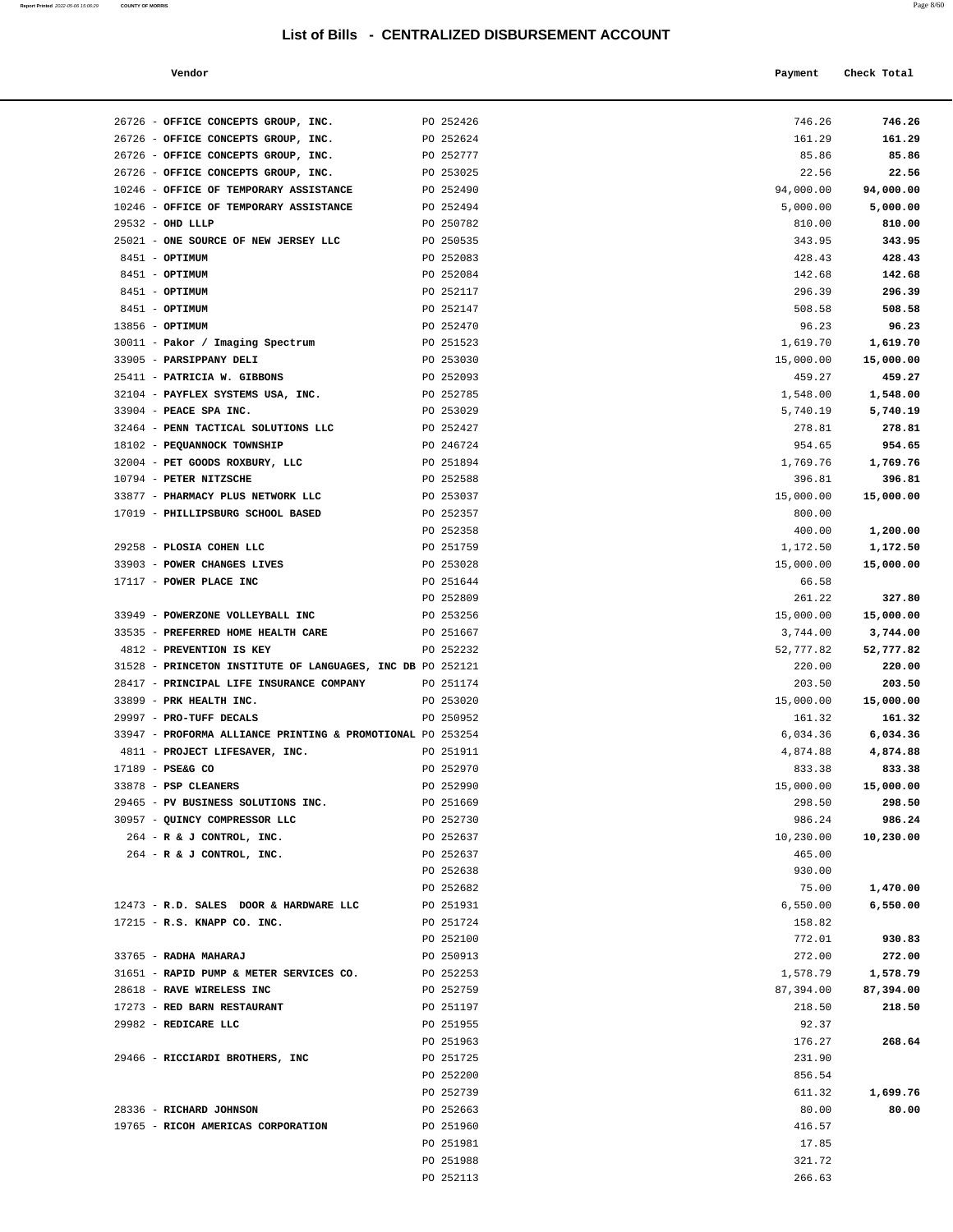| Report Printed 2022-05-06 15:06:29 | <b>COUNTY OF MORRIS</b> |  |  | Page 8/60 |
|------------------------------------|-------------------------|--|--|-----------|
|                                    |                         |  |  |           |

| Vendor                                                 |                        | Payment               | Check Total           |
|--------------------------------------------------------|------------------------|-----------------------|-----------------------|
| OFFICE CONCEPTS GROUP, INC.                            | PO 252426              | 746.26                | 746.26                |
| OFFICE CONCEPTS GROUP, INC.                            | PO 252624              | 161.29                | 161.29                |
| OFFICE CONCEPTS GROUP, INC.                            | PO 252777              | 85.86                 | 85.86                 |
| OFFICE CONCEPTS GROUP, INC.                            | PO 253025              | 22.56                 | 22.56                 |
| OFFICE OF TEMPORARY ASSISTANCE                         | PO 252490              | 94,000.00             | 94,000.00             |
| OFFICE OF TEMPORARY ASSISTANCE                         | PO 252494              | 5,000.00              | 5,000.00              |
| OHD LLLP                                               | PO 250782              | 810.00                | 810.00                |
| ONE SOURCE OF NEW JERSEY LLC                           | PO 250535              | 343.95                | 343.95                |
| OPTIMUM                                                | PO 252083              | 428.43                | 428.43                |
| OPTIMUM                                                | PO 252084              | 142.68                | 142.68                |
| OPTIMUM                                                | PO 252117              | 296.39                | 296.39                |
| OPTIMUM                                                | PO 252147              | 508.58                | 508.58                |
| OPTIMUM                                                | PO 252470              | 96.23                 | 96.23                 |
| Pakor / Imaging Spectrum                               | PO 251523              | 1,619.70              | 1,619.70              |
| <b>PARSIPPANY DELI</b>                                 | PO 253030              | 15,000.00             | 15,000.00             |
| PATRICIA W. GIBBONS                                    | PO 252093              | 459.27                | 459.27                |
| PAYFLEX SYSTEMS USA, INC.                              | PO 252785              | 1,548.00              | 1,548.00              |
| <b>PEACE SPA INC.</b>                                  | PO 253029              | 5,740.19              | 5,740.19              |
| PENN TACTICAL SOLUTIONS LLC                            | PO 252427              | 278.81                | 278.81                |
| PEQUANNOCK TOWNSHIP                                    | PO 246724              | 954.65                | 954.65                |
| PET GOODS ROXBURY, LLC                                 | PO 251894              | 1,769.76              | 1,769.76              |
| PETER NITZSCHE                                         | PO 252588              | 396.81                | 396.81                |
| PHARMACY PLUS NETWORK LLC                              | PO 253037              | 15,000.00             | 15,000.00             |
| PHILLIPSBURG SCHOOL BASED                              | PO 252357              | 800.00                |                       |
|                                                        | PO 252358              | 400.00                | 1,200.00              |
| <b>PLOSIA COHEN LLC</b>                                | PO 251759              | 1,172.50              | 1,172.50              |
| <b>POWER CHANGES LIVES</b>                             | PO 253028              | 15,000.00             | 15,000.00             |
| POWER PLACE INC                                        | PO 251644              | 66.58                 |                       |
|                                                        | PO 252809<br>PO 253256 | 261.22                | 327.80                |
| POWERZONE VOLLEYBALL INC<br>PREFERRED HOME HEALTH CARE | PO 251667              | 15,000.00<br>3,744.00 | 15,000.00<br>3,744.00 |
| <b>PREVENTION IS KEY</b>                               | PO 252232              | 52,777.82             | 52,777.82             |
| PRINCETON INSTITUTE OF LANGUAGES, INC DB PO 252121     |                        | 220.00                | 220.00                |
| PRINCIPAL LIFE INSURANCE COMPANY                       | PO 251174              | 203.50                | 203.50                |
| PRK HEALTH INC.                                        | PO 253020              | 15,000.00             | 15,000.00             |
| PRO-TUFF DECALS                                        | PO 250952              | 161.32                | 161.32                |
| PROFORMA ALLIANCE PRINTING & PROMOTIONAL PO 253254     |                        | 6,034.36              | 6,034.36              |
| PROJECT LIFESAVER, INC.                                | PO 251911              | 4,874.88              | 4,874.88              |
| PSE&G CO                                               | PO 252970              | 833.38                | 833.38                |
| PSP CLEANERS                                           | PO 252990              | 15,000.00             | 15,000.00             |
| PV BUSINESS SOLUTIONS INC.                             | PO 251669              | 298.50                | 298.50                |
| QUINCY COMPRESSOR LLC                                  | PO 252730              | 986.24                | 986.24                |
| R & J CONTROL, INC.                                    | PO 252637              | 10,230.00             | 10,230.00             |
| R & J CONTROL, INC.                                    | PO 252637              | 465.00                |                       |
|                                                        | PO 252638              | 930.00                |                       |
|                                                        | PO 252682              | 75.00                 | 1,470.00              |
| R.D. SALES DOOR & HARDWARE LLC                         | PO 251931              | 6,550.00              | 6,550.00              |
| R.S. KNAPP CO. INC.                                    | PO 251724              | 158.82                |                       |
|                                                        | PO 252100              | 772.01                | 930.83                |
| RADHA MAHARAJ                                          | PO 250913              | 272.00                | 272.00                |
| RAPID PUMP & METER SERVICES CO.                        | PO 252253              | 1,578.79              | 1,578.79              |
| <b>RAVE WIRELESS INC</b>                               | PO 252759              | 87,394.00             | 87,394.00             |
| <b>RED BARN RESTAURANT</b>                             | PO 251197              | 218.50                | 218.50                |
| REDICARE LLC                                           | PO 251955              | 92.37                 |                       |
|                                                        | PO 251963              | 176.27                | 268.64                |
| RICCIARDI BROTHERS, INC                                | PO 251725              | 231.90                |                       |
|                                                        | PO 252200              | 856.54                |                       |
|                                                        | PO 252739              | 611.32                | 1,699.76              |
| RICHARD JOHNSON                                        | PO 252663              | 80.00                 | 80.00                 |
| RICOH AMERICAS CORPORATION                             | PO 251960              | 416.57                |                       |
|                                                        | PO 251981              | 17.85                 |                       |
|                                                        | PO 251988              | 321.72                |                       |

| 26726 - OFFICE CONCEPTS GROUP, INC.                                  | PO 252426              | 746.26                | 746.26                |
|----------------------------------------------------------------------|------------------------|-----------------------|-----------------------|
| 26726 - OFFICE CONCEPTS GROUP, INC.                                  | PO 252624              | 161.29                | 161.29                |
| 26726 - OFFICE CONCEPTS GROUP, INC.                                  | PO 252777              | 85.86                 | 85.86                 |
| 26726 - OFFICE CONCEPTS GROUP, INC.                                  | PO 253025              | 22.56                 | 22.56                 |
| 10246 - OFFICE OF TEMPORARY ASSISTANCE PO 252490                     |                        | 94,000.00             | 94,000.00             |
| 10246 - OFFICE OF TEMPORARY ASSISTANCE                               | PO 252494              | 5,000.00              | 5,000.00              |
| 29532 - OHD LLLP                                                     | PO 250782              | 810.00                | 810.00                |
| 25021 - ONE SOURCE OF NEW JERSEY LLC                                 | PO 250535              | 343.95                | 343.95                |
| 8451 - OPTIMUM                                                       | PO 252083              | 428.43                | 428.43                |
| 8451 - <b>OPTIMUM</b>                                                | PO 252084              | 142.68                | 142.68                |
| 8451 - OPTIMUM                                                       | PO 252117              | 296.39                | 296.39                |
| 8451 - OPTIMUM                                                       | PO 252147              | 508.58                | 508.58                |
| $13856 - OPTIMUM$                                                    | PO 252470              | 96.23                 | 96.23                 |
| 30011 - Pakor / Imaging Spectrum                                     | PO 251523              | 1,619.70              | 1,619.70              |
| 33905 - PARSIPPANY DELI                                              | PO 253030              | 15,000.00             | 15,000.00             |
| 25411 - PATRICIA W. GIBBONS                                          | PO 252093              | 459.27                | 459.27                |
| 32104 - PAYFLEX SYSTEMS USA, INC.                                    | PO 252785              | 1,548.00              | 1,548.00              |
| 33904 - PEACE SPA INC.                                               | PO 253029              | 5,740.19              | 5,740.19              |
| 32464 - PENN TACTICAL SOLUTIONS LLC                                  | PO 252427              | 278.81                | 278.81                |
| 18102 - PEQUANNOCK TOWNSHIP                                          | PO 246724              | 954.65                | 954.65                |
| 32004 - PET GOODS ROXBURY, LLC                                       | PO 251894              | 1,769.76              | 1,769.76              |
| 10794 - PETER NITZSCHE<br>33877 - PHARMACY PLUS NETWORK LLC          | PO 252588<br>PO 253037 | 396.81                | 396.81<br>15,000.00   |
| 17019 - PHILLIPSBURG SCHOOL BASED                                    | PO 252357              | 15,000.00<br>800.00   |                       |
|                                                                      | PO 252358              | 400.00                | 1,200.00              |
| 29258 - PLOSIA COHEN LLC                                             | PO 251759              | 1,172.50              | 1,172.50              |
| 33903 - POWER CHANGES LIVES                                          | PO 253028              | 15,000.00             | 15,000.00             |
| 17117 - POWER PLACE INC                                              | PO 251644              | 66.58                 |                       |
|                                                                      | PO 252809              | 261.22                | 327.80                |
| 33949 - POWERZONE VOLLEYBALL INC                                     | PO 253256              | 15,000.00             | 15,000.00             |
| 33535 - PREFERRED HOME HEALTH CARE                                   | PO 251667              | 3,744.00              | 3,744.00              |
| 4812 - PREVENTION IS KEY                                             | PO 252232              | 52,777.82             | 52,777.82             |
| 31528 - PRINCETON INSTITUTE OF LANGUAGES, INC DB PO 252121           |                        | 220.00                | 220.00                |
| 28417 - PRINCIPAL LIFE INSURANCE COMPANY PO 251174                   |                        | 203.50                | 203.50                |
| 33899 - PRK HEALTH INC.                                              | PO 253020              | 15,000.00             | 15,000.00             |
| 29997 - PRO-TUFF DECALS                                              | PO 250952              | 161.32                | 161.32                |
| 33947 - PROFORMA ALLIANCE PRINTING & PROMOTIONAL PO 253254           |                        | 6,034.36              | 6,034.36              |
| 4811 - PROJECT LIFESAVER, INC.                                       | PO 251911              | 4,874.88              | 4,874.88              |
| 17189 - PSE&G CO                                                     | PO 252970              | 833.38                | 833.38                |
| 33878 - PSP CLEANERS                                                 | PO 252990              | 15,000.00             | 15,000.00             |
| 29465 - PV BUSINESS SOLUTIONS INC.                                   | PO 251669              | 298.50                | 298.50                |
| 30957 - QUINCY COMPRESSOR LLC                                        | PO 252730              | 986.24                | 986.24                |
| 264 - R & J CONTROL, INC.                                            | PO 252637              | 10,230.00             | 10,230.00             |
| $264$ - R & J CONTROL, INC.                                          | PO 252637              | 465.00                |                       |
|                                                                      | PO 252638              | 930.00                |                       |
|                                                                      | PO 252682              | 75.00                 | 1,470.00              |
| 12473 - R.D. SALES DOOR & HARDWARE LLC                               | PO 251931              | 6,550.00              | 6,550.00              |
| 17215 - R.S. KNAPP CO. INC.                                          | PO 251724              | 158.82                |                       |
| 33765 - RADHA MAHARAJ                                                | PO 252100<br>PO 250913 | 772.01                | 930.83<br>272.00      |
|                                                                      | PO 252253              | 272.00                |                       |
| 31651 - RAPID PUMP & METER SERVICES CO.<br>28618 - RAVE WIRELESS INC | PO 252759              | 1,578.79<br>87,394.00 | 1,578.79<br>87,394.00 |
| 17273 - RED BARN RESTAURANT                                          | PO 251197              | 218.50                | 218.50                |
| 29982 - REDICARE LLC                                                 | PO 251955              | 92.37                 |                       |
|                                                                      | PO 251963              | 176.27                | 268.64                |
| 29466 - RICCIARDI BROTHERS, INC                                      | PO 251725              | 231.90                |                       |
|                                                                      | PO 252200              | 856.54                |                       |
|                                                                      | PO 252739              | 611.32                | 1,699.76              |
| 28336 - RICHARD JOHNSON                                              | PO 252663              | 80.00                 | 80.00                 |
| 19765 - RICOH AMERICAS CORPORATION                                   | PO 251960              | 416.57                |                       |
|                                                                      | PO 251981              | 17.85                 |                       |
|                                                                      | PO 251988              | 321.72                |                       |

PO 252113 266.63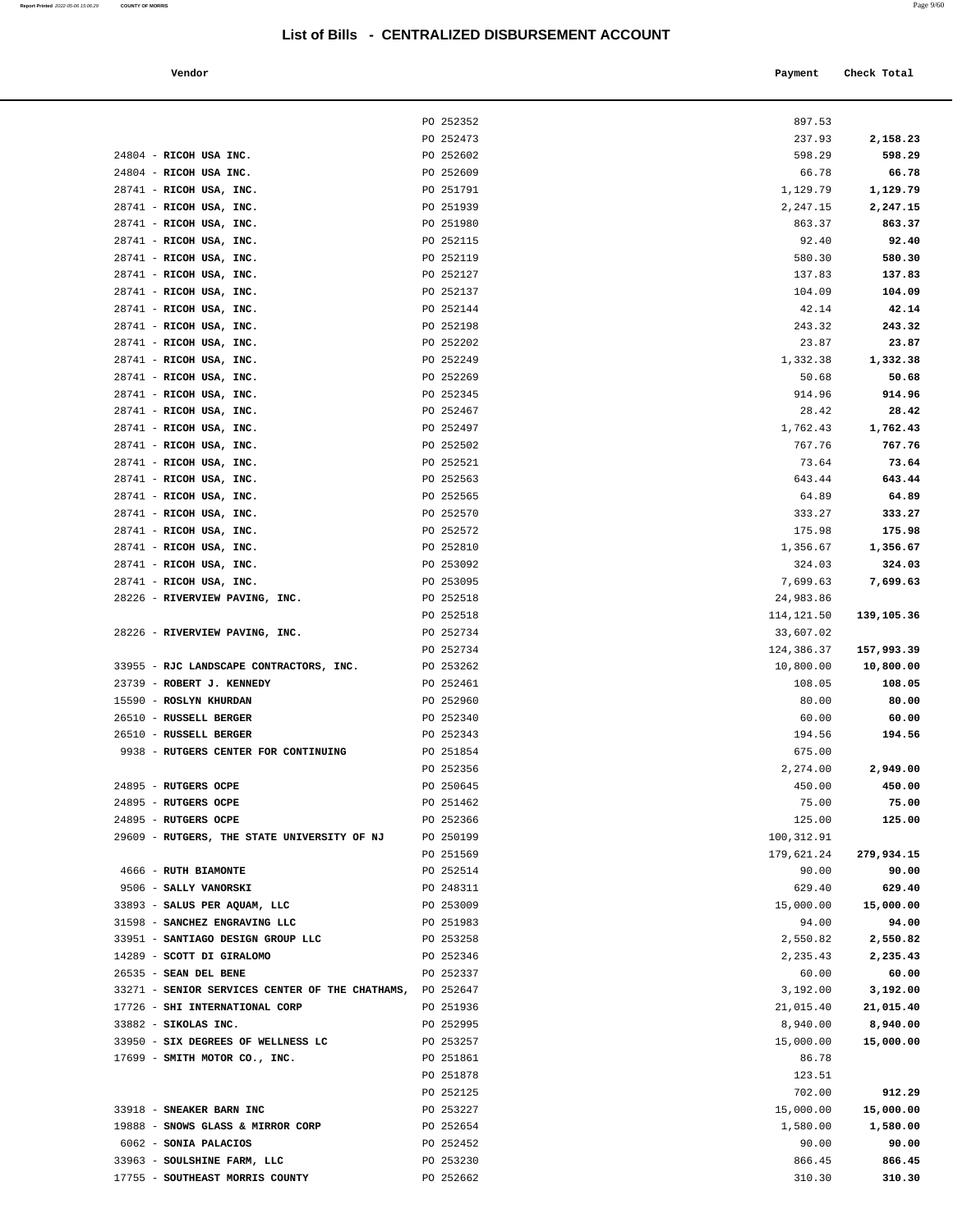| a. | ٧ | M.<br>۰.<br>٠ |  |
|----|---|---------------|--|
|    |   |               |  |

| Report Printed 2022-05-06 15:06:29 | <b>COUNTY OF MORRIS</b>                     |                                                  |            | Page 9/60   |
|------------------------------------|---------------------------------------------|--------------------------------------------------|------------|-------------|
|                                    |                                             | List of Bills - CENTRALIZED DISBURSEMENT ACCOUNT |            |             |
|                                    | Vendor                                      |                                                  | Payment    | Check Total |
|                                    |                                             | PO 252352                                        | 897.53     |             |
|                                    |                                             | PO 252473                                        | 237.93     | 2,158.23    |
|                                    | 24804 - RICOH USA INC.                      | PO 252602                                        | 598.29     | 598.29      |
|                                    | 24804 - RICOH USA INC.                      | PO 252609                                        | 66.78      | 66.78       |
|                                    | 28741 - RICOH USA, INC.                     | PO 251791                                        | 1,129.79   | 1,129.79    |
|                                    | 28741 - RICOH USA, INC.                     | PO 251939                                        | 2,247.15   | 2,247.15    |
|                                    | 28741 - RICOH USA, INC.                     | PO 251980                                        | 863.37     | 863.37      |
|                                    | 28741 - RICOH USA, INC.                     | PO 252115                                        | 92.40      | 92.40       |
|                                    | 28741 - RICOH USA, INC.                     | PO 252119                                        | 580.30     | 580.30      |
|                                    | 28741 - RICOH USA, INC.                     | PO 252127                                        | 137.83     | 137.83      |
|                                    | 28741 - RICOH USA, INC.                     | PO 252137                                        | 104.09     | 104.09      |
|                                    | 28741 - RICOH USA, INC.                     | PO 252144                                        | 42.14      | 42.14       |
|                                    | 28741 - RICOH USA, INC.                     | PO 252198                                        | 243.32     | 243.32      |
|                                    | 28741 - RICOH USA, INC.                     | PO 252202                                        | 23.87      | 23.87       |
|                                    | 28741 - RICOH USA, INC.                     | PO 252249                                        | 1,332.38   | 1,332.38    |
|                                    | 28741 - RICOH USA, INC.                     | PO 252269                                        | 50.68      | 50.68       |
|                                    | 28741 - RICOH USA, INC.                     | PO 252345                                        | 914.96     | 914.96      |
|                                    | 28741 - RICOH USA, INC.                     | PO 252467                                        | 28.42      | 28.42       |
|                                    | 28741 - RICOH USA, INC.                     | PO 252497                                        | 1,762.43   | 1,762.43    |
|                                    | 28741 - RICOH USA, INC.                     | PO 252502                                        | 767.76     | 767.76      |
|                                    | 28741 - RICOH USA, INC.                     | PO 252521                                        | 73.64      | 73.64       |
|                                    | 28741 - RICOH USA, INC.                     | PO 252563                                        | 643.44     | 643.44      |
|                                    | 28741 - RICOH USA, INC.                     | PO 252565                                        | 64.89      | 64.89       |
|                                    | 28741 - RICOH USA, INC.                     | PO 252570                                        | 333.27     | 333.27      |
|                                    | 28741 - RICOH USA, INC.                     | PO 252572                                        | 175.98     | 175.98      |
|                                    | 28741 - RICOH USA, INC.                     | PO 252810                                        | 1,356.67   | 1,356.67    |
|                                    | 28741 - RICOH USA, INC.                     | PO 253092                                        | 324.03     | 324.03      |
|                                    | 28741 - RICOH USA, INC.                     | PO 253095                                        | 7,699.63   | 7,699.63    |
|                                    | 28226 - RIVERVIEW PAVING, INC.              | PO 252518                                        | 24,983.86  |             |
|                                    |                                             | PO 252518                                        | 114,121.50 | 139,105.36  |
|                                    | 28226 - RIVERVIEW PAVING, INC.              | PO 252734                                        | 33,607.02  |             |
|                                    |                                             | PO 252734                                        | 124,386.37 | 157,993.39  |
|                                    | 33955 - RJC LANDSCAPE CONTRACTORS, INC.     | PO 253262                                        | 10,800.00  | 10,800.00   |
|                                    | 23739 - ROBERT J. KENNEDY                   | PO 252461                                        | 108.05     | 108.05      |
|                                    | 15590 - ROSLYN KHURDAN                      | PO 252960                                        | 80.00      | 80.00       |
|                                    | 26510 - RUSSELL BERGER                      | PO 252340                                        | 60.00      | 60.00       |
|                                    | 26510 - RUSSELL BERGER                      | PO 252343                                        | 194.56     | 194.56      |
|                                    | 9938 - RUTGERS CENTER FOR CONTINUING        | PO 251854                                        | 675.00     |             |
|                                    |                                             | PO 252356                                        | 2,274.00   | 2,949.00    |
|                                    | 24895 - RUTGERS OCPE                        | PO 250645                                        | 450.00     | 450.00      |
|                                    | 24895 - RUTGERS OCPE                        | PO 251462                                        | 75.00      | 75.00       |
|                                    | 24895 - RUTGERS OCPE                        | PO 252366                                        | 125.00     | 125.00      |
|                                    | 29609 - RUTGERS, THE STATE UNIVERSITY OF NJ | PO 250199                                        | 100,312.91 |             |
|                                    |                                             | PO 251569                                        | 179,621.24 | 279,934.15  |
|                                    | 4666 - RUTH BIAMONTE                        | PO 252514                                        | 90.00      | 90.00       |
|                                    | 9506 - SALLY VANORSKI                       | PO 248311                                        | 629.40     | 629.40      |
|                                    | 33893 - SALUS PER AQUAM, LLC                | PO 253009                                        | 15,000.00  | 15,000.00   |
|                                    | $21500 - 21$ $\frac{1}{2}$                  | DO 251992                                        | 01.00      | 01.00       |

| 28741 - RICOH USA, INC.                                   | PO 251791              | 1,129.79                | 1,129.79   |
|-----------------------------------------------------------|------------------------|-------------------------|------------|
| 28741 - RICOH USA, INC.                                   | PO 251939              | 2,247.15                | 2,247.15   |
| 28741 - RICOH USA, INC.                                   | PO 251980              | 863.37                  | 863.37     |
| 28741 - RICOH USA, INC.                                   | PO 252115              | 92.40                   | 92.40      |
| 28741 - RICOH USA, INC.                                   | PO 252119              | 580.30                  | 580.30     |
| 28741 - RICOH USA, INC.                                   | PO 252127              | 137.83                  | 137.83     |
| 28741 - RICOH USA, INC.                                   | PO 252137              | 104.09                  | 104.09     |
| 28741 - RICOH USA, INC.                                   | PO 252144              | 42.14                   | 42.14      |
| 28741 - RICOH USA, INC.                                   | PO 252198              | 243.32                  | 243.32     |
| 28741 - RICOH USA, INC.                                   | PO 252202              | 23.87                   | 23.87      |
| 28741 - RICOH USA, INC.                                   | PO 252249              | 1,332.38                | 1,332.38   |
| 28741 - RICOH USA, INC.                                   | PO 252269              | 50.68                   | 50.68      |
| 28741 - RICOH USA, INC.                                   | PO 252345              | 914.96                  | 914.96     |
| 28741 - RICOH USA, INC.                                   | PO 252467              | 28.42                   | 28.42      |
| 28741 - RICOH USA, INC.                                   | PO 252497              | 1,762.43                | 1,762.43   |
| 28741 - RICOH USA, INC.                                   | PO 252502              | 767.76                  | 767.76     |
| 28741 - RICOH USA, INC.                                   | PO 252521              | 73.64                   | 73.64      |
| 28741 - RICOH USA, INC.                                   | PO 252563              | 643.44                  | 643.44     |
| 28741 - RICOH USA, INC.                                   | PO 252565              | 64.89                   | 64.89      |
| 28741 - RICOH USA, INC.                                   | PO 252570              | 333.27                  | 333.27     |
| 28741 - RICOH USA, INC.                                   | PO 252572              | 175.98                  | 175.98     |
| 28741 - RICOH USA, INC.                                   | PO 252810              | 1,356.67                | 1,356.67   |
| 28741 - RICOH USA, INC.                                   | PO 253092              | 324.03                  | 324.03     |
| 28741 - RICOH USA, INC.                                   | PO 253095              | 7,699.63                | 7,699.63   |
| 28226 - RIVERVIEW PAVING, INC.                            | PO 252518<br>PO 252518 | 24,983.86               |            |
| 28226 - RIVERVIEW PAVING, INC.                            | PO 252734              | 114,121.50<br>33,607.02 | 139,105.36 |
|                                                           | PO 252734              | 124,386.37              | 157,993.39 |
| 33955 - RJC LANDSCAPE CONTRACTORS, INC.                   | PO 253262              | 10,800.00               | 10,800.00  |
| 23739 - ROBERT J. KENNEDY                                 | PO 252461              | 108.05                  | 108.05     |
| 15590 - ROSLYN KHURDAN                                    | PO 252960              | 80.00                   | 80.00      |
| 26510 - RUSSELL BERGER                                    | PO 252340              | 60.00                   | 60.00      |
| 26510 - RUSSELL BERGER                                    | PO 252343              | 194.56                  | 194.56     |
| 9938 - RUTGERS CENTER FOR CONTINUING                      | PO 251854              | 675.00                  |            |
|                                                           | PO 252356              | 2,274.00                | 2,949.00   |
| 24895 - RUTGERS OCPE                                      | PO 250645              | 450.00                  | 450.00     |
| 24895 - RUTGERS OCPE                                      | PO 251462              | 75.00                   | 75.00      |
| 24895 - RUTGERS OCPE                                      | PO 252366              | 125.00                  | 125.00     |
| 29609 - RUTGERS, THE STATE UNIVERSITY OF NJ               | PO 250199              | 100,312.91              |            |
|                                                           | PO 251569              | 179,621.24              | 279,934.15 |
| 4666 - RUTH BIAMONTE                                      | PO 252514              | 90.00                   | 90.00      |
| 9506 - SALLY VANORSKI                                     | PO 248311              | 629.40                  | 629.40     |
| 33893 - SALUS PER AQUAM, LLC                              | PO 253009              | 15,000.00               | 15,000.00  |
| 31598 - SANCHEZ ENGRAVING LLC                             | PO 251983              | 94.00                   | 94.00      |
| 33951 - SANTIAGO DESIGN GROUP LLC                         | PO 253258              | 2,550.82                | 2,550.82   |
| 14289 - SCOTT DI GIRALOMO                                 | PO 252346              | 2,235.43                | 2,235.43   |
| 26535 - SEAN DEL BENE                                     | PO 252337              | 60.00                   | 60.00      |
| 33271 - SENIOR SERVICES CENTER OF THE CHATHAMS, PO 252647 |                        | 3,192.00                | 3,192.00   |
| 17726 - SHI INTERNATIONAL CORP                            | PO 251936              | 21,015.40               | 21,015.40  |
| 33882 - SIKOLAS INC.                                      | PO 252995              | 8,940.00                | 8,940.00   |
| 33950 - SIX DEGREES OF WELLNESS LC                        | PO 253257              | 15,000.00               | 15,000.00  |
| 17699 - SMITH MOTOR CO., INC.                             | PO 251861<br>PO 251878 | 86.78                   |            |
|                                                           | PO 252125              | 123.51<br>702.00        | 912.29     |
| 33918 - SNEAKER BARN INC                                  | PO 253227              | 15,000.00               | 15,000.00  |
| 19888 - SNOWS GLASS & MIRROR CORP                         | PO 252654              | 1,580.00                | 1,580.00   |
| 6062 - SONIA PALACIOS                                     | PO 252452              | 90.00                   | 90.00      |
| 33963 - SOULSHINE FARM, LLC                               | PO 253230              | 866.45                  | 866.45     |
| 17755 - SOUTHEAST MORRIS COUNTY                           | PO 252662              | 310.30                  | 310.30     |
|                                                           |                        |                         |            |
|                                                           |                        |                         |            |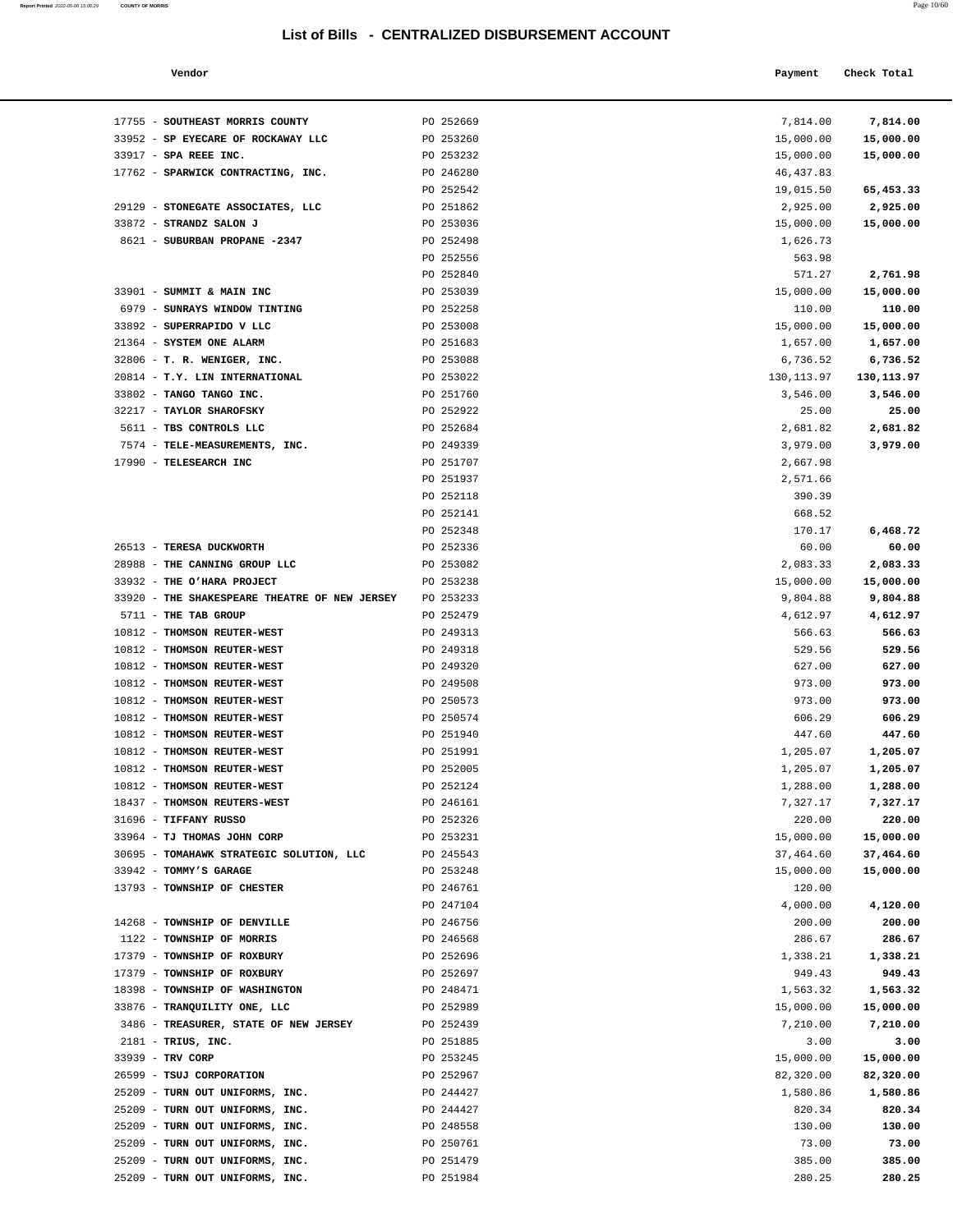| Page 10/60 |
|------------|
|            |

| Report Printed 2022-05-06 15:06:29 | <b>COUNTY OF MORRIS</b>                       |                                                  |             | Page 10/60  |  |
|------------------------------------|-----------------------------------------------|--------------------------------------------------|-------------|-------------|--|
|                                    |                                               | List of Bills - CENTRALIZED DISBURSEMENT ACCOUNT |             |             |  |
|                                    | Vendor                                        |                                                  | Payment     | Check Total |  |
|                                    | 17755 - SOUTHEAST MORRIS COUNTY               | PO 252669                                        | 7,814.00    | 7,814.00    |  |
|                                    | 33952 - SP EYECARE OF ROCKAWAY LLC            | PO 253260                                        | 15,000.00   | 15,000.00   |  |
|                                    | 33917 - SPA REEE INC.                         | PO 253232                                        | 15,000.00   | 15,000.00   |  |
|                                    | 17762 - SPARWICK CONTRACTING, INC.            | PO 246280                                        | 46, 437.83  |             |  |
|                                    |                                               | PO 252542                                        | 19,015.50   | 65,453.33   |  |
|                                    | 29129 - STONEGATE ASSOCIATES, LLC             | PO 251862                                        | 2,925.00    | 2,925.00    |  |
|                                    | 33872 - STRANDZ SALON J                       | PO 253036                                        | 15,000.00   | 15,000.00   |  |
|                                    | 8621 - SUBURBAN PROPANE -2347                 | PO 252498                                        | 1,626.73    |             |  |
|                                    |                                               | PO 252556                                        | 563.98      |             |  |
|                                    |                                               | PO 252840                                        | 571.27      | 2,761.98    |  |
|                                    | 33901 - SUMMIT & MAIN INC                     | PO 253039                                        | 15,000.00   | 15,000.00   |  |
|                                    | 6979 - SUNRAYS WINDOW TINTING                 | PO 252258                                        | 110.00      | 110.00      |  |
|                                    | 33892 - SUPERRAPIDO V LLC                     | PO 253008                                        | 15,000.00   | 15,000.00   |  |
|                                    | 21364 - SYSTEM ONE ALARM                      | PO 251683                                        | 1,657.00    | 1,657.00    |  |
|                                    | 32806 - T. R. WENIGER, INC.                   | PO 253088                                        | 6,736.52    | 6,736.52    |  |
|                                    | 20814 - T.Y. LIN INTERNATIONAL                | PO 253022                                        | 130, 113.97 | 130,113.97  |  |
|                                    | 33802 - TANGO TANGO INC.                      | PO 251760                                        | 3,546.00    | 3,546.00    |  |
|                                    | 32217 - TAYLOR SHAROFSKY                      | PO 252922                                        | 25.00       | 25.00       |  |
|                                    | 5611 - TBS CONTROLS LLC                       | PO 252684                                        | 2,681.82    | 2,681.82    |  |
|                                    | 7574 - TELE-MEASUREMENTS, INC.                | PO 249339                                        | 3,979.00    | 3,979.00    |  |
|                                    | 17990 - TELESEARCH INC                        | PO 251707                                        | 2,667.98    |             |  |
|                                    |                                               | PO 251937                                        | 2,571.66    |             |  |
|                                    |                                               | PO 252118                                        | 390.39      |             |  |
|                                    |                                               | PO 252141                                        | 668.52      |             |  |
|                                    |                                               | PO 252348                                        | 170.17      | 6,468.72    |  |
|                                    | 26513 - TERESA DUCKWORTH                      | PO 252336                                        | 60.00       | 60.00       |  |
|                                    | 28988 - THE CANNING GROUP LLC                 | PO 253082                                        | 2,083.33    | 2,083.33    |  |
|                                    | 33932 - THE O'HARA PROJECT                    | PO 253238                                        | 15,000.00   | 15,000.00   |  |
|                                    | 33920 - THE SHAKESPEARE THEATRE OF NEW JERSEY | PO 253233                                        | 9,804.88    | 9,804.88    |  |
|                                    | 5711 - THE TAB GROUP                          | PO 252479                                        | 4,612.97    | 4,612.97    |  |
|                                    | 10812 - THOMSON REUTER-WEST                   | PO 249313                                        | 566.63      | 566.63      |  |
|                                    | 10812 - THOMSON REUTER-WEST                   | PO 249318                                        | 529.56      | 529.56      |  |
|                                    | 10812 - THOMSON REUTER-WEST                   | PO 249320                                        | 627.00      | 627.00      |  |
|                                    | 10812 - THOMSON REUTER-WEST                   | PO 249508                                        | 973.00      | 973.00      |  |
|                                    | 10812 - THOMSON REUTER-WEST                   | PO 250573                                        | 973.00      | 973.00      |  |
|                                    | 10812 - THOMSON REUTER-WEST                   | PO 250574                                        | 606.29      | 606.29      |  |
|                                    | 10812 - THOMSON REUTER-WEST                   | PO 251940                                        | 447.60      | 447.60      |  |
|                                    | 10812 - THOMSON REUTER-WEST                   | PO 251991                                        | 1,205.07    | 1,205.07    |  |
|                                    | 10812 - THOMSON REUTER-WEST                   | PO 252005                                        | 1,205.07    | 1,205.07    |  |
|                                    | 10812 - THOMSON REUTER-WEST                   | PO 252124                                        | 1,288.00    | 1,288.00    |  |
|                                    | 18437 - THOMSON REUTERS-WEST                  | PO 246161                                        | 7,327.17    | 7,327.17    |  |
|                                    | 31696 - TIFFANY RUSSO                         | PO 252326                                        | 220.00      | 220.00      |  |
|                                    | 33964 - TJ THOMAS JOHN CORP                   | PO 253231                                        | 15,000.00   | 15,000.00   |  |
|                                    | 30695 - TOMAHAWK STRATEGIC SOLUTION, LLC      | PO 245543                                        | 37,464.60   | 37,464.60   |  |

|                                               | PO 252556 | 563.98      |             |
|-----------------------------------------------|-----------|-------------|-------------|
|                                               | PO 252840 | 571.27      | 2,761.98    |
| 33901 - SUMMIT & MAIN INC                     | PO 253039 | 15,000.00   | 15,000.00   |
| 6979 - SUNRAYS WINDOW TINTING                 | PO 252258 | 110.00      | 110.00      |
| 33892 - SUPERRAPIDO V LLC                     | PO 253008 | 15,000.00   | 15,000.00   |
| 21364 - SYSTEM ONE ALARM                      | PO 251683 | 1,657.00    | 1,657.00    |
| 32806 - T. R. WENIGER, INC.                   | PO 253088 | 6,736.52    | 6,736.52    |
| 20814 - T.Y. LIN INTERNATIONAL                | PO 253022 | 130, 113.97 | 130, 113.97 |
| 33802 - TANGO TANGO INC.                      | PO 251760 | 3,546.00    | 3,546.00    |
| 32217 - TAYLOR SHAROFSKY                      | PO 252922 | 25.00       | 25.00       |
| 5611 - TBS CONTROLS LLC                       | PO 252684 | 2,681.82    | 2,681.82    |
| 7574 - TELE-MEASUREMENTS, INC.                | PO 249339 | 3,979.00    | 3,979.00    |
| 17990 - TELESEARCH INC                        | PO 251707 | 2,667.98    |             |
|                                               | PO 251937 | 2,571.66    |             |
|                                               | PO 252118 | 390.39      |             |
|                                               | PO 252141 | 668.52      |             |
|                                               | PO 252348 | 170.17      | 6,468.72    |
| 26513 - TERESA DUCKWORTH                      | PO 252336 | 60.00       | 60.00       |
| 28988 - THE CANNING GROUP LLC                 | PO 253082 | 2,083.33    | 2,083.33    |
| 33932 - THE O'HARA PROJECT                    | PO 253238 | 15,000.00   | 15,000.00   |
| 33920 - THE SHAKESPEARE THEATRE OF NEW JERSEY | PO 253233 | 9,804.88    | 9,804.88    |
| 5711 - THE TAB GROUP                          | PO 252479 | 4,612.97    | 4,612.97    |
| 10812 - THOMSON REUTER-WEST                   | PO 249313 | 566.63      | 566.63      |
| 10812 - THOMSON REUTER-WEST                   | PO 249318 | 529.56      | 529.56      |
| 10812 - THOMSON REUTER-WEST                   | PO 249320 | 627.00      | 627.00      |
| 10812 - THOMSON REUTER-WEST                   | PO 249508 | 973.00      | 973.00      |
| 10812 - THOMSON REUTER-WEST                   | PO 250573 | 973.00      | 973.00      |
| 10812 - THOMSON REUTER-WEST                   | PO 250574 | 606.29      | 606.29      |
| 10812 - THOMSON REUTER-WEST                   | PO 251940 | 447.60      | 447.60      |
| 10812 - THOMSON REUTER-WEST                   | PO 251991 | 1,205.07    | 1,205.07    |
| 10812 - THOMSON REUTER-WEST                   | PO 252005 | 1,205.07    | 1,205.07    |
| 10812 - THOMSON REUTER-WEST                   | PO 252124 | 1,288.00    | 1,288.00    |
| 18437 - THOMSON REUTERS-WEST                  | PO 246161 | 7,327.17    | 7,327.17    |
| 31696 - TIFFANY RUSSO                         | PO 252326 | 220.00      | 220.00      |
| 33964 - TJ THOMAS JOHN CORP                   | PO 253231 | 15,000.00   | 15,000.00   |
| 30695 - TOMAHAWK STRATEGIC SOLUTION, LLC      | PO 245543 | 37,464.60   | 37,464.60   |
| 33942 - TOMMY'S GARAGE                        | PO 253248 | 15,000.00   | 15,000.00   |
| 13793 - TOWNSHIP OF CHESTER                   | PO 246761 | 120.00      |             |
|                                               | PO 247104 | 4,000.00    | 4,120.00    |
| 14268 - TOWNSHIP OF DENVILLE                  | PO 246756 | 200.00      | 200.00      |
| 1122 - TOWNSHIP OF MORRIS                     | PO 246568 | 286.67      | 286.67      |
| 17379 - TOWNSHIP OF ROXBURY                   | PO 252696 | 1,338.21    | 1,338.21    |
| 17379 - TOWNSHIP OF ROXBURY                   | PO 252697 | 949.43      | 949.43      |
| 18398 - TOWNSHIP OF WASHINGTON                | PO 248471 | 1,563.32    | 1,563.32    |
| 33876 - TRANQUILITY ONE, LLC                  | PO 252989 | 15,000.00   | 15,000.00   |
| 3486 - TREASURER, STATE OF NEW JERSEY         | PO 252439 | 7,210.00    | 7,210.00    |
| 2181 - TRIUS, INC.                            | PO 251885 | 3.00        | 3.00        |
| 33939 - TRV CORP                              | PO 253245 | 15,000.00   | 15,000.00   |
| 26599 - TSUJ CORPORATION                      | PO 252967 | 82,320.00   | 82,320.00   |
| 25209 - TURN OUT UNIFORMS, INC.               | PO 244427 | 1,580.86    | 1,580.86    |
| 25209 - TURN OUT UNIFORMS, INC.               | PO 244427 | 820.34      | 820.34      |
| 25209 - TURN OUT UNIFORMS, INC.               | PO 248558 | 130.00      | 130.00      |
| 25209 - TURN OUT UNIFORMS, INC.               | PO 250761 | 73.00       | 73.00       |
| 25209 - TURN OUT UNIFORMS, INC.               | PO 251479 | 385.00      | 385.00      |
| 25209 - TURN OUT UNIFORMS, INC.               | PO 251984 | 280.25      | 280.25      |
|                                               |           |             |             |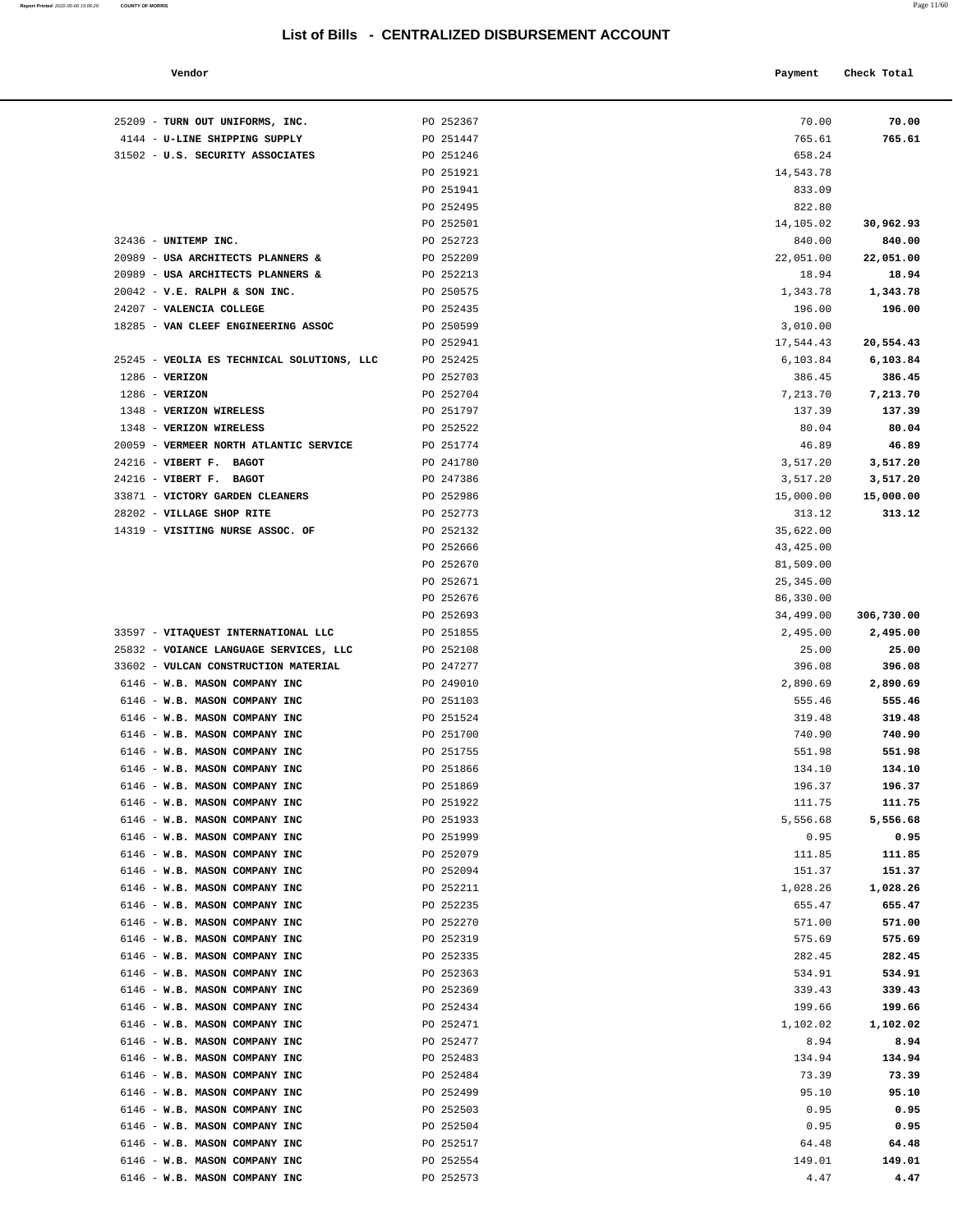| Report Printed 2022-05-06 15:06:29 | <b>COUNTY OF MORRIS</b> | Page 11/60 |
|------------------------------------|-------------------------|------------|
|                                    |                         |            |

| Vendor                             |           | Payment    | Check Total |
|------------------------------------|-----------|------------|-------------|
| TURN OUT UNIFORMS, INC.            | PO 252367 | 70.00      | 70.00       |
| U-LINE SHIPPING SUPPLY             | PO 251447 | 765.61     | 765.61      |
| U.S. SECURITY ASSOCIATES           | PO 251246 | 658.24     |             |
|                                    | PO 251921 | 14,543.78  |             |
|                                    | PO 251941 | 833.09     |             |
|                                    | PO 252495 | 822.80     |             |
|                                    | PO 252501 | 14,105.02  | 30,962.93   |
| UNITEMP INC.                       | PO 252723 | 840.00     | 840.00      |
| USA ARCHITECTS PLANNERS &          | PO 252209 | 22,051.00  | 22,051.00   |
| USA ARCHITECTS PLANNERS &          | PO 252213 | 18.94      | 18.94       |
| V.E. RALPH & SON INC.              | PO 250575 | 1,343.78   | 1,343.78    |
| VALENCIA COLLEGE                   | PO 252435 | 196.00     | 196.00      |
| VAN CLEEF ENGINEERING ASSOC        | PO 250599 | 3,010.00   |             |
|                                    | PO 252941 | 17,544.43  | 20,554.43   |
| VEOLIA ES TECHNICAL SOLUTIONS, LLC | PO 252425 | 6,103.84   | 6,103.84    |
| <b>VERIZON</b>                     | PO 252703 | 386.45     | 386.45      |
| <b>VERIZON</b>                     | PO 252704 | 7,213.70   | 7,213.70    |
| <b>VERIZON WIRELESS</b>            | PO 251797 | 137.39     | 137.39      |
| <b>VERIZON WIRELESS</b>            | PO 252522 | 80.04      | 80.04       |
| VERMEER NORTH ATLANTIC SERVICE     | PO 251774 | 46.89      | 46.89       |
| <b>VIBERT F. BAGOT</b>             | PO 241780 | 3,517.20   | 3,517.20    |
| VIBERT F. BAGOT                    | PO 247386 | 3,517.20   | 3,517.20    |
| VICTORY GARDEN CLEANERS            | PO 252986 | 15,000.00  | 15,000.00   |
| <b>VILLAGE SHOP RITE</b>           | PO 252773 | 313.12     | 313.12      |
| VISITING NURSE ASSOC. OF           | PO 252132 | 35,622.00  |             |
|                                    | PO 252666 | 43, 425.00 |             |
|                                    | PO 252670 | 81,509.00  |             |
|                                    | PO 252671 | 25,345.00  |             |
|                                    | PO 252676 | 86,330.00  |             |
|                                    | PO 252693 | 34,499.00  | 306,730.00  |
| VITAQUEST INTERNATIONAL LLC        | PO 251855 | 2,495.00   | 2,495.00    |
| VOIANCE LANGUAGE SERVICES, LLC     | PO 252108 | 25.00      | 25.00       |
| VULCAN CONSTRUCTION MATERIAL       | PO 247277 | 396.08     | 396.08      |
| W.B. MASON COMPANY INC             | PO 249010 | 2,890.69   | 2,890.69    |
| W.B. MASON COMPANY INC             | PO 251103 | 555.46     | 555.46      |
| W.B. MASON COMPANY INC             | PO 251524 | 319.48     | 319.48      |
| W.B. MASON COMPANY INC             | PO 251700 | 740.90     | 740.90      |
| W.B. MASON COMPANY INC             | PO 251755 | 551.98     | 551.98      |
| W.B. MASON COMPANY INC             | PO 251866 | 134.10     | 134.10      |
| W.B. MASON COMPANY INC             | PO 251869 | 196.37     | 196.37      |
| W.B. MASON COMPANY INC             | PO 251922 | 111.75     | 111.75      |
| W.B. MASON COMPANY INC             | PO 251933 | 5,556.68   | 5,556.68    |
| W.B. MASON COMPANY INC             | PO 251999 | 0.95       | 0.95        |
| W.B. MASON COMPANY INC             | PO 252079 | 111.85     | 111.85      |
| W.B. MASON COMPANY INC             | PO 252094 | 151.37     | 151.37      |
| W.B. MASON COMPANY INC             | PO 252211 | 1,028.26   | 1,028.26    |
| W.B. MASON COMPANY INC             | PO 252235 | 655.47     | 655.47      |
| W.B. MASON COMPANY INC             | PO 252270 | 571.00     | 571.00      |
| W.B. MASON COMPANY INC             | PO 252319 | 575.69     | 575.69      |
| W.B. MASON COMPANY INC             | PO 252335 | 282.45     | 282.45      |
| W.B. MASON COMPANY INC             | PO 252363 | 534.91     | 534.91      |
| W.B. MASON COMPANY INC             | PO 252369 | 339.43     | 339.43      |
| W.B. MASON COMPANY INC             | PO 252434 | 199.66     | 199.66      |
| W.B. MASON COMPANY INC             | PO 252471 | 1,102.02   | 1,102.02    |
| W.B. MASON COMPANY INC             | PO 252477 | 8.94       | 8.94        |
| W.B. MASON COMPANY INC             | PO 252483 | 134.94     | 134.94      |
| W.B. MASON COMPANY INC             | PO 252484 | 73.39      | 73.39       |
| W.B. MASON COMPANY INC             | PO 252499 | 95.10      | 95.10       |
| W.B. MASON COMPANY INC             | PO 252503 | 0.95       | 0.95        |
| W.B. MASON COMPANY INC             | PO 252504 | 0.95       | 0.95        |
| W.B. MASON COMPANY INC             | PO 252517 | 64.48      | 64.48       |
| W.B. MASON COMPANY INC             | PO 252554 | 149.01     | 149.01      |
| W.B. MASON COMPANY INC             | PO 252573 | 4.47       | 4.47        |

| 25209 - TURN OUT UNIFORMS, INC.                                                | PO 252367              | 70.00                 | 70.00            |
|--------------------------------------------------------------------------------|------------------------|-----------------------|------------------|
| 4144 - U-LINE SHIPPING SUPPLY                                                  | PO 251447              | 765.61                | 765.61           |
| 31502 - U.S. SECURITY ASSOCIATES                                               | PO 251246              | 658.24                |                  |
|                                                                                | PO 251921              | 14,543.78             |                  |
|                                                                                | PO 251941              | 833.09                |                  |
|                                                                                | PO 252495              | 822.80                |                  |
|                                                                                | PO 252501              | 14,105.02             | 30,962.93        |
| 32436 - UNITEMP INC.                                                           | PO 252723              | 840.00                | 840.00           |
| 20989 - USA ARCHITECTS PLANNERS &                                              | PO 252209              | 22,051.00             | 22,051.00        |
| 20989 - USA ARCHITECTS PLANNERS &                                              | PO 252213              | 18.94                 | 18.94            |
| $20042$ - V.E. RALPH & SON INC.                                                | PO 250575              | 1,343.78              | 1,343.78         |
| 24207 - VALENCIA COLLEGE                                                       | PO 252435              | 196.00                | 196.00           |
| 18285 - VAN CLEEF ENGINEERING ASSOC                                            | PO 250599<br>PO 252941 | 3,010.00<br>17,544.43 | 20,554.43        |
| 25245 - VEOLIA ES TECHNICAL SOLUTIONS, LLC                                     | PO 252425              | 6,103.84              | 6,103.84         |
| $1286$ - VERIZON                                                               | PO 252703              | 386.45                | 386.45           |
| 1286 - VERIZON                                                                 | PO 252704              | 7,213.70              | 7,213.70         |
| 1348 - VERIZON WIRELESS                                                        | PO 251797              | 137.39                | 137.39           |
| 1348 - VERIZON WIRELESS                                                        | PO 252522              | 80.04                 | 80.04            |
| 20059 - VERMEER NORTH ATLANTIC SERVICE                                         | PO 251774              | 46.89                 | 46.89            |
| 24216 - VIBERT F. BAGOT                                                        | PO 241780              | 3,517.20              | 3,517.20         |
| 24216 - VIBERT F. BAGOT                                                        | PO 247386              | 3,517.20              | 3,517.20         |
| 33871 - VICTORY GARDEN CLEANERS                                                | PO 252986              | 15,000.00             | 15,000.00        |
| 28202 - VILLAGE SHOP RITE                                                      | PO 252773              | 313.12                | 313.12           |
| 14319 - VISITING NURSE ASSOC. OF                                               | PO 252132              | 35,622.00             |                  |
|                                                                                | PO 252666              | 43, 425.00            |                  |
|                                                                                | PO 252670              | 81,509.00             |                  |
|                                                                                | PO 252671              | 25,345.00             |                  |
|                                                                                | PO 252676              | 86,330.00             |                  |
|                                                                                | PO 252693              | 34,499.00             | 306,730.00       |
| 33597 - VITAQUEST INTERNATIONAL LLC                                            | PO 251855              | 2,495.00              | 2,495.00         |
| 25832 - VOIANCE LANGUAGE SERVICES, LLC<br>33602 - VULCAN CONSTRUCTION MATERIAL | PO 252108<br>PO 247277 | 25.00<br>396.08       | 25.00<br>396.08  |
| 6146 - W.B. MASON COMPANY INC                                                  | PO 249010              | 2,890.69              | 2,890.69         |
| 6146 - W.B. MASON COMPANY INC                                                  | PO 251103              | 555.46                | 555.46           |
| 6146 - W.B. MASON COMPANY INC                                                  | PO 251524              | 319.48                | 319.48           |
| 6146 - W.B. MASON COMPANY INC                                                  | PO 251700              | 740.90                | 740.90           |
| 6146 - W.B. MASON COMPANY INC                                                  | PO 251755              | 551.98                | 551.98           |
| 6146 - W.B. MASON COMPANY INC                                                  | PO 251866              | 134.10                | 134.10           |
| 6146 - W.B. MASON COMPANY INC                                                  | PO 251869              | 196.37                | 196.37           |
| 6146 - W.B. MASON COMPANY INC                                                  | PO 251922              | 111.75                | 111.75           |
| 6146 - W.B. MASON COMPANY INC                                                  | PO 251933              | 5,556.68              | 5,556.68         |
| 6146 - W.B. MASON COMPANY INC                                                  | PO 251999              | 0.95                  | 0.95             |
| 6146 - W.B. MASON COMPANY INC                                                  | PO 252079              | 111.85                | 111.85           |
| 6146 - W.B. MASON COMPANY INC                                                  | PO 252094              | 151.37                | 151.37           |
| 6146 - W.B. MASON COMPANY INC                                                  | PO 252211              | 1,028.26              | 1,028.26         |
| 6146 - W.B. MASON COMPANY INC                                                  | PO 252235              | 655.47                | 655.47           |
| 6146 - W.B. MASON COMPANY INC<br>6146 - W.B. MASON COMPANY INC                 | PO 252270              | 571.00<br>575.69      | 571.00<br>575.69 |
| 6146 - W.B. MASON COMPANY INC                                                  | PO 252319<br>PO 252335 | 282.45                | 282.45           |
| 6146 - W.B. MASON COMPANY INC                                                  | PO 252363              | 534.91                | 534.91           |
| 6146 - W.B. MASON COMPANY INC                                                  | PO 252369              | 339.43                | 339.43           |
| 6146 - W.B. MASON COMPANY INC                                                  | PO 252434              | 199.66                | 199.66           |
| 6146 - W.B. MASON COMPANY INC                                                  | PO 252471              | 1,102.02              | 1,102.02         |
| 6146 - W.B. MASON COMPANY INC                                                  | PO 252477              | 8.94                  | 8.94             |
| 6146 - W.B. MASON COMPANY INC                                                  | PO 252483              | 134.94                | 134.94           |
| 6146 - W.B. MASON COMPANY INC                                                  | PO 252484              | 73.39                 | 73.39            |
| 6146 - W.B. MASON COMPANY INC                                                  | PO 252499              | 95.10                 | 95.10            |
| 6146 - W.B. MASON COMPANY INC                                                  | PO 252503              | 0.95                  | 0.95             |
| 6146 - W.B. MASON COMPANY INC                                                  | PO 252504              | 0.95                  | 0.95             |
| 6146 - W.B. MASON COMPANY INC                                                  | PO 252517              | 64.48                 | 64.48            |
| 6146 - W.B. MASON COMPANY INC                                                  | PO 252554              | 149.01                | 149.01           |
| 6146 - W.B. MASON COMPANY INC                                                  | PO 252573              | 4.47                  | 4.47             |
|                                                                                |                        |                       |                  |
|                                                                                |                        |                       |                  |
|                                                                                |                        |                       |                  |
|                                                                                |                        |                       |                  |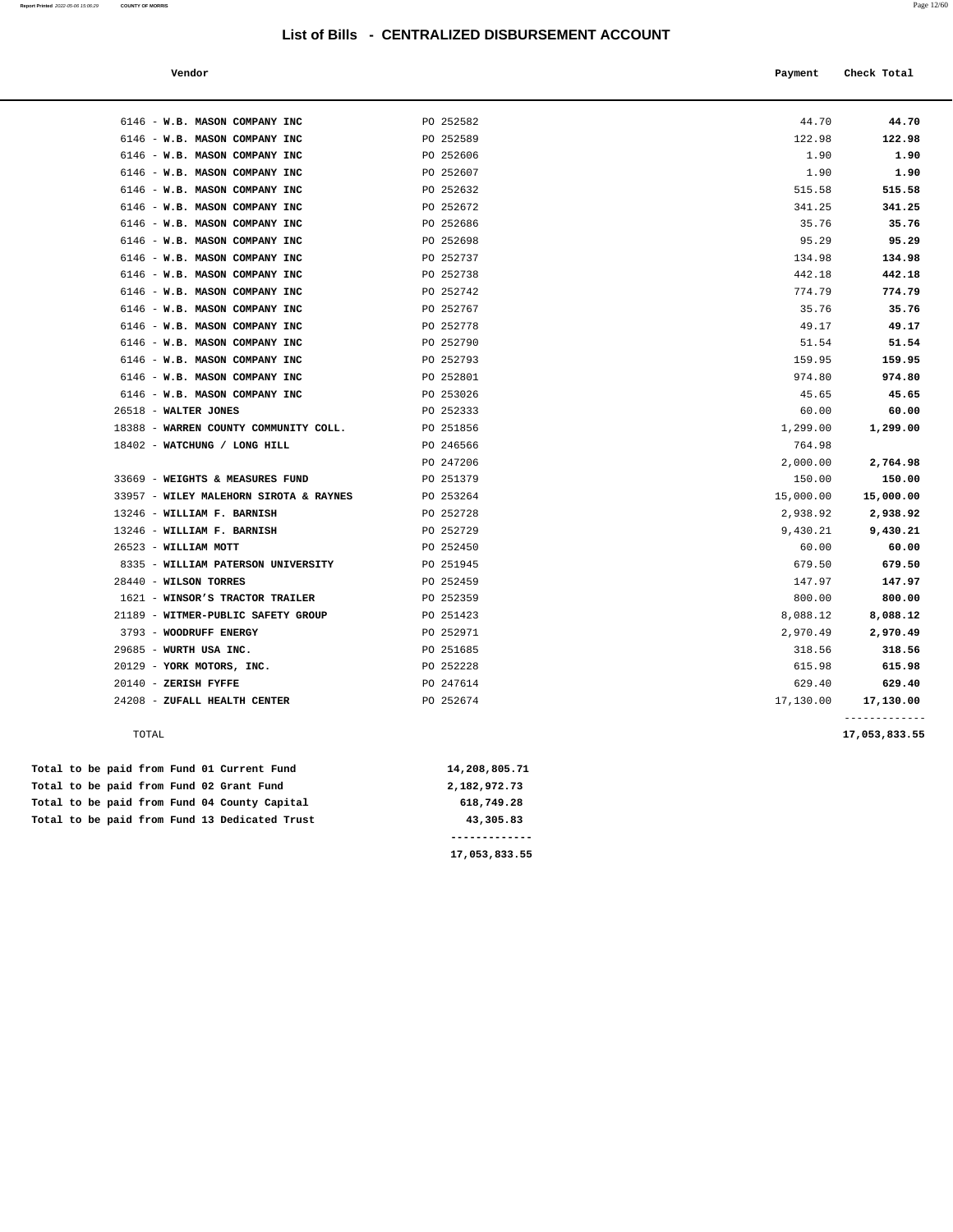**Report Printed** 2022-05-06 15:06:29 **COUNTY OF MORRIS** Page 12/60

#### **Vendor Payment Check Total**   $\blacksquare$  Payment Check Total **Payment** Check Total **Payment**

| 6146 - W.B. MASON COMPANY INC                   | PO 252582 | 44.70     | 44.70     |
|-------------------------------------------------|-----------|-----------|-----------|
| 6146 - W.B. MASON COMPANY INC                   | PO 252589 | 122.98    | 122.98    |
| 6146 - W.B. MASON COMPANY INC                   | PO 252606 | 1.90      | 1.90      |
| 6146 - W.B. MASON COMPANY INC                   | PO 252607 | 1.90      | 1.90      |
| 6146 - W.B. MASON COMPANY INC                   | PO 252632 | 515.58    | 515.58    |
| 6146 - W.B. MASON COMPANY INC                   | PO 252672 | 341.25    | 341.25    |
| 6146 - W.B. MASON COMPANY INC                   | PO 252686 | 35.76     | 35.76     |
| 6146 - W.B. MASON COMPANY INC                   | PO 252698 | 95.29     | 95.29     |
| 6146 - W.B. MASON COMPANY INC                   | PO 252737 | 134.98    | 134.98    |
| 6146 - W.B. MASON COMPANY INC                   | PO 252738 | 442.18    | 442.18    |
| 6146 - W.B. MASON COMPANY INC                   | PO 252742 | 774.79    | 774.79    |
| 6146 - W.B. MASON COMPANY INC                   | PO 252767 | 35.76     | 35.76     |
| 6146 - W.B. MASON COMPANY INC                   | PO 252778 | 49.17     | 49.17     |
| 6146 - W.B. MASON COMPANY INC                   | PO 252790 | 51.54     | 51.54     |
| 6146 - W.B. MASON COMPANY INC                   | PO 252793 | 159.95    | 159.95    |
| 6146 - W.B. MASON COMPANY INC                   | PO 252801 | 974.80    | 974.80    |
| 6146 - W.B. MASON COMPANY INC                   | PO 253026 | 45.65     | 45.65     |
| 26518 - WALTER JONES                            | PO 252333 | 60.00     | 60.00     |
| 18388 - WARREN COUNTY COMMUNITY COLL. PO 251856 |           | 1,299.00  | 1,299.00  |
| 18402 - WATCHUNG / LONG HILL                    | PO 246566 | 764.98    |           |
|                                                 | PO 247206 | 2,000.00  | 2,764.98  |
| 33669 - WEIGHTS & MEASURES FUND                 | PO 251379 | 150.00    | 150.00    |
| 33957 - WILEY MALEHORN SIROTA & RAYNES          | PO 253264 | 15,000.00 | 15,000.00 |
| 13246 - WILLIAM F. BARNISH                      | PO 252728 | 2,938.92  | 2,938.92  |
| 13246 - WILLIAM F. BARNISH                      | PO 252729 | 9,430.21  | 9,430.21  |
| 26523 - WILLIAM MOTT                            | PO 252450 | 60.00     | 60.00     |
| 8335 - WILLIAM PATERSON UNIVERSITY              | PO 251945 | 679.50    | 679.50    |
| 28440 - WILSON TORRES                           | PO 252459 | 147.97    | 147.97    |
| 1621 - WINSOR'S TRACTOR TRAILER                 | PO 252359 | 800.00    | 800.00    |
| 21189 - WITMER-PUBLIC SAFETY GROUP              | PO 251423 | 8,088.12  | 8,088.12  |
| 3793 - WOODRUFF ENERGY                          | PO 252971 | 2,970.49  | 2,970.49  |
| 29685 - WURTH USA INC.                          | PO 251685 | 318.56    | 318.56    |
| 20129 - YORK MOTORS, INC.                       | PO 252228 | 615.98    | 615.98    |
| $20140$ - ZERISH FYFFE                          | PO 247614 | 629.40    | 629.40    |
| 24208 - ZUFALL HEALTH CENTER                    | PO 252674 | 17,130.00 | 17,130.00 |
|                                                 |           |           |           |

**17,053,833.55** 

#### TOTAL **17,053,833.55**

|  |  |  |  | Total to be paid from Fund 13 Dedicated Trust | 43,305.83     |
|--|--|--|--|-----------------------------------------------|---------------|
|  |  |  |  | Total to be paid from Fund 04 County Capital  | 618,749.28    |
|  |  |  |  | Total to be paid from Fund 02 Grant Fund      | 2,182,972.73  |
|  |  |  |  | Total to be paid from Fund 01 Current Fund    | 14,208,805.71 |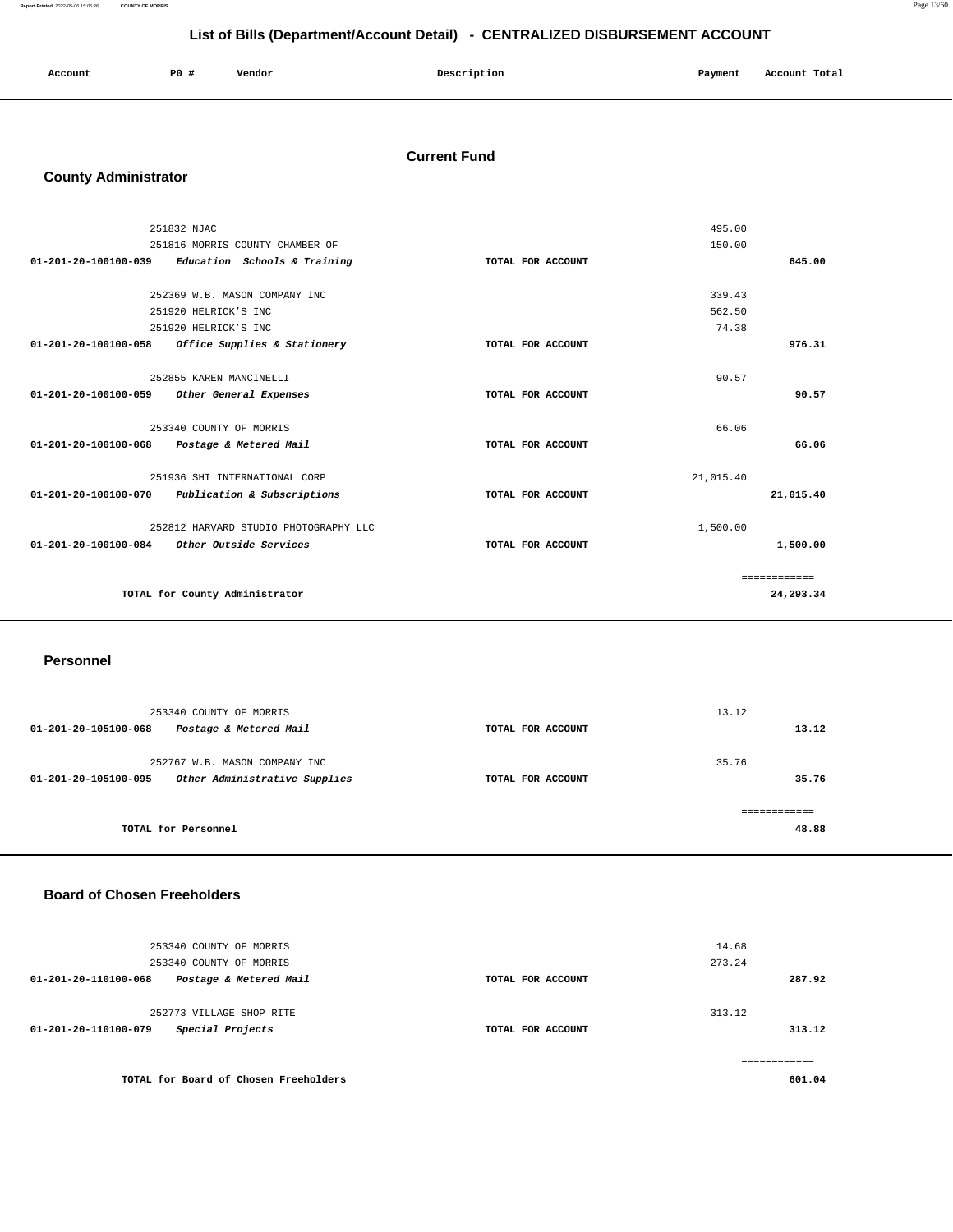**Report Printed** 2022-05-06 15:06:36 **COUNTY OF MORRIS** Page 13/60

## **List of Bills (Department/Account Detail) - CENTRALIZED DISBURSEMENT ACCOUNT**

| Account<br>. | <b>PO #</b> | Vendor | Description | Payment | Account Total<br>.<br>. |
|--------------|-------------|--------|-------------|---------|-------------------------|
|              |             |        |             |         |                         |

#### **Current Fund**

## **County Administrator**

|                                | 251832 NJAC                           |                   | 495.00    |              |
|--------------------------------|---------------------------------------|-------------------|-----------|--------------|
|                                | 251816 MORRIS COUNTY CHAMBER OF       |                   | 150.00    |              |
| 01-201-20-100100-039           | Education Schools & Training          | TOTAL FOR ACCOUNT |           | 645.00       |
|                                |                                       |                   |           |              |
|                                | 252369 W.B. MASON COMPANY INC         |                   | 339.43    |              |
|                                | 251920 HELRICK'S INC                  |                   | 562.50    |              |
|                                | 251920 HELRICK'S INC                  |                   | 74.38     |              |
| $01 - 201 - 20 - 100100 - 058$ | Office Supplies & Stationery          | TOTAL FOR ACCOUNT |           | 976.31       |
|                                |                                       |                   |           |              |
|                                | 252855 KAREN MANCINELLI               |                   | 90.57     |              |
| 01-201-20-100100-059           | Other General Expenses                | TOTAL FOR ACCOUNT |           | 90.57        |
|                                |                                       |                   |           |              |
|                                | 253340 COUNTY OF MORRIS               |                   | 66.06     |              |
| 01-201-20-100100-068           | Postage & Metered Mail                | TOTAL FOR ACCOUNT |           | 66.06        |
|                                |                                       |                   |           |              |
|                                | 251936 SHI INTERNATIONAL CORP         |                   | 21,015.40 |              |
| 01-201-20-100100-070           | Publication & Subscriptions           | TOTAL FOR ACCOUNT |           | 21,015.40    |
|                                |                                       |                   |           |              |
|                                | 252812 HARVARD STUDIO PHOTOGRAPHY LLC |                   | 1,500.00  |              |
| $01 - 201 - 20 - 100100 - 084$ | Other Outside Services                | TOTAL FOR ACCOUNT |           | 1,500.00     |
|                                |                                       |                   |           |              |
|                                |                                       |                   |           | ============ |
|                                | TOTAL for County Administrator        |                   |           | 24,293.34    |
|                                |                                       |                   |           |              |

#### **Personnel**

| 253340 COUNTY OF MORRIS<br>Postage & Metered Mail<br>01-201-20-105100-068              | TOTAL FOR ACCOUNT | 13.12<br>13.12 |
|----------------------------------------------------------------------------------------|-------------------|----------------|
| 252767 W.B. MASON COMPANY INC<br>Other Administrative Supplies<br>01-201-20-105100-095 | TOTAL FOR ACCOUNT | 35.76<br>35.76 |
| TOTAL for Personnel                                                                    |                   | 48.88          |

## **Board of Chosen Freeholders**

| 253340 COUNTY OF MORRIS<br>253340 COUNTY OF MORRIS                   |                   | 14.68<br>273.24  |
|----------------------------------------------------------------------|-------------------|------------------|
| Postage & Metered Mail<br>01-201-20-110100-068                       | TOTAL FOR ACCOUNT | 287.92           |
| 252773 VILLAGE SHOP RITE<br>Special Projects<br>01-201-20-110100-079 | TOTAL FOR ACCOUNT | 313.12<br>313.12 |
| TOTAL for Board of Chosen Freeholders                                |                   | 601.04           |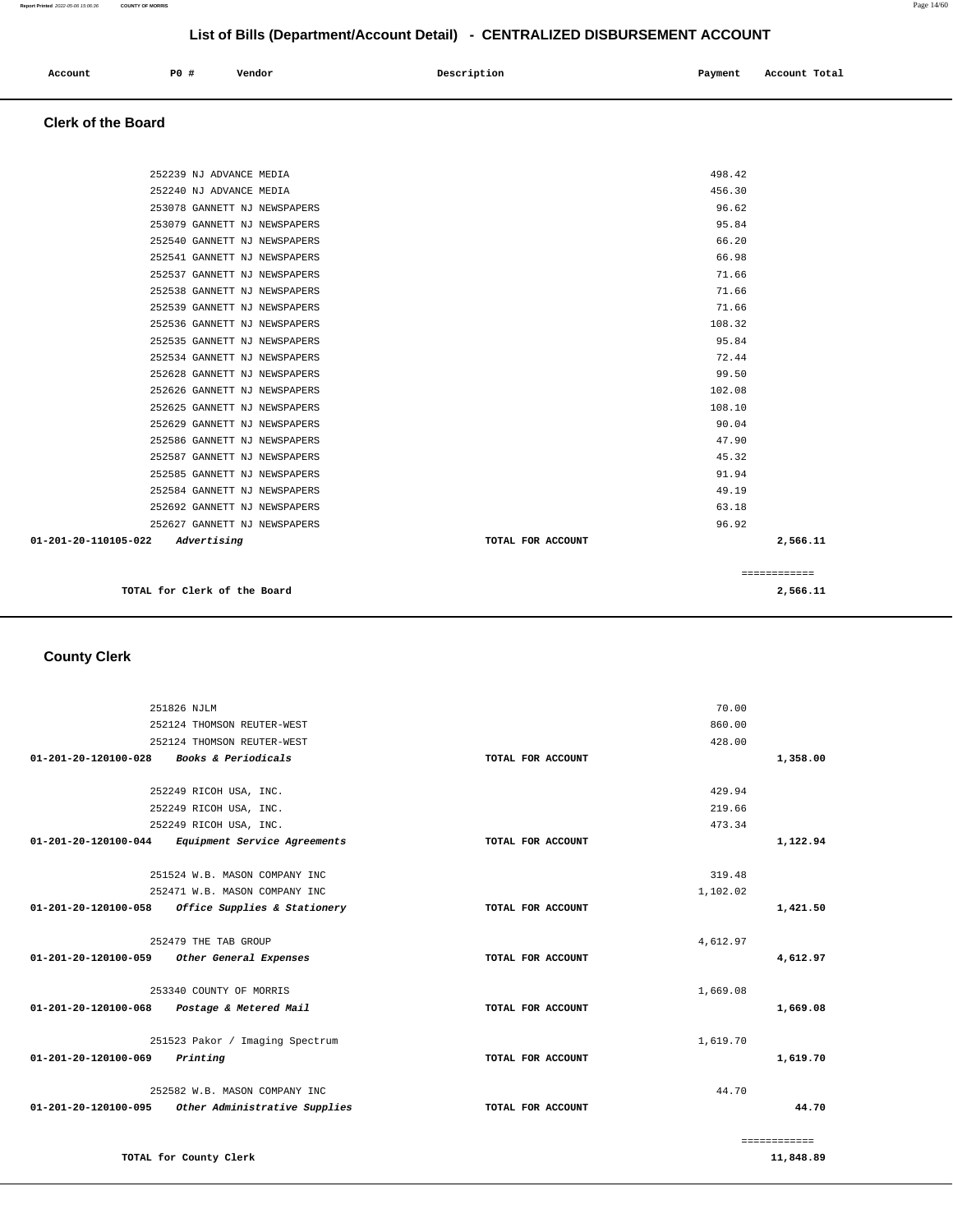| Account | PO# | Vendor | Description | Payment | Account Total |
|---------|-----|--------|-------------|---------|---------------|
|         |     |        |             |         |               |

#### **Clerk of the Board**

| TOTAL for Clerk of the Board                                 |                   | 2,566.11       |  |
|--------------------------------------------------------------|-------------------|----------------|--|
|                                                              |                   | ============   |  |
| 01-201-20-110105-022<br>Advertising                          | TOTAL FOR ACCOUNT | 2,566.11       |  |
| 252627 GANNETT NJ NEWSPAPERS                                 |                   | 96.92          |  |
| 252692 GANNETT NJ NEWSPAPERS                                 |                   | 63.18          |  |
| 252584 GANNETT NJ NEWSPAPERS                                 |                   | 49.19          |  |
| 252585 GANNETT NJ NEWSPAPERS                                 |                   | 91.94          |  |
| 252587 GANNETT NJ NEWSPAPERS                                 |                   | 45.32          |  |
| 252586 GANNETT NJ NEWSPAPERS                                 |                   | 47.90          |  |
| 252629 GANNETT NJ NEWSPAPERS                                 |                   | 90.04          |  |
| 252625 GANNETT NJ NEWSPAPERS                                 |                   | 108.10         |  |
| 252626 GANNETT NJ NEWSPAPERS                                 |                   | 102.08         |  |
| 252628 GANNETT NJ NEWSPAPERS                                 |                   | 99.50          |  |
| 252534 GANNETT NJ NEWSPAPERS                                 |                   | 72.44          |  |
| 252535 GANNETT NJ NEWSPAPERS                                 |                   | 95.84          |  |
| 252536 GANNETT NJ NEWSPAPERS                                 |                   | 108.32         |  |
| 252539 GANNETT NJ NEWSPAPERS                                 |                   | 71.66          |  |
| 252538 GANNETT NJ NEWSPAPERS                                 |                   | 71.66          |  |
| 252537 GANNETT NJ NEWSPAPERS                                 |                   | 71.66          |  |
| 252541 GANNETT NJ NEWSPAPERS                                 |                   | 66.98          |  |
| 252540 GANNETT NJ NEWSPAPERS                                 |                   | 66.20          |  |
| 253078 GANNETT NJ NEWSPAPERS<br>253079 GANNETT NJ NEWSPAPERS |                   | 96.62<br>95.84 |  |
| 252240 NJ ADVANCE MEDIA                                      |                   | 456.30         |  |
| 252239 NJ ADVANCE MEDIA                                      |                   | 498.42         |  |
|                                                              |                   |                |  |

## **County Clerk**

|                                          | 251826 NJLM                                         |                   | 70.00        |
|------------------------------------------|-----------------------------------------------------|-------------------|--------------|
|                                          | 252124 THOMSON REUTER-WEST                          |                   | 860.00       |
|                                          | 252124 THOMSON REUTER-WEST                          |                   | 428.00       |
| 01-201-20-120100-028 Books & Periodicals |                                                     | TOTAL FOR ACCOUNT | 1,358.00     |
|                                          | 252249 RICOH USA, INC.                              |                   | 429.94       |
|                                          | 252249 RICOH USA, INC.                              |                   | 219.66       |
|                                          | 252249 RICOH USA, INC.                              |                   | 473.34       |
|                                          | 01-201-20-120100-044 Equipment Service Agreements   | TOTAL FOR ACCOUNT | 1,122.94     |
|                                          | 251524 W.B. MASON COMPANY INC                       |                   | 319.48       |
|                                          | 252471 W.B. MASON COMPANY INC                       |                   | 1,102.02     |
|                                          | $01-201-20-120100-058$ Office Supplies & Stationery | TOTAL FOR ACCOUNT | 1,421.50     |
|                                          | 252479 THE TAB GROUP                                |                   | 4,612.97     |
|                                          | 01-201-20-120100-059 Other General Expenses         | TOTAL FOR ACCOUNT | 4,612.97     |
|                                          | 253340 COUNTY OF MORRIS                             |                   | 1,669.08     |
|                                          | 01-201-20-120100-068 Postage & Metered Mail         | TOTAL FOR ACCOUNT | 1,669.08     |
|                                          | 251523 Pakor / Imaging Spectrum                     |                   | 1,619.70     |
| 01-201-20-120100-069                     | Printing                                            | TOTAL FOR ACCOUNT | 1,619.70     |
|                                          | 252582 W.B. MASON COMPANY INC                       |                   | 44.70        |
| 01-201-20-120100-095                     | Other Administrative Supplies                       | TOTAL FOR ACCOUNT | 44.70        |
|                                          |                                                     |                   | ============ |

**TOTAL for County Clerk** 

**11,848.89**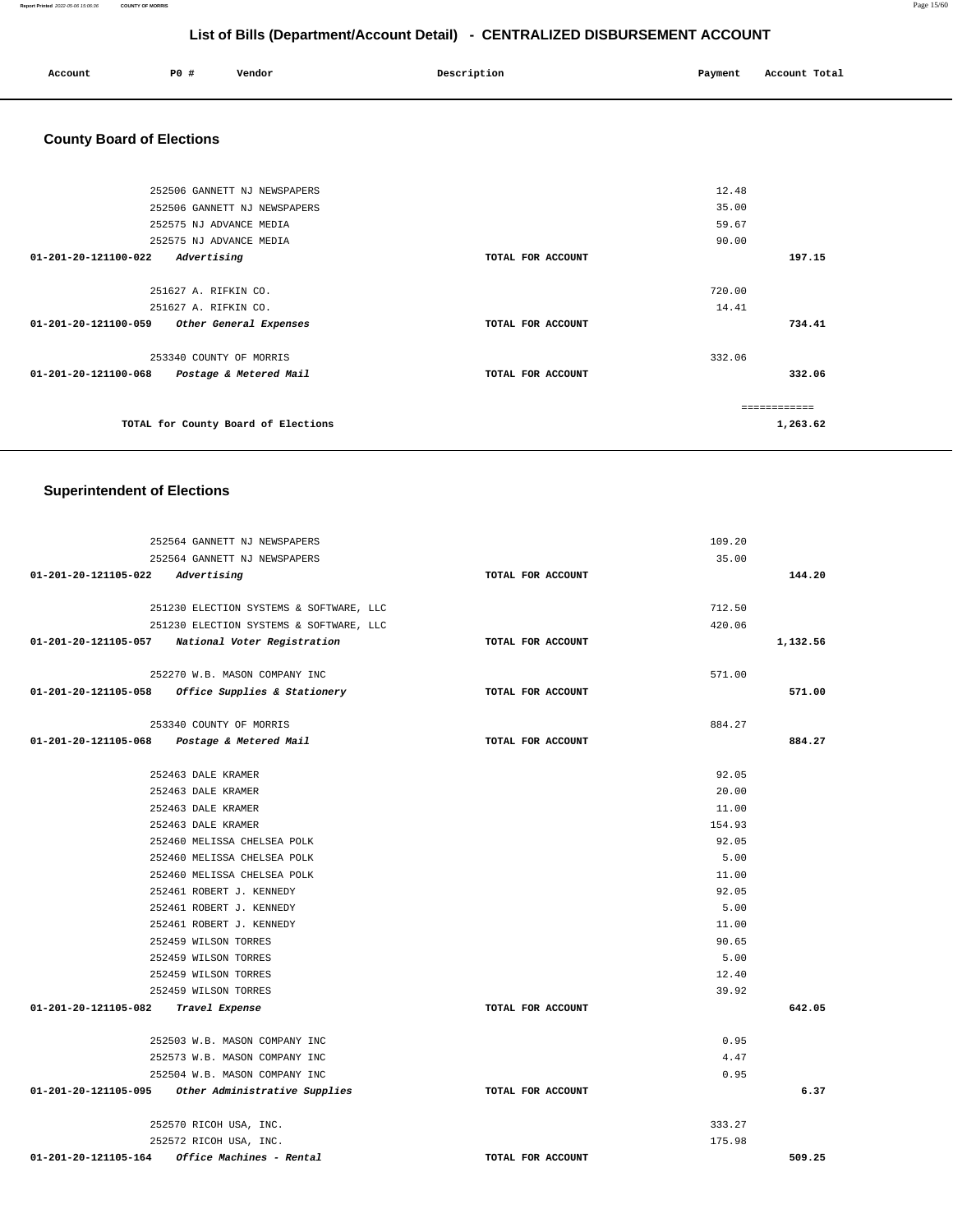**Report Printed** 2022-05-06 15:06:36 **COUNTY OF MORRIS** Page 15/60

## **List of Bills (Department/Account Detail) - CENTRALIZED DISBURSEMENT ACCOUNT**

| Account | P0 # | Vendor | Description | Payment | Account Total |
|---------|------|--------|-------------|---------|---------------|
| .       |      |        |             |         | .<br>.        |
|         |      |        |             |         |               |

# **County Board of Elections**

|                                | 252506 GANNETT NJ NEWSPAPERS        |                   | 12.48  |               |
|--------------------------------|-------------------------------------|-------------------|--------|---------------|
|                                | 252506 GANNETT NJ NEWSPAPERS        |                   | 35.00  |               |
|                                | 252575 NJ ADVANCE MEDIA             |                   | 59.67  |               |
|                                | 252575 NJ ADVANCE MEDIA             |                   | 90.00  |               |
| $01 - 201 - 20 - 121100 - 022$ | Advertising                         | TOTAL FOR ACCOUNT |        | 197.15        |
|                                | 251627 A. RIFKIN CO.                |                   | 720.00 |               |
|                                | 251627 A. RIFKIN CO.                |                   | 14.41  |               |
| 01-201-20-121100-059           | Other General Expenses              | TOTAL FOR ACCOUNT |        | 734.41        |
|                                | 253340 COUNTY OF MORRIS             |                   | 332.06 |               |
| 01-201-20-121100-068           | Postage & Metered Mail              | TOTAL FOR ACCOUNT |        | 332.06        |
|                                |                                     |                   |        | ------------- |
|                                | TOTAL for County Board of Elections |                   |        | 1,263.62      |
|                                |                                     |                   |        |               |

## **Superintendent of Elections**

| 252564 GANNETT NJ NEWSPAPERS                       |                   | 109.20 |          |
|----------------------------------------------------|-------------------|--------|----------|
| 252564 GANNETT NJ NEWSPAPERS                       |                   | 35.00  |          |
| 01-201-20-121105-022 Advertising                   | TOTAL FOR ACCOUNT |        | 144.20   |
|                                                    |                   |        |          |
| 251230 ELECTION SYSTEMS & SOFTWARE, LLC            |                   | 712.50 |          |
| 251230 ELECTION SYSTEMS & SOFTWARE, LLC            |                   | 420.06 |          |
| 01-201-20-121105-057 National Voter Registration   | TOTAL FOR ACCOUNT |        | 1,132.56 |
|                                                    |                   |        |          |
| 252270 W.B. MASON COMPANY INC                      |                   | 571.00 |          |
| 01-201-20-121105-058 Office Supplies & Stationery  | TOTAL FOR ACCOUNT |        | 571.00   |
|                                                    |                   |        |          |
| 253340 COUNTY OF MORRIS                            |                   | 884.27 |          |
| 01-201-20-121105-068 Postage & Metered Mail        | TOTAL FOR ACCOUNT |        | 884.27   |
|                                                    |                   |        |          |
| 252463 DALE KRAMER                                 |                   | 92.05  |          |
| 252463 DALE KRAMER                                 |                   | 20.00  |          |
| 252463 DALE KRAMER                                 |                   | 11.00  |          |
| 252463 DALE KRAMER                                 |                   | 154.93 |          |
| 252460 MELISSA CHELSEA POLK                        |                   | 92.05  |          |
| 252460 MELISSA CHELSEA POLK                        |                   | 5.00   |          |
| 252460 MELISSA CHELSEA POLK                        |                   | 11.00  |          |
| 252461 ROBERT J. KENNEDY                           |                   | 92.05  |          |
| 252461 ROBERT J. KENNEDY                           |                   | 5.00   |          |
| 252461 ROBERT J. KENNEDY                           |                   | 11.00  |          |
| 252459 WILSON TORRES                               |                   | 90.65  |          |
| 252459 WILSON TORRES                               |                   | 5.00   |          |
| 252459 WILSON TORRES                               |                   | 12.40  |          |
| 252459 WILSON TORRES                               |                   | 39.92  |          |
| 01-201-20-121105-082 Travel Expense                | TOTAL FOR ACCOUNT |        | 642.05   |
|                                                    |                   |        |          |
| 252503 W.B. MASON COMPANY INC                      |                   | 0.95   |          |
| 252573 W.B. MASON COMPANY INC                      |                   | 4.47   |          |
| 252504 W.B. MASON COMPANY INC                      |                   | 0.95   |          |
| 01-201-20-121105-095 Other Administrative Supplies | TOTAL FOR ACCOUNT |        | 6.37     |
| 252570 RICOH USA, INC.                             |                   | 333.27 |          |
| 252572 RICOH USA, INC.                             |                   | 175.98 |          |
| Office Machines - Rental<br>01-201-20-121105-164   | TOTAL FOR ACCOUNT |        | 509.25   |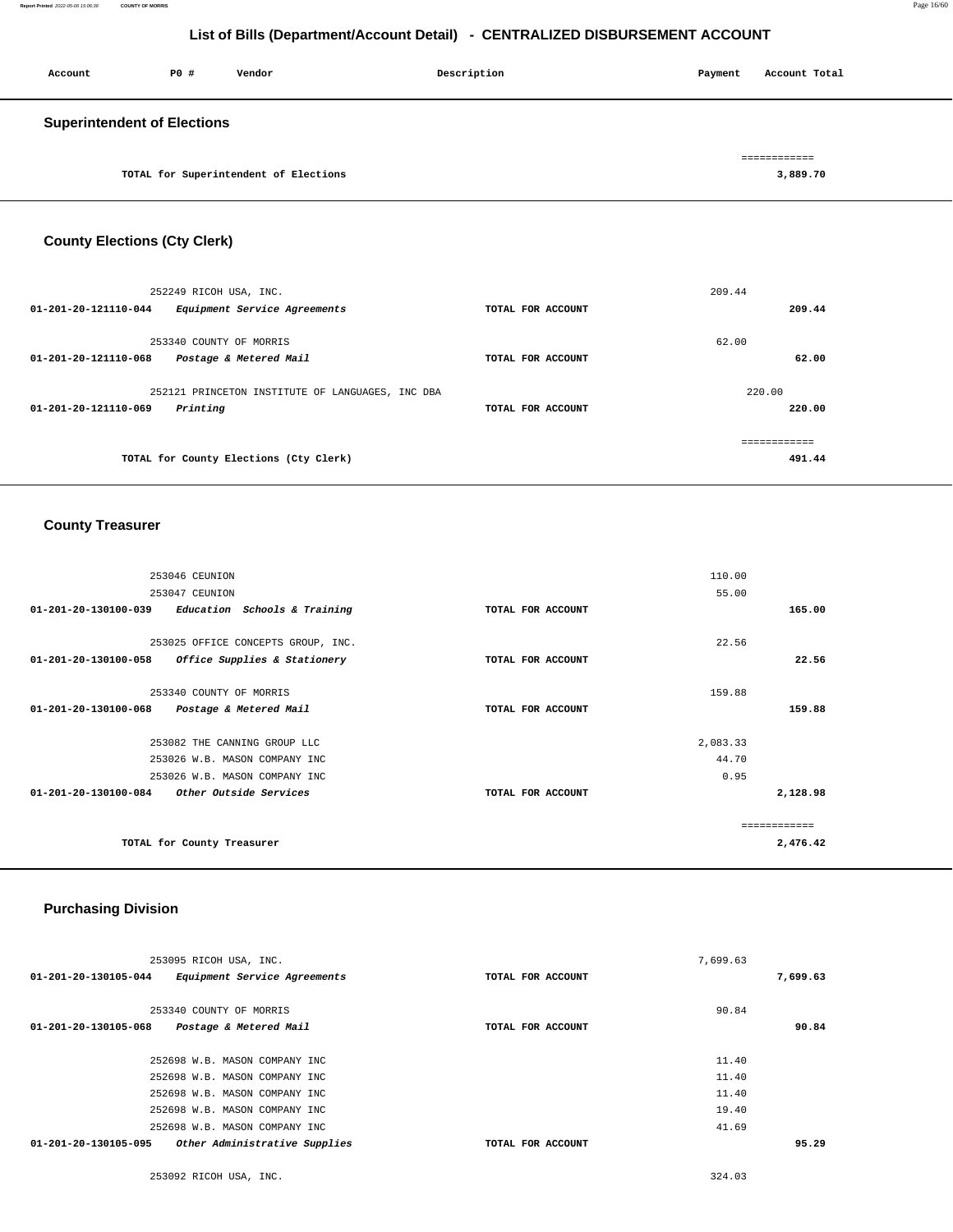| Account                            | P0 # | Vendor | Description | Payment | Account Total |
|------------------------------------|------|--------|-------------|---------|---------------|
| <b>Superintendent of Elections</b> |      |        |             |         | ============  |

**TOTAL for Superintendent of Elections [3,889.70](https://3,889.70)** 

## **County Elections (Cty Clerk)**

| 252249 RICOH USA, INC.<br>$01 - 201 - 20 - 121110 - 044$<br>Equipment Service Agreements | TOTAL FOR ACCOUNT | 209.44<br>209.44        |
|------------------------------------------------------------------------------------------|-------------------|-------------------------|
| 253340 COUNTY OF MORRIS<br>01-201-20-121110-068<br>Postage & Metered Mail                | TOTAL FOR ACCOUNT | 62.00<br>62.00          |
| 252121 PRINCETON INSTITUTE OF LANGUAGES, INC DBA<br>01-201-20-121110-069<br>Printing     | TOTAL FOR ACCOUNT | 220.00<br>220.00        |
| TOTAL for County Elections (Cty Clerk)                                                   |                   | -------------<br>491.44 |

## **County Treasurer**

| 253046 CEUNION                                                 |                   | 110.00       |
|----------------------------------------------------------------|-------------------|--------------|
| 253047 CEUNION                                                 |                   | 55.00        |
| $01 - 201 - 20 - 130100 - 039$<br>Education Schools & Training | TOTAL FOR ACCOUNT | 165.00       |
| 253025 OFFICE CONCEPTS GROUP, INC.                             |                   | 22.56        |
| $01 - 201 - 20 - 130100 - 058$<br>Office Supplies & Stationery | TOTAL FOR ACCOUNT | 22.56        |
| 253340 COUNTY OF MORRIS                                        |                   | 159.88       |
| $01 - 201 - 20 - 130100 - 068$<br>Postage & Metered Mail       | TOTAL FOR ACCOUNT | 159.88       |
|                                                                |                   |              |
| 253082 THE CANNING GROUP LLC                                   |                   | 2,083.33     |
| 253026 W.B. MASON COMPANY INC                                  |                   | 44.70        |
| 253026 W.B. MASON COMPANY INC                                  |                   | 0.95         |
| 01-201-20-130100-084<br>Other Outside Services                 | TOTAL FOR ACCOUNT | 2,128.98     |
|                                                                |                   | ============ |
| TOTAL for County Treasurer                                     |                   | 2,476.42     |

## **Purchasing Division**

| 253095 RICOH USA, INC.                                |                   | 7,699.63 |          |
|-------------------------------------------------------|-------------------|----------|----------|
| 01-201-20-130105-044<br>Equipment Service Agreements  | TOTAL FOR ACCOUNT |          | 7,699.63 |
|                                                       |                   |          |          |
| 253340 COUNTY OF MORRIS                               |                   | 90.84    |          |
| 01-201-20-130105-068<br>Postage & Metered Mail        | TOTAL FOR ACCOUNT |          | 90.84    |
|                                                       |                   |          |          |
| 252698 W.B. MASON COMPANY INC                         |                   | 11.40    |          |
| 252698 W.B. MASON COMPANY INC                         |                   | 11.40    |          |
| 252698 W.B. MASON COMPANY INC                         |                   | 11.40    |          |
| 252698 W.B. MASON COMPANY INC                         |                   | 19.40    |          |
| 252698 W.B. MASON COMPANY INC                         |                   | 41.69    |          |
| Other Administrative Supplies<br>01-201-20-130105-095 | TOTAL FOR ACCOUNT |          | 95.29    |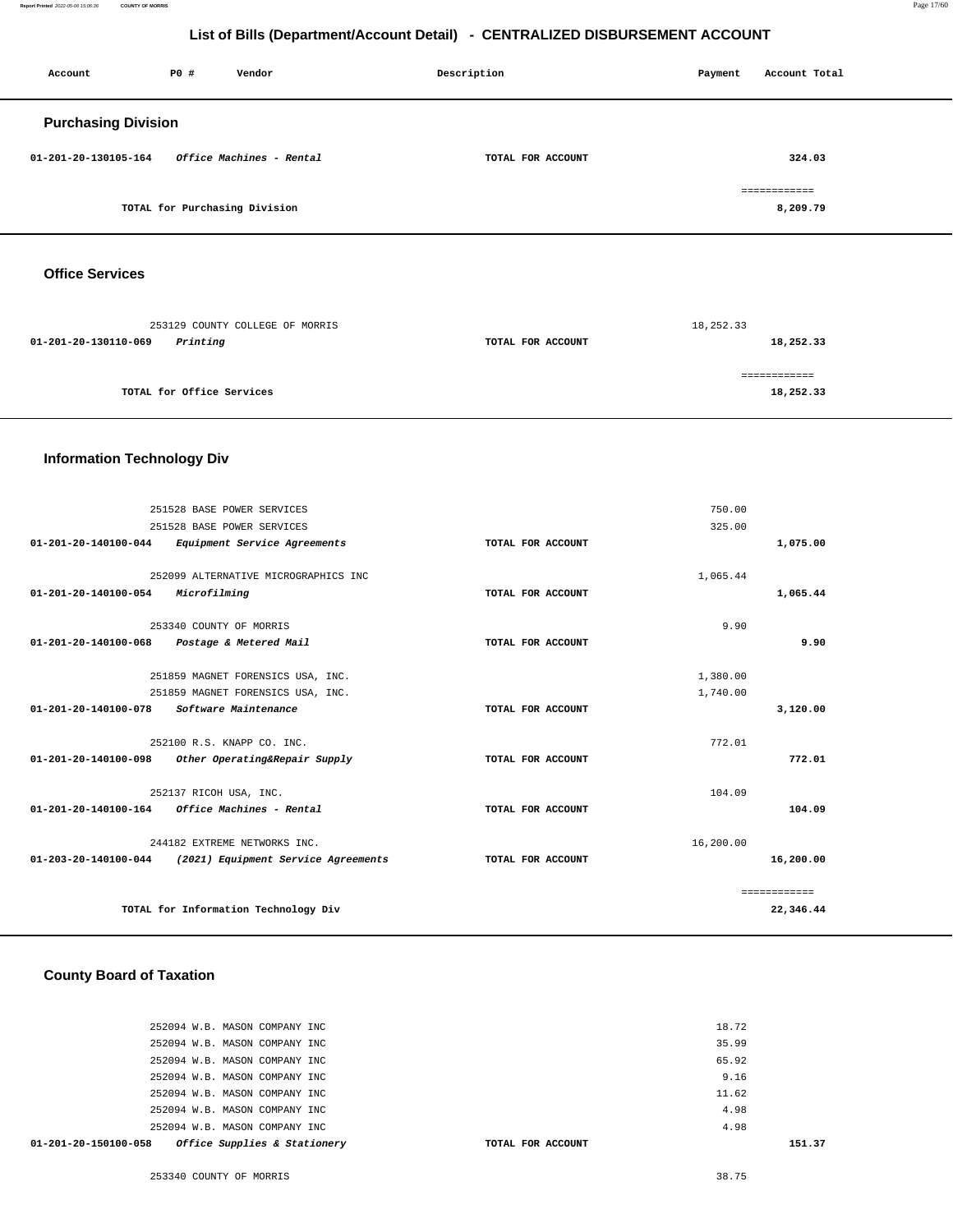**Report Printed** 2022-05-06 15:06:36 **COUNTY OF MORRIS** Page 17/60

## **List of Bills (Department/Account Detail) - CENTRALIZED DISBURSEMENT ACCOUNT**

| Account                        | P0 # | Vendor                        | Description       | Payment | Account Total            |
|--------------------------------|------|-------------------------------|-------------------|---------|--------------------------|
| <b>Purchasing Division</b>     |      |                               |                   |         |                          |
| $01 - 201 - 20 - 130105 - 164$ |      | Office Machines - Rental      | TOTAL FOR ACCOUNT |         | 324.03                   |
|                                |      | TOTAL for Purchasing Division |                   |         | ============<br>8,209.79 |
|                                |      |                               |                   |         |                          |

## **Office Services**

| 253129 COUNTY COLLEGE OF MORRIS  |                   | 18,252.33 |
|----------------------------------|-------------------|-----------|
| Printing<br>01-201-20-130110-069 | TOTAL FOR ACCOUNT | 18,252.33 |
|                                  |                   |           |
| TOTAL for Office Services        |                   | 18,252.33 |
|                                  |                   |           |

## **Information Technology Div**

|                                | 251528 BASE POWER SERVICES                               |                   | 750.00    |              |
|--------------------------------|----------------------------------------------------------|-------------------|-----------|--------------|
|                                | 251528 BASE POWER SERVICES                               |                   | 325.00    |              |
| 01-201-20-140100-044           | Equipment Service Agreements                             | TOTAL FOR ACCOUNT |           | 1,075.00     |
|                                |                                                          |                   |           |              |
|                                | 252099 ALTERNATIVE MICROGRAPHICS INC                     |                   | 1,065.44  |              |
| 01-201-20-140100-054           | Microfilming                                             | TOTAL FOR ACCOUNT |           | 1,065.44     |
|                                |                                                          |                   |           |              |
|                                | 253340 COUNTY OF MORRIS                                  |                   | 9.90      |              |
| 01-201-20-140100-068           | Postage & Metered Mail                                   | TOTAL FOR ACCOUNT |           | 9.90         |
|                                |                                                          |                   |           |              |
|                                | 251859 MAGNET FORENSICS USA, INC.                        |                   | 1,380.00  |              |
|                                | 251859 MAGNET FORENSICS USA, INC.                        |                   | 1,740.00  |              |
| $01 - 201 - 20 - 140100 - 078$ | Software Maintenance                                     | TOTAL FOR ACCOUNT |           | 3,120.00     |
|                                |                                                          |                   |           |              |
|                                | 252100 R.S. KNAPP CO. INC.                               |                   | 772.01    |              |
| 01-201-20-140100-098           | Other Operating&Repair Supply                            | TOTAL FOR ACCOUNT |           | 772.01       |
|                                | 252137 RICOH USA, INC.                                   |                   | 104.09    |              |
| 01-201-20-140100-164           | Office Machines - Rental                                 | TOTAL FOR ACCOUNT |           | 104.09       |
|                                |                                                          |                   |           |              |
|                                | 244182 EXTREME NETWORKS INC.                             |                   | 16,200.00 |              |
|                                | 01-203-20-140100-044 (2021) Equipment Service Agreements | TOTAL FOR ACCOUNT |           | 16,200.00    |
|                                |                                                          |                   |           |              |
|                                |                                                          |                   |           | ============ |
|                                | TOTAL for Information Technology Div                     |                   |           | 22,346.44    |
|                                |                                                          |                   |           |              |

## **County Board of Taxation**

| Office Supplies & Stationery<br>01-201-20-150100-058 | TOTAL FOR ACCOUNT | 151.37 |
|------------------------------------------------------|-------------------|--------|
| 252094 W.B. MASON COMPANY INC                        |                   | 4.98   |
| 252094 W.B. MASON COMPANY INC                        |                   | 4.98   |
| 252094 W.B. MASON COMPANY INC                        |                   | 11.62  |
| 252094 W.B. MASON COMPANY INC                        |                   | 9.16   |
| 252094 W.B. MASON COMPANY INC                        |                   | 65.92  |
| 252094 W.B. MASON COMPANY INC                        |                   | 35.99  |
| 252094 W.B. MASON COMPANY INC                        |                   | 18.72  |
|                                                      |                   |        |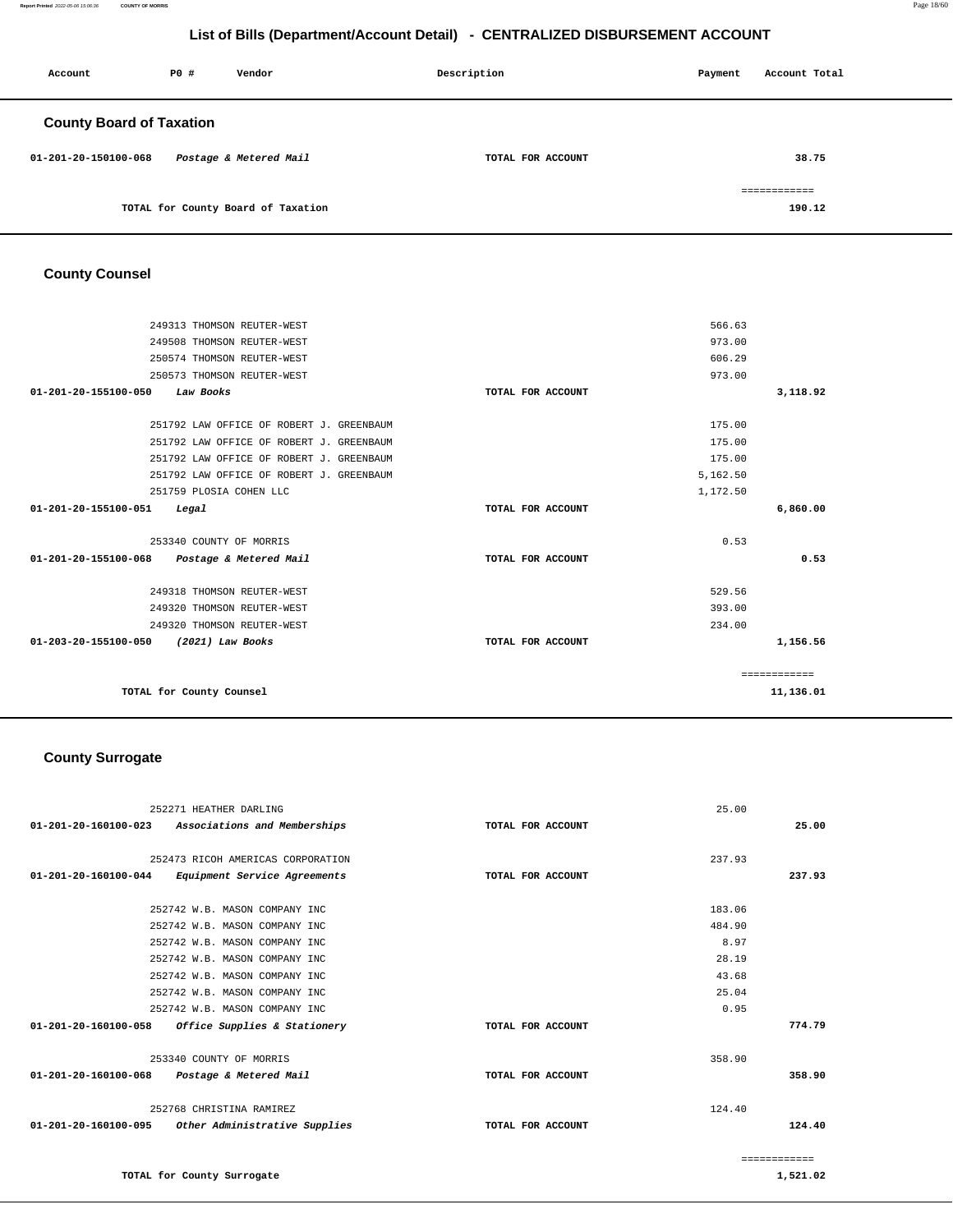**Report Printed** 2022-05-06 15:06:36 **COUNTY OF MORRIS** Page 18/60

## **List of Bills (Department/Account Detail) - CENTRALIZED DISBURSEMENT ACCOUNT**

| Account                         | PO# | Vendor                             | Description       | Payment | Account Total |
|---------------------------------|-----|------------------------------------|-------------------|---------|---------------|
| <b>County Board of Taxation</b> |     |                                    |                   |         |               |
| 01-201-20-150100-068            |     | Postage & Metered Mail             | TOTAL FOR ACCOUNT |         | 38.75         |
|                                 |     |                                    |                   |         | ============  |
|                                 |     | TOTAL for County Board of Taxation |                   |         | 190.12        |

## **County Counsel**

| 249313 THOMSON REUTER-WEST                     |                   | 566.63       |
|------------------------------------------------|-------------------|--------------|
| 249508 THOMSON REUTER-WEST                     |                   | 973.00       |
|                                                |                   |              |
| 250574 THOMSON REUTER-WEST                     |                   | 606.29       |
| 250573 THOMSON REUTER-WEST                     |                   | 973.00       |
| 01-201-20-155100-050<br>Law Books              | TOTAL FOR ACCOUNT | 3,118.92     |
|                                                |                   |              |
| 251792 LAW OFFICE OF ROBERT J. GREENBAUM       |                   | 175.00       |
| 251792 LAW OFFICE OF ROBERT J. GREENBAUM       |                   | 175.00       |
| 251792 LAW OFFICE OF ROBERT J. GREENBAUM       |                   | 175.00       |
| 251792 LAW OFFICE OF ROBERT J. GREENBAUM       |                   | 5,162.50     |
| 251759 PLOSIA COHEN LLC                        |                   | 1,172.50     |
| 01-201-20-155100-051<br>Legal                  | TOTAL FOR ACCOUNT | 6,860.00     |
| 253340 COUNTY OF MORRIS                        |                   | 0.53         |
|                                                |                   |              |
| 01-201-20-155100-068<br>Postage & Metered Mail | TOTAL FOR ACCOUNT | 0.53         |
| 249318 THOMSON REUTER-WEST                     |                   | 529.56       |
| 249320 THOMSON REUTER-WEST                     |                   | 393.00       |
| 249320 THOMSON REUTER-WEST                     |                   | 234.00       |
| 01-203-20-155100-050<br>(2021) Law Books       | TOTAL FOR ACCOUNT | 1,156.56     |
|                                                |                   |              |
|                                                |                   | ============ |
| TOTAL for County Counsel                       |                   | 11,136.01    |
|                                                |                   |              |

## **County Surrogate**

|                      | 252271 HEATHER DARLING                             |                   | 25.00  |              |
|----------------------|----------------------------------------------------|-------------------|--------|--------------|
|                      | 01-201-20-160100-023 Associations and Memberships  | TOTAL FOR ACCOUNT |        | 25.00        |
|                      |                                                    |                   |        |              |
|                      | 252473 RICOH AMERICAS CORPORATION                  |                   | 237.93 |              |
| 01-201-20-160100-044 | Equipment Service Agreements                       | TOTAL FOR ACCOUNT |        | 237.93       |
|                      | 252742 W.B. MASON COMPANY INC                      |                   | 183.06 |              |
|                      | 252742 W.B. MASON COMPANY INC                      |                   | 484.90 |              |
|                      | 252742 W.B. MASON COMPANY INC                      |                   | 8.97   |              |
|                      | 252742 W.B. MASON COMPANY INC                      |                   | 28.19  |              |
|                      | 252742 W.B. MASON COMPANY INC                      |                   | 43.68  |              |
|                      | 252742 W.B. MASON COMPANY INC                      |                   | 25.04  |              |
|                      | 252742 W.B. MASON COMPANY INC                      |                   | 0.95   |              |
|                      | 01-201-20-160100-058 Office Supplies & Stationery  | TOTAL FOR ACCOUNT |        | 774.79       |
|                      | 253340 COUNTY OF MORRIS                            |                   | 358.90 |              |
|                      | 01-201-20-160100-068 Postage & Metered Mail        | TOTAL FOR ACCOUNT |        | 358.90       |
|                      | 252768 CHRISTINA RAMIREZ                           |                   | 124.40 |              |
|                      | 01-201-20-160100-095 Other Administrative Supplies | TOTAL FOR ACCOUNT |        | 124.40       |
|                      |                                                    |                   |        | ============ |

**TOTAL for County Surrogate**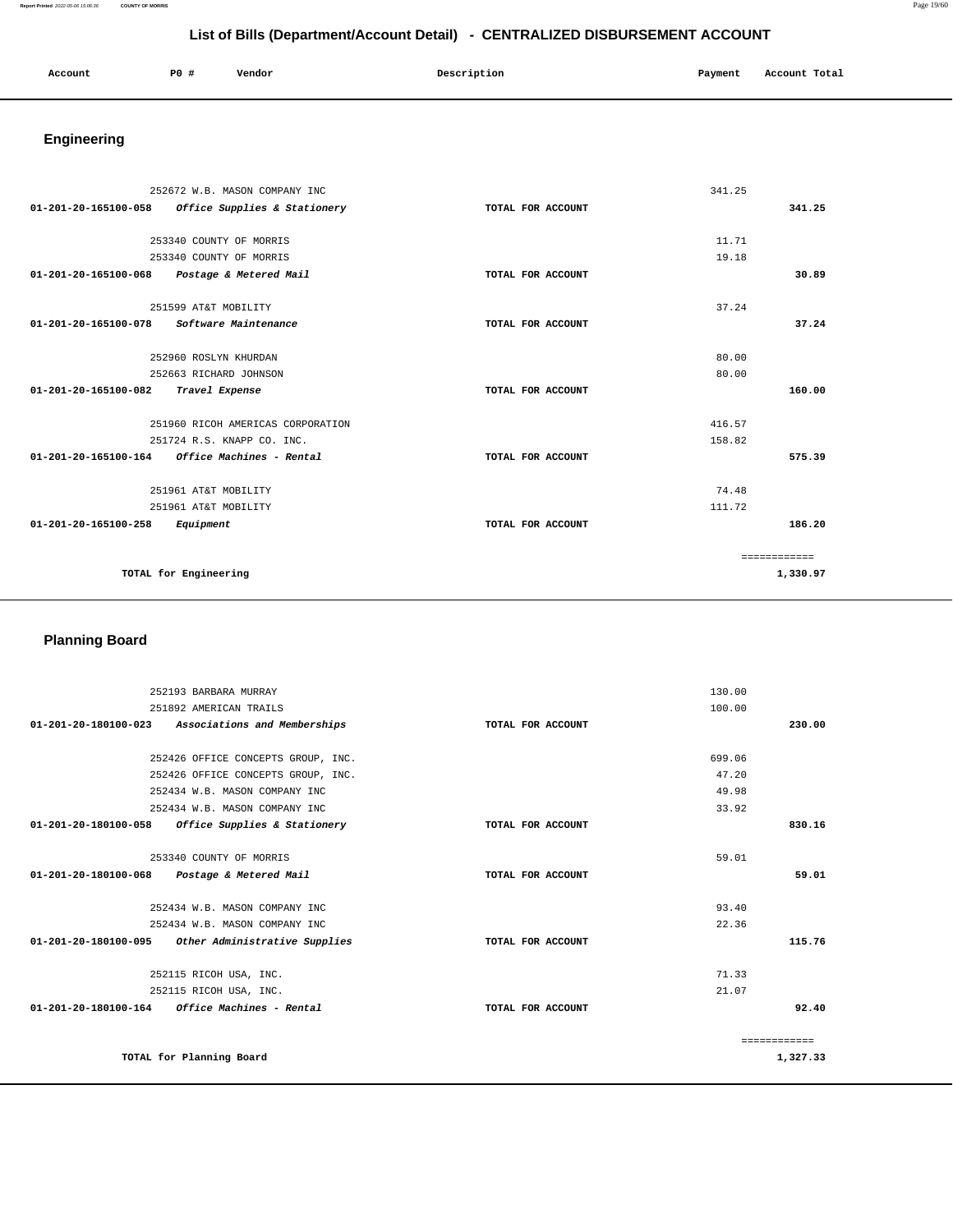#### **Report Printed** 2022-05-06 15:06:36 **COUNTY OF MORRIS** Page 19/60

# **List of Bills (Department/Account Detail) - CENTRALIZED DISBURSEMENT ACCOUNT**

| Account | P <sub>0</sub> | Vendor | Description   | Payment | Account Total |
|---------|----------------|--------|---------------|---------|---------------|
|         |                |        | $\sim$ $\sim$ |         |               |
|         |                |        |               |         |               |

# **Engineering**

|                                                         | 252672 W.B. MASON COMPANY INC     |                   | 341.25 |              |
|---------------------------------------------------------|-----------------------------------|-------------------|--------|--------------|
| 01-201-20-165100-058                                    | Office Supplies & Stationery      | TOTAL FOR ACCOUNT |        | 341.25       |
|                                                         |                                   |                   |        |              |
|                                                         | 253340 COUNTY OF MORRIS           |                   | 11.71  |              |
|                                                         | 253340 COUNTY OF MORRIS           |                   | 19.18  |              |
| $01 - 201 - 20 - 165100 - 068$                          | Postage & Metered Mail            | TOTAL FOR ACCOUNT |        | 30.89        |
| 251599 AT&T MOBILITY                                    |                                   |                   | 37.24  |              |
| 01-201-20-165100-078                                    | Software Maintenance              | TOTAL FOR ACCOUNT |        | 37.24        |
| 252960 ROSLYN KHURDAN                                   |                                   |                   | 80.00  |              |
|                                                         | 252663 RICHARD JOHNSON            |                   | 80.00  |              |
| 01-201-20-165100-082                                    | Travel Expense                    | TOTAL FOR ACCOUNT |        | 160.00       |
|                                                         | 251960 RICOH AMERICAS CORPORATION |                   | 416.57 |              |
|                                                         | 251724 R.S. KNAPP CO. INC.        |                   | 158.82 |              |
| $01 - 201 - 20 - 165100 - 164$ Office Machines - Rental |                                   | TOTAL FOR ACCOUNT |        | 575.39       |
| 251961 AT&T MOBILITY                                    |                                   |                   | 74.48  |              |
| 251961 AT&T MOBILITY                                    |                                   |                   | 111.72 |              |
| 01-201-20-165100-258<br>Equipment                       |                                   | TOTAL FOR ACCOUNT |        | 186.20       |
|                                                         |                                   |                   |        | ============ |
| TOTAL for Engineering                                   |                                   |                   |        | 1,330.97     |
|                                                         |                                   |                   |        |              |

# **Planning Board**

| 252193 BARBARA MURRAY                                   |                   | 130.00       |
|---------------------------------------------------------|-------------------|--------------|
| 251892 AMERICAN TRAILS                                  |                   | 100.00       |
| 01-201-20-180100-023<br>Associations and Memberships    | TOTAL FOR ACCOUNT | 230.00       |
|                                                         |                   |              |
| 252426 OFFICE CONCEPTS GROUP, INC.                      |                   | 699.06       |
| 252426 OFFICE CONCEPTS GROUP, INC.                      |                   | 47.20        |
| 252434 W.B. MASON COMPANY INC                           |                   | 49.98        |
| 252434 W.B. MASON COMPANY INC                           |                   | 33.92        |
| 01-201-20-180100-058<br>Office Supplies & Stationery    | TOTAL FOR ACCOUNT | 830.16       |
|                                                         |                   |              |
| 253340 COUNTY OF MORRIS                                 |                   | 59.01        |
| 01-201-20-180100-068 Postage & Metered Mail             | TOTAL FOR ACCOUNT | 59.01        |
|                                                         |                   |              |
| 252434 W.B. MASON COMPANY INC                           |                   | 93.40        |
| 252434 W.B. MASON COMPANY INC                           |                   | 22.36        |
| 01-201-20-180100-095 Other Administrative Supplies      | TOTAL FOR ACCOUNT | 115.76       |
|                                                         |                   |              |
| 252115 RICOH USA, INC.                                  |                   | 71.33        |
| 252115 RICOH USA, INC.                                  |                   | 21.07        |
| $01 - 201 - 20 - 180100 - 164$ Office Machines - Rental | TOTAL FOR ACCOUNT | 92.40        |
|                                                         |                   |              |
|                                                         |                   | ============ |
| TOTAL for Planning Board                                |                   | 1,327.33     |
|                                                         |                   |              |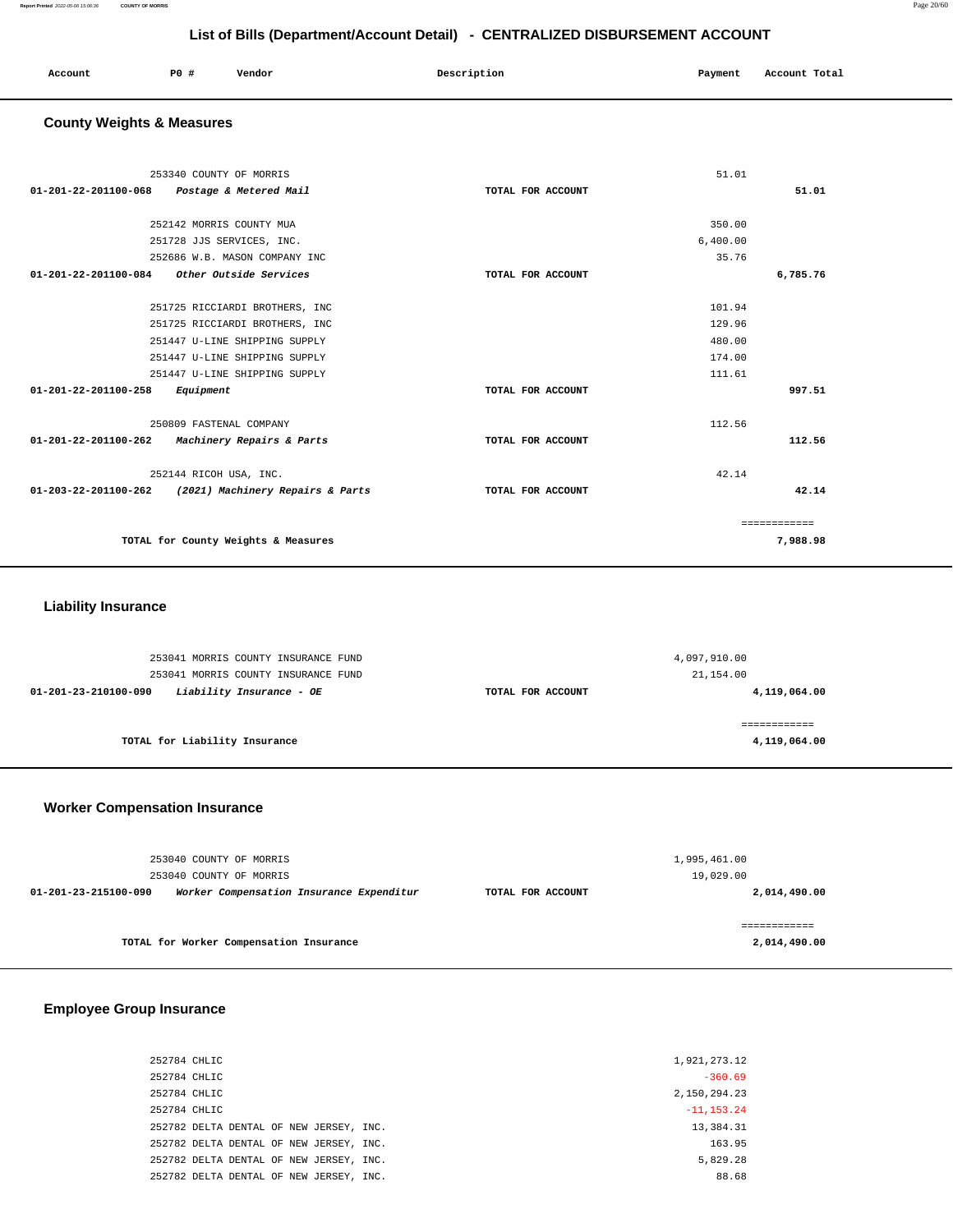| Account<br>. | P0 | Vendor | Description | Payment | Account Total |
|--------------|----|--------|-------------|---------|---------------|
|              |    |        |             |         |               |

## **County Weights & Measures**

| 253340 COUNTY OF MORRIS                                     |                   | 51.01    |              |
|-------------------------------------------------------------|-------------------|----------|--------------|
| 01-201-22-201100-068<br>Postage & Metered Mail              | TOTAL FOR ACCOUNT |          | 51.01        |
|                                                             |                   |          |              |
| 252142 MORRIS COUNTY MUA                                    |                   | 350.00   |              |
| 251728 JJS SERVICES, INC.                                   |                   | 6,400.00 |              |
| 252686 W.B. MASON COMPANY INC                               |                   | 35.76    |              |
| Other Outside Services<br>01-201-22-201100-084              | TOTAL FOR ACCOUNT |          | 6,785.76     |
|                                                             |                   |          |              |
| 251725 RICCIARDI BROTHERS, INC                              |                   | 101.94   |              |
| 251725 RICCIARDI BROTHERS, INC                              |                   | 129.96   |              |
| 251447 U-LINE SHIPPING SUPPLY                               |                   | 480.00   |              |
| 251447 U-LINE SHIPPING SUPPLY                               |                   | 174.00   |              |
| 251447 U-LINE SHIPPING SUPPLY                               |                   | 111.61   |              |
| 01-201-22-201100-258<br>Equipment                           | TOTAL FOR ACCOUNT |          | 997.51       |
|                                                             |                   |          |              |
| 250809 FASTENAL COMPANY                                     |                   | 112.56   |              |
| $01 - 201 - 22 - 201100 - 262$<br>Machinery Repairs & Parts | TOTAL FOR ACCOUNT |          | 112.56       |
|                                                             |                   | 42.14    |              |
| 252144 RICOH USA, INC.                                      |                   |          |              |
| 01-203-22-201100-262 (2021) Machinery Repairs & Parts       | TOTAL FOR ACCOUNT |          | 42.14        |
|                                                             |                   |          | ============ |
| TOTAL for County Weights & Measures                         |                   |          | 7,988.98     |
|                                                             |                   |          |              |

## **Liability Insurance**

|                               | 253041 MORRIS COUNTY INSURANCE FUND                             | 4,097,910.00                   |              |
|-------------------------------|-----------------------------------------------------------------|--------------------------------|--------------|
| 01-201-23-210100-090          | 253041 MORRIS COUNTY INSURANCE FUND<br>Liability Insurance - OE | 21,154.00<br>TOTAL FOR ACCOUNT | 4,119,064.00 |
|                               |                                                                 |                                |              |
| TOTAL for Liability Insurance |                                                                 |                                | 4,119,064.00 |

## **Worker Compensation Insurance**

| 253040 COUNTY OF MORRIS                                          | 1,995,461.00      |               |
|------------------------------------------------------------------|-------------------|---------------|
| 253040 COUNTY OF MORRIS                                          |                   | 19,029.00     |
| Worker Compensation Insurance Expenditur<br>01-201-23-215100-090 | TOTAL FOR ACCOUNT | 2,014,490.00  |
|                                                                  |                   |               |
|                                                                  |                   | ============= |
| TOTAL for Worker Compensation Insurance                          |                   | 2,014,490.00  |

## **Employee Group Insurance**

| 252784 CHLIC                            | 1,921,273.12  |
|-----------------------------------------|---------------|
| 252784 CHLIC                            | $-360.69$     |
| 252784 CHLIC                            | 2,150,294.23  |
| 252784 CHLIC                            | $-11, 153.24$ |
| 252782 DELTA DENTAL OF NEW JERSEY, INC. | 13,384.31     |
| 252782 DELTA DENTAL OF NEW JERSEY, INC. | 163.95        |
| 252782 DELTA DENTAL OF NEW JERSEY, INC. | 5.829.28      |
| 252782 DELTA DENTAL OF NEW JERSEY, INC. | 88.68         |
|                                         |               |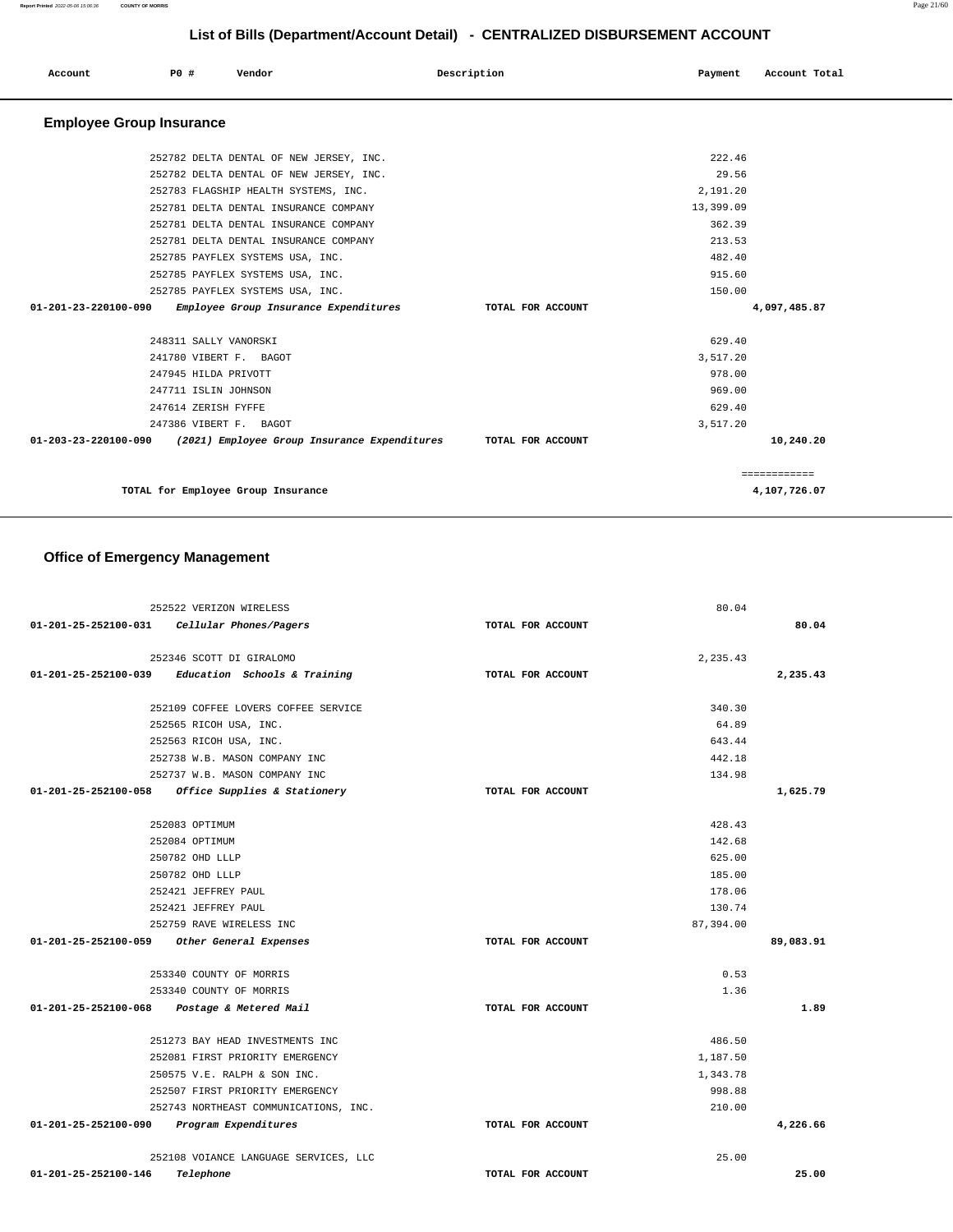| LIST OF BIIIS (DEPARTMENTACCOUNT DETAIL) - CENTRALIZED DISBURSEMENT ACCOUNT |     |                       |                                         |                                              |                   |  |           |               |
|-----------------------------------------------------------------------------|-----|-----------------------|-----------------------------------------|----------------------------------------------|-------------------|--|-----------|---------------|
| Account                                                                     | PO# |                       | Vendor                                  |                                              | Description       |  | Payment   | Account Total |
| <b>Employee Group Insurance</b>                                             |     |                       |                                         |                                              |                   |  |           |               |
|                                                                             |     |                       | 252782 DELTA DENTAL OF NEW JERSEY, INC. |                                              |                   |  | 222.46    |               |
|                                                                             |     |                       | 252782 DELTA DENTAL OF NEW JERSEY, INC. |                                              |                   |  | 29.56     |               |
|                                                                             |     |                       | 252783 FLAGSHIP HEALTH SYSTEMS, INC.    |                                              |                   |  | 2,191.20  |               |
|                                                                             |     |                       | 252781 DELTA DENTAL INSURANCE COMPANY   |                                              |                   |  | 13,399.09 |               |
|                                                                             |     |                       | 252781 DELTA DENTAL INSURANCE COMPANY   |                                              |                   |  | 362.39    |               |
|                                                                             |     |                       | 252781 DELTA DENTAL INSURANCE COMPANY   |                                              |                   |  | 213.53    |               |
|                                                                             |     |                       | 252785 PAYFLEX SYSTEMS USA, INC.        |                                              |                   |  | 482.40    |               |
|                                                                             |     |                       | 252785 PAYFLEX SYSTEMS USA, INC.        |                                              |                   |  | 915.60    |               |
|                                                                             |     |                       | 252785 PAYFLEX SYSTEMS USA, INC.        |                                              |                   |  | 150.00    |               |
| 01-201-23-220100-090                                                        |     |                       | Employee Group Insurance Expenditures   |                                              | TOTAL FOR ACCOUNT |  |           | 4,097,485.87  |
|                                                                             |     | 248311 SALLY VANORSKI |                                         |                                              |                   |  | 629.40    |               |
|                                                                             |     |                       | 241780 VIBERT F. BAGOT                  |                                              |                   |  | 3,517.20  |               |
|                                                                             |     | 247945 HILDA PRIVOTT  |                                         |                                              |                   |  | 978.00    |               |
|                                                                             |     | 247711 ISLIN JOHNSON  |                                         |                                              |                   |  | 969.00    |               |
|                                                                             |     | 247614 ZERISH FYFFE   |                                         |                                              |                   |  | 629.40    |               |
|                                                                             |     |                       | 247386 VIBERT F. BAGOT                  |                                              |                   |  | 3,517.20  |               |
| 01-203-23-220100-090                                                        |     |                       |                                         | (2021) Employee Group Insurance Expenditures | TOTAL FOR ACCOUNT |  |           | 10,240.20     |
|                                                                             |     |                       |                                         |                                              |                   |  |           | ============  |

**TOTAL for Employee Group Insurance 4,107,726.07**

## **Office of Emergency Management**

| 252522 VERIZON WIRELESS                              | 80.04             |           |
|------------------------------------------------------|-------------------|-----------|
| 01-201-25-252100-031    Cellular Phones/Pagers       | TOTAL FOR ACCOUNT | 80.04     |
|                                                      |                   |           |
| 252346 SCOTT DI GIRALOMO                             | 2.235.43          |           |
| Education Schools & Training<br>01-201-25-252100-039 | TOTAL FOR ACCOUNT | 2,235.43  |
|                                                      |                   |           |
| 252109 COFFEE LOVERS COFFEE SERVICE                  | 340.30            |           |
| 252565 RICOH USA, INC.                               | 64.89             |           |
| 252563 RICOH USA, INC.                               | 643.44            |           |
| 252738 W.B. MASON COMPANY INC                        | 442.18            |           |
| 252737 W.B. MASON COMPANY INC                        | 134.98            |           |
| 01-201-25-252100-058 Office Supplies & Stationery    | TOTAL FOR ACCOUNT | 1,625.79  |
|                                                      |                   |           |
| 252083 OPTIMUM                                       | 428.43            |           |
| 252084 OPTIMUM                                       | 142.68            |           |
| 250782 OHD LLLP                                      | 625.00            |           |
| 250782 OHD LLLP                                      | 185.00            |           |
| 252421 JEFFREY PAUL                                  | 178.06            |           |
| 252421 JEFFREY PAUL                                  | 130.74            |           |
| 252759 RAVE WIRELESS INC                             | 87,394.00         |           |
| 01-201-25-252100-059<br>Other General Expenses       | TOTAL FOR ACCOUNT | 89,083.91 |
| 253340 COUNTY OF MORRIS                              | 0.53              |           |
| 253340 COUNTY OF MORRIS                              | 1.36              |           |
|                                                      |                   | 1.89      |
| 01-201-25-252100-068 Postage & Metered Mail          | TOTAL FOR ACCOUNT |           |
| 251273 BAY HEAD INVESTMENTS INC.                     | 486.50            |           |
| 252081 FIRST PRIORITY EMERGENCY                      | 1,187.50          |           |
| 250575 V.E. RALPH & SON INC.                         | 1,343.78          |           |
| 252507 FIRST PRIORITY EMERGENCY                      | 998.88            |           |
| 252743 NORTHEAST COMMUNICATIONS, INC.                | 210.00            |           |
| 01-201-25-252100-090 Program Expenditures            | TOTAL FOR ACCOUNT | 4,226.66  |
|                                                      |                   |           |
| 252108 VOIANCE LANGUAGE SERVICES, LLC                | 25.00             |           |
| 01-201-25-252100-146<br>Telephone                    | TOTAL FOR ACCOUNT | 25.00     |
|                                                      |                   |           |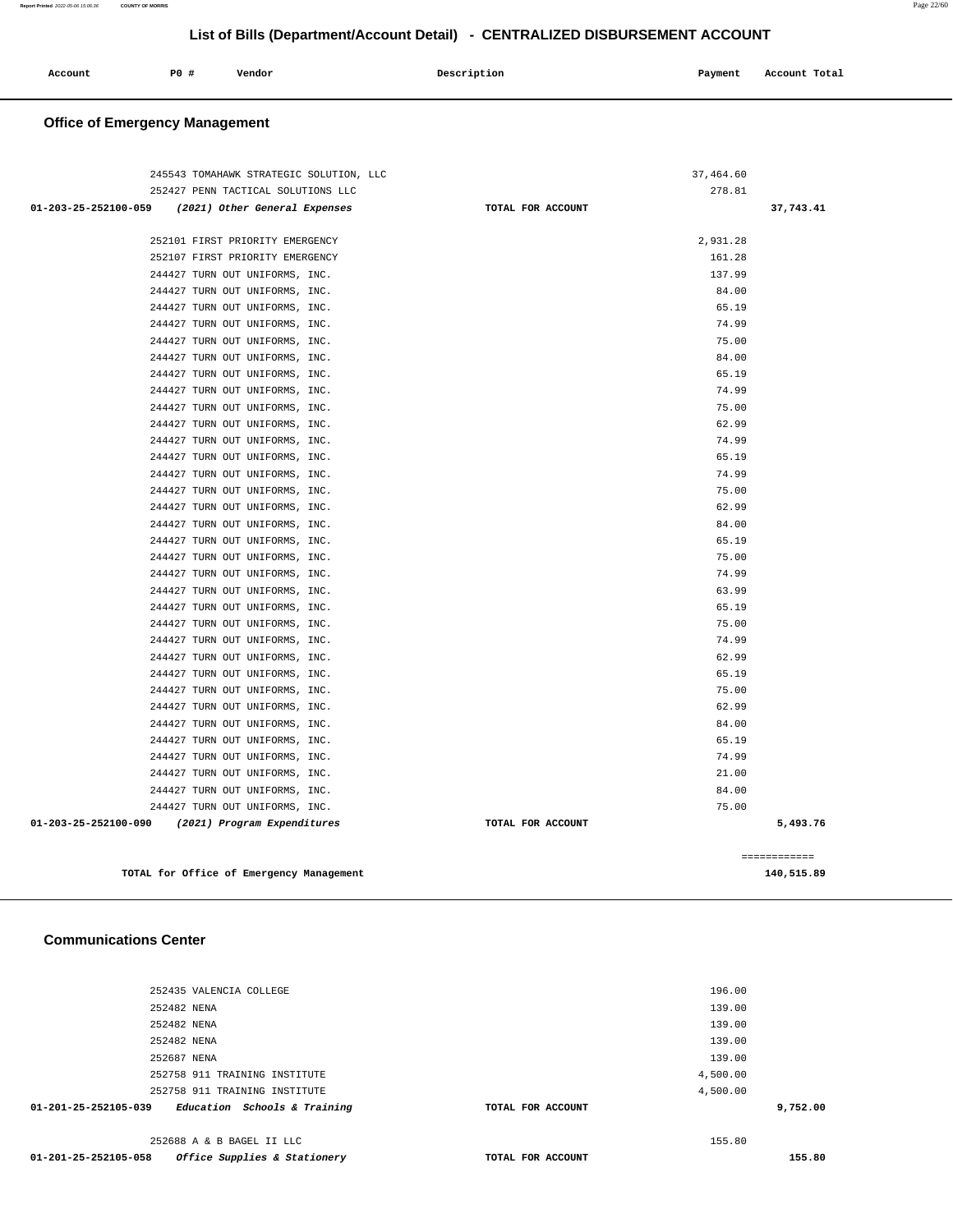| Account<br>. | PO# | Vendor | Description | Payment<br>$\sim$ $\sim$ | Account Total |
|--------------|-----|--------|-------------|--------------------------|---------------|
|              |     |        |             |                          |               |

## **Office of Emergency Management**

| 245543 TOMAHAWK STRATEGIC SOLUTION, LLC            |                   | 37,464.60                  |
|----------------------------------------------------|-------------------|----------------------------|
| 252427 PENN TACTICAL SOLUTIONS LLC                 |                   | 278.81                     |
| 01-203-25-252100-059 (2021) Other General Expenses | TOTAL FOR ACCOUNT | 37,743.41                  |
| 252101 FIRST PRIORITY EMERGENCY                    |                   | 2,931.28                   |
| 252107 FIRST PRIORITY EMERGENCY                    |                   | 161.28                     |
| 244427 TURN OUT UNIFORMS, INC.                     |                   | 137.99                     |
| 244427 TURN OUT UNIFORMS, INC.                     |                   | 84.00                      |
| 244427 TURN OUT UNIFORMS, INC.                     |                   | 65.19                      |
| 244427 TURN OUT UNIFORMS, INC.                     |                   | 74.99                      |
| 244427 TURN OUT UNIFORMS, INC.                     |                   | 75.00                      |
| 244427 TURN OUT UNIFORMS, INC.                     |                   | 84.00                      |
| 244427 TURN OUT UNIFORMS, INC.                     |                   | 65.19                      |
| 244427 TURN OUT UNIFORMS, INC.                     |                   | 74.99                      |
| 244427 TURN OUT UNIFORMS, INC.                     |                   | 75.00                      |
| 244427 TURN OUT UNIFORMS, INC.                     |                   | 62.99                      |
| 244427 TURN OUT UNIFORMS, INC.                     |                   | 74.99                      |
| 244427 TURN OUT UNIFORMS, INC.                     |                   | 65.19                      |
| 244427 TURN OUT UNIFORMS, INC.                     |                   | 74.99                      |
| 244427 TURN OUT UNIFORMS, INC.                     |                   | 75.00                      |
| 244427 TURN OUT UNIFORMS, INC.                     |                   | 62.99                      |
| 244427 TURN OUT UNIFORMS, INC.                     |                   | 84.00                      |
| 244427 TURN OUT UNIFORMS, INC.                     |                   | 65.19                      |
| 244427 TURN OUT UNIFORMS, INC.                     |                   | 75.00                      |
| 244427 TURN OUT UNIFORMS, INC.                     |                   | 74.99                      |
| 244427 TURN OUT UNIFORMS, INC.                     |                   | 63.99                      |
| 244427 TURN OUT UNIFORMS, INC.                     |                   | 65.19                      |
| 244427 TURN OUT UNIFORMS, INC.                     |                   | 75.00                      |
| 244427 TURN OUT UNIFORMS, INC.                     |                   | 74.99                      |
| 244427 TURN OUT UNIFORMS, INC.                     |                   | 62.99                      |
| 244427 TURN OUT UNIFORMS, INC.                     |                   | 65.19                      |
| 244427 TURN OUT UNIFORMS, INC.                     |                   | 75.00                      |
| 244427 TURN OUT UNIFORMS, INC.                     |                   | 62.99                      |
| 244427 TURN OUT UNIFORMS, INC.                     |                   | 84.00                      |
| 244427 TURN OUT UNIFORMS, INC.                     |                   | 65.19                      |
| 244427 TURN OUT UNIFORMS, INC.                     |                   | 74.99                      |
| 244427 TURN OUT UNIFORMS, INC.                     |                   | 21.00                      |
| 244427 TURN OUT UNIFORMS, INC.                     |                   | 84.00                      |
| 244427 TURN OUT UNIFORMS, INC.                     |                   | 75.00                      |
| 01-203-25-252100-090 (2021) Program Expenditures   | TOTAL FOR ACCOUNT | 5,493.76                   |
|                                                    |                   |                            |
| TOTAL for Office of Emergency Management           |                   | ------------<br>140,515.89 |

#### **Communications Center**

| 01-201-25-252105-058 | Office Supplies & Stationery  | TOTAL FOR ACCOUNT |          | 155.80   |
|----------------------|-------------------------------|-------------------|----------|----------|
|                      | 252688 A & B BAGEL II LLC     |                   | 155.80   |          |
| 01-201-25-252105-039 | Education Schools & Training  | TOTAL FOR ACCOUNT |          | 9,752.00 |
|                      | 252758 911 TRAINING INSTITUTE |                   | 4,500.00 |          |
|                      | 252758 911 TRAINING INSTITUTE |                   | 4,500.00 |          |
|                      | 252687 NENA                   |                   | 139.00   |          |
|                      | 252482 NENA                   |                   | 139.00   |          |
|                      | 252482 NENA                   |                   | 139.00   |          |
|                      | 252482 NENA                   |                   | 139.00   |          |
|                      | 252435 VALENCIA COLLEGE       |                   | 196.00   |          |
|                      |                               |                   |          |          |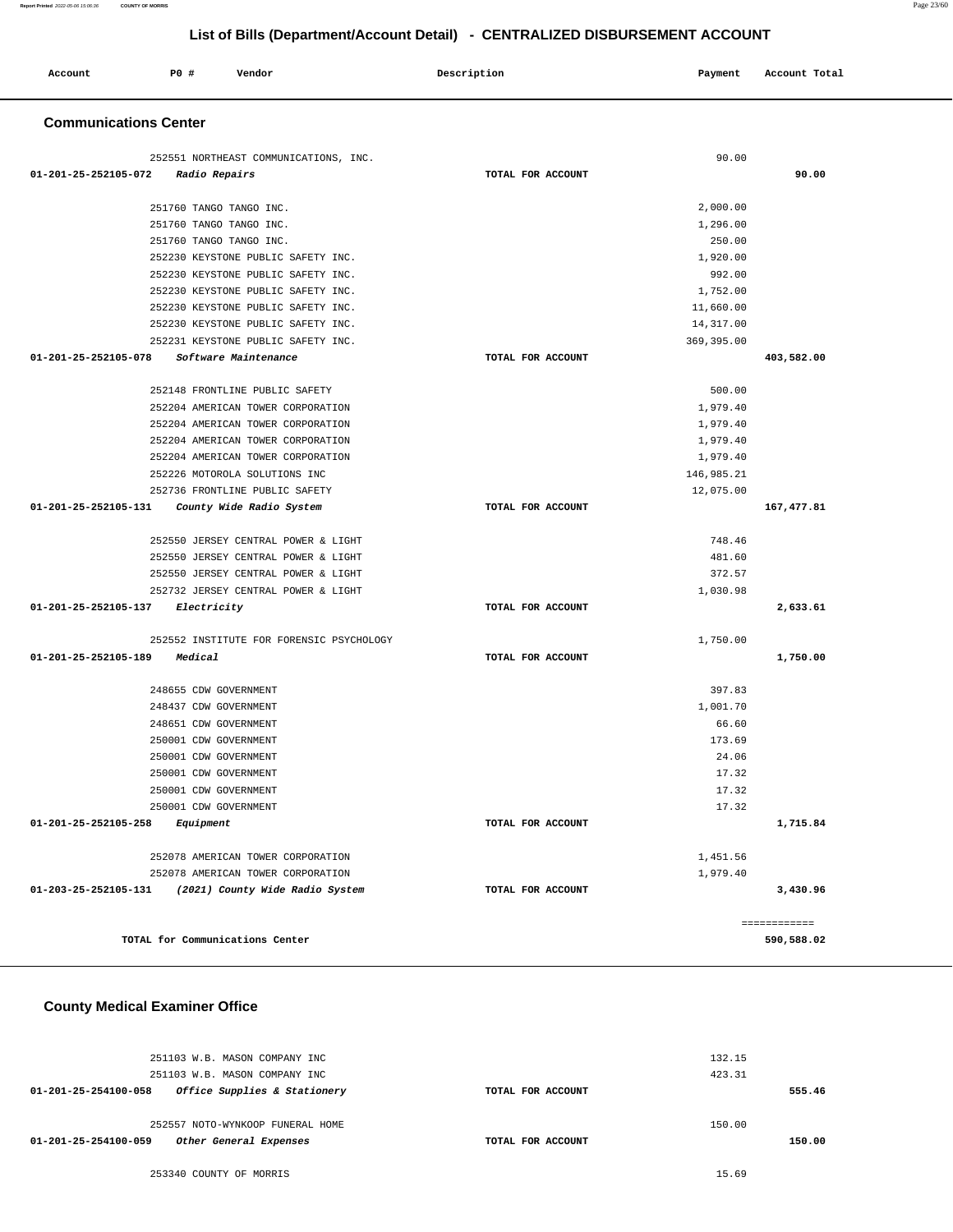| Account                      | PO# | Vendor                                | Description | Payment | Account Total |  |
|------------------------------|-----|---------------------------------------|-------------|---------|---------------|--|
| <b>Communications Center</b> |     |                                       |             |         |               |  |
|                              |     | SESEE1 MODELLEAGE COMMUNICATIONS INC. |             | 0000    |               |  |

| 252551 NORTHEAST COMMUNICATIONS, INC.                   |                   | 90.00       |                            |
|---------------------------------------------------------|-------------------|-------------|----------------------------|
| 01-201-25-252105-072<br>Radio Repairs                   | TOTAL FOR ACCOUNT |             | 90.00                      |
|                                                         |                   |             |                            |
| 251760 TANGO TANGO INC.                                 |                   | 2,000.00    |                            |
| 251760 TANGO TANGO INC.                                 |                   | 1,296.00    |                            |
| 251760 TANGO TANGO INC.                                 |                   | 250.00      |                            |
| 252230 KEYSTONE PUBLIC SAFETY INC.                      |                   | 1,920.00    |                            |
| 252230 KEYSTONE PUBLIC SAFETY INC.                      |                   | 992.00      |                            |
| 252230 KEYSTONE PUBLIC SAFETY INC.                      |                   | 1,752.00    |                            |
| 252230 KEYSTONE PUBLIC SAFETY INC.                      |                   | 11,660.00   |                            |
| 252230 KEYSTONE PUBLIC SAFETY INC.                      |                   | 14, 317.00  |                            |
| 252231 KEYSTONE PUBLIC SAFETY INC.                      |                   | 369, 395.00 |                            |
| 01-201-25-252105-078<br>Software Maintenance            | TOTAL FOR ACCOUNT |             | 403,582.00                 |
| 252148 FRONTLINE PUBLIC SAFETY                          |                   | 500.00      |                            |
| 252204 AMERICAN TOWER CORPORATION                       |                   | 1,979.40    |                            |
| 252204 AMERICAN TOWER CORPORATION                       |                   | 1,979.40    |                            |
| 252204 AMERICAN TOWER CORPORATION                       |                   | 1,979.40    |                            |
| 252204 AMERICAN TOWER CORPORATION                       |                   | 1,979.40    |                            |
| 252226 MOTOROLA SOLUTIONS INC                           |                   | 146,985.21  |                            |
| 252736 FRONTLINE PUBLIC SAFETY                          |                   | 12,075.00   |                            |
| 01-201-25-252105-131<br>County Wide Radio System        | TOTAL FOR ACCOUNT |             | 167, 477.81                |
| 252550 JERSEY CENTRAL POWER & LIGHT                     |                   | 748.46      |                            |
| 252550 JERSEY CENTRAL POWER & LIGHT                     |                   | 481.60      |                            |
| 252550 JERSEY CENTRAL POWER & LIGHT                     |                   | 372.57      |                            |
| 252732 JERSEY CENTRAL POWER & LIGHT                     |                   | 1,030.98    |                            |
| 01-201-25-252105-137<br><i>Electricity</i>              | TOTAL FOR ACCOUNT |             | 2,633.61                   |
|                                                         |                   |             |                            |
| 252552 INSTITUTE FOR FORENSIC PSYCHOLOGY                |                   | 1,750.00    |                            |
| 01-201-25-252105-189<br>Medical                         | TOTAL FOR ACCOUNT |             | 1,750.00                   |
| 248655 CDW GOVERNMENT                                   |                   | 397.83      |                            |
| 248437 CDW GOVERNMENT                                   |                   | 1,001.70    |                            |
| 248651 CDW GOVERNMENT                                   |                   | 66.60       |                            |
| 250001 CDW GOVERNMENT                                   |                   | 173.69      |                            |
| 250001 CDW GOVERNMENT                                   |                   | 24.06       |                            |
| 250001 CDW GOVERNMENT                                   |                   | 17.32       |                            |
| 250001 CDW GOVERNMENT                                   |                   | 17.32       |                            |
| 250001 CDW GOVERNMENT                                   |                   | 17.32       |                            |
| 01-201-25-252105-258<br>Equipment                       | TOTAL FOR ACCOUNT |             | 1,715.84                   |
| 252078 AMERICAN TOWER CORPORATION                       |                   | 1,451.56    |                            |
| 252078 AMERICAN TOWER CORPORATION                       |                   | 1,979.40    |                            |
| 01-203-25-252105-131<br>(2021) County Wide Radio System | TOTAL FOR ACCOUNT |             | 3,430.96                   |
|                                                         |                   |             |                            |
| TOTAL for Communications Center                         |                   |             | ============<br>590,588.02 |

#### **County Medical Examiner Office**

| 251103 W.B. MASON COMPANY INC                        |                   | 132.15 |
|------------------------------------------------------|-------------------|--------|
| 251103 W.B. MASON COMPANY INC                        |                   | 423.31 |
| Office Supplies & Stationery<br>01-201-25-254100-058 | TOTAL FOR ACCOUNT | 555.46 |
|                                                      |                   |        |
| 252557 NOTO-WYNKOOP FUNERAL HOME                     |                   | 150.00 |
| Other General Expenses<br>01-201-25-254100-059       | TOTAL FOR ACCOUNT | 150.00 |
|                                                      |                   |        |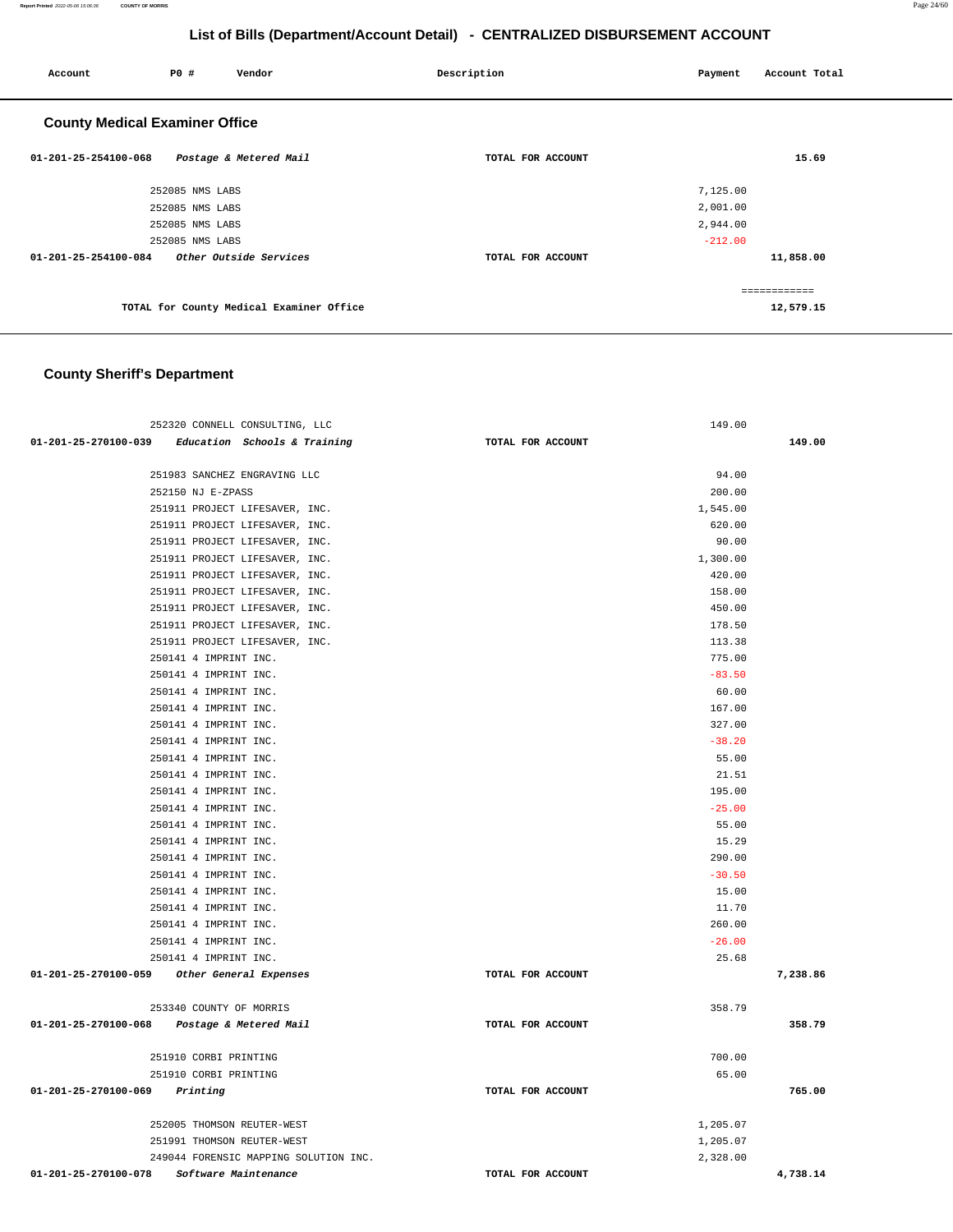**Report Printed** 2022-05-06 15:06:36 **COUNTY OF MORRIS** Page 24/60

## **List of Bills (Department/Account Detail) - CENTRALIZED DISBURSEMENT ACCOUNT**

| P0 # | Vendor | Description                                                                                                                                                                                                       | Payment   | Account Total |
|------|--------|-------------------------------------------------------------------------------------------------------------------------------------------------------------------------------------------------------------------|-----------|---------------|
|      |        |                                                                                                                                                                                                                   |           |               |
|      |        | TOTAL FOR ACCOUNT                                                                                                                                                                                                 |           | 15.69         |
|      |        |                                                                                                                                                                                                                   | 7,125.00  |               |
|      |        |                                                                                                                                                                                                                   | 2,001.00  |               |
|      |        |                                                                                                                                                                                                                   | 2,944.00  |               |
|      |        |                                                                                                                                                                                                                   | $-212.00$ |               |
|      |        | TOTAL FOR ACCOUNT                                                                                                                                                                                                 |           | 11,858.00     |
|      |        |                                                                                                                                                                                                                   |           | ============  |
|      |        |                                                                                                                                                                                                                   |           | 12,579.15     |
|      |        | <b>County Medical Examiner Office</b><br>Postage & Metered Mail<br>252085 NMS LABS<br>252085 NMS LABS<br>252085 NMS LABS<br>252085 NMS LABS<br>Other Outside Services<br>TOTAL for County Medical Examiner Office |           |               |

# **County Sheriff's Department**

| 252320 CONNELL CONSULTING, LLC                    |                   | 149.00   |          |
|---------------------------------------------------|-------------------|----------|----------|
| 01-201-25-270100-039 Education Schools & Training | TOTAL FOR ACCOUNT |          | 149.00   |
|                                                   |                   |          |          |
| 251983 SANCHEZ ENGRAVING LLC                      |                   | 94.00    |          |
| 252150 NJ E-ZPASS                                 |                   | 200.00   |          |
| 251911 PROJECT LIFESAVER, INC.                    |                   | 1,545.00 |          |
| 251911 PROJECT LIFESAVER, INC.                    |                   | 620.00   |          |
| 251911 PROJECT LIFESAVER, INC.                    |                   | 90.00    |          |
| 251911 PROJECT LIFESAVER, INC.                    |                   | 1,300.00 |          |
| 251911 PROJECT LIFESAVER, INC.                    |                   | 420.00   |          |
| 251911 PROJECT LIFESAVER, INC.                    |                   | 158.00   |          |
| 251911 PROJECT LIFESAVER, INC.                    |                   | 450.00   |          |
| 251911 PROJECT LIFESAVER, INC.                    |                   | 178.50   |          |
| 251911 PROJECT LIFESAVER, INC.                    |                   | 113.38   |          |
| 250141 4 IMPRINT INC.                             |                   | 775.00   |          |
| 250141 4 IMPRINT INC.                             |                   | $-83.50$ |          |
| 250141 4 IMPRINT INC.                             |                   | 60.00    |          |
| 250141 4 IMPRINT INC.                             |                   | 167.00   |          |
| 250141 4 IMPRINT INC.                             |                   | 327.00   |          |
| 250141 4 IMPRINT INC.                             |                   | $-38.20$ |          |
| 250141 4 IMPRINT INC.                             |                   | 55.00    |          |
| 250141 4 IMPRINT INC.                             |                   | 21.51    |          |
| 250141 4 IMPRINT INC.                             |                   | 195.00   |          |
| 250141 4 IMPRINT INC.                             |                   | $-25.00$ |          |
| 250141 4 IMPRINT INC.                             |                   | 55.00    |          |
| 250141 4 IMPRINT INC.                             |                   | 15.29    |          |
| 250141 4 IMPRINT INC.                             |                   | 290.00   |          |
| 250141 4 IMPRINT INC.                             |                   | $-30.50$ |          |
| 250141 4 IMPRINT INC.                             |                   | 15.00    |          |
| 250141 4 IMPRINT INC.                             |                   | 11.70    |          |
| 250141 4 IMPRINT INC.                             |                   | 260.00   |          |
| 250141 4 IMPRINT INC.                             |                   | $-26.00$ |          |
| 250141 4 IMPRINT INC.                             |                   | 25.68    |          |
| 01-201-25-270100-059 Other General Expenses       | TOTAL FOR ACCOUNT |          | 7,238.86 |
|                                                   |                   |          |          |
| 253340 COUNTY OF MORRIS                           |                   | 358.79   |          |
| 01-201-25-270100-068 Postage & Metered Mail       | TOTAL FOR ACCOUNT |          | 358.79   |
| 251910 CORBI PRINTING                             |                   | 700.00   |          |
| 251910 CORBI PRINTING                             |                   | 65.00    |          |
| 01-201-25-270100-069 Printing                     | TOTAL FOR ACCOUNT |          | 765.00   |
|                                                   |                   |          |          |
| 252005 THOMSON REUTER-WEST                        |                   | 1,205.07 |          |
| 251991 THOMSON REUTER-WEST                        |                   | 1,205.07 |          |
| 249044 FORENSIC MAPPING SOLUTION INC.             |                   | 2,328.00 |          |
| 01-201-25-270100-078<br>Software Maintenance      | TOTAL FOR ACCOUNT |          | 4,738.14 |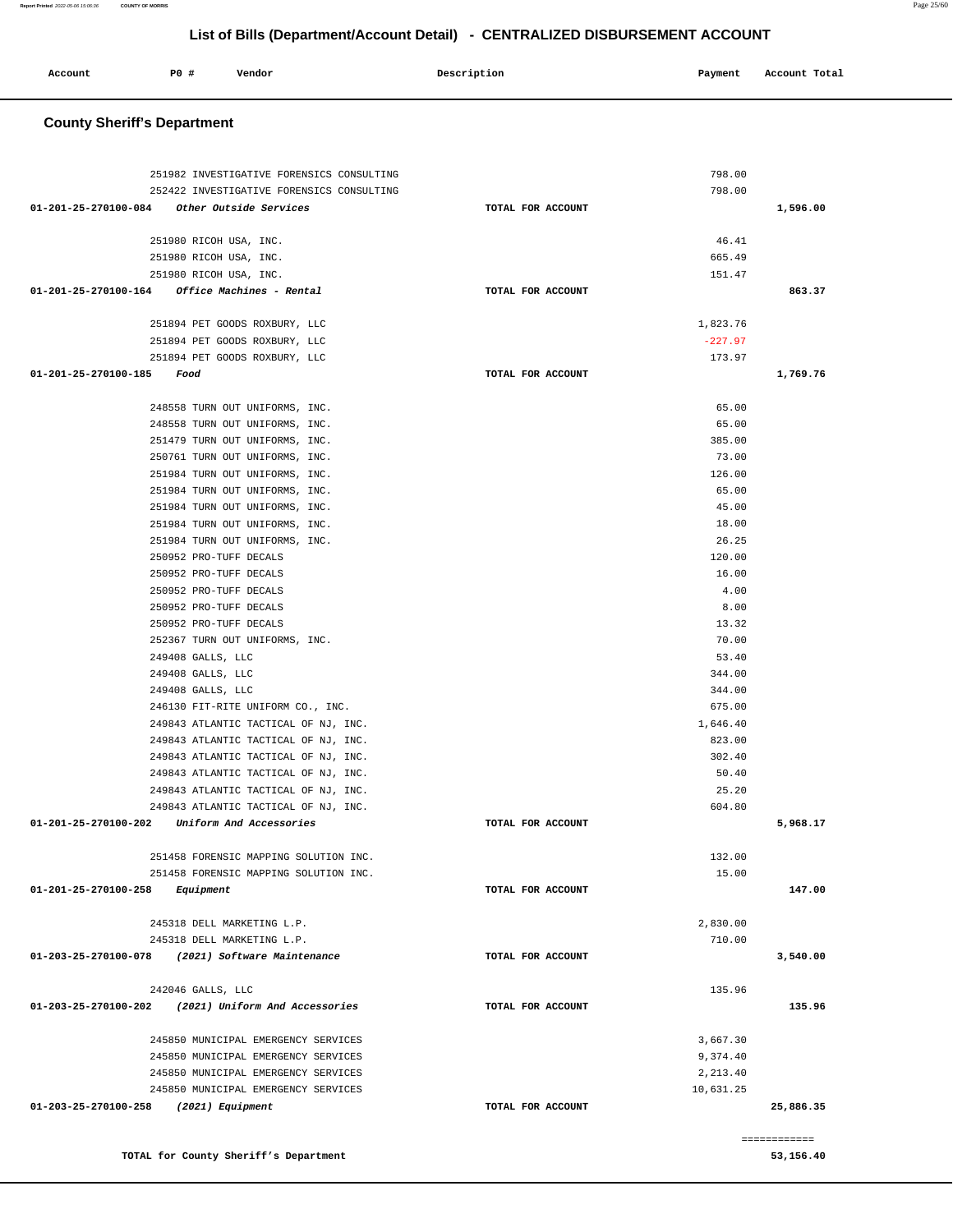| Account<br>. | <b>PO #</b> | Vendor | Description | Payment | Account Total |
|--------------|-------------|--------|-------------|---------|---------------|
|              |             |        |             |         |               |

## **County Sheriff's Department**

|                           | 251982 INVESTIGATIVE FORENSICS CONSULTING                        |                   | 798.00          |              |
|---------------------------|------------------------------------------------------------------|-------------------|-----------------|--------------|
|                           | 252422 INVESTIGATIVE FORENSICS CONSULTING                        |                   | 798.00          |              |
|                           | 01-201-25-270100-084 Other Outside Services                      | TOTAL FOR ACCOUNT |                 | 1,596.00     |
|                           |                                                                  |                   |                 |              |
|                           | 251980 RICOH USA, INC.                                           |                   | 46.41           |              |
|                           | 251980 RICOH USA, INC.                                           |                   | 665.49          |              |
|                           | 251980 RICOH USA, INC.                                           |                   | 151.47          |              |
|                           | 01-201-25-270100-164 Office Machines - Rental                    | TOTAL FOR ACCOUNT |                 | 863.37       |
|                           |                                                                  |                   |                 |              |
|                           | 251894 PET GOODS ROXBURY, LLC                                    |                   | 1,823.76        |              |
|                           | 251894 PET GOODS ROXBURY, LLC                                    |                   | $-227.97$       |              |
|                           | 251894 PET GOODS ROXBURY, LLC                                    |                   | 173.97          |              |
| 01-201-25-270100-185 Food |                                                                  | TOTAL FOR ACCOUNT |                 | 1,769.76     |
|                           |                                                                  |                   |                 |              |
|                           | 248558 TURN OUT UNIFORMS, INC.                                   |                   | 65.00           |              |
|                           | 248558 TURN OUT UNIFORMS, INC.                                   |                   | 65.00<br>385.00 |              |
|                           | 251479 TURN OUT UNIFORMS, INC.<br>250761 TURN OUT UNIFORMS, INC. |                   | 73.00           |              |
|                           | 251984 TURN OUT UNIFORMS, INC.                                   |                   | 126.00          |              |
|                           | 251984 TURN OUT UNIFORMS, INC.                                   |                   | 65.00           |              |
|                           | 251984 TURN OUT UNIFORMS, INC.                                   |                   | 45.00           |              |
|                           | 251984 TURN OUT UNIFORMS, INC.                                   |                   | 18.00           |              |
|                           | 251984 TURN OUT UNIFORMS, INC.                                   |                   | 26.25           |              |
|                           | 250952 PRO-TUFF DECALS                                           |                   | 120.00          |              |
|                           | 250952 PRO-TUFF DECALS                                           |                   | 16.00           |              |
|                           | 250952 PRO-TUFF DECALS                                           |                   | 4.00            |              |
|                           | 250952 PRO-TUFF DECALS                                           |                   | 8.00            |              |
|                           | 250952 PRO-TUFF DECALS                                           |                   | 13.32           |              |
|                           | 252367 TURN OUT UNIFORMS, INC.                                   |                   | 70.00           |              |
|                           | 249408 GALLS, LLC                                                |                   | 53.40           |              |
|                           | 249408 GALLS, LLC                                                |                   | 344.00          |              |
|                           | 249408 GALLS, LLC                                                |                   | 344.00          |              |
|                           | 246130 FIT-RITE UNIFORM CO., INC.                                |                   | 675.00          |              |
|                           | 249843 ATLANTIC TACTICAL OF NJ, INC.                             |                   | 1,646.40        |              |
|                           | 249843 ATLANTIC TACTICAL OF NJ, INC.                             |                   | 823.00          |              |
|                           | 249843 ATLANTIC TACTICAL OF NJ, INC.                             |                   | 302.40          |              |
|                           | 249843 ATLANTIC TACTICAL OF NJ, INC.                             |                   | 50.40           |              |
|                           | 249843 ATLANTIC TACTICAL OF NJ, INC.                             |                   | 25.20           |              |
|                           | 249843 ATLANTIC TACTICAL OF NJ, INC.                             |                   | 604.80          |              |
|                           | 01-201-25-270100-202 Uniform And Accessories                     | TOTAL FOR ACCOUNT |                 | 5,968.17     |
|                           |                                                                  |                   |                 |              |
|                           | 251458 FORENSIC MAPPING SOLUTION INC.                            |                   | 132.00          |              |
|                           | 251458 FORENSIC MAPPING SOLUTION INC.                            |                   | 15.00           |              |
| 01-201-25-270100-258      | Equipment                                                        | TOTAL FOR ACCOUNT |                 | 147.00       |
|                           | 245318 DELL MARKETING L.P.                                       |                   | 2,830.00        |              |
|                           | 245318 DELL MARKETING L.P.                                       |                   | 710.00          |              |
|                           | 01-203-25-270100-078 (2021) Software Maintenance                 | TOTAL FOR ACCOUNT |                 | 3,540.00     |
|                           |                                                                  |                   |                 |              |
|                           | 242046 GALLS, LLC                                                |                   | 135.96          |              |
|                           | 01-203-25-270100-202 (2021) Uniform And Accessories              | TOTAL FOR ACCOUNT |                 | 135.96       |
|                           |                                                                  |                   |                 |              |
|                           | 245850 MUNICIPAL EMERGENCY SERVICES                              |                   | 3,667.30        |              |
|                           | 245850 MUNICIPAL EMERGENCY SERVICES                              |                   | 9,374.40        |              |
|                           | 245850 MUNICIPAL EMERGENCY SERVICES                              |                   | 2,213.40        |              |
|                           | 245850 MUNICIPAL EMERGENCY SERVICES                              |                   | 10,631.25       |              |
| 01-203-25-270100-258      | (2021) Equipment                                                 | TOTAL FOR ACCOUNT |                 | 25,886.35    |
|                           |                                                                  |                   |                 | ============ |

**TOTAL for County Sheriff's Department 53,156.40**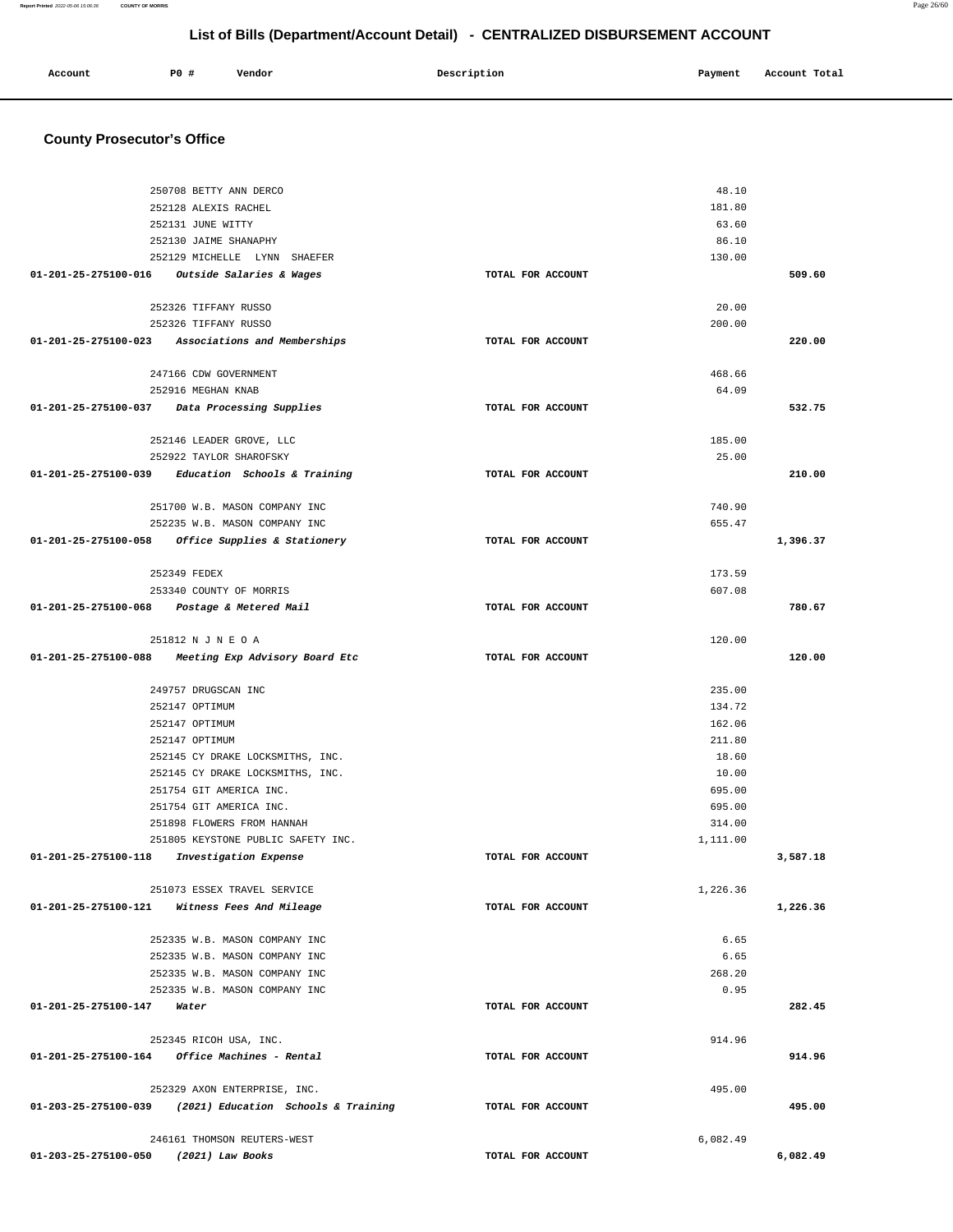**County Prosecutor's Office** 250708 BETTY ANN DERCO 252128 ALEXIS RACHEL 252131 JUNE WITTY 252130 JAIME SHANAPHY 252129 MICHELLE LYNN SHAEFER **01-201-25-275100-016 Outside Salaries & Wages TOTAL FOR ACCOUNT**  48.10 181.80 63.60 86.10 130.00 **509.60** 252326 TIFFANY RUSSO 252326 TIFFANY RUSSO **01-201-25-275100-023 Associations and Memberships TOTAL FOR ACCOUNT**  20.00 200.00 **220.00** 247166 CDW GOVERNMENT 252916 MEGHAN KNAB **01-201-25-275100-037 Data Processing Supplies TOTAL FOR ACCOUNT**  468.66 64.09 **532.75** 252146 LEADER GROVE, LLC 252922 TAYLOR SHAROFSKY **01-201-25-275100-039 Education Schools & Training TOTAL FOR ACCOUNT**  185.00 25.00 **210.00** 251700 W.B. MASON COMPANY INC 252235 W.B. MASON COMPANY INC **01-201-25-275100-058 Office Supplies & Stationery TOTAL FOR ACCOUNT**  740.90 655.47 **1,396.37** 252349 FEDEX 253340 COUNTY OF MORRIS **01-201-25-275100-068 Postage & Metered Mail TOTAL FOR ACCOUNT**  173.59 607.08 **780.67** 251812 N J N E O A **01-201-25-275100-088 Meeting Exp Advisory Board Etc TOTAL FOR ACCOUNT**  120.00 **120.00** 249757 DRUGSCAN INC 252147 OPTIMUM 252147 OPTIMUM 252147 OPTIMUM 252145 CY DRAKE LOCKSMITHS, INC. 252145 CY DRAKE LOCKSMITHS, INC. 251754 GIT AMERICA INC. 251754 GIT AMERICA INC. 251898 FLOWERS FROM HANNAH 251805 KEYSTONE PUBLIC SAFETY INC. **01-201-25-275100-118 Investigation Expense TOTAL FOR ACCOUNT**  235.00 134.72 162.06 211.80 18.60 10.00 695.00 695.00 314.00 1,111.00 **3,587.18** 251073 ESSEX TRAVEL SERVICE **01-201-25-275100-121 Witness Fees And Mileage TOTAL FOR ACCOUNT**  1,226.36 **1,226.36** 252335 W.B. MASON COMPANY INC 252335 W.B. MASON COMPANY INC 252335 W.B. MASON COMPANY INC 252335 W.B. MASON COMPANY INC **01-201-25-275100-147 Water TOTAL FOR ACCOUNT**  6.65 6.65 268.20 0.95 **282.45** 252345 RICOH USA, INC. **01-201-25-275100-164 Office Machines - Rental TOTAL FOR ACCOUNT**  914.96 **914.96** 252329 AXON ENTERPRISE, INC. **01-203-25-275100-039 (2021) Education Schools & Training TOTAL FOR ACCOUNT**  495.00 **495.00** 246161 THOMSON REUTERS-WEST 6,082.49

**01-203-25-275100-050 (2021) Law Books TOTAL FOR ACCOUNT** 

# **List of Bills (Department/Account Detail) - CENTRALIZED DISBURSEMENT ACCOUNT**

 **Account P0 # Vendor Description Payment Account Total**

**Report Printed** 2022-05-06 15:06:36 **COUNTY OF MORRIS** Page 26/60

**6,082.49**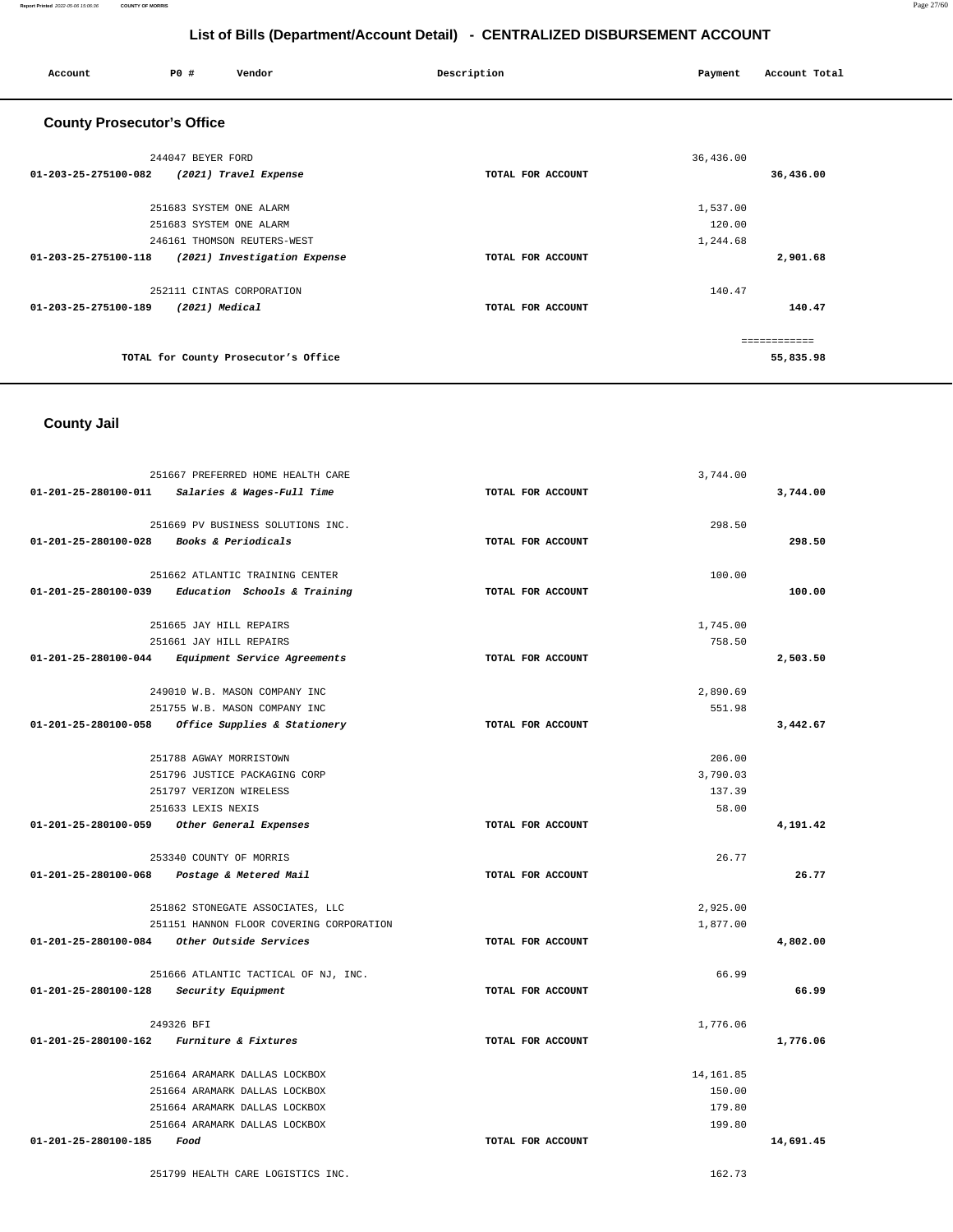#### **Report Printed** 2022-05-06 15:06:36 **COUNTY OF MORRIS** Page 27/60

## **List of Bills (Department/Account Detail) - CENTRALIZED DISBURSEMENT ACCOUNT**

| PO#<br>Vendor<br>Account                             | Description       | Payment   | Account Total |
|------------------------------------------------------|-------------------|-----------|---------------|
| <b>County Prosecutor's Office</b>                    |                   |           |               |
| 244047 BEYER FORD                                    |                   | 36,436.00 |               |
| 01-203-25-275100-082<br>(2021) Travel Expense        | TOTAL FOR ACCOUNT |           | 36,436.00     |
| 251683 SYSTEM ONE ALARM                              |                   | 1,537.00  |               |
| 251683 SYSTEM ONE ALARM                              |                   | 120.00    |               |
| 246161 THOMSON REUTERS-WEST                          |                   | 1,244.68  |               |
| 01-203-25-275100-118<br>(2021) Investigation Expense | TOTAL FOR ACCOUNT |           | 2,901.68      |
| 252111 CINTAS CORPORATION                            |                   | 140.47    |               |
| 01-203-25-275100-189<br>(2021) Medical               | TOTAL FOR ACCOUNT |           | 140.47        |
|                                                      |                   |           | ------------  |
| TOTAL for County Prosecutor's Office                 |                   |           | 55,835.98     |

# **County Jail**

|                                          | 251667 PREFERRED HOME HEALTH CARE                 |                   | 3,744.00   |           |
|------------------------------------------|---------------------------------------------------|-------------------|------------|-----------|
|                                          | 01-201-25-280100-011 Salaries & Wages-Full Time   | TOTAL FOR ACCOUNT |            | 3,744.00  |
|                                          | 251669 PV BUSINESS SOLUTIONS INC.                 |                   | 298.50     |           |
| 01-201-25-280100-028 Books & Periodicals |                                                   | TOTAL FOR ACCOUNT |            | 298.50    |
|                                          | 251662 ATLANTIC TRAINING CENTER                   |                   | 100.00     |           |
|                                          | 01-201-25-280100-039 Education Schools & Training | TOTAL FOR ACCOUNT |            | 100.00    |
|                                          | 251665 JAY HILL REPAIRS                           |                   | 1,745.00   |           |
|                                          | 251661 JAY HILL REPAIRS                           |                   | 758.50     |           |
|                                          | 01-201-25-280100-044 Equipment Service Agreements | TOTAL FOR ACCOUNT |            | 2,503.50  |
|                                          | 249010 W.B. MASON COMPANY INC                     |                   | 2,890.69   |           |
|                                          | 251755 W.B. MASON COMPANY INC                     |                   | 551.98     |           |
|                                          | 01-201-25-280100-058 Office Supplies & Stationery | TOTAL FOR ACCOUNT |            | 3,442.67  |
|                                          | 251788 AGWAY MORRISTOWN                           |                   | 206.00     |           |
|                                          | 251796 JUSTICE PACKAGING CORP                     |                   | 3,790.03   |           |
|                                          | 251797 VERIZON WIRELESS                           |                   | 137.39     |           |
|                                          | 251633 LEXIS NEXIS                                |                   | 58.00      |           |
|                                          | 01-201-25-280100-059 Other General Expenses       | TOTAL FOR ACCOUNT |            | 4,191.42  |
|                                          | 253340 COUNTY OF MORRIS                           |                   | 26.77      |           |
|                                          | 01-201-25-280100-068 Postage & Metered Mail       | TOTAL FOR ACCOUNT |            | 26.77     |
|                                          | 251862 STONEGATE ASSOCIATES, LLC                  |                   | 2,925.00   |           |
|                                          | 251151 HANNON FLOOR COVERING CORPORATION          |                   | 1,877.00   |           |
|                                          | 01-201-25-280100-084 Other Outside Services       | TOTAL FOR ACCOUNT |            | 4,802.00  |
|                                          | 251666 ATLANTIC TACTICAL OF NJ, INC.              |                   | 66.99      |           |
| 01-201-25-280100-128 Security Equipment  |                                                   | TOTAL FOR ACCOUNT |            | 66.99     |
|                                          | 249326 BFI                                        |                   | 1,776.06   |           |
|                                          | 01-201-25-280100-162 Furniture & Fixtures         | TOTAL FOR ACCOUNT |            | 1,776.06  |
|                                          | 251664 ARAMARK DALLAS LOCKBOX                     |                   | 14, 161.85 |           |
|                                          | 251664 ARAMARK DALLAS LOCKBOX                     |                   | 150.00     |           |
|                                          | 251664 ARAMARK DALLAS LOCKBOX                     |                   | 179.80     |           |
|                                          | 251664 ARAMARK DALLAS LOCKBOX                     |                   | 199.80     |           |
| $01 - 201 - 25 - 280100 - 185$ Food      |                                                   | TOTAL FOR ACCOUNT |            | 14,691.45 |
|                                          | 251799 HEALTH CARE LOGISTICS INC.                 |                   | 162.73     |           |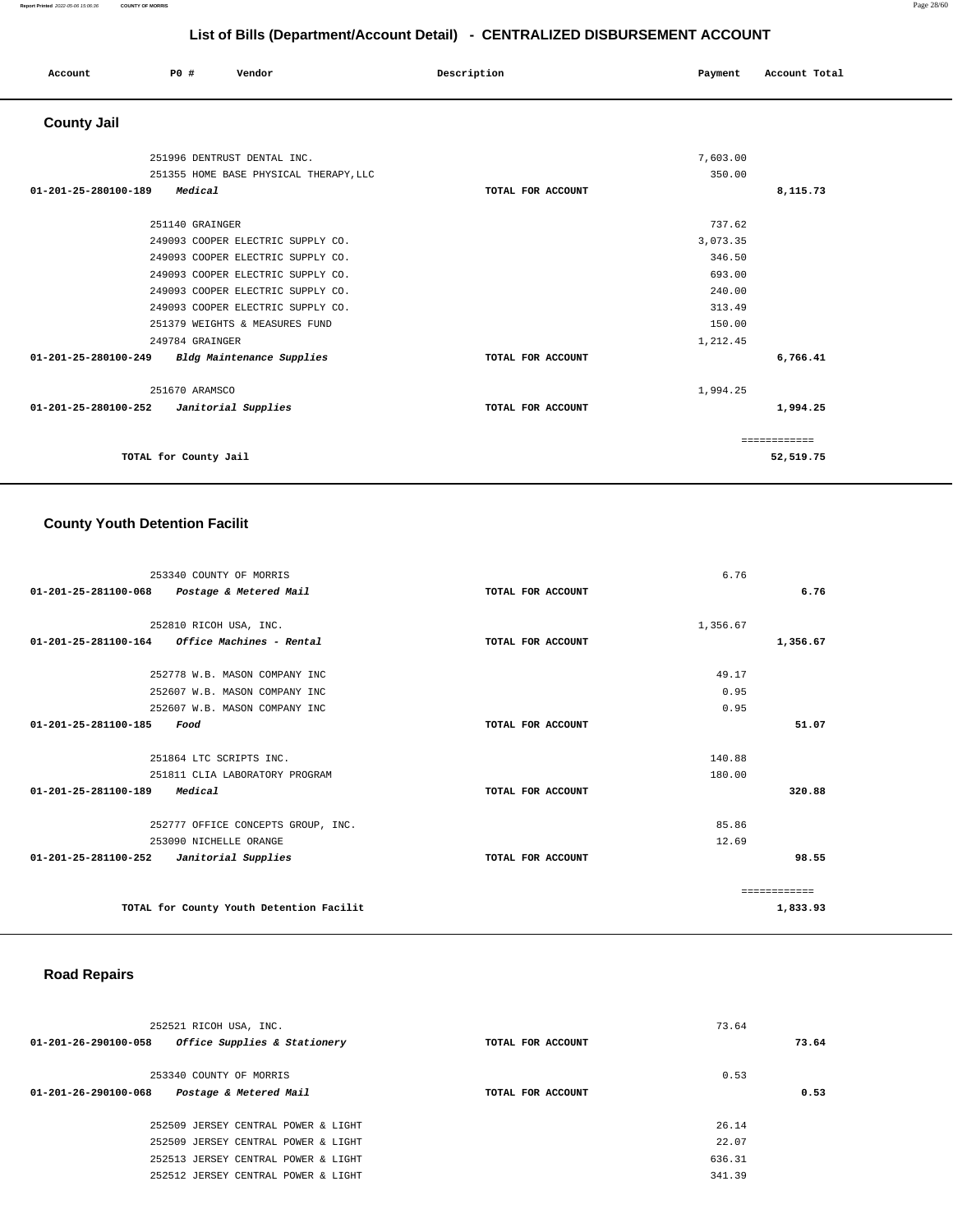#### **Report Printed** 2022-05-06 15:06:36 **COUNTY OF MORRIS** Page 28/60

**52,519.75**

# **List of Bills (Department/Account Detail) - CENTRALIZED DISBURSEMENT ACCOUNT**

|                      | List of Bills (Department/Account Detail) - CENTRALIZED DISBURSEMENT ACCOUNT |                                                                                                                                                                                                                         |                   |                                                                                  |               |  |
|----------------------|------------------------------------------------------------------------------|-------------------------------------------------------------------------------------------------------------------------------------------------------------------------------------------------------------------------|-------------------|----------------------------------------------------------------------------------|---------------|--|
| Account              | P0 #                                                                         | Vendor                                                                                                                                                                                                                  | Description       | Payment                                                                          | Account Total |  |
| <b>County Jail</b>   |                                                                              |                                                                                                                                                                                                                         |                   |                                                                                  |               |  |
|                      |                                                                              | 251996 DENTRUST DENTAL INC.                                                                                                                                                                                             |                   | 7,603.00                                                                         |               |  |
|                      |                                                                              | 251355 HOME BASE PHYSICAL THERAPY, LLC                                                                                                                                                                                  |                   | 350.00                                                                           |               |  |
| 01-201-25-280100-189 | Medical                                                                      |                                                                                                                                                                                                                         | TOTAL FOR ACCOUNT |                                                                                  | 8,115.73      |  |
|                      | 251140 GRAINGER<br>249784 GRAINGER                                           | 249093 COOPER ELECTRIC SUPPLY CO.<br>249093 COOPER ELECTRIC SUPPLY CO.<br>249093 COOPER ELECTRIC SUPPLY CO.<br>249093 COOPER ELECTRIC SUPPLY CO.<br>249093 COOPER ELECTRIC SUPPLY CO.<br>251379 WEIGHTS & MEASURES FUND |                   | 737.62<br>3,073.35<br>346.50<br>693.00<br>240.00<br>313.49<br>150.00<br>1,212.45 |               |  |
| 01-201-25-280100-249 |                                                                              | <b>Bldg Maintenance Supplies</b>                                                                                                                                                                                        | TOTAL FOR ACCOUNT |                                                                                  | 6,766.41      |  |
| 01-201-25-280100-252 | 251670 ARAMSCO                                                               | Janitorial Supplies                                                                                                                                                                                                     | TOTAL FOR ACCOUNT | 1,994.25                                                                         | 1,994.25      |  |
|                      |                                                                              |                                                                                                                                                                                                                         |                   |                                                                                  | ============  |  |

**TOTAL for County Jail** 

## **County Youth Detention Facilit**

| 253340 COUNTY OF MORRIS                               |                   | 6.76     |              |
|-------------------------------------------------------|-------------------|----------|--------------|
| 01-201-25-281100-068<br>Postage & Metered Mail        | TOTAL FOR ACCOUNT |          | 6.76         |
|                                                       |                   |          |              |
| 252810 RICOH USA, INC.                                |                   | 1,356.67 |              |
| 01-201-25-281100-164 Office Machines - Rental         | TOTAL FOR ACCOUNT |          | 1,356.67     |
| 252778 W.B. MASON COMPANY INC                         |                   | 49.17    |              |
| 252607 W.B. MASON COMPANY INC                         |                   | 0.95     |              |
| 252607 W.B. MASON COMPANY INC                         |                   | 0.95     |              |
| 01-201-25-281100-185<br>Food                          | TOTAL FOR ACCOUNT |          | 51.07        |
| 251864 LTC SCRIPTS INC.                               |                   | 140.88   |              |
| 251811 CLIA LABORATORY PROGRAM                        |                   | 180.00   |              |
| 01-201-25-281100-189<br>Medical                       | TOTAL FOR ACCOUNT |          | 320.88       |
| 252777 OFFICE CONCEPTS GROUP, INC.                    |                   | 85.86    |              |
| 253090 NICHELLE ORANGE                                |                   | 12.69    |              |
| $01 - 201 - 25 - 281100 - 252$<br>Janitorial Supplies | TOTAL FOR ACCOUNT |          | 98.55        |
|                                                       |                   |          | ============ |
| TOTAL for County Youth Detention Facilit              |                   |          | 1,833.93     |

## **Road Repairs**

|                                | 252521 RICOH USA, INC.              |                   | 73.64  |       |
|--------------------------------|-------------------------------------|-------------------|--------|-------|
| 01-201-26-290100-058           | Office Supplies & Stationery        | TOTAL FOR ACCOUNT |        | 73.64 |
|                                | 253340 COUNTY OF MORRIS             |                   | 0.53   |       |
| $01 - 201 - 26 - 290100 - 068$ | Postage & Metered Mail              | TOTAL FOR ACCOUNT |        | 0.53  |
|                                | 252509 JERSEY CENTRAL POWER & LIGHT |                   | 26.14  |       |
|                                | 252509 JERSEY CENTRAL POWER & LIGHT |                   | 22.07  |       |
|                                | 252513 JERSEY CENTRAL POWER & LIGHT |                   | 636.31 |       |
|                                | 252512 JERSEY CENTRAL POWER & LIGHT |                   | 341.39 |       |
|                                |                                     |                   |        |       |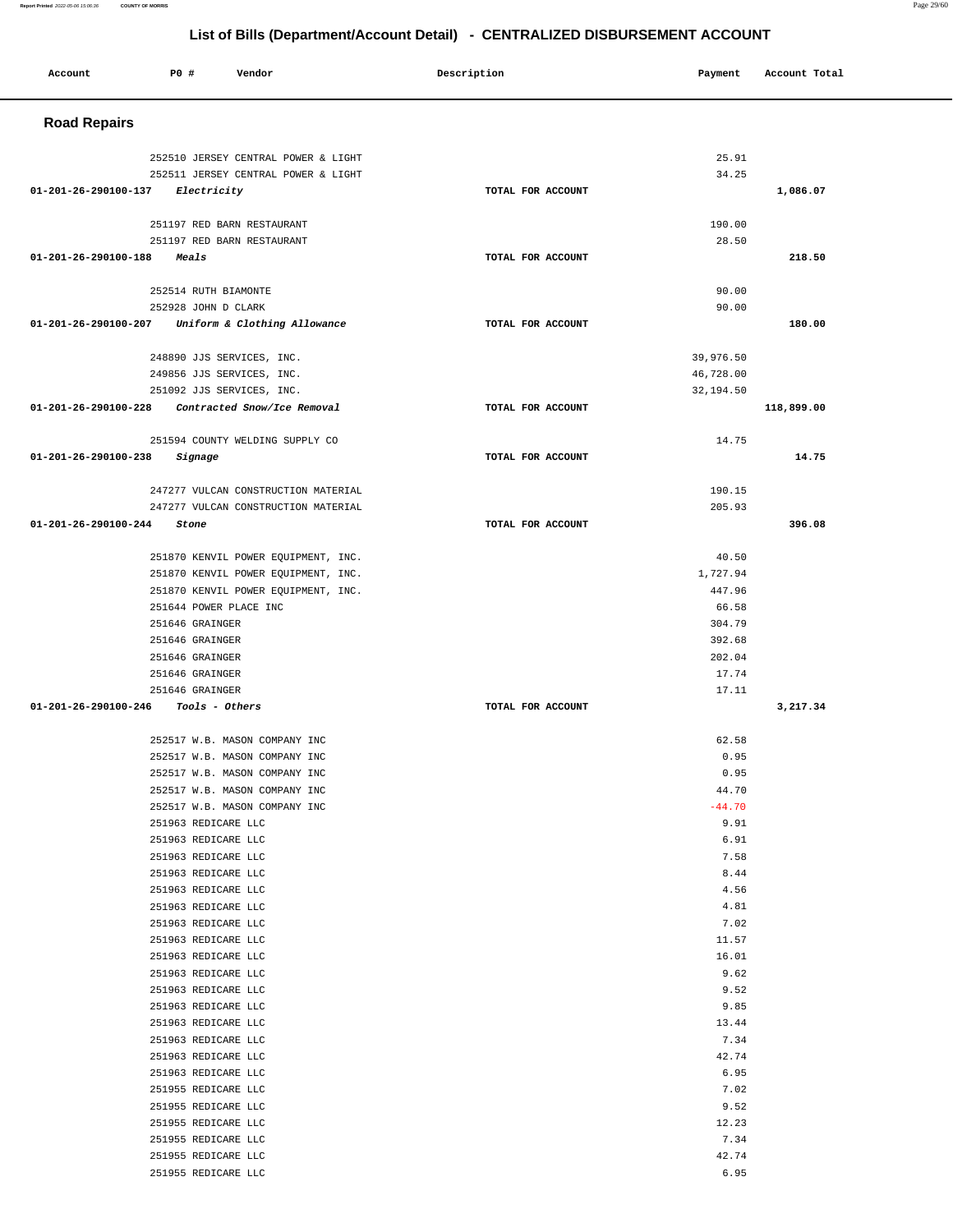| <b>Road Repairs</b>                                                                                           |            |
|---------------------------------------------------------------------------------------------------------------|------------|
| 25.91<br>252510 JERSEY CENTRAL POWER & LIGHT                                                                  |            |
| 34.25<br>252511 JERSEY CENTRAL POWER & LIGHT                                                                  |            |
| TOTAL FOR ACCOUNT<br>01-201-26-290100-137<br>Electricity                                                      | 1,086.07   |
|                                                                                                               |            |
| 251197 RED BARN RESTAURANT<br>190.00<br>28.50<br>251197 RED BARN RESTAURANT                                   |            |
| $01 - 201 - 26 - 290100 - 188$<br>TOTAL FOR ACCOUNT<br><i><b>Meals</b></i>                                    | 218.50     |
|                                                                                                               |            |
| 252514 RUTH BIAMONTE<br>90.00                                                                                 |            |
| 252928 JOHN D CLARK<br>90.00<br>01-201-26-290100-207<br>Uniform & Clothing Allowance<br>TOTAL FOR ACCOUNT     | 180.00     |
|                                                                                                               |            |
| 39,976.50<br>248890 JJS SERVICES, INC.                                                                        |            |
| 249856 JJS SERVICES, INC.<br>46,728.00                                                                        |            |
| 251092 JJS SERVICES, INC.<br>32,194.50                                                                        |            |
| 01-201-26-290100-228<br>Contracted Snow/Ice Removal<br>TOTAL FOR ACCOUNT                                      | 118,899.00 |
| 251594 COUNTY WELDING SUPPLY CO<br>14.75                                                                      |            |
| 01-201-26-290100-238<br>TOTAL FOR ACCOUNT<br>Signage                                                          | 14.75      |
|                                                                                                               |            |
| 247277 VULCAN CONSTRUCTION MATERIAL<br>190.15                                                                 |            |
| 247277 VULCAN CONSTRUCTION MATERIAL<br>205.93<br>$01 - 201 - 26 - 290100 - 244$<br>TOTAL FOR ACCOUNT<br>Stone | 396.08     |
|                                                                                                               |            |
| 251870 KENVIL POWER EQUIPMENT, INC.<br>40.50                                                                  |            |
| 1,727.94<br>251870 KENVIL POWER EQUIPMENT, INC.                                                               |            |
| 447.96<br>251870 KENVIL POWER EQUIPMENT, INC.                                                                 |            |
| 251644 POWER PLACE INC<br>66.58                                                                               |            |
| 304.79<br>251646 GRAINGER                                                                                     |            |
| 392.68<br>251646 GRAINGER                                                                                     |            |
| 202.04<br>251646 GRAINGER<br>251646 GRAINGER                                                                  |            |
| 17.74<br>251646 GRAINGER<br>17.11                                                                             |            |
| 01-201-26-290100-246<br>Tools - Others<br>TOTAL FOR ACCOUNT                                                   | 3,217.34   |
|                                                                                                               |            |
| 62.58<br>252517 W.B. MASON COMPANY INC                                                                        |            |
| 0.95<br>252517 W.B. MASON COMPANY INC                                                                         |            |
| 0.95<br>252517 W.B. MASON COMPANY INC                                                                         |            |
| 44.70<br>252517 W.B. MASON COMPANY INC<br>$-44.70$                                                            |            |
| 252517 W.B. MASON COMPANY INC<br>9.91<br>251963 REDICARE LLC                                                  |            |
| 251963 REDICARE LLC<br>6.91                                                                                   |            |
| 7.58<br>251963 REDICARE LLC                                                                                   |            |
| 8.44<br>251963 REDICARE LLC                                                                                   |            |
| 251963 REDICARE LLC<br>4.56                                                                                   |            |
| 251963 REDICARE LLC<br>4.81                                                                                   |            |
| 251963 REDICARE LLC<br>7.02                                                                                   |            |
| 251963 REDICARE LLC<br>11.57                                                                                  |            |
| 251963 REDICARE LLC<br>16.01                                                                                  |            |
| 251963 REDICARE LLC<br>9.62                                                                                   |            |
| 9.52<br>251963 REDICARE LLC                                                                                   |            |
| 251963 REDICARE LLC<br>9.85                                                                                   |            |
| 251963 REDICARE LLC<br>13.44                                                                                  |            |
| 7.34<br>251963 REDICARE LLC<br>251963 REDICARE LLC<br>42.74                                                   |            |
| 251963 REDICARE LLC<br>6.95                                                                                   |            |
| 251955 REDICARE LLC<br>7.02                                                                                   |            |
| 251955 REDICARE LLC<br>9.52                                                                                   |            |
| 251955 REDICARE LLC<br>12.23                                                                                  |            |
| 7.34<br>251955 REDICARE LLC                                                                                   |            |
| 42.74<br>251955 REDICARE LLC                                                                                  |            |
| 6.95<br>251955 REDICARE LLC                                                                                   |            |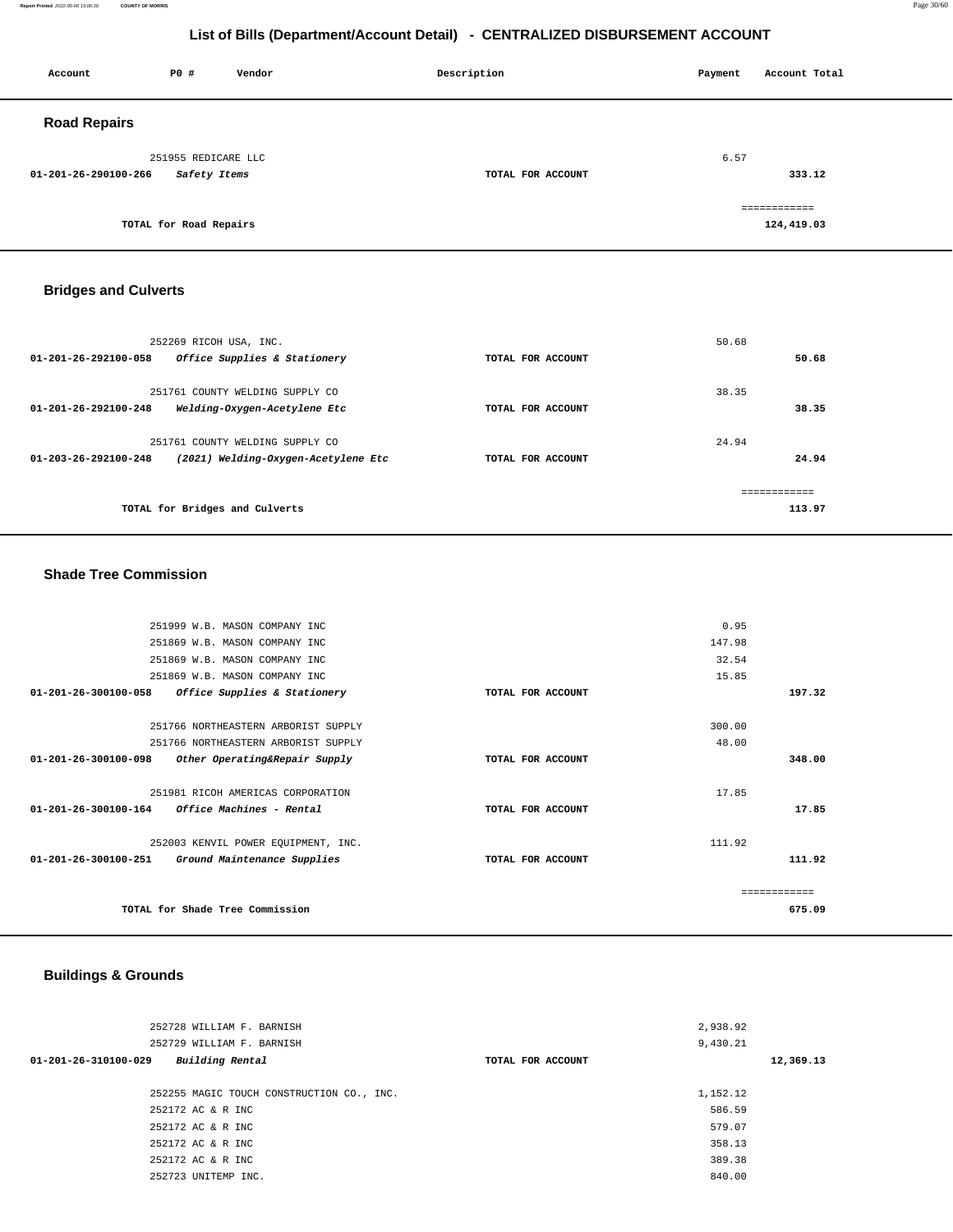**Report Printed** 2022-05-06 15:06:36 **COUNTY OF MORRIS** Page 30/60

## **List of Bills (Department/Account Detail) - CENTRALIZED DISBURSEMENT ACCOUNT**

| Account              | P0 #                   | Vendor | Description       | Account Total<br>Payment |              |  |
|----------------------|------------------------|--------|-------------------|--------------------------|--------------|--|
| <b>Road Repairs</b>  |                        |        |                   |                          |              |  |
|                      | 251955 REDICARE LLC    |        |                   | 6.57                     |              |  |
| 01-201-26-290100-266 | <i>Safety Items</i>    |        | TOTAL FOR ACCOUNT |                          | 333.12       |  |
|                      |                        |        |                   |                          | ============ |  |
|                      | TOTAL for Road Repairs |        |                   |                          | 124,419.03   |  |

## **Bridges and Culverts**

| 252269 RICOH USA, INC.                                                                                   |                   | 50.68          |
|----------------------------------------------------------------------------------------------------------|-------------------|----------------|
| Office Supplies & Stationery<br>$01 - 201 - 26 - 292100 - 058$                                           | TOTAL FOR ACCOUNT | 50.68          |
| 251761 COUNTY WELDING SUPPLY CO<br>$01 - 201 - 26 - 292100 - 248$<br>Welding-Oxygen-Acetylene Etc        | TOTAL FOR ACCOUNT | 38.35<br>38.35 |
|                                                                                                          |                   |                |
| 251761 COUNTY WELDING SUPPLY CO<br>$01 - 203 - 26 - 292100 - 248$<br>(2021) Welding-Oxygen-Acetylene Etc | TOTAL FOR ACCOUNT | 24.94<br>24.94 |
|                                                                                                          |                   |                |
|                                                                                                          |                   |                |
| TOTAL for Bridges and Culverts                                                                           |                   | 113.97         |

### **Shade Tree Commission**

| 251999 W.B. MASON COMPANY INC                                 |                   | 0.95          |        |
|---------------------------------------------------------------|-------------------|---------------|--------|
| 251869 W.B. MASON COMPANY INC                                 |                   | 147.98        |        |
| 251869 W.B. MASON COMPANY INC                                 |                   | 32.54         |        |
| 251869 W.B. MASON COMPANY INC                                 |                   | 15.85         |        |
| 01-201-26-300100-058<br>Office Supplies & Stationery          | TOTAL FOR ACCOUNT |               | 197.32 |
| 251766 NORTHEASTERN ARBORIST SUPPLY                           |                   | 300.00        |        |
| 251766 NORTHEASTERN ARBORIST SUPPLY                           |                   | 48.00         |        |
| 01-201-26-300100-098<br>Other Operating&Repair Supply         | TOTAL FOR ACCOUNT |               | 348.00 |
| 251981 RICOH AMERICAS CORPORATION                             |                   | 17.85         |        |
| $01 - 201 - 26 - 300100 - 164$ Office Machines - Rental       | TOTAL FOR ACCOUNT |               | 17.85  |
| 252003 KENVIL POWER EQUIPMENT, INC.                           |                   | 111.92        |        |
| $01 - 201 - 26 - 300100 - 251$<br>Ground Maintenance Supplies | TOTAL FOR ACCOUNT |               | 111.92 |
|                                                               |                   | ============= |        |
| TOTAL for Shade Tree Commission                               |                   |               | 675.09 |
|                                                               |                   |               |        |

# **Buildings & Grounds**

| 252728 WILLIAM F. BARNISH                         |                   | 2,938.92 |           |
|---------------------------------------------------|-------------------|----------|-----------|
| 252729 WILLIAM F. BARNISH                         |                   | 9,430.21 |           |
| Building Rental<br>$01 - 201 - 26 - 310100 - 029$ | TOTAL FOR ACCOUNT |          | 12,369.13 |
|                                                   |                   |          |           |
| 252255 MAGIC TOUCH CONSTRUCTION CO., INC.         |                   | 1,152.12 |           |
| 252172 AC & R INC                                 |                   | 586.59   |           |
| 252172 AC & R INC                                 |                   | 579.07   |           |
| 252172 AC & R INC                                 |                   | 358.13   |           |
| 252172 AC & R INC                                 |                   | 389.38   |           |
| 252723 UNITEMP INC.                               |                   | 840.00   |           |
|                                                   |                   |          |           |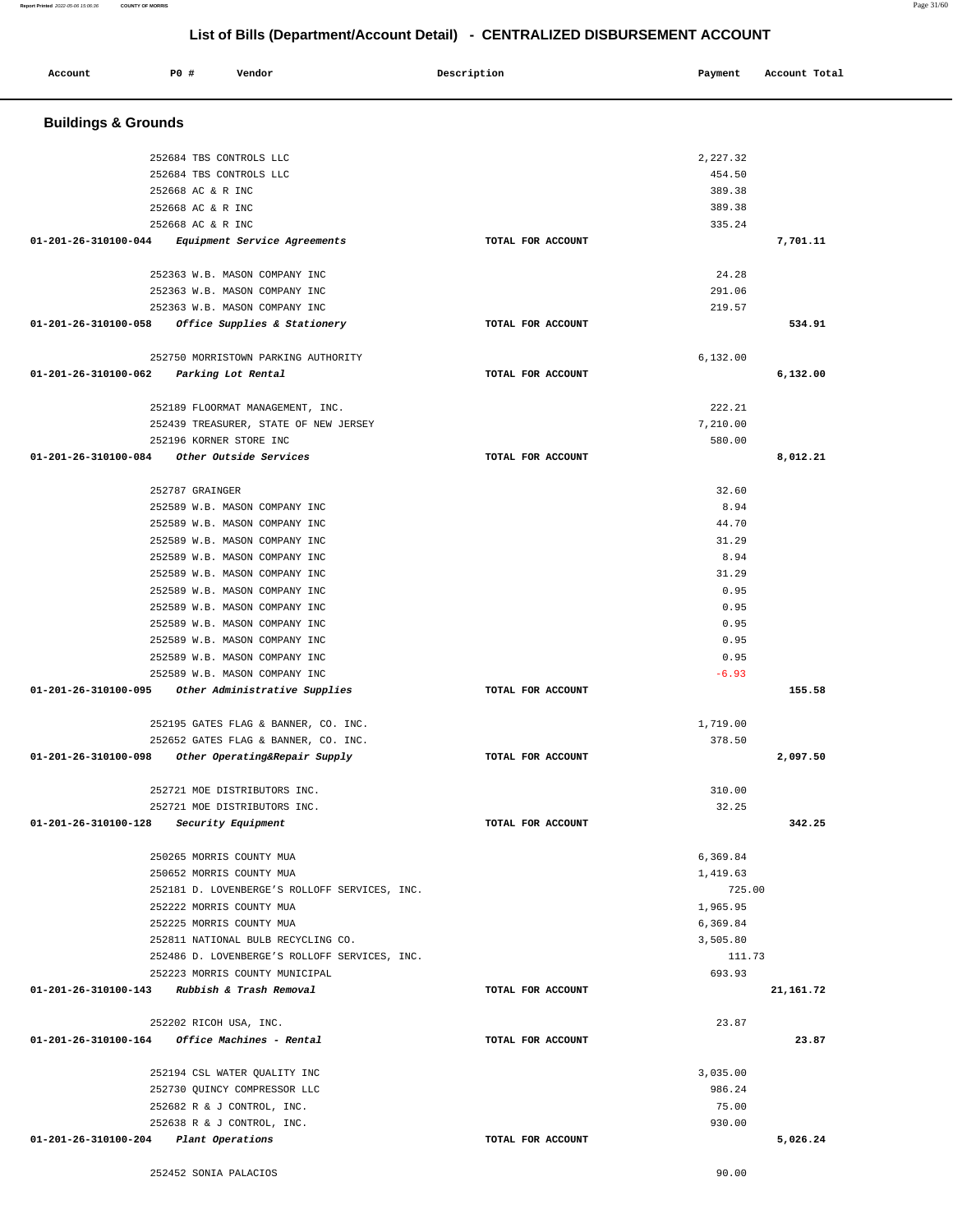| Account                                       | P0 #                     | Vendor                                                         | Description       | Payment        | Account Total |
|-----------------------------------------------|--------------------------|----------------------------------------------------------------|-------------------|----------------|---------------|
| <b>Buildings &amp; Grounds</b>                |                          |                                                                |                   |                |               |
|                                               | 252684 TBS CONTROLS LLC  |                                                                |                   | 2,227.32       |               |
|                                               | 252684 TBS CONTROLS LLC  |                                                                |                   | 454.50         |               |
|                                               | 252668 AC & R INC        |                                                                |                   | 389.38         |               |
|                                               | 252668 AC & R INC        |                                                                |                   | 389.38         |               |
|                                               | 252668 AC & R INC        |                                                                |                   | 335.24         |               |
| 01-201-26-310100-044                          |                          | Equipment Service Agreements                                   | TOTAL FOR ACCOUNT |                | 7,701.11      |
|                                               |                          | 252363 W.B. MASON COMPANY INC                                  |                   | 24.28          |               |
|                                               |                          | 252363 W.B. MASON COMPANY INC                                  |                   | 291.06         |               |
|                                               |                          | 252363 W.B. MASON COMPANY INC                                  |                   | 219.57         |               |
| 01-201-26-310100-058                          |                          | Office Supplies & Stationery                                   | TOTAL FOR ACCOUNT |                | 534.91        |
|                                               |                          | 252750 MORRISTOWN PARKING AUTHORITY                            |                   | 6,132.00       |               |
| 01-201-26-310100-062                          |                          | Parking Lot Rental                                             | TOTAL FOR ACCOUNT |                | 6,132.00      |
|                                               |                          | 252189 FLOORMAT MANAGEMENT, INC.                               |                   | 222.21         |               |
|                                               |                          | 252439 TREASURER, STATE OF NEW JERSEY                          |                   | 7,210.00       |               |
|                                               | 252196 KORNER STORE INC  |                                                                |                   | 580.00         |               |
| 01-201-26-310100-084                          |                          | Other Outside Services                                         | TOTAL FOR ACCOUNT |                | 8,012.21      |
|                                               |                          |                                                                |                   |                |               |
|                                               | 252787 GRAINGER          |                                                                |                   | 32.60          |               |
|                                               |                          | 252589 W.B. MASON COMPANY INC                                  |                   | 8.94           |               |
|                                               |                          | 252589 W.B. MASON COMPANY INC<br>252589 W.B. MASON COMPANY INC |                   | 44.70<br>31.29 |               |
|                                               |                          | 252589 W.B. MASON COMPANY INC                                  |                   | 8.94           |               |
|                                               |                          | 252589 W.B. MASON COMPANY INC                                  |                   | 31.29          |               |
|                                               |                          | 252589 W.B. MASON COMPANY INC                                  |                   | 0.95           |               |
|                                               |                          | 252589 W.B. MASON COMPANY INC                                  |                   | 0.95           |               |
|                                               |                          | 252589 W.B. MASON COMPANY INC                                  |                   | 0.95           |               |
|                                               |                          | 252589 W.B. MASON COMPANY INC                                  |                   | 0.95           |               |
|                                               |                          | 252589 W.B. MASON COMPANY INC                                  |                   | 0.95           |               |
|                                               |                          | 252589 W.B. MASON COMPANY INC                                  |                   | $-6.93$        |               |
| 01-201-26-310100-095                          |                          | Other Administrative Supplies                                  | TOTAL FOR ACCOUNT |                | 155.58        |
|                                               |                          | 252195 GATES FLAG & BANNER, CO. INC.                           |                   | 1,719.00       |               |
|                                               |                          | 252652 GATES FLAG & BANNER, CO. INC.                           |                   | 378.50         |               |
| 01-201-26-310100-098                          |                          | Other Operating&Repair Supply                                  | TOTAL FOR ACCOUNT |                | 2,097.50      |
|                                               |                          | 252721 MOE DISTRIBUTORS INC.                                   |                   | 310.00         |               |
|                                               |                          | 252721 MOE DISTRIBUTORS INC.                                   |                   | 32.25          |               |
| 01-201-26-310100-128                          |                          | Security Equipment                                             | TOTAL FOR ACCOUNT |                | 342.25        |
|                                               | 250265 MORRIS COUNTY MUA |                                                                |                   | 6,369.84       |               |
|                                               | 250652 MORRIS COUNTY MUA |                                                                |                   | 1,419.63       |               |
|                                               |                          | 252181 D. LOVENBERGE'S ROLLOFF SERVICES, INC.                  |                   | 725.00         |               |
|                                               | 252222 MORRIS COUNTY MUA |                                                                |                   | 1,965.95       |               |
|                                               | 252225 MORRIS COUNTY MUA |                                                                |                   | 6,369.84       |               |
|                                               |                          | 252811 NATIONAL BULB RECYCLING CO.                             |                   | 3,505.80       |               |
|                                               |                          | 252486 D. LOVENBERGE'S ROLLOFF SERVICES, INC.                  |                   | 111.73         |               |
|                                               |                          | 252223 MORRIS COUNTY MUNICIPAL                                 |                   | 693.93         |               |
| 01-201-26-310100-143                          |                          | Rubbish & Trash Removal                                        | TOTAL FOR ACCOUNT |                | 21, 161. 72   |
|                                               | 252202 RICOH USA, INC.   |                                                                |                   | 23.87          |               |
| 01-201-26-310100-164 Office Machines - Rental |                          |                                                                | TOTAL FOR ACCOUNT |                | 23.87         |
|                                               |                          | 252194 CSL WATER QUALITY INC                                   |                   | 3,035.00       |               |
|                                               |                          | 252730 QUINCY COMPRESSOR LLC                                   |                   | 986.24         |               |
|                                               |                          | 252682 R & J CONTROL, INC.                                     |                   | 75.00          |               |
|                                               |                          | 252638 R & J CONTROL, INC.                                     |                   | 930.00         |               |
| 01-201-26-310100-204                          | Plant Operations         |                                                                | TOTAL FOR ACCOUNT |                | 5,026.24      |
|                                               | 252452 SONIA PALACIOS    |                                                                |                   | 90.00          |               |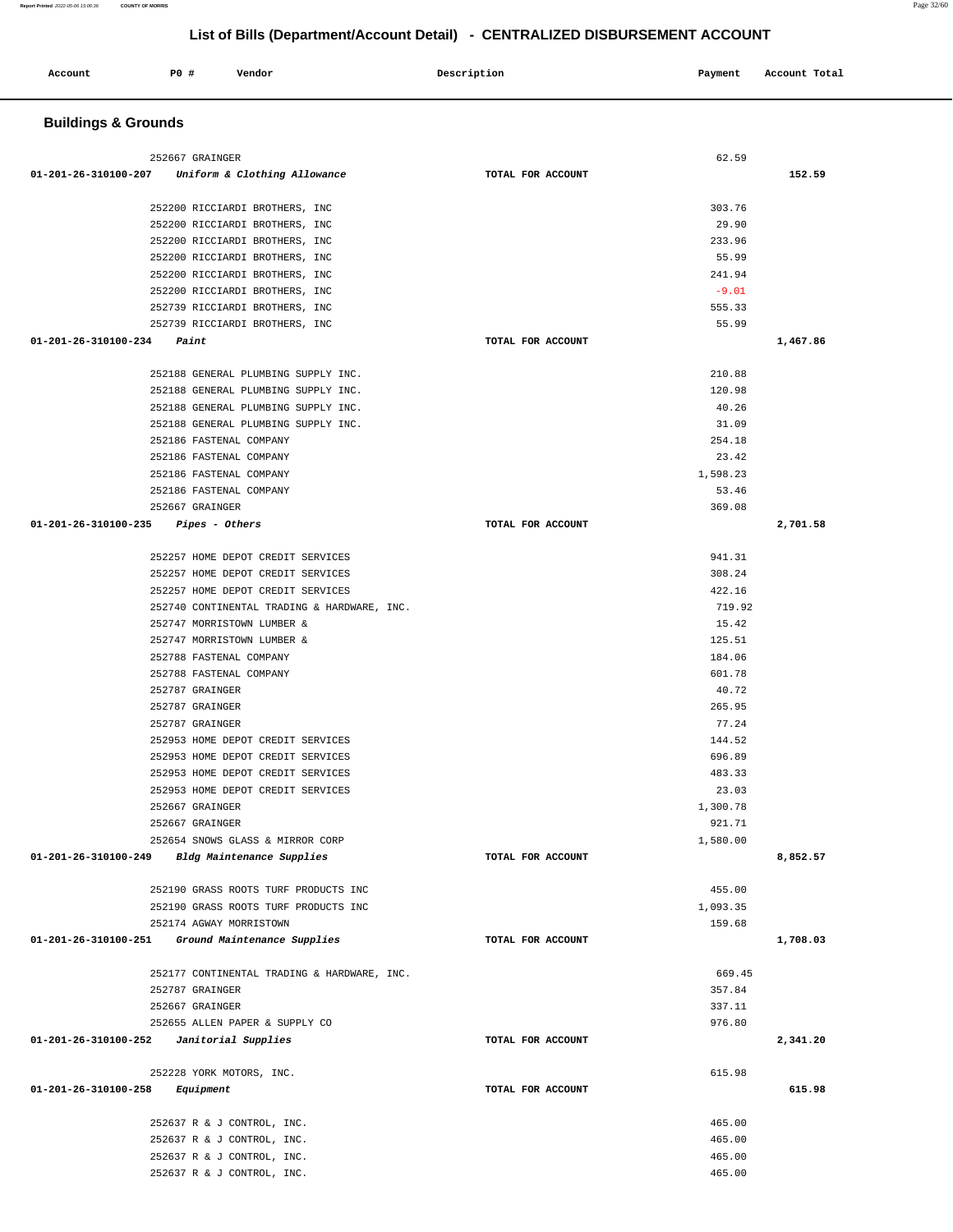| <b>Buildings &amp; Grounds</b>                                                |                   |                    |          |
|-------------------------------------------------------------------------------|-------------------|--------------------|----------|
| 252667 GRAINGER                                                               |                   | 62.59              |          |
| 01-201-26-310100-207 Uniform & Clothing Allowance                             | TOTAL FOR ACCOUNT |                    | 152.59   |
| 252200 RICCIARDI BROTHERS, INC                                                |                   | 303.76             |          |
| 252200 RICCIARDI BROTHERS, INC                                                |                   | 29.90              |          |
| 252200 RICCIARDI BROTHERS, INC                                                |                   | 233.96             |          |
| 252200 RICCIARDI BROTHERS, INC                                                |                   | 55.99              |          |
| 252200 RICCIARDI BROTHERS, INC                                                |                   | 241.94             |          |
| 252200 RICCIARDI BROTHERS, INC                                                |                   | $-9.01$            |          |
| 252739 RICCIARDI BROTHERS, INC                                                |                   | 555.33             |          |
| 252739 RICCIARDI BROTHERS, INC                                                |                   | 55.99              |          |
| $01 - 201 - 26 - 310100 - 234$<br>Paint                                       | TOTAL FOR ACCOUNT |                    | 1,467.86 |
| 252188 GENERAL PLUMBING SUPPLY INC.                                           |                   | 210.88             |          |
| 252188 GENERAL PLUMBING SUPPLY INC.                                           |                   | 120.98             |          |
| 252188 GENERAL PLUMBING SUPPLY INC.                                           |                   | 40.26              |          |
| 252188 GENERAL PLUMBING SUPPLY INC.                                           |                   | 31.09              |          |
| 252186 FASTENAL COMPANY                                                       |                   | 254.18             |          |
| 252186 FASTENAL COMPANY                                                       |                   | 23.42              |          |
| 252186 FASTENAL COMPANY                                                       |                   | 1,598.23           |          |
| 252186 FASTENAL COMPANY                                                       |                   | 53.46              |          |
| 252667 GRAINGER                                                               |                   | 369.08             |          |
| $01 - 201 - 26 - 310100 - 235$ Pipes - Others                                 | TOTAL FOR ACCOUNT |                    | 2,701.58 |
|                                                                               |                   |                    |          |
| 252257 HOME DEPOT CREDIT SERVICES                                             |                   | 941.31             |          |
| 252257 HOME DEPOT CREDIT SERVICES                                             |                   | 308.24             |          |
| 252257 HOME DEPOT CREDIT SERVICES                                             |                   | 422.16             |          |
| 252740 CONTINENTAL TRADING & HARDWARE, INC.                                   |                   | 719.92             |          |
| 252747 MORRISTOWN LUMBER &                                                    |                   | 15.42              |          |
| 252747 MORRISTOWN LUMBER &                                                    |                   | 125.51             |          |
| 252788 FASTENAL COMPANY                                                       |                   | 184.06             |          |
| 252788 FASTENAL COMPANY                                                       |                   | 601.78<br>40.72    |          |
| 252787 GRAINGER<br>252787 GRAINGER                                            |                   | 265.95             |          |
| 252787 GRAINGER                                                               |                   | 77.24              |          |
| 252953 HOME DEPOT CREDIT SERVICES                                             |                   | 144.52             |          |
| 252953 HOME DEPOT CREDIT SERVICES                                             |                   | 696.89             |          |
| 252953 HOME DEPOT CREDIT SERVICES                                             |                   | 483.33             |          |
| 252953 HOME DEPOT CREDIT SERVICES                                             |                   | 23.03              |          |
| 252667 GRAINGER                                                               |                   | 1,300.78           |          |
| 252667 GRAINGER                                                               |                   | 921.71             |          |
| 252654 SNOWS GLASS & MIRROR CORP                                              |                   | 1,580.00           |          |
| 01-201-26-310100-249 Bldg Maintenance Supplies                                | TOTAL FOR ACCOUNT |                    | 8,852.57 |
|                                                                               |                   |                    |          |
| 252190 GRASS ROOTS TURF PRODUCTS INC<br>252190 GRASS ROOTS TURF PRODUCTS INC  |                   | 455.00<br>1,093.35 |          |
| 252174 AGWAY MORRISTOWN                                                       |                   | 159.68             |          |
| 01-201-26-310100-251<br>Ground Maintenance Supplies                           | TOTAL FOR ACCOUNT |                    | 1,708.03 |
|                                                                               |                   |                    |          |
| 252177 CONTINENTAL TRADING & HARDWARE, INC.                                   |                   | 669.45             |          |
| 252787 GRAINGER                                                               |                   | 357.84<br>337.11   |          |
| 252667 GRAINGER                                                               |                   |                    |          |
| 252655 ALLEN PAPER & SUPPLY CO<br>01-201-26-310100-252    Janitorial Supplies | TOTAL FOR ACCOUNT | 976.80             | 2,341.20 |
|                                                                               |                   |                    |          |
| 252228 YORK MOTORS, INC.                                                      |                   | 615.98             |          |
| 01-201-26-310100-258<br>Equipment                                             | TOTAL FOR ACCOUNT |                    | 615.98   |
| 252637 R & J CONTROL, INC.                                                    |                   | 465.00             |          |
| 252637 R & J CONTROL, INC.                                                    |                   | 465.00             |          |
| 252637 R & J CONTROL, INC.                                                    |                   | 465.00             |          |
| 252637 R & J CONTROL, INC.                                                    |                   | 465.00             |          |

Account 20 **P** Pomdor Payment Recount Potal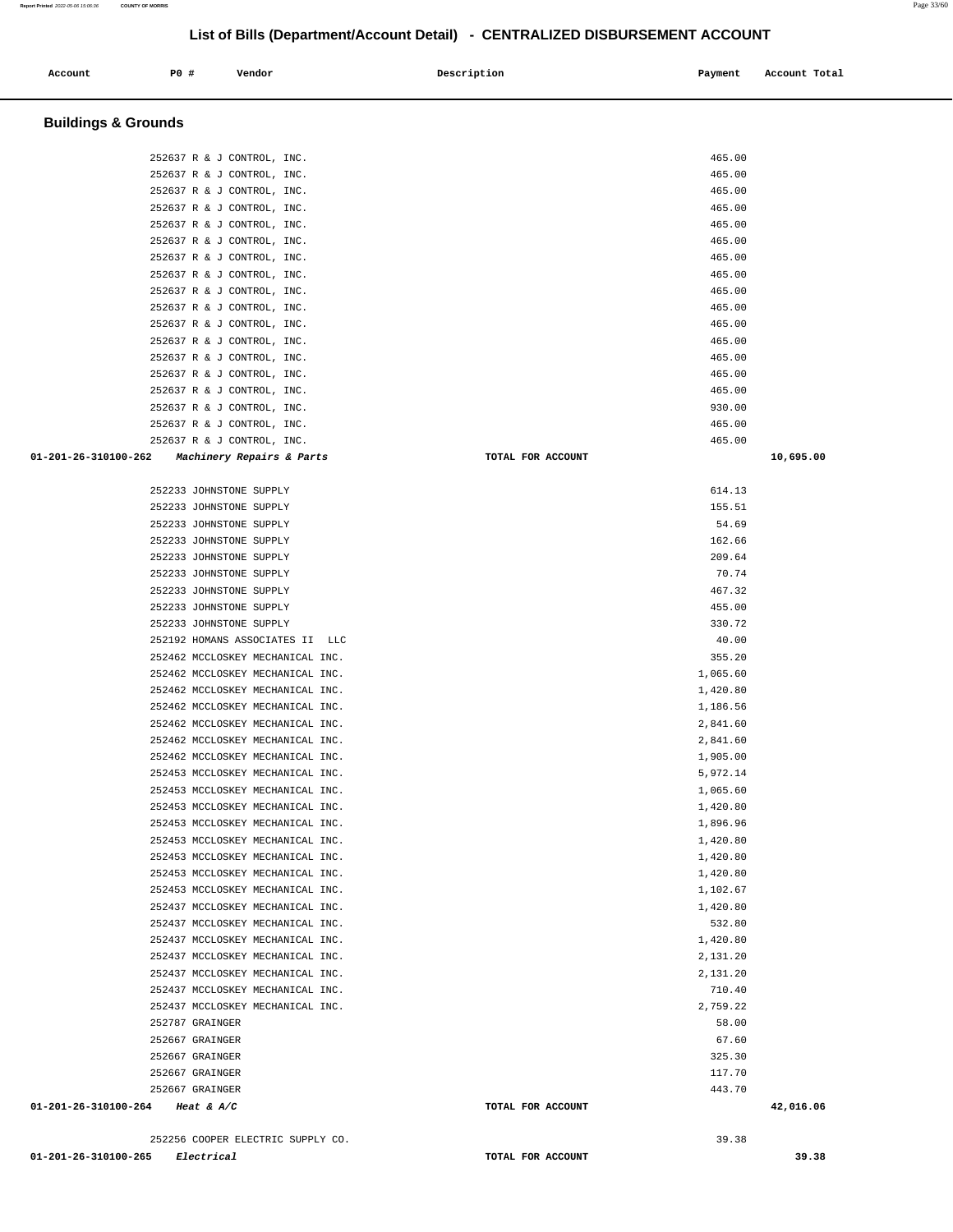| Account | P0 # | Vendor | Description | Payment<br>$\sim$ $\sim$ | Account Total |
|---------|------|--------|-------------|--------------------------|---------------|
|         |      |        |             |                          |               |

## **Buildings & Grounds**

| 252637 R & J CONTROL, INC.                     | 465.00            |           |
|------------------------------------------------|-------------------|-----------|
| 252637 R & J CONTROL, INC.                     | 465.00            |           |
| 252637 R & J CONTROL, INC.                     | 465.00            |           |
| 252637 R & J CONTROL, INC.                     | 465.00            |           |
| 252637 R & J CONTROL, INC.                     | 465.00            |           |
| 252637 R & J CONTROL, INC.                     | 465.00            |           |
| 252637 R & J CONTROL, INC.                     | 465.00            |           |
| 252637 R & J CONTROL, INC.                     | 465.00            |           |
| 252637 R & J CONTROL, INC.                     | 465.00            |           |
| 252637 R & J CONTROL, INC.                     | 465.00            |           |
| 252637 R & J CONTROL, INC.                     | 465.00            |           |
| 252637 R & J CONTROL, INC.                     | 465.00            |           |
| 252637 R & J CONTROL, INC.                     | 465.00            |           |
| 252637 R & J CONTROL, INC.                     | 465.00            |           |
| 252637 R & J CONTROL, INC.                     | 465.00            |           |
| 252637 R & J CONTROL, INC.                     | 930.00            |           |
| 252637 R & J CONTROL, INC.                     | 465.00            |           |
| 252637 R & J CONTROL, INC.                     | 465.00            |           |
| 01-201-26-310100-262 Machinery Repairs & Parts | TOTAL FOR ACCOUNT | 10,695.00 |
|                                                |                   |           |
| 252233 JOHNSTONE SUPPLY                        | 614.13            |           |
| 252233 JOHNSTONE SUPPLY                        | 155.51            |           |
| 252233 JOHNSTONE SUPPLY                        | 54.69             |           |
| 252233 JOHNSTONE SUPPLY                        | 162.66            |           |
| 252233 JOHNSTONE SUPPLY                        | 209.64            |           |
| 252233 JOHNSTONE SUPPLY                        | 70.74             |           |
| 252233 JOHNSTONE SUPPLY                        | 467.32            |           |
| 252233 JOHNSTONE SUPPLY                        | 455.00            |           |
|                                                | 330.72            |           |
| 252233 JOHNSTONE SUPPLY                        |                   |           |
| 252192 HOMANS ASSOCIATES II LLC                | 40.00             |           |
| 252462 MCCLOSKEY MECHANICAL INC.               | 355.20            |           |
| 252462 MCCLOSKEY MECHANICAL INC.               | 1,065.60          |           |
| 252462 MCCLOSKEY MECHANICAL INC.               | 1,420.80          |           |
| 252462 MCCLOSKEY MECHANICAL INC.               | 1,186.56          |           |
| 252462 MCCLOSKEY MECHANICAL INC.               | 2,841.60          |           |
| 252462 MCCLOSKEY MECHANICAL INC.               | 2,841.60          |           |
| 252462 MCCLOSKEY MECHANICAL INC.               | 1,905.00          |           |
| 252453 MCCLOSKEY MECHANICAL INC.               | 5,972.14          |           |
| 252453 MCCLOSKEY MECHANICAL INC.               | 1,065.60          |           |
| 252453 MCCLOSKEY MECHANICAL INC.               | 1,420.80          |           |
| 252453 MCCLOSKEY MECHANICAL INC.               | 1,896.96          |           |
| 252453 MCCLOSKEY MECHANICAL INC                | 1,420.80          |           |
| 252453 MCCLOSKEY MECHANICAL INC.               | 1,420.80          |           |
| 252453 MCCLOSKEY MECHANICAL INC.               | 1,420.80          |           |
| 252453 MCCLOSKEY MECHANICAL INC.               | 1,102.67          |           |
| 252437 MCCLOSKEY MECHANICAL INC.               | 1,420.80          |           |
| 252437 MCCLOSKEY MECHANICAL INC.               | 532.80            |           |
| 252437 MCCLOSKEY MECHANICAL INC.               | 1,420.80          |           |
| 252437 MCCLOSKEY MECHANICAL INC.               | 2,131.20          |           |
| 252437 MCCLOSKEY MECHANICAL INC.               | 2,131.20          |           |
| 252437 MCCLOSKEY MECHANICAL INC.               | 710.40            |           |
| 252437 MCCLOSKEY MECHANICAL INC.               | 2,759.22          |           |
| 252787 GRAINGER                                | 58.00             |           |
| 252667 GRAINGER                                | 67.60             |           |
| 252667 GRAINGER                                | 325.30            |           |
| 252667 GRAINGER                                | 117.70            |           |
| 252667 GRAINGER                                | 443.70            |           |
| 01-201-26-310100-264 Heat & A/C                | TOTAL FOR ACCOUNT | 42,016.06 |
|                                                |                   |           |
| 252256 COOPER ELECTRIC SUPPLY CO.              | 39.38             |           |

**01-201-26-310100-265 Electrical TOTAL FOR ACCOUNT 39.38**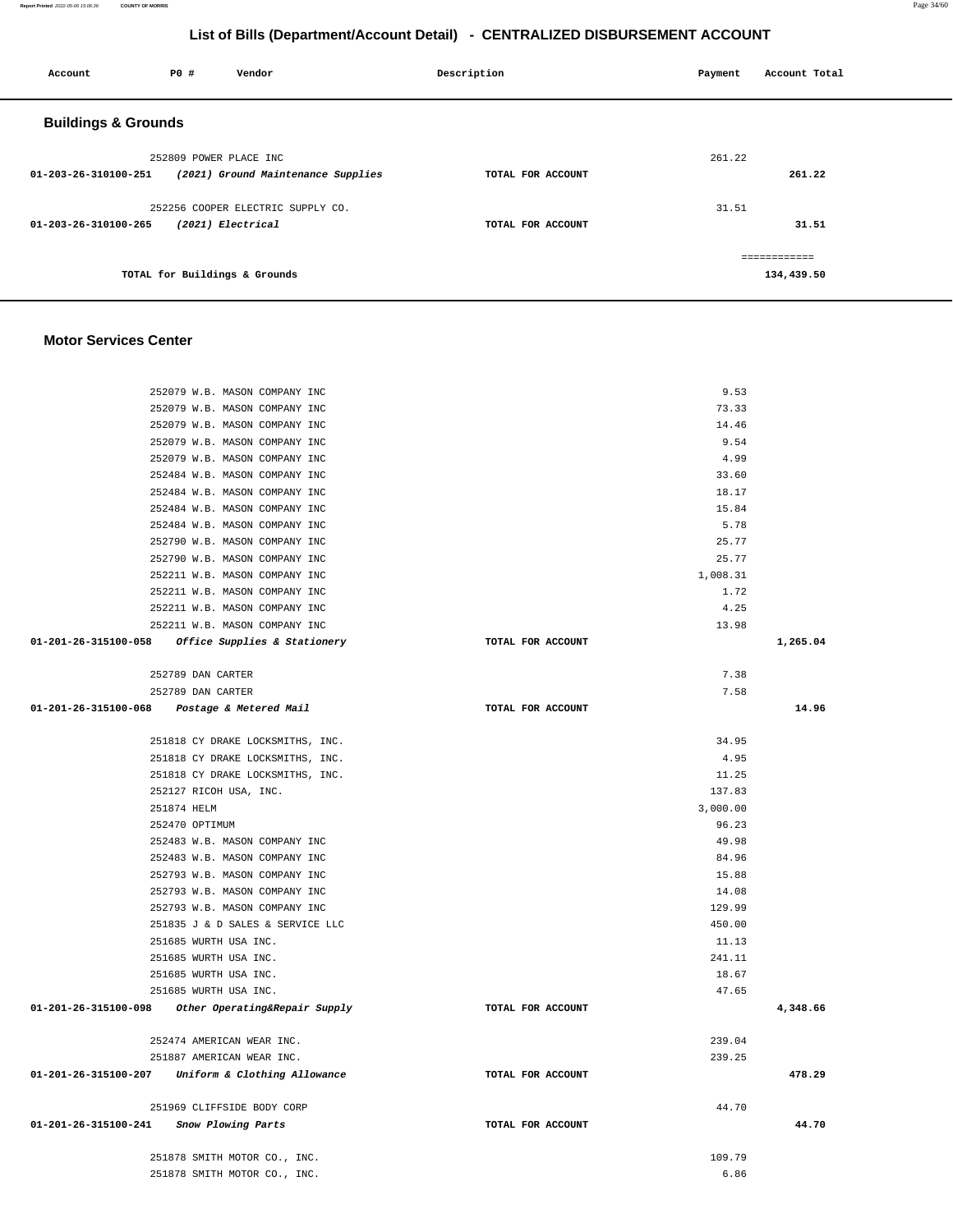**Report Printed** 2022-05-06 15:06:36 **COUNTY OF MORRIS** Page 34/60

## **List of Bills (Department/Account Detail) - CENTRALIZED DISBURSEMENT ACCOUNT**

| Account                        | <b>PO #</b>            | Vendor                             | Description       | Payment | Account Total |
|--------------------------------|------------------------|------------------------------------|-------------------|---------|---------------|
| <b>Buildings &amp; Grounds</b> |                        |                                    |                   |         |               |
|                                | 252809 POWER PLACE INC |                                    |                   | 261.22  |               |
| 01-203-26-310100-251           |                        | (2021) Ground Maintenance Supplies | TOTAL FOR ACCOUNT |         | 261.22        |
|                                |                        | 252256 COOPER ELECTRIC SUPPLY CO.  |                   | 31.51   |               |
| 01-203-26-310100-265           |                        | (2021) Electrical                  | TOTAL FOR ACCOUNT |         | 31.51         |
|                                |                        |                                    |                   |         | ============  |
|                                |                        | TOTAL for Buildings & Grounds      |                   |         | 134,439.50    |
|                                |                        |                                    |                   |         |               |

#### **Motor Services Center**

| 252079 W.B. MASON COMPANY INC                      |                   | 9.53     |          |
|----------------------------------------------------|-------------------|----------|----------|
| 252079 W.B. MASON COMPANY INC                      |                   | 73.33    |          |
| 252079 W.B. MASON COMPANY INC                      |                   | 14.46    |          |
| 252079 W.B. MASON COMPANY INC                      |                   | 9.54     |          |
| 252079 W.B. MASON COMPANY INC                      |                   | 4.99     |          |
| 252484 W.B. MASON COMPANY INC                      |                   | 33.60    |          |
| 252484 W.B. MASON COMPANY INC                      |                   | 18.17    |          |
| 252484 W.B. MASON COMPANY INC                      |                   | 15.84    |          |
| 252484 W.B. MASON COMPANY INC                      |                   | 5.78     |          |
| 252790 W.B. MASON COMPANY INC                      |                   | 25.77    |          |
| 252790 W.B. MASON COMPANY INC                      |                   | 25.77    |          |
| 252211 W.B. MASON COMPANY INC                      |                   | 1,008.31 |          |
| 252211 W.B. MASON COMPANY INC                      |                   | 1.72     |          |
| 252211 W.B. MASON COMPANY INC                      |                   | 4.25     |          |
| 252211 W.B. MASON COMPANY INC                      |                   | 13.98    |          |
| 01-201-26-315100-058 Office Supplies & Stationery  | TOTAL FOR ACCOUNT |          | 1,265.04 |
|                                                    |                   |          |          |
| 252789 DAN CARTER                                  |                   |          |          |
|                                                    |                   | 7.38     |          |
| 252789 DAN CARTER                                  |                   | 7.58     |          |
| 01-201-26-315100-068 Postage & Metered Mail        | TOTAL FOR ACCOUNT |          | 14.96    |
|                                                    |                   |          |          |
| 251818 CY DRAKE LOCKSMITHS, INC.                   |                   | 34.95    |          |
| 251818 CY DRAKE LOCKSMITHS, INC.                   |                   | 4.95     |          |
| 251818 CY DRAKE LOCKSMITHS, INC.                   |                   | 11.25    |          |
| 252127 RICOH USA, INC.                             |                   | 137.83   |          |
| 251874 HELM                                        |                   | 3,000.00 |          |
| 252470 OPTIMUM                                     |                   | 96.23    |          |
| 252483 W.B. MASON COMPANY INC                      |                   | 49.98    |          |
| 252483 W.B. MASON COMPANY INC                      |                   | 84.96    |          |
| 252793 W.B. MASON COMPANY INC                      |                   | 15.88    |          |
| 252793 W.B. MASON COMPANY INC                      |                   | 14.08    |          |
| 252793 W.B. MASON COMPANY INC                      |                   | 129.99   |          |
| 251835 J & D SALES & SERVICE LLC                   |                   | 450.00   |          |
| 251685 WURTH USA INC.                              |                   | 11.13    |          |
| 251685 WURTH USA INC.                              |                   | 241.11   |          |
| 251685 WURTH USA INC.                              |                   | 18.67    |          |
| 251685 WURTH USA INC.                              |                   | 47.65    |          |
| 01-201-26-315100-098 Other Operating&Repair Supply | TOTAL FOR ACCOUNT |          | 4,348.66 |
|                                                    |                   |          |          |
| 252474 AMERICAN WEAR INC.                          |                   | 239.04   |          |
| 251887 AMERICAN WEAR INC.                          |                   | 239.25   |          |
| 01-201-26-315100-207 Uniform & Clothing Allowance  | TOTAL FOR ACCOUNT |          | 478.29   |
|                                                    |                   |          |          |
| 251969 CLIFFSIDE BODY CORP                         |                   | 44.70    |          |
| 01-201-26-315100-241<br>Snow Plowing Parts         | TOTAL FOR ACCOUNT |          | 44.70    |
|                                                    |                   |          |          |
| 251878 SMITH MOTOR CO., INC.                       |                   | 109.79   |          |
| 251878 SMITH MOTOR CO., INC.                       |                   | 6.86     |          |
|                                                    |                   |          |          |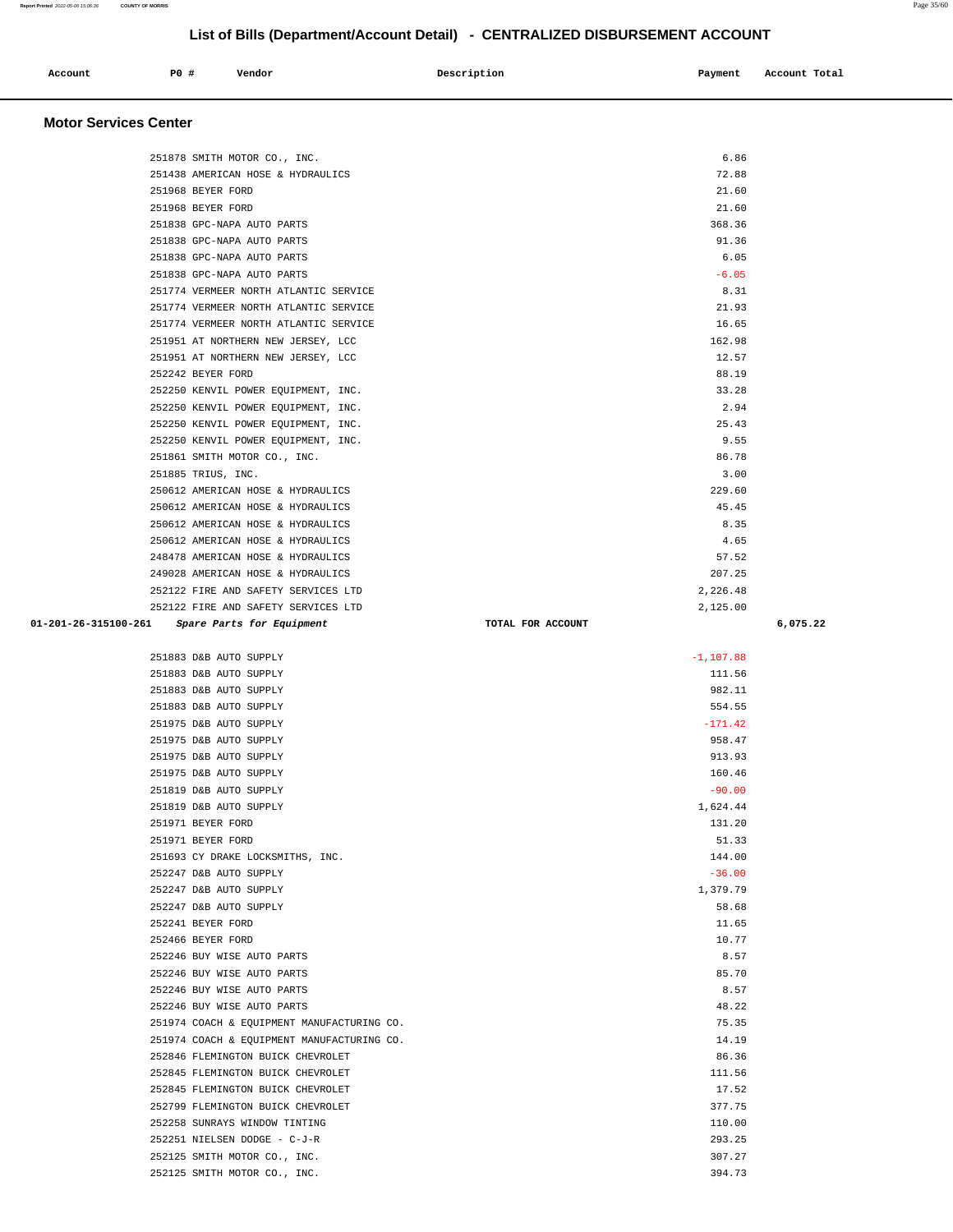| Account               | P0 # | Vendor | Description | Payment | Account Total |
|-----------------------|------|--------|-------------|---------|---------------|
| Motor Convices Conter |      |        |             |         |               |

| 251878 SMITH MOTOR CO., INC.                                             | 6.86              |          |
|--------------------------------------------------------------------------|-------------------|----------|
| 251438 AMERICAN HOSE & HYDRAULICS                                        | 72.88             |          |
| 251968 BEYER FORD                                                        | 21.60             |          |
| 251968 BEYER FORD                                                        | 21.60             |          |
| 251838 GPC-NAPA AUTO PARTS                                               | 368.36            |          |
| 251838 GPC-NAPA AUTO PARTS                                               | 91.36             |          |
| 251838 GPC-NAPA AUTO PARTS                                               | 6.05              |          |
| 251838 GPC-NAPA AUTO PARTS                                               | $-6.05$           |          |
| 251774 VERMEER NORTH ATLANTIC SERVICE                                    | 8.31              |          |
| 251774 VERMEER NORTH ATLANTIC SERVICE                                    | 21.93             |          |
| 251774 VERMEER NORTH ATLANTIC SERVICE                                    | 16.65             |          |
| 251951 AT NORTHERN NEW JERSEY, LCC                                       | 162.98            |          |
| 251951 AT NORTHERN NEW JERSEY, LCC                                       | 12.57             |          |
| 252242 BEYER FORD                                                        | 88.19             |          |
| 252250 KENVIL POWER EQUIPMENT, INC.                                      | 33.28             |          |
| 252250 KENVIL POWER EQUIPMENT, INC.                                      | 2.94              |          |
| 252250 KENVIL POWER EQUIPMENT, INC.                                      | 25.43             |          |
| 252250 KENVIL POWER EQUIPMENT, INC.                                      | 9.55              |          |
| 251861 SMITH MOTOR CO., INC.                                             | 86.78             |          |
| 251885 TRIUS, INC.                                                       | 3.00              |          |
| 250612 AMERICAN HOSE & HYDRAULICS                                        | 229.60            |          |
| 250612 AMERICAN HOSE & HYDRAULICS                                        | 45.45             |          |
| 250612 AMERICAN HOSE & HYDRAULICS                                        | 8.35              |          |
| 250612 AMERICAN HOSE & HYDRAULICS                                        | 4.65              |          |
| 248478 AMERICAN HOSE & HYDRAULICS                                        | 57.52             |          |
| 249028 AMERICAN HOSE & HYDRAULICS                                        | 207.25            |          |
| 252122 FIRE AND SAFETY SERVICES LTD                                      | 2,226.48          |          |
| 252122 FIRE AND SAFETY SERVICES LTD                                      | 2,125.00          |          |
| 01-201-26-315100-261 Spare Parts for Equipment                           | TOTAL FOR ACCOUNT | 6,075.22 |
|                                                                          |                   |          |
| 251883 D&B AUTO SUPPLY                                                   | $-1, 107.88$      |          |
|                                                                          |                   |          |
| 251883 D&B AUTO SUPPLY                                                   | 111.56            |          |
| 251883 D&B AUTO SUPPLY                                                   | 982.11            |          |
| 251883 D&B AUTO SUPPLY                                                   | 554.55            |          |
| 251975 D&B AUTO SUPPLY                                                   | $-171.42$         |          |
| 251975 D&B AUTO SUPPLY                                                   | 958.47            |          |
| 251975 D&B AUTO SUPPLY                                                   | 913.93            |          |
| 251975 D&B AUTO SUPPLY                                                   | 160.46            |          |
| 251819 D&B AUTO SUPPLY                                                   | $-90.00$          |          |
| 251819 D&B AUTO SUPPLY                                                   | 1,624.44          |          |
| 251971 BEYER FORD                                                        | 131.20            |          |
| 251971 BEYER FORD                                                        | 51.33             |          |
| 251693 CY DRAKE LOCKSMITHS, INC.                                         | 144.00            |          |
| 252247 D&B AUTO SUPPLY                                                   | $-36.00$          |          |
| 252247 D&B AUTO SUPPLY                                                   | 1,379.79          |          |
| 252247 D&B AUTO SUPPLY                                                   | 58.68             |          |
| 252241 BEYER FORD                                                        | 11.65             |          |
| 252466 BEYER FORD                                                        | 10.77             |          |
| 252246 BUY WISE AUTO PARTS                                               | 8.57              |          |
| 252246 BUY WISE AUTO PARTS                                               | 85.70             |          |
| 252246 BUY WISE AUTO PARTS                                               | 8.57              |          |
| 252246 BUY WISE AUTO PARTS<br>251974 COACH & EQUIPMENT MANUFACTURING CO. | 48.22<br>75.35    |          |
| 251974 COACH & EQUIPMENT MANUFACTURING CO.                               | 14.19             |          |
| 252846 FLEMINGTON BUICK CHEVROLET                                        | 86.36             |          |
| 252845 FLEMINGTON BUICK CHEVROLET                                        | 111.56            |          |
| 252845 FLEMINGTON BUICK CHEVROLET                                        | 17.52             |          |
| 252799 FLEMINGTON BUICK CHEVROLET                                        | 377.75            |          |
| 252258 SUNRAYS WINDOW TINTING                                            | 110.00            |          |
| 252251 NIELSEN DODGE - C-J-R                                             | 293.25            |          |
| 252125 SMITH MOTOR CO., INC.                                             | 307.27            |          |

**Report Printed** 2022-05-06 15:06:36 **COUNTY OF MORRIS** Page 35/60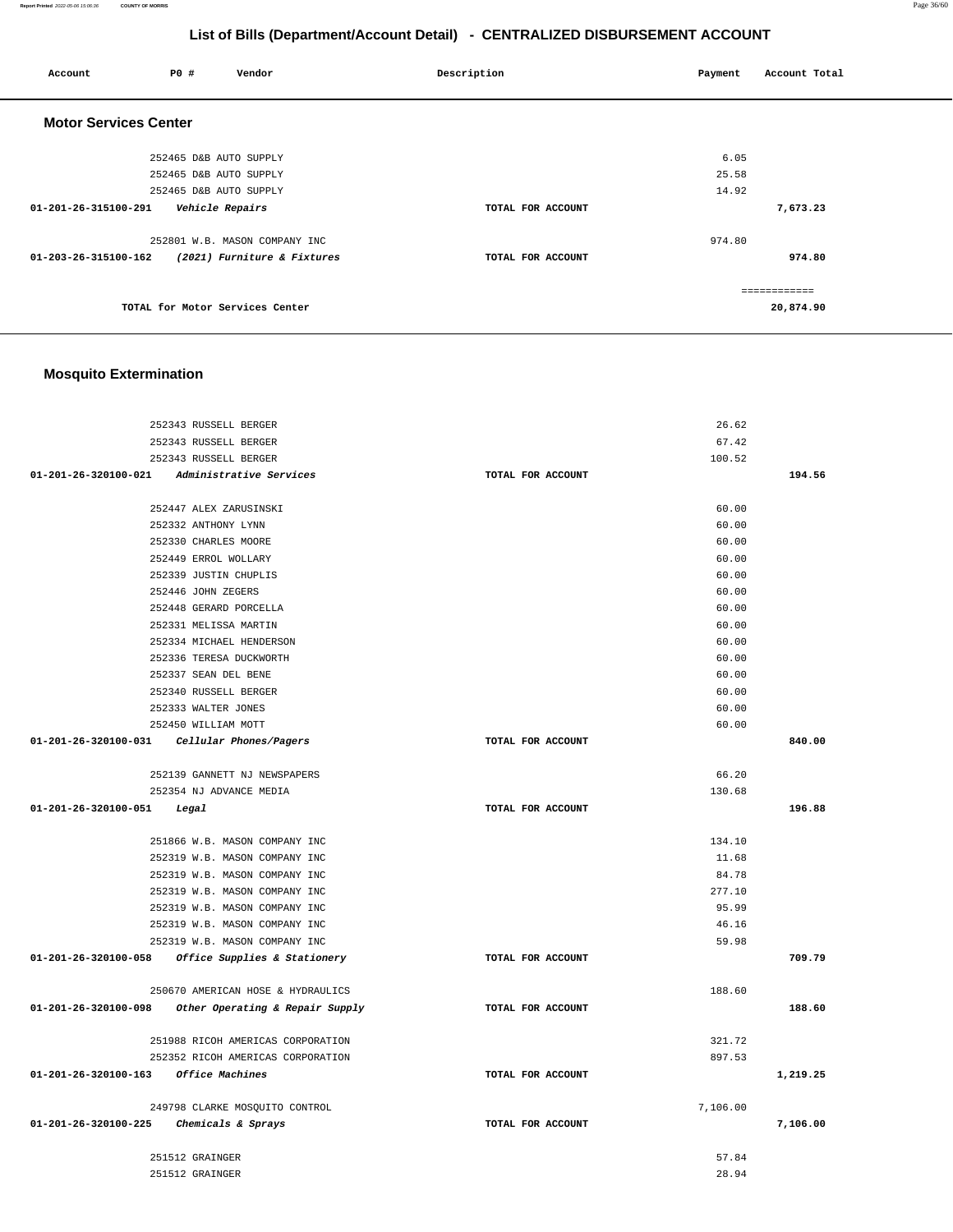**Report Printed** 2022-05-06 15:06:36 **COUNTY OF MORRIS** Page 36/60

## **List of Bills (Department/Account Detail) - CENTRALIZED DISBURSEMENT ACCOUNT**

| Account                      | <b>PO #</b>            | Vendor                          | Description       | Payment | Account Total             |
|------------------------------|------------------------|---------------------------------|-------------------|---------|---------------------------|
| <b>Motor Services Center</b> |                        |                                 |                   |         |                           |
|                              | 252465 D&B AUTO SUPPLY |                                 |                   | 6.05    |                           |
|                              | 252465 D&B AUTO SUPPLY |                                 |                   | 25.58   |                           |
|                              | 252465 D&B AUTO SUPPLY |                                 |                   | 14.92   |                           |
| 01-201-26-315100-291         | Vehicle Repairs        |                                 | TOTAL FOR ACCOUNT |         | 7,673.23                  |
|                              |                        | 252801 W.B. MASON COMPANY INC   |                   | 974.80  |                           |
| 01-203-26-315100-162         |                        | (2021) Furniture & Fixtures     | TOTAL FOR ACCOUNT |         | 974.80                    |
|                              |                        | TOTAL for Motor Services Center |                   |         | ============<br>20,874.90 |

# **Mosquito Extermination**

|                                         | 252343 RUSSELL BERGER                                                  |                   | 26.62            |          |
|-----------------------------------------|------------------------------------------------------------------------|-------------------|------------------|----------|
|                                         | 252343 RUSSELL BERGER                                                  |                   | 67.42            |          |
|                                         | 252343 RUSSELL BERGER                                                  |                   | 100.52           |          |
|                                         | 01-201-26-320100-021 Administrative Services                           | TOTAL FOR ACCOUNT |                  | 194.56   |
|                                         |                                                                        |                   |                  |          |
|                                         | 252447 ALEX ZARUSINSKI<br>252332 ANTHONY LYNN                          |                   | 60.00<br>60.00   |          |
|                                         |                                                                        |                   |                  |          |
|                                         | 252330 CHARLES MOORE                                                   |                   | 60.00            |          |
|                                         | 252449 ERROL WOLLARY                                                   |                   | 60.00            |          |
|                                         | 252339 JUSTIN CHUPLIS                                                  |                   | 60.00            |          |
|                                         | 252446 JOHN ZEGERS                                                     |                   | 60.00            |          |
|                                         | 252448 GERARD PORCELLA                                                 |                   | 60.00            |          |
|                                         | 252331 MELISSA MARTIN                                                  |                   | 60.00            |          |
|                                         | 252334 MICHAEL HENDERSON                                               |                   | 60.00            |          |
|                                         | 252336 TERESA DUCKWORTH                                                |                   | 60.00            |          |
|                                         | 252337 SEAN DEL BENE                                                   |                   | 60.00            |          |
|                                         | 252340 RUSSELL BERGER                                                  |                   | 60.00            |          |
|                                         | 252333 WALTER JONES                                                    |                   | 60.00            |          |
|                                         | 252450 WILLIAM MOTT                                                    |                   | 60.00            |          |
|                                         | $01-201-26-320100-031$ Cellular Phones/Pagers                          | TOTAL FOR ACCOUNT |                  | 840.00   |
|                                         | 252139 GANNETT NJ NEWSPAPERS                                           |                   | 66.20            |          |
|                                         | 252354 NJ ADVANCE MEDIA                                                |                   | 130.68           |          |
| 01-201-26-320100-051                    | Legal                                                                  | TOTAL FOR ACCOUNT |                  | 196.88   |
|                                         |                                                                        |                   |                  |          |
|                                         | 251866 W.B. MASON COMPANY INC                                          |                   | 134.10           |          |
|                                         | 252319 W.B. MASON COMPANY INC                                          |                   | 11.68            |          |
|                                         | 252319 W.B. MASON COMPANY INC                                          |                   | 84.78            |          |
|                                         | 252319 W.B. MASON COMPANY INC                                          |                   | 277.10           |          |
|                                         | 252319 W.B. MASON COMPANY INC                                          |                   | 95.99            |          |
|                                         | 252319 W.B. MASON COMPANY INC                                          |                   | 46.16            |          |
|                                         | 252319 W.B. MASON COMPANY INC                                          |                   | 59.98            |          |
|                                         | 01-201-26-320100-058 Office Supplies & Stationery                      | TOTAL FOR ACCOUNT |                  | 709.79   |
|                                         | 250670 AMERICAN HOSE & HYDRAULICS                                      |                   | 188.60           |          |
|                                         | $01-201-26-320100-098$ Other Operating & Repair Supply                 | TOTAL FOR ACCOUNT |                  | 188.60   |
|                                         |                                                                        |                   |                  |          |
|                                         | 251988 RICOH AMERICAS CORPORATION<br>252352 RICOH AMERICAS CORPORATION |                   | 321.72<br>897.53 |          |
|                                         |                                                                        |                   |                  |          |
| 01-201-26-320100-163 Office Machines    |                                                                        | TOTAL FOR ACCOUNT |                  | 1,219.25 |
|                                         | 249798 CLARKE MOSQUITO CONTROL                                         |                   | 7,106.00         |          |
| 01-201-26-320100-225 Chemicals & Sprays |                                                                        | TOTAL FOR ACCOUNT |                  | 7,106.00 |
|                                         | 251512 GRAINGER                                                        |                   | 57.84            |          |
|                                         | 251512 GRAINGER                                                        |                   | 28.94            |          |
|                                         |                                                                        |                   |                  |          |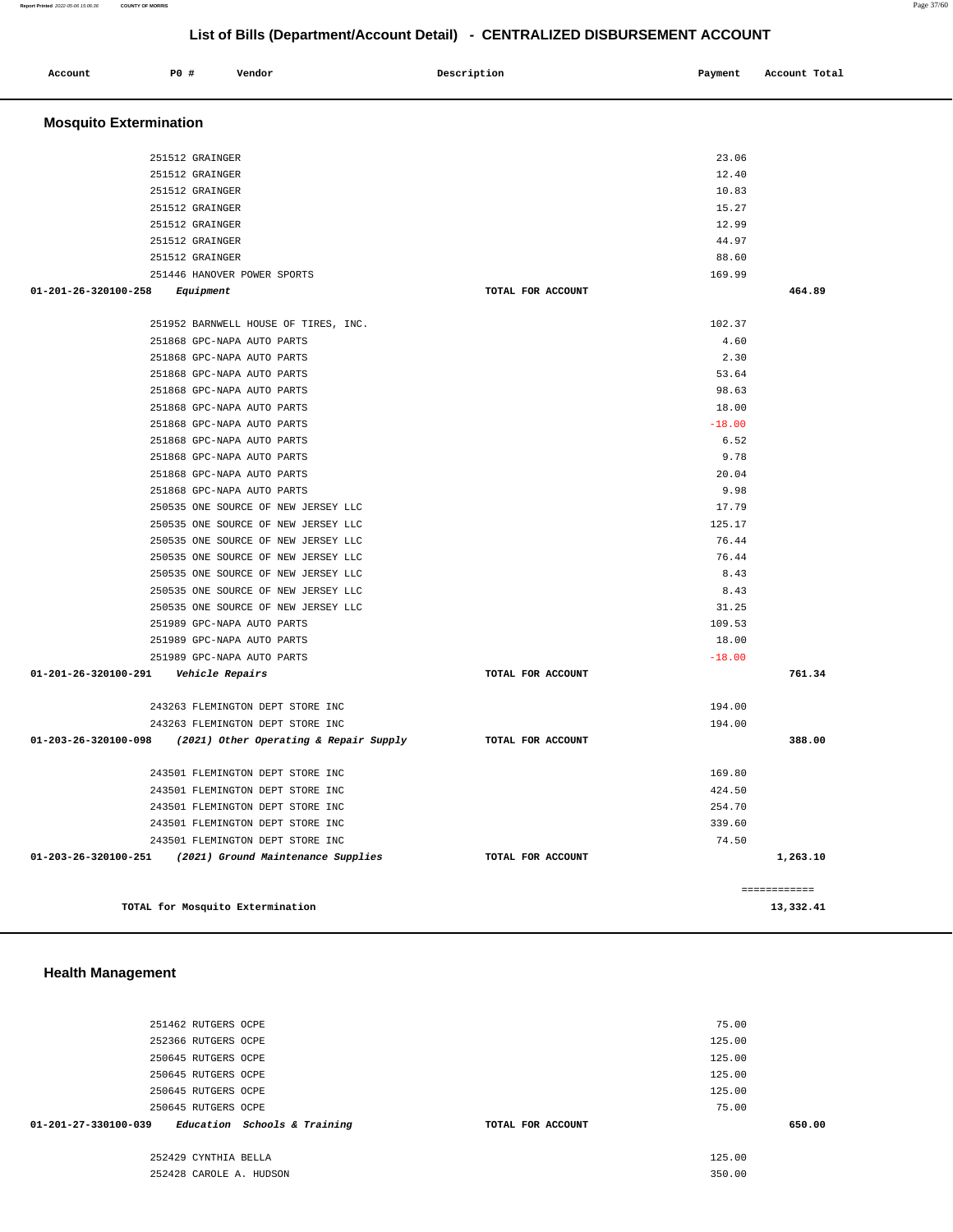|                      | 251462 RUTGERS OCPE          |                   | 75.00  |
|----------------------|------------------------------|-------------------|--------|
|                      | 252366 RUTGERS OCPE          |                   | 125.00 |
|                      | 250645 RUTGERS OCPE          |                   | 125.00 |
|                      | 250645 RUTGERS OCPE          |                   | 125.00 |
|                      | 250645 RUTGERS OCPE          |                   | 125.00 |
|                      | 250645 RUTGERS OCPE          |                   | 75.00  |
| 01-201-27-330100-039 | Education Schools & Training | TOTAL FOR ACCOUNT | 650.00 |
|                      | 252429 CYNTHIA BELLA         |                   | 125.00 |
|                      | 252428 CAROLE A. HUDSON      |                   | 350.00 |

#### **Health Management**

|                                         | ZDIDIZ GRAINGER                      | 14.99             |        |
|-----------------------------------------|--------------------------------------|-------------------|--------|
|                                         | 251512 GRAINGER                      | 44.97             |        |
|                                         | 251512 GRAINGER                      | 88.60             |        |
|                                         | 251446 HANOVER POWER SPORTS          | 169.99            |        |
| 01-201-26-320100-258                    | Equipment                            | TOTAL FOR ACCOUNT | 464.89 |
|                                         |                                      |                   |        |
|                                         | 251952 BARNWELL HOUSE OF TIRES, INC. | 102.37            |        |
|                                         | 251868 GPC-NAPA AUTO PARTS           | 4.60              |        |
|                                         | 251868 GPC-NAPA AUTO PARTS           | 2.30              |        |
|                                         | 251868 GPC-NAPA AUTO PARTS           | 53.64             |        |
|                                         | 251868 GPC-NAPA AUTO PARTS           | 98.63             |        |
|                                         | 251868 GPC-NAPA AUTO PARTS           | 18.00             |        |
|                                         | 251868 GPC-NAPA AUTO PARTS           | $-18.00$          |        |
|                                         | 251868 GPC-NAPA AUTO PARTS           | 6.52              |        |
|                                         | 251868 GPC-NAPA AUTO PARTS           | 9.78              |        |
|                                         | 251868 GPC-NAPA AUTO PARTS           | 20.04             |        |
|                                         | 251868 GPC-NAPA AUTO PARTS           | 9.98              |        |
|                                         | 250535 ONE SOURCE OF NEW JERSEY LLC  | 17.79             |        |
|                                         | 250535 ONE SOURCE OF NEW JERSEY LLC  | 125.17            |        |
|                                         | 250535 ONE SOURCE OF NEW JERSEY LLC  | 76.44             |        |
|                                         | 250535 ONE SOURCE OF NEW JERSEY LLC  | 76.44             |        |
|                                         | 250535 ONE SOURCE OF NEW JERSEY LLC  | 8.43              |        |
|                                         | 250535 ONE SOURCE OF NEW JERSEY LLC  | 8.43              |        |
|                                         | 250535 ONE SOURCE OF NEW JERSEY LLC  | 31.25             |        |
|                                         | 251989 GPC-NAPA AUTO PARTS           | 109.53            |        |
|                                         | 251989 GPC-NAPA AUTO PARTS           | 18.00             |        |
|                                         | 251989 GPC-NAPA AUTO PARTS           | $-18.00$          |        |
| 01-201-26-320100-291    Vehicle Repairs |                                      | TOTAL FOR ACCOUNT | 761.34 |
|                                         | 243263 FLEMINGTON DEPT STORE INC     | 194.00            |        |
|                                         | 243263 FLEMINGTON DEPT STORE INC     | 194.00            |        |

 **01-203-26-320100-098 (2021) Other Operating & Repair Supply TOTAL FOR ACCOUNT 388.00**

 243501 FLEMINGTON DEPT STORE INC 169.80 243501 FLEMINGTON DEPT STORE INC 424.50 243501 FLEMINGTON DEPT STORE INC 254.70 243501 FLEMINGTON DEPT STORE INC 339.60 243501 FLEMINGTON DEPT STORE INC 74.50  **01-203-26-320100-251 (2021) Ground Maintenance Supplies TOTAL FOR ACCOUNT 1,263.10**

**TOTAL for Mosquito Extermination 13,332.41**

| Account                        | P0 #            | Vendor                               | Description       | Payment | Account Total |  |
|--------------------------------|-----------------|--------------------------------------|-------------------|---------|---------------|--|
| <b>Mosquito Extermination</b>  |                 |                                      |                   |         |               |  |
|                                | 251512 GRAINGER |                                      |                   | 23.06   |               |  |
|                                | 251512 GRAINGER |                                      |                   | 12.40   |               |  |
|                                | 251512 GRAINGER |                                      |                   | 10.83   |               |  |
|                                | 251512 GRAINGER |                                      |                   | 15.27   |               |  |
|                                | 251512 GRAINGER |                                      |                   | 12.99   |               |  |
|                                | 251512 GRAINGER |                                      |                   | 44.97   |               |  |
|                                | 251512 GRAINGER |                                      |                   | 88.60   |               |  |
|                                |                 | 251446 HANOVER POWER SPORTS          |                   | 169.99  |               |  |
| $01 - 201 - 26 - 320100 - 258$ | Equipment       |                                      | TOTAL FOR ACCOUNT |         | 464.89        |  |
|                                |                 |                                      |                   |         |               |  |
|                                |                 | 251952 BARNWELL HOUSE OF TIRES, INC. |                   | 102.37  |               |  |
|                                |                 | 251868 GPC-NAPA AUTO PARTS           |                   | 4.60    |               |  |
|                                |                 | 251868 GPC-NAPA AUTO PARTS           |                   | 2.30    |               |  |

============

## **List of Bills (Department/Account Detail) - CENTRALIZED DISBURSEMENT ACCOUNT**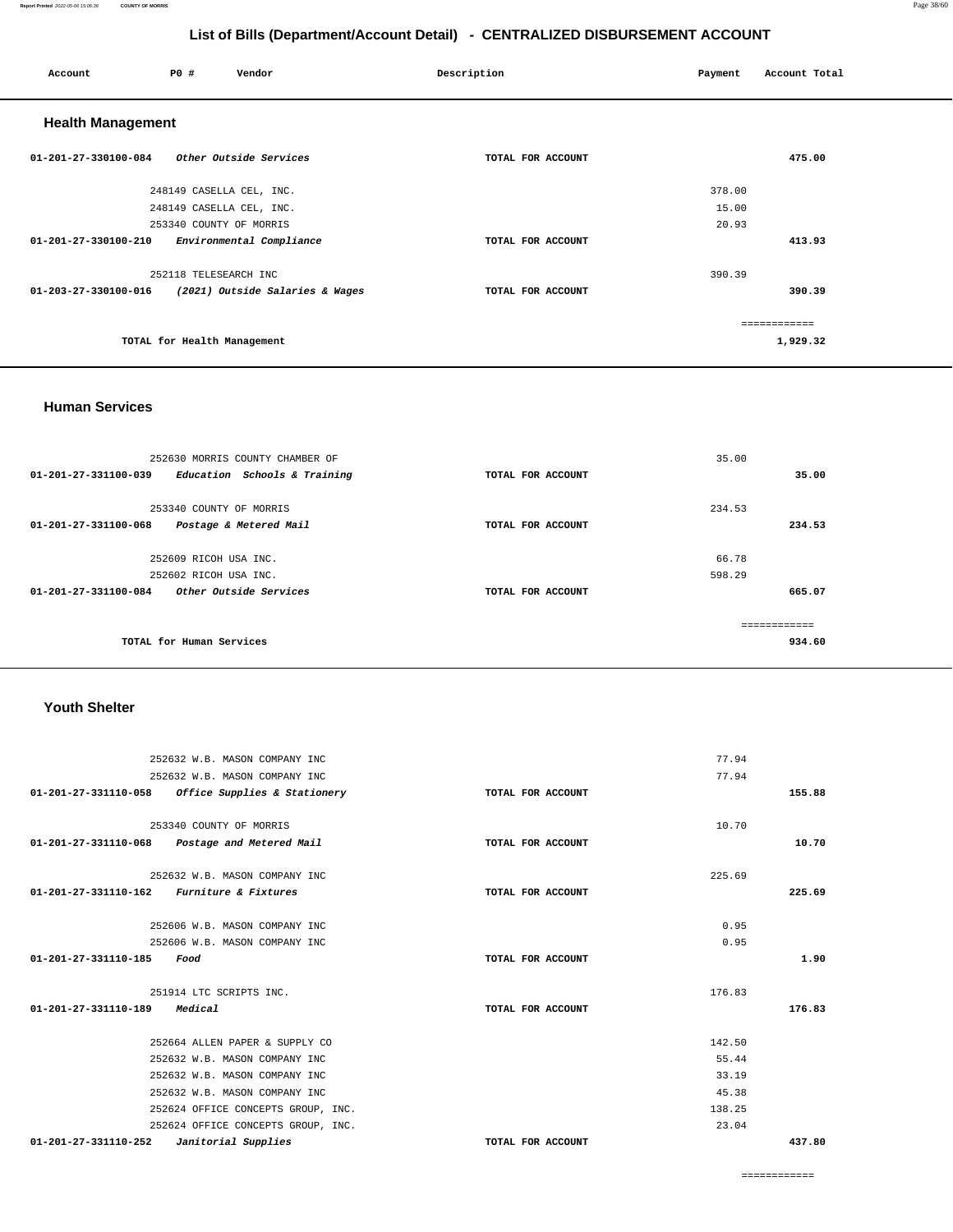#### **Report Printed** 2022-05-06 15:06:36 **COUNTY OF MORRIS** Page 38/60

## **List of Bills (Department/Account Detail) - CENTRALIZED DISBURSEMENT ACCOUNT**

| Account                  | P0 #                        | Vendor                          | Description       | Payment | Account Total |
|--------------------------|-----------------------------|---------------------------------|-------------------|---------|---------------|
| <b>Health Management</b> |                             |                                 |                   |         |               |
| 01-201-27-330100-084     |                             | Other Outside Services          | TOTAL FOR ACCOUNT |         | 475.00        |
|                          | 248149 CASELLA CEL, INC.    |                                 |                   | 378.00  |               |
|                          | 248149 CASELLA CEL, INC.    |                                 |                   | 15.00   |               |
|                          | 253340 COUNTY OF MORRIS     |                                 |                   | 20.93   |               |
| 01-201-27-330100-210     |                             | Environmental Compliance        | TOTAL FOR ACCOUNT |         | 413.93        |
|                          | 252118 TELESEARCH INC       |                                 |                   | 390.39  |               |
| 01-203-27-330100-016     |                             | (2021) Outside Salaries & Wages | TOTAL FOR ACCOUNT |         | 390.39        |
|                          |                             |                                 |                   |         | ============  |
|                          | TOTAL for Health Management |                                 |                   |         | 1,929.32      |

#### **Human Services**

| 252630 MORRIS COUNTY CHAMBER OF<br>$01 - 201 - 27 - 331100 - 039$<br>Education Schools & Training | TOTAL FOR ACCOUNT | 35.00         | 35.00  |
|---------------------------------------------------------------------------------------------------|-------------------|---------------|--------|
| 253340 COUNTY OF MORRIS                                                                           |                   | 234.53        |        |
| 01-201-27-331100-068<br>Postage & Metered Mail                                                    | TOTAL FOR ACCOUNT |               | 234.53 |
| 252609 RICOH USA INC.                                                                             |                   | 66.78         |        |
| 252602 RICOH USA INC.                                                                             |                   | 598.29        |        |
| Other Outside Services<br>01-201-27-331100-084                                                    | TOTAL FOR ACCOUNT |               | 665.07 |
| TOTAL for Human Services                                                                          |                   | ------------- | 934.60 |

## **Youth Shelter**

| 252632 W.B. MASON COMPANY INC                        |                   | 77.94  |
|------------------------------------------------------|-------------------|--------|
| 252632 W.B. MASON COMPANY INC                        |                   | 77.94  |
| Office Supplies & Stationery<br>01-201-27-331110-058 | TOTAL FOR ACCOUNT | 155.88 |
|                                                      |                   |        |
| 253340 COUNTY OF MORRIS                              |                   | 10.70  |
| 01-201-27-331110-068 Postage and Metered Mail        | TOTAL FOR ACCOUNT | 10.70  |
|                                                      |                   |        |
| 252632 W.B. MASON COMPANY INC                        |                   | 225.69 |
| 01-201-27-331110-162 Furniture & Fixtures            | TOTAL FOR ACCOUNT | 225.69 |
|                                                      |                   |        |
| 252606 W.B. MASON COMPANY INC                        |                   | 0.95   |
| 252606 W.B. MASON COMPANY INC                        |                   | 0.95   |
| 01-201-27-331110-185<br>Food                         | TOTAL FOR ACCOUNT | 1.90   |
|                                                      |                   |        |
| 251914 LTC SCRIPTS INC.                              |                   | 176.83 |
| Medical<br>01-201-27-331110-189                      | TOTAL FOR ACCOUNT | 176.83 |
|                                                      |                   |        |
| 252664 ALLEN PAPER & SUPPLY CO                       |                   | 142.50 |
| 252632 W.B. MASON COMPANY INC                        |                   | 55.44  |
| 252632 W.B. MASON COMPANY INC                        |                   | 33.19  |
| 252632 W.B. MASON COMPANY INC                        |                   | 45.38  |
| 252624 OFFICE CONCEPTS GROUP, INC.                   |                   | 138.25 |
| 252624 OFFICE CONCEPTS GROUP, INC.                   |                   | 23.04  |
| 01-201-27-331110-252<br>Janitorial Supplies          | TOTAL FOR ACCOUNT | 437.80 |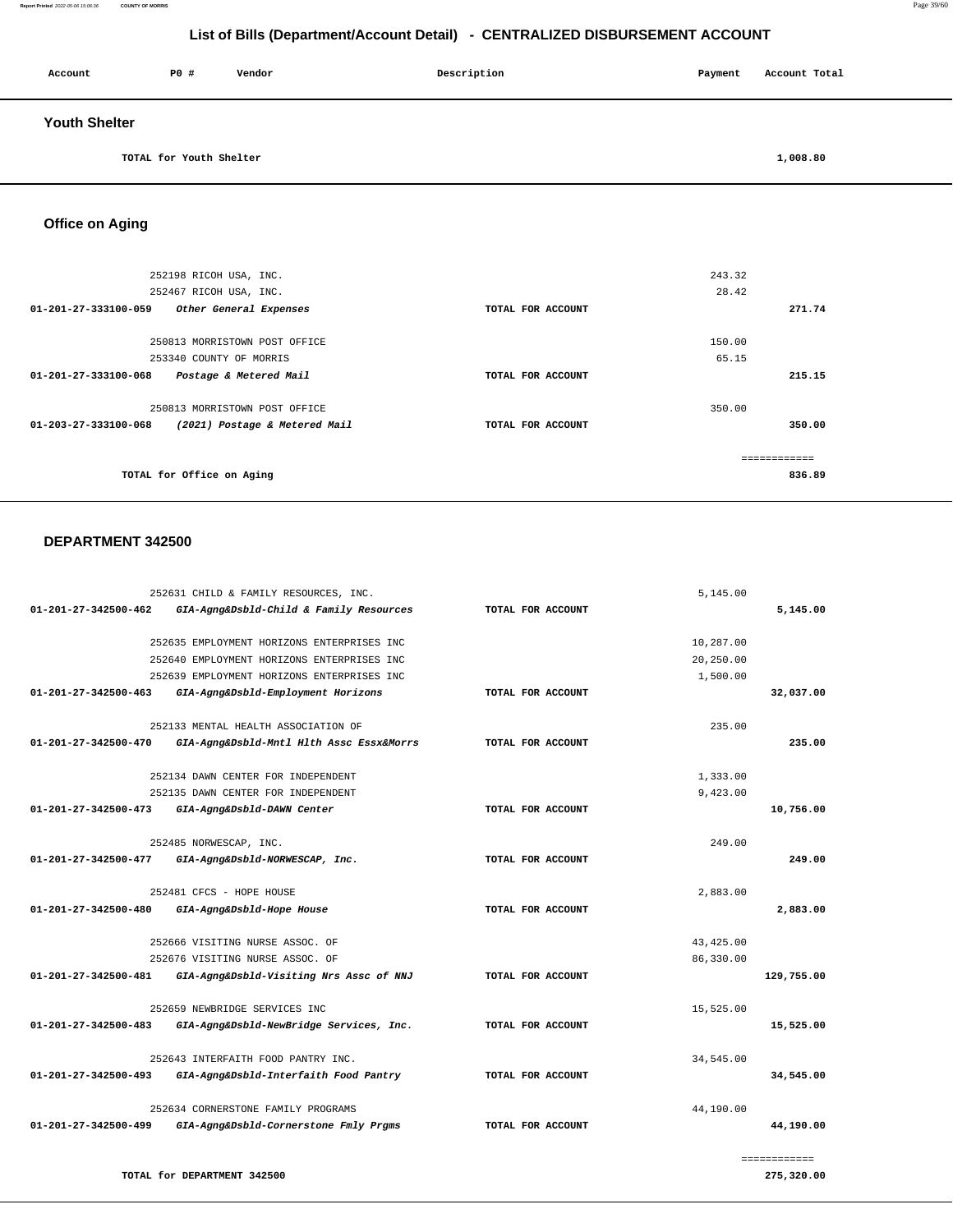| Account              | PO#                     | Vendor | Description | Payment | Account Total |
|----------------------|-------------------------|--------|-------------|---------|---------------|
| <b>Youth Shelter</b> |                         |        |             |         |               |
|                      | TOTAL for Youth Shelter |        |             |         | 1,008.80      |

**Office on Aging** 

252198 RICOH USA, INC. 252467 RICOH USA, INC. **01-201-27-333100-059 Other General Expenses TOTAL FOR ACCOUNT**  243.32 28.42 **271.74** 250813 MORRISTOWN POST OFFICE 253340 COUNTY OF MORRIS **01-201-27-333100-068 Postage & Metered Mail TOTAL FOR ACCOUNT**  150.00 65.15 **215.15** 250813 MORRISTOWN POST OFFICE **01-203-27-333100-068 (2021) Postage & Metered Mail TOTAL FOR ACCOUNT**  350.00 **350.00 TOTAL for Office on Aging**  ============ **836.89**

#### **DEPARTMENT 342500**

**TOTAL for DEPARTMENT 342500** 

|                                | 252631 CHILD & FAMILY RESOURCES, INC.      |                   | 5,145.00   |              |
|--------------------------------|--------------------------------------------|-------------------|------------|--------------|
| $01 - 201 - 27 - 342500 - 462$ | GIA-Agng&Dsbld-Child & Family Resources    | TOTAL FOR ACCOUNT |            | 5,145.00     |
|                                | 252635 EMPLOYMENT HORIZONS ENTERPRISES INC |                   | 10,287.00  |              |
|                                | 252640 EMPLOYMENT HORIZONS ENTERPRISES INC |                   | 20,250.00  |              |
|                                | 252639 EMPLOYMENT HORIZONS ENTERPRISES INC |                   | 1,500.00   |              |
| $01 - 201 - 27 - 342500 - 463$ | GIA-Agng&Dsbld-Employment Horizons         | TOTAL FOR ACCOUNT |            | 32,037.00    |
|                                | 252133 MENTAL HEALTH ASSOCIATION OF        |                   | 235.00     |              |
| $01 - 201 - 27 - 342500 - 470$ |                                            | TOTAL FOR ACCOUNT |            | 235.00       |
|                                | GIA-Agng&Dsbld-Mntl Hlth Assc Essx&Morrs   |                   |            |              |
|                                | 252134 DAWN CENTER FOR INDEPENDENT         |                   | 1,333.00   |              |
|                                | 252135 DAWN CENTER FOR INDEPENDENT         |                   | 9,423.00   |              |
| $01 - 201 - 27 - 342500 - 473$ | GIA-Agng&Dsbld-DAWN Center                 | TOTAL FOR ACCOUNT |            | 10,756.00    |
|                                | 252485 NORWESCAP, INC.                     |                   | 249.00     |              |
| 01-201-27-342500-477           | GIA-Agng&Dsbld-NORWESCAP, Inc.             | TOTAL FOR ACCOUNT |            | 249.00       |
|                                |                                            |                   |            |              |
|                                | 252481 CFCS - HOPE HOUSE                   |                   | 2,883.00   |              |
| 01-201-27-342500-480           | GIA-Agng&Dsbld-Hope House                  | TOTAL FOR ACCOUNT |            | 2,883.00     |
|                                | 252666 VISITING NURSE ASSOC. OF            |                   | 43, 425.00 |              |
|                                | 252676 VISITING NURSE ASSOC. OF            |                   | 86,330.00  |              |
| 01-201-27-342500-481           | GIA-Agng&Dsbld-Visiting Nrs Assc of NNJ    | TOTAL FOR ACCOUNT |            | 129,755.00   |
|                                | 252659 NEWBRIDGE SERVICES INC              |                   | 15,525.00  |              |
| $01 - 201 - 27 - 342500 - 483$ | GIA-Agng&Dsbld-NewBridge Services, Inc.    | TOTAL FOR ACCOUNT |            | 15,525.00    |
|                                | 252643 INTERFAITH FOOD PANTRY INC.         |                   | 34,545.00  |              |
| $01 - 201 - 27 - 342500 - 493$ | GIA-Agng&Dsbld-Interfaith Food Pantry      | TOTAL FOR ACCOUNT |            | 34,545.00    |
|                                |                                            |                   |            |              |
|                                | 252634 CORNERSTONE FAMILY PROGRAMS         |                   | 44,190.00  |              |
| 01-201-27-342500-499           | GIA-Agng&Dsbld-Cornerstone Fmly Prgms      | TOTAL FOR ACCOUNT |            | 44,190.00    |
|                                |                                            |                   |            | ============ |

**Report Printed** 2022-05-06 15:06:36 **COUNTY OF MORRIS** Page 39/60

**275,320.00**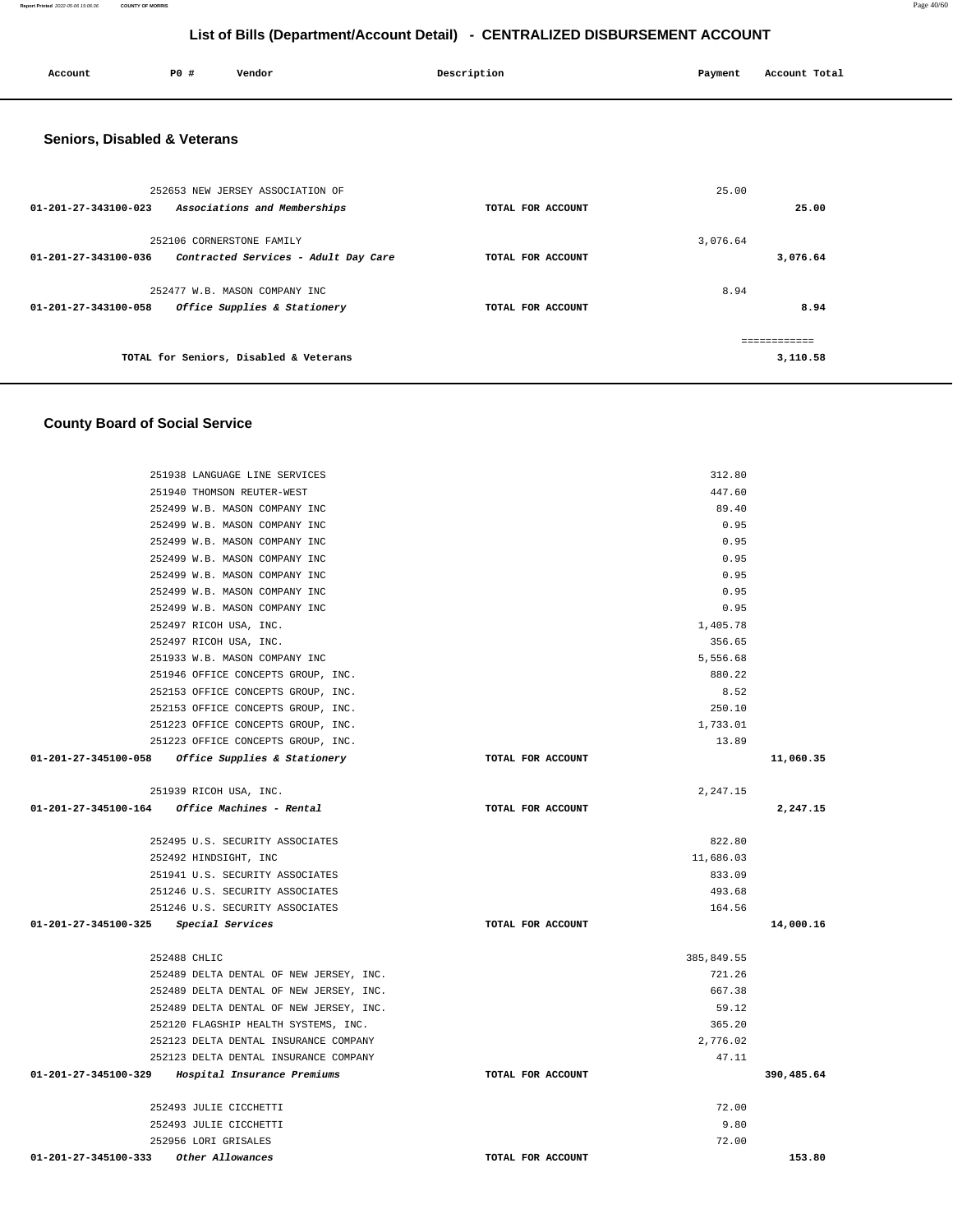**Account P0 # Vendor Description Payment Account Total Seniors, Disabled & Veterans** 252653 NEW JERSEY ASSOCIATION OF **01-201-27-343100-023 Associations and Memberships TOTAL FOR ACCOUNT**  25.00 **25.00** 252106 CORNERSTONE FAMILY **01-201-27-343100-036 Contracted Services - Adult Day Care TOTAL FOR ACCOUNT**  3,076.64 **3,076.64** 252477 W.B. MASON COMPANY INC **01-201-27-343100-058 Office Supplies & Stationery TOTAL FOR ACCOUNT**  8.94 **8.94 TOTAL for Seniors, Disabled & Veterans**  ============ **3,110.58 County Board of Social Service** 251938 LANGUAGE LINE SERVICES 312.80 251940 THOMSON REUTER-WEST 447.60 252499 W.B. MASON COMPANY INC 89.40 252499 W.B. MASON COMPANY INC 0.95 252499 W.B. MASON COMPANY INC 0.95 252499 W.B. MASON COMPANY INC 0.95 252499 W.B. MASON COMPANY INC 0.95 252499 W.B. MASON COMPANY INC 0.95 252499 W.B. MASON COMPANY INC 0.95 252497 RICOH USA, INC. 1,405.78 252497 RICOH USA, INC. 356.65 251933 W.B. MASON COMPANY INC 5,556.68 251946 OFFICE CONCEPTS GROUP, INC. 880.22 252153 OFFICE CONCEPTS GROUP, INC. 8.52 252153 OFFICE CONCEPTS GROUP, INC. 250.10 251223 OFFICE CONCEPTS GROUP, INC. 1, 233.01 251223 OFFICE CONCEPTS GROUP, INC. 13.89  **01-201-27-345100-058 Office Supplies & Stationery TOTAL FOR ACCOUNT 11,060.35** 251939 RICOH USA, INC. 2,247.15  **01-201-27-345100-164 Office Machines - Rental TOTAL FOR ACCOUNT 2,247.15** 252495 U.S. SECURITY ASSOCIATES 822.80 252492 HINDSIGHT, INC 11,686.03 251941 U.S. SECURITY ASSOCIATES 833.09 251246 U.S. SECURITY ASSOCIATES 493.68 251246 U.S. SECURITY ASSOCIATES 164.56  **01-201-27-345100-325 Special Services TOTAL FOR ACCOUNT 14,000.16** 252488 CHLIC 385,849.55 252489 DELTA DENTAL OF NEW JERSEY, INC. 721.26 252489 DELTA DENTAL OF NEW JERSEY, INC. 667.38 252489 DELTA DENTAL OF NEW JERSEY, INC. 59.12 252120 FLAGSHIP HEALTH SYSTEMS, INC. 365.20

 252123 DELTA DENTAL INSURANCE COMPANY 2,776.02 252123 DELTA DENTAL INSURANCE COMPANY 47.11  **01-201-27-345100-329 Hospital Insurance Premiums TOTAL FOR ACCOUNT 390,485.64**

 252493 JULIE CICCHETTI 72.00 252493 JULIE CICCHETTI 9.80 252956 LORI GRISALES 72.00  **01-201-27-345100-333 Other Allowances TOTAL FOR ACCOUNT 153.80** 

#### **List of Bills (Department/Account Detail) - CENTRALIZED DISBURSEMENT ACCOUNT**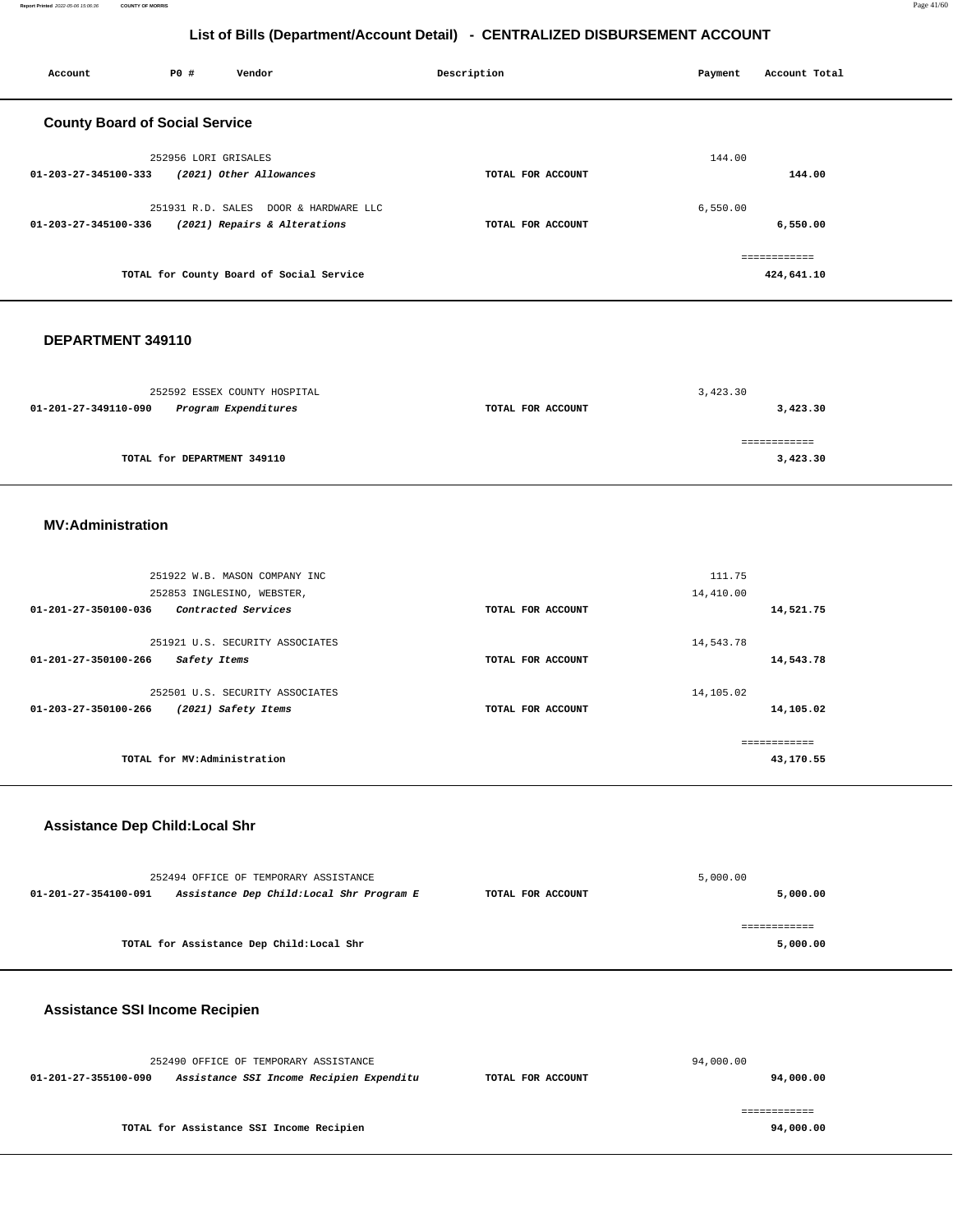**Report Printed** 2022-05-06 15:06:36 **COUNTY OF MORRIS** Page 41/60

## **List of Bills (Department/Account Detail) - CENTRALIZED DISBURSEMENT ACCOUNT**

| Account                               | P0 #                 | Vendor                                   | Description       | Payment  | Account Total |
|---------------------------------------|----------------------|------------------------------------------|-------------------|----------|---------------|
| <b>County Board of Social Service</b> |                      |                                          |                   |          |               |
|                                       | 252956 LORI GRISALES |                                          |                   | 144.00   |               |
| 01-203-27-345100-333                  |                      | (2021) Other Allowances                  | TOTAL FOR ACCOUNT |          | 144.00        |
|                                       |                      | 251931 R.D. SALES DOOR & HARDWARE LLC    |                   | 6,550.00 |               |
| 01-203-27-345100-336                  |                      | (2021) Repairs & Alterations             | TOTAL FOR ACCOUNT |          | 6,550.00      |
|                                       |                      |                                          |                   |          | ============  |
|                                       |                      | TOTAL for County Board of Social Service |                   |          | 424,641.10    |
|                                       |                      |                                          |                   |          |               |

#### **DEPARTMENT 349110**

| 252592 ESSEX COUNTY HOSPITAL                 |                   | 3,423.30 |
|----------------------------------------------|-------------------|----------|
| Program Expenditures<br>01-201-27-349110-090 | TOTAL FOR ACCOUNT | 3,423.30 |
|                                              |                   |          |
|                                              |                   |          |
| TOTAL for DEPARTMENT 349110                  |                   | 3,423.30 |

#### **MV:Administration**

| 251922 W.B. MASON COMPANY INC<br>252853 INGLESINO, WEBSTER,<br>$01 - 201 - 27 - 350100 - 036$<br>Contracted Services | TOTAL FOR ACCOUNT | 111.75<br>14,410.00<br>14,521.75 |
|----------------------------------------------------------------------------------------------------------------------|-------------------|----------------------------------|
| 251921 U.S. SECURITY ASSOCIATES<br>$01 - 201 - 27 - 350100 - 266$<br>Safety Items                                    | TOTAL FOR ACCOUNT | 14,543.78<br>14,543.78           |
| 252501 U.S. SECURITY ASSOCIATES<br>01-203-27-350100-266<br>(2021) Safety Items                                       | TOTAL FOR ACCOUNT | 14,105.02<br>14,105.02           |
| TOTAL for MV:Administration                                                                                          |                   | ------------<br>43,170.55        |

## **Assistance Dep Child:Local Shr**

| 252494 OFFICE OF TEMPORARY ASSISTANCE                            |                   | 5,000.00 |
|------------------------------------------------------------------|-------------------|----------|
| Assistance Dep Child:Local Shr Program E<br>01-201-27-354100-091 | TOTAL FOR ACCOUNT | 5,000.00 |
|                                                                  |                   |          |
|                                                                  |                   |          |
| TOTAL for Assistance Dep Child: Local Shr                        |                   | 5,000.00 |

## **Assistance SSI Income Recipien**

| 252490 OFFICE OF TEMPORARY ASSISTANCE                            |                   | 94,000.00 |
|------------------------------------------------------------------|-------------------|-----------|
| Assistance SSI Income Recipien Expenditu<br>01-201-27-355100-090 | TOTAL FOR ACCOUNT | 94,000.00 |
|                                                                  |                   |           |
| TOTAL for Assistance SSI Income Recipien                         |                   | 94,000,00 |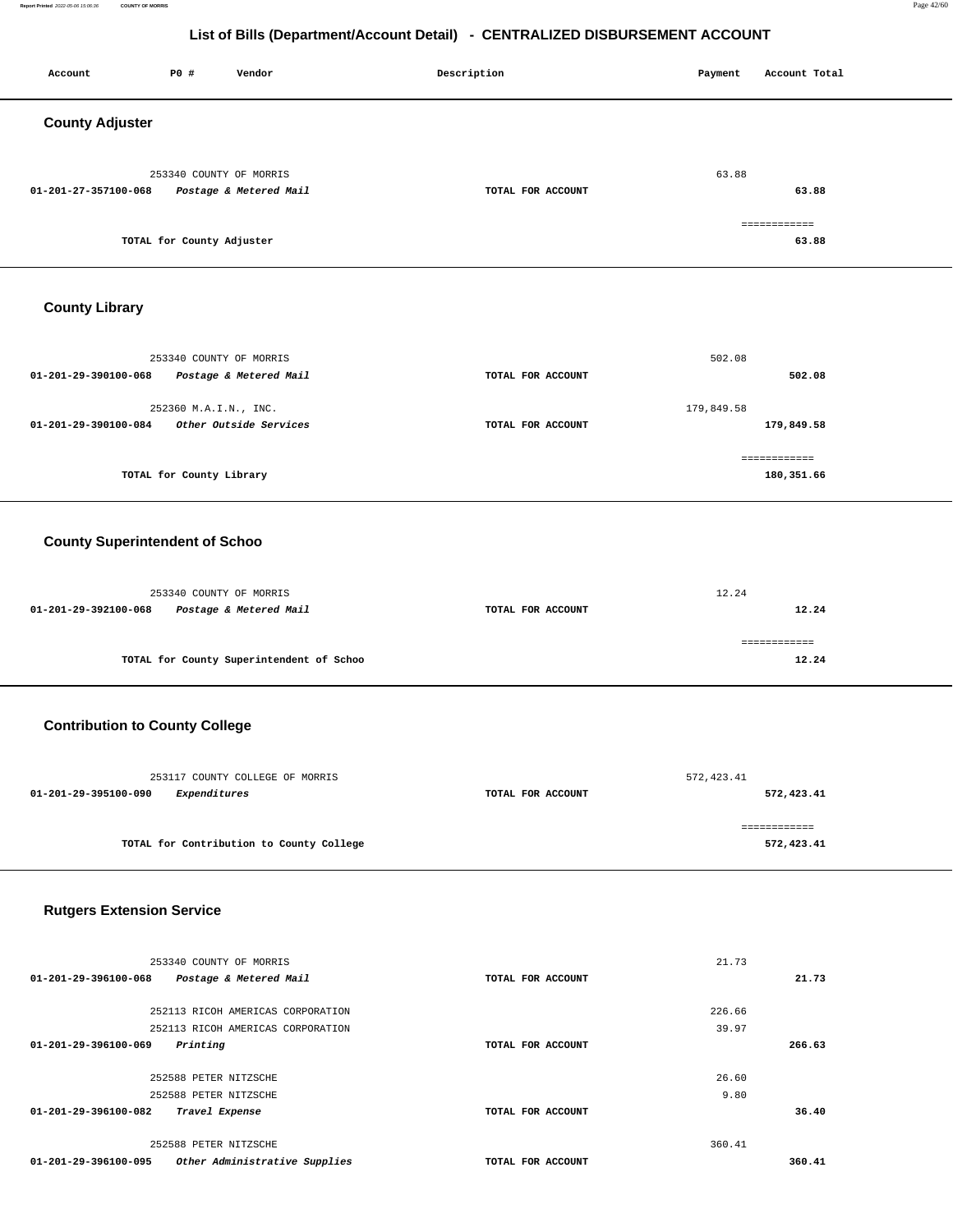**Report Printed** 2022-05-06 15:06:36 **COUNTY OF MORRIS** Page 42/60

## **List of Bills (Department/Account Detail) - CENTRALIZED DISBURSEMENT ACCOUNT**

| Account                | P0 #                      | Vendor                 | Description       | Payment | Account Total         |
|------------------------|---------------------------|------------------------|-------------------|---------|-----------------------|
| <b>County Adjuster</b> |                           |                        |                   |         |                       |
| 01-201-27-357100-068   | 253340 COUNTY OF MORRIS   | Postage & Metered Mail | TOTAL FOR ACCOUNT | 63.88   | 63.88                 |
|                        | TOTAL for County Adjuster |                        |                   |         | ============<br>63.88 |

## **County Library**

| 253340 COUNTY OF MORRIS                                  |                   | 502.08        |
|----------------------------------------------------------|-------------------|---------------|
| Postage & Metered Mail<br>$01 - 201 - 29 - 390100 - 068$ | TOTAL FOR ACCOUNT | 502.08        |
| 252360 M.A.I.N., INC.                                    |                   | 179,849.58    |
| Other Outside Services<br>01-201-29-390100-084           | TOTAL FOR ACCOUNT | 179,849.58    |
|                                                          |                   | ------------- |
| TOTAL for County Library                                 |                   | 180,351.66    |

## **County Superintendent of Schoo**

| 253340 COUNTY OF MORRIS |                                          |                   | 12.24 |  |
|-------------------------|------------------------------------------|-------------------|-------|--|
| 01-201-29-392100-068    | Postage & Metered Mail                   | TOTAL FOR ACCOUNT | 12.24 |  |
|                         |                                          |                   |       |  |
|                         | TOTAL for County Superintendent of Schoo |                   | 12.24 |  |

## **Contribution to County College**

| 253117 COUNTY COLLEGE OF MORRIS          |                   | 572, 423.41 |
|------------------------------------------|-------------------|-------------|
| 01-201-29-395100-090<br>Expenditures     | TOTAL FOR ACCOUNT | 572,423.41  |
| TOTAL for Contribution to County College |                   | 572,423.41  |

## **Rutgers Extension Service**

| 253340 COUNTY OF MORRIS                               |                   | 21.73  |        |
|-------------------------------------------------------|-------------------|--------|--------|
| 01-201-29-396100-068<br>Postage & Metered Mail        | TOTAL FOR ACCOUNT |        | 21.73  |
|                                                       |                   |        |        |
| 252113 RICOH AMERICAS CORPORATION                     |                   | 226.66 |        |
| 252113 RICOH AMERICAS CORPORATION                     |                   | 39.97  |        |
| Printing<br>01-201-29-396100-069                      | TOTAL FOR ACCOUNT |        | 266.63 |
|                                                       |                   |        |        |
| 252588 PETER NITZSCHE                                 |                   | 26.60  |        |
| 252588 PETER NITZSCHE                                 |                   | 9.80   |        |
| 01-201-29-396100-082<br>Travel Expense                | TOTAL FOR ACCOUNT |        | 36.40  |
|                                                       |                   |        |        |
| 252588 PETER NITZSCHE                                 |                   | 360.41 |        |
| Other Administrative Supplies<br>01-201-29-396100-095 | TOTAL FOR ACCOUNT |        | 360.41 |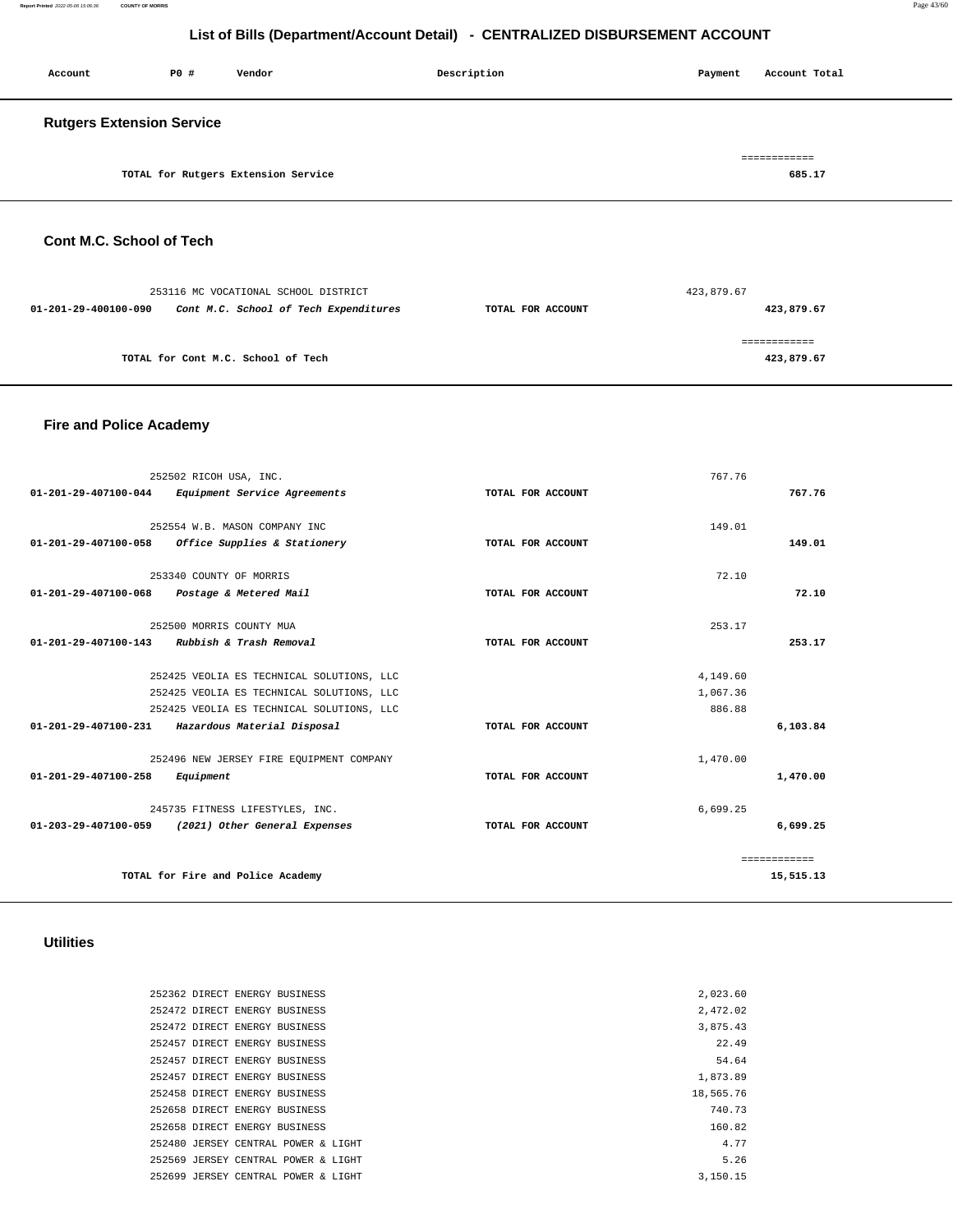**Report Printed** 2022-05-06 15:06:36 **COUNTY OF MORRIS** Page 43/60

## **List of Bills (Department/Account Detail) - CENTRALIZED DISBURSEMENT ACCOUNT**

| Account                          | P0 # | Vendor                              | Description | Payment | Account Total      |
|----------------------------------|------|-------------------------------------|-------------|---------|--------------------|
| <b>Rutgers Extension Service</b> |      |                                     |             |         |                    |
|                                  |      | TOTAL for Rutgers Extension Service |             |         | ========<br>685.17 |

## **Cont M.C. School of Tech**

|                      | 253116 MC VOCATIONAL SCHOOL DISTRICT  |                   | 423,879.67 |
|----------------------|---------------------------------------|-------------------|------------|
| 01-201-29-400100-090 | Cont M.C. School of Tech Expenditures | TOTAL FOR ACCOUNT | 423,879.67 |
|                      |                                       |                   |            |
|                      | TOTAL for Cont M.C. School of Tech    |                   | 423,879.67 |

## **Fire and Police Academy**

|                                | 252502 RICOH USA, INC.                             |                   | 767.76   |              |
|--------------------------------|----------------------------------------------------|-------------------|----------|--------------|
| 01-201-29-407100-044           | Equipment Service Agreements                       | TOTAL FOR ACCOUNT |          | 767.76       |
|                                |                                                    |                   |          |              |
|                                | 252554 W.B. MASON COMPANY INC                      |                   | 149.01   |              |
| 01-201-29-407100-058           | Office Supplies & Stationery                       | TOTAL FOR ACCOUNT |          | 149.01       |
|                                | 253340 COUNTY OF MORRIS                            |                   | 72.10    |              |
| 01-201-29-407100-068           | Postage & Metered Mail                             | TOTAL FOR ACCOUNT |          | 72.10        |
|                                | 252500 MORRIS COUNTY MUA                           |                   | 253.17   |              |
| $01 - 201 - 29 - 407100 - 143$ | Rubbish & Trash Removal                            | TOTAL FOR ACCOUNT |          | 253.17       |
|                                |                                                    |                   |          |              |
|                                | 252425 VEOLIA ES TECHNICAL SOLUTIONS, LLC          |                   | 4,149.60 |              |
|                                | 252425 VEOLIA ES TECHNICAL SOLUTIONS, LLC          |                   | 1,067.36 |              |
|                                | 252425 VEOLIA ES TECHNICAL SOLUTIONS, LLC          |                   | 886.88   |              |
|                                | 01-201-29-407100-231 Hazardous Material Disposal   | TOTAL FOR ACCOUNT |          | 6,103.84     |
|                                | 252496 NEW JERSEY FIRE EQUIPMENT COMPANY           |                   | 1,470.00 |              |
| 01-201-29-407100-258           | Equipment                                          | TOTAL FOR ACCOUNT |          | 1,470.00     |
|                                | 245735 FITNESS LIFESTYLES, INC.                    |                   | 6,699.25 |              |
|                                | 01-203-29-407100-059 (2021) Other General Expenses | TOTAL FOR ACCOUNT |          | 6,699.25     |
|                                |                                                    |                   |          | ============ |
|                                | TOTAL for Fire and Police Academy                  |                   |          | 15,515.13    |
|                                |                                                    |                   |          |              |

## **Utilities**

| 252362 DIRECT ENERGY BUSINESS       | 2,023.60  |
|-------------------------------------|-----------|
| 252472 DIRECT ENERGY BUSINESS       | 2,472.02  |
| 252472 DIRECT ENERGY BUSINESS       | 3,875.43  |
| 252457 DIRECT ENERGY BUSINESS       | 22.49     |
| 252457 DIRECT ENERGY BUSINESS       | 54.64     |
| 252457 DIRECT ENERGY BUSINESS       | 1,873.89  |
| 252458 DIRECT ENERGY BUSINESS       | 18,565.76 |
| 252658 DIRECT ENERGY BUSINESS       | 740.73    |
| 252658 DIRECT ENERGY BUSINESS       | 160.82    |
| 252480 JERSEY CENTRAL POWER & LIGHT | 4.77      |
| 252569 JERSEY CENTRAL POWER & LIGHT | 5.26      |
| 252699 JERSEY CENTRAL POWER & LIGHT | 3,150.15  |
|                                     |           |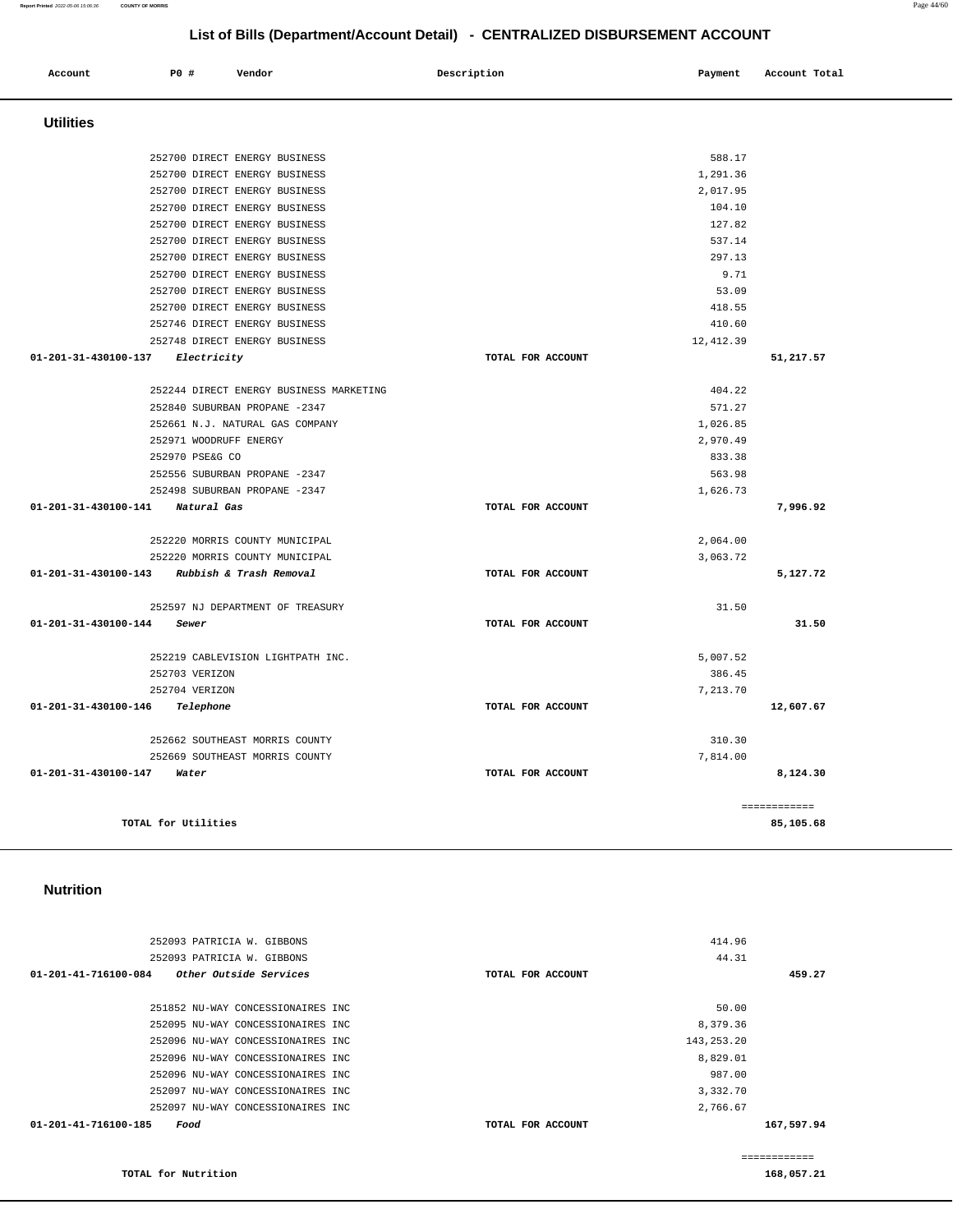#### 252093 PATRICIA W. GIBBONS 252093 PATRICIA W. GIBBONS **01-201-41-716100-084 Other Outside Services TOTAL FOR ACCOUNT**  414.96 44.31 **459.27** 251852 NU-WAY CONCESSIONAIRES INC 252095 NU-WAY CONCESSIONAIRES INC 252096 NU-WAY CONCESSIONAIRES INC 252096 NU-WAY CONCESSIONAIRES INC 252096 NU-WAY CONCESSIONAIRES INC 252097 NU-WAY CONCESSIONAIRES INC 252097 NU-WAY CONCESSIONAIRES INC **01-201-41-716100-185 Food TOTAL FOR ACCOUNT**  50.00 8,379.36 143,253.20 8,829.01 987.00 3,332.70 2,766.67 **167,597.94** ============

#### **Nutrition**

**TOTAL for Nutrition** 

| 252700 DIRECT ENERGY BUSINESS                |                   | 588.17     |              |
|----------------------------------------------|-------------------|------------|--------------|
| 252700 DIRECT ENERGY BUSINESS                |                   | 1,291.36   |              |
| 252700 DIRECT ENERGY BUSINESS                |                   | 2,017.95   |              |
| 252700 DIRECT ENERGY BUSINESS                |                   | 104.10     |              |
| 252700 DIRECT ENERGY BUSINESS                |                   | 127.82     |              |
| 252700 DIRECT ENERGY BUSINESS                |                   | 537.14     |              |
| 252700 DIRECT ENERGY BUSINESS                |                   | 297.13     |              |
| 252700 DIRECT ENERGY BUSINESS                |                   | 9.71       |              |
| 252700 DIRECT ENERGY BUSINESS                |                   | 53.09      |              |
| 252700 DIRECT ENERGY BUSINESS                |                   | 418.55     |              |
| 252746 DIRECT ENERGY BUSINESS                |                   | 410.60     |              |
| 252748 DIRECT ENERGY BUSINESS                |                   | 12, 412.39 |              |
| 01-201-31-430100-137<br>Electricity          | TOTAL FOR ACCOUNT |            | 51,217.57    |
| 252244 DIRECT ENERGY BUSINESS MARKETING      |                   | 404.22     |              |
| 252840 SUBURBAN PROPANE -2347                |                   | 571.27     |              |
| 252661 N.J. NATURAL GAS COMPANY              |                   | 1,026.85   |              |
| 252971 WOODRUFF ENERGY                       |                   | 2,970.49   |              |
| 252970 PSE&G CO                              |                   | 833.38     |              |
| 252556 SUBURBAN PROPANE -2347                |                   | 563.98     |              |
| 252498 SUBURBAN PROPANE -2347                |                   | 1,626.73   |              |
| 01-201-31-430100-141 Natural Gas             | TOTAL FOR ACCOUNT |            | 7,996.92     |
| 252220 MORRIS COUNTY MUNICIPAL               |                   | 2,064.00   |              |
| 252220 MORRIS COUNTY MUNICIPAL               |                   | 3,063.72   |              |
| 01-201-31-430100-143 Rubbish & Trash Removal | TOTAL FOR ACCOUNT |            | 5,127.72     |
| 252597 NJ DEPARTMENT OF TREASURY             |                   | 31.50      |              |
| 01-201-31-430100-144<br>Sewer                | TOTAL FOR ACCOUNT |            | 31.50        |
| 252219 CABLEVISION LIGHTPATH INC.            |                   | 5,007.52   |              |
| 252703 VERIZON                               |                   | 386.45     |              |
| 252704 VERIZON                               |                   | 7.213.70   |              |
| 01-201-31-430100-146<br>Telephone            | TOTAL FOR ACCOUNT |            | 12,607.67    |
| 252662 SOUTHEAST MORRIS COUNTY               |                   | 310.30     |              |
| 252669 SOUTHEAST MORRIS COUNTY               |                   | 7.814.00   |              |
| 01-201-31-430100-147<br>Water                | TOTAL FOR ACCOUNT |            | 8,124.30     |
|                                              |                   |            | ============ |
| TOTAL for Utilities                          |                   |            | 85,105.68    |

| List of Bills (Department/Account Detail) - CENTRALIZED DISBURSEMENT ACCOUNT |             |                                         |                   |            |               |
|------------------------------------------------------------------------------|-------------|-----------------------------------------|-------------------|------------|---------------|
| Account                                                                      | <b>PO #</b> | Vendor                                  | Description       | Payment    | Account Total |
| <b>Utilities</b>                                                             |             |                                         |                   |            |               |
|                                                                              |             | 252700 DIRECT ENERGY BUSINESS           |                   | 588.17     |               |
|                                                                              |             | 252700 DIRECT ENERGY BUSINESS           |                   | 1,291.36   |               |
|                                                                              |             | 252700 DIRECT ENERGY BUSINESS           |                   | 2,017.95   |               |
|                                                                              |             | 252700 DIRECT ENERGY BUSINESS           |                   | 104.10     |               |
|                                                                              |             | 252700 DIRECT ENERGY BUSINESS           |                   | 127.82     |               |
|                                                                              |             | 252700 DIRECT ENERGY BUSINESS           |                   | 537.14     |               |
|                                                                              |             | 252700 DIRECT ENERGY BUSINESS           |                   | 297.13     |               |
|                                                                              |             | 252700 DIRECT ENERGY BUSINESS           |                   | 9.71       |               |
|                                                                              |             | 252700 DIRECT ENERGY BUSINESS           |                   | 53.09      |               |
|                                                                              |             | 252700 DIRECT ENERGY BUSINESS           |                   | 418.55     |               |
|                                                                              |             | 252746 DIRECT ENERGY BUSINESS           |                   | 410.60     |               |
|                                                                              |             | 252748 DIRECT ENERGY BUSINESS           |                   | 12, 412.39 |               |
| $01 - 201 - 31 - 430100 - 137$                                               | Electricity |                                         | TOTAL FOR ACCOUNT |            | 51,217.57     |
|                                                                              |             | 252244 DIRECT ENERGY BUSINESS MARKETING |                   | 404.22     |               |
|                                                                              |             | 252840 SUBURBAN PROPANE -2347           |                   | 571.27     |               |
|                                                                              |             | 252661 N J NATHEAL CAS COMBANY          |                   | 1 026 85   |               |

**168,057.21**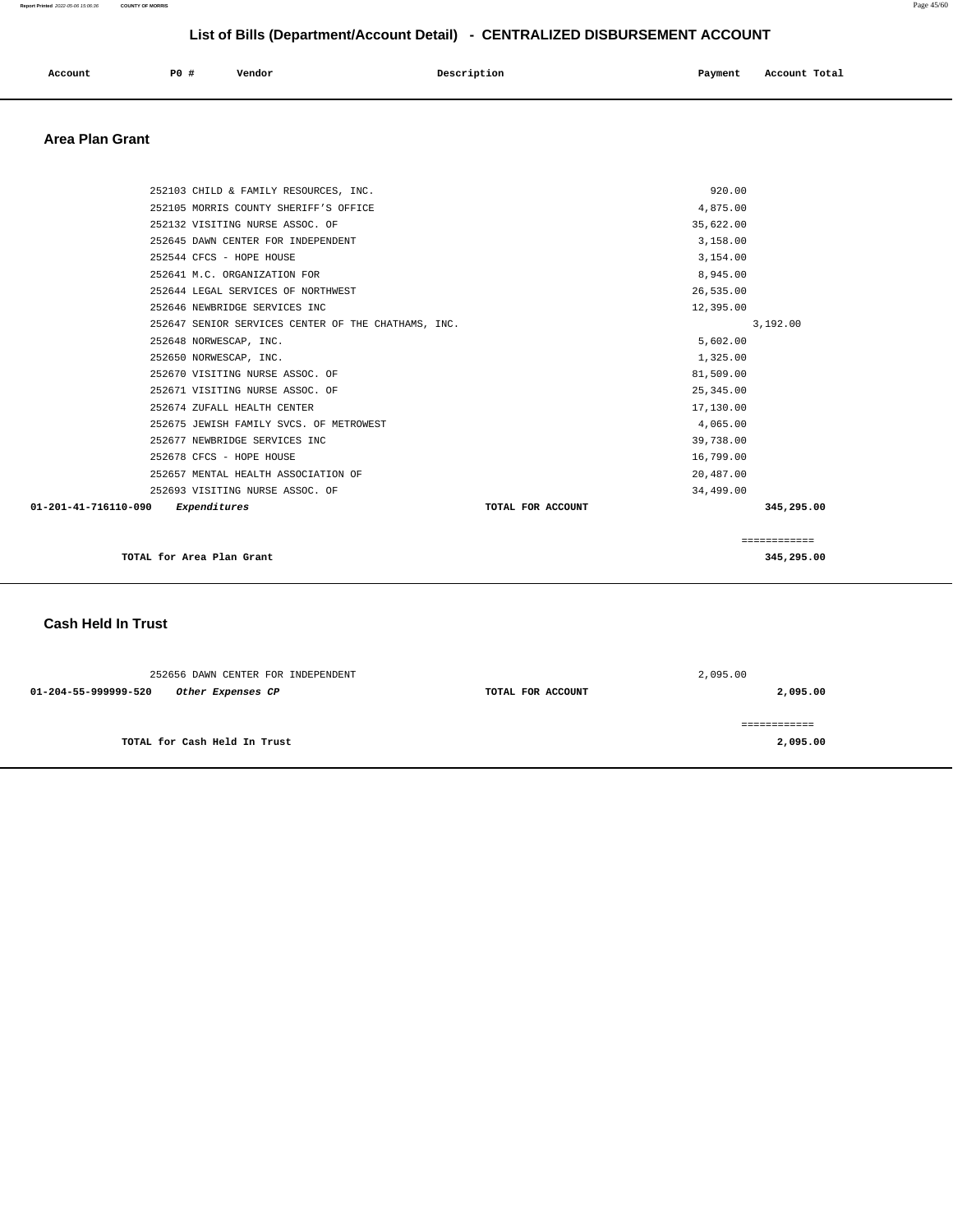| Account<br>. | P0# | Vendor | Description | Payment | Total<br>Account |
|--------------|-----|--------|-------------|---------|------------------|
|              |     |        |             |         |                  |

### **Area Plan Grant**

|                      | TOTAL for Area Plan Grant                                                |                       | 345,295.00   |
|----------------------|--------------------------------------------------------------------------|-----------------------|--------------|
|                      |                                                                          |                       | ============ |
| 01-201-41-716110-090 | Expenditures                                                             | TOTAL FOR ACCOUNT     | 345,295.00   |
|                      | 252693 VISITING NURSE ASSOC. OF                                          | 34,499.00             |              |
|                      | 252657 MENTAL HEALTH ASSOCIATION OF                                      | 20,487.00             |              |
|                      | 252678 CFCS - HOPE HOUSE                                                 | 16,799.00             |              |
|                      | 252677 NEWBRIDGE SERVICES INC                                            | 39,738.00             |              |
|                      | 252675 JEWISH FAMILY SVCS. OF METROWEST                                  | 4,065.00              |              |
|                      | 252674 ZUFALL HEALTH CENTER                                              | 17,130.00             |              |
|                      | 252671 VISITING NURSE ASSOC. OF                                          | 25, 345.00            |              |
|                      | 252670 VISITING NURSE ASSOC. OF                                          | 81,509.00             |              |
|                      | 252650 NORWESCAP, INC.                                                   | 1,325.00              |              |
|                      | 252648 NORWESCAP, INC.                                                   | 5,602.00              |              |
|                      | 252647 SENIOR SERVICES CENTER OF THE CHATHAMS, INC.                      |                       | 3,192.00     |
|                      | 252646 NEWBRIDGE SERVICES INC                                            | 12,395.00             |              |
|                      | 252644 LEGAL SERVICES OF NORTHWEST                                       | 26,535.00             |              |
|                      | 252641 M.C. ORGANIZATION FOR                                             | 8,945.00              |              |
|                      | 252544 CFCS - HOPE HOUSE                                                 | 3,154.00              |              |
|                      | 252645 DAWN CENTER FOR INDEPENDENT                                       | 35,622.00<br>3,158.00 |              |
|                      | 252105 MORRIS COUNTY SHERIFF'S OFFICE<br>252132 VISITING NURSE ASSOC. OF | 4,875.00              |              |
|                      | 252103 CHILD & FAMILY RESOURCES, INC.                                    | 920.00                |              |
|                      |                                                                          |                       |              |

#### **Cash Held In Trust**

| 252656 DAWN CENTER FOR INDEPENDENT        |                   | 2,095.00 |
|-------------------------------------------|-------------------|----------|
| 01-204-55-999999-520<br>Other Expenses CP | TOTAL FOR ACCOUNT | 2,095.00 |
|                                           |                   |          |
| TOTAL for Cash Held In Trust              |                   | 2,095.00 |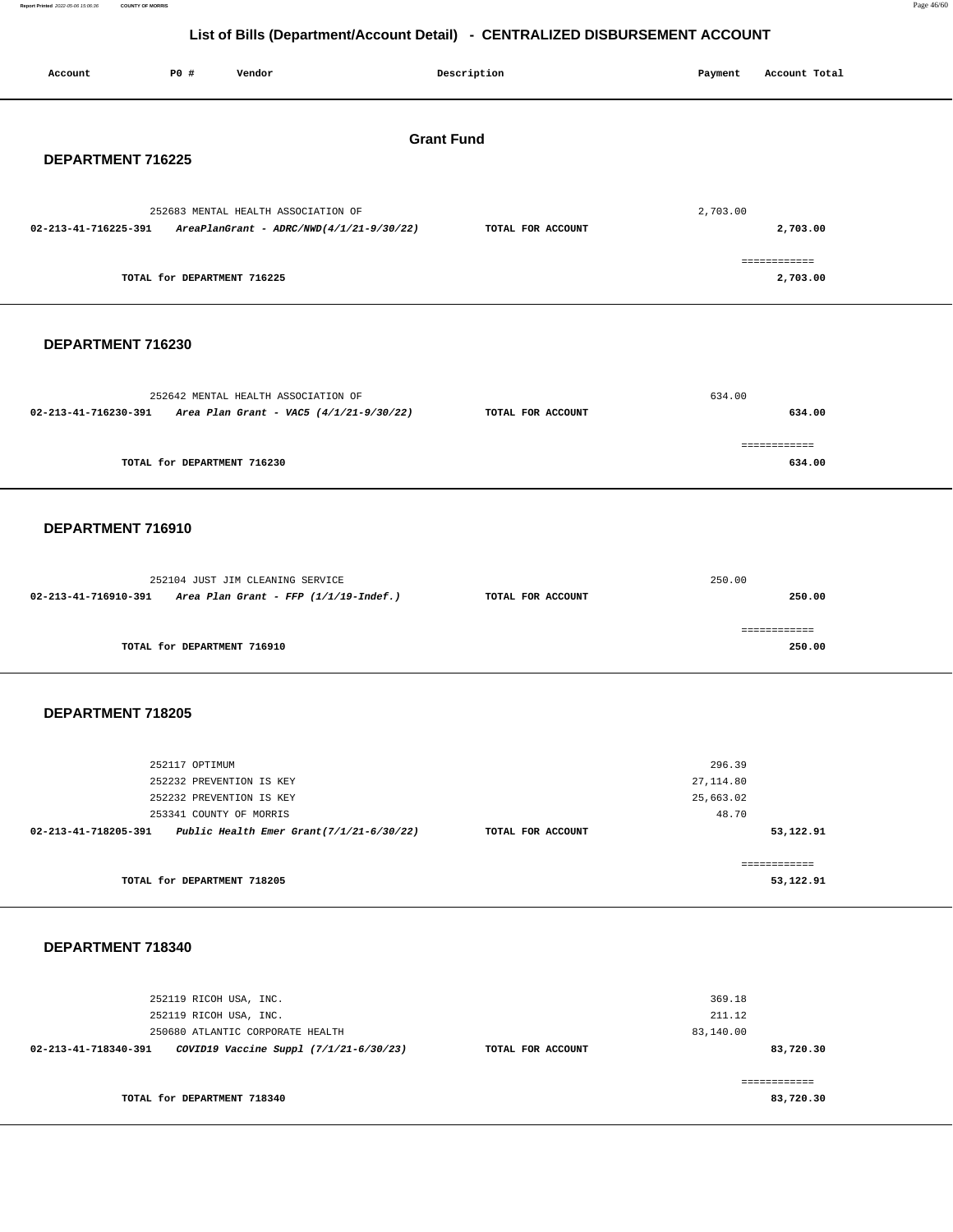**Report Printed** 2022-05-06 15:06:36 **COUNTY OF MORRIS** Page 46/60

**83,720.30**

## **List of Bills (Department/Account Detail) - CENTRALIZED DISBURSEMENT ACCOUNT**

| Account              | <b>PO #</b><br>Vendor                                                                              | Description       | Payment            | Account Total            |  |  |
|----------------------|----------------------------------------------------------------------------------------------------|-------------------|--------------------|--------------------------|--|--|
| <b>Grant Fund</b>    |                                                                                                    |                   |                    |                          |  |  |
| DEPARTMENT 716225    |                                                                                                    |                   |                    |                          |  |  |
| 02-213-41-716225-391 | 252683 MENTAL HEALTH ASSOCIATION OF<br>$AreaPlanGrant - ADRC/NWD(4/1/21-9/30/22)$                  | TOTAL FOR ACCOUNT | 2,703.00           | 2,703.00                 |  |  |
|                      | TOTAL for DEPARTMENT 716225                                                                        |                   |                    | ============<br>2,703.00 |  |  |
|                      |                                                                                                    |                   |                    |                          |  |  |
| DEPARTMENT 716230    |                                                                                                    |                   |                    |                          |  |  |
|                      | 252642 MENTAL HEALTH ASSOCIATION OF                                                                |                   | 634.00             |                          |  |  |
|                      | $02-213-41-716230-391$ Area Plan Grant - VAC5 (4/1/21-9/30/22)                                     | TOTAL FOR ACCOUNT |                    | 634.00                   |  |  |
|                      | TOTAL for DEPARTMENT 716230                                                                        |                   |                    | ============<br>634.00   |  |  |
| DEPARTMENT 716910    |                                                                                                    |                   |                    |                          |  |  |
|                      |                                                                                                    |                   | 250.00             |                          |  |  |
|                      | 252104 JUST JIM CLEANING SERVICE<br>$02-213-41-716910-391$ Area Plan Grant - FFP $(1/1/19-Indef.)$ | TOTAL FOR ACCOUNT |                    | 250.00                   |  |  |
|                      | TOTAL for DEPARTMENT 716910                                                                        |                   |                    | ============<br>250.00   |  |  |
| DEPARTMENT 718205    |                                                                                                    |                   |                    |                          |  |  |
|                      |                                                                                                    |                   |                    |                          |  |  |
|                      | 252117 OPTIMUM                                                                                     |                   | 296.39             |                          |  |  |
|                      | 252232 PREVENTION IS KEY                                                                           |                   | 27, 114.80         |                          |  |  |
|                      | 252232 PREVENTION IS KEY<br>253341 COUNTY OF MORRIS                                                |                   | 25,663.02<br>48.70 |                          |  |  |
|                      | $02 - 213 - 41 - 718205 - 391$ Public Health Emer Grant $(7/1/21 - 6/30/22)$                       | TOTAL FOR ACCOUNT |                    | 53,122.91                |  |  |
|                      |                                                                                                    |                   |                    | ------------             |  |  |
|                      | TOTAL for DEPARTMENT 718205                                                                        |                   |                    | 53,122.91                |  |  |
| DEPARTMENT 718340    |                                                                                                    |                   |                    |                          |  |  |
|                      | 252119 RICOH USA, INC.                                                                             |                   | 369.18             |                          |  |  |
|                      | 252119 RICOH USA, INC.                                                                             |                   | 211.12             |                          |  |  |
|                      | 250680 ATLANTIC CORPORATE HEALTH                                                                   |                   | 83,140.00          |                          |  |  |

**02-213-41-718340-391 COVID19 Vaccine Suppl (7/1/21-6/30/23) TOTAL FOR ACCOUNT TOTAL for DEPARTMENT 718340**  ============ **83,720.30**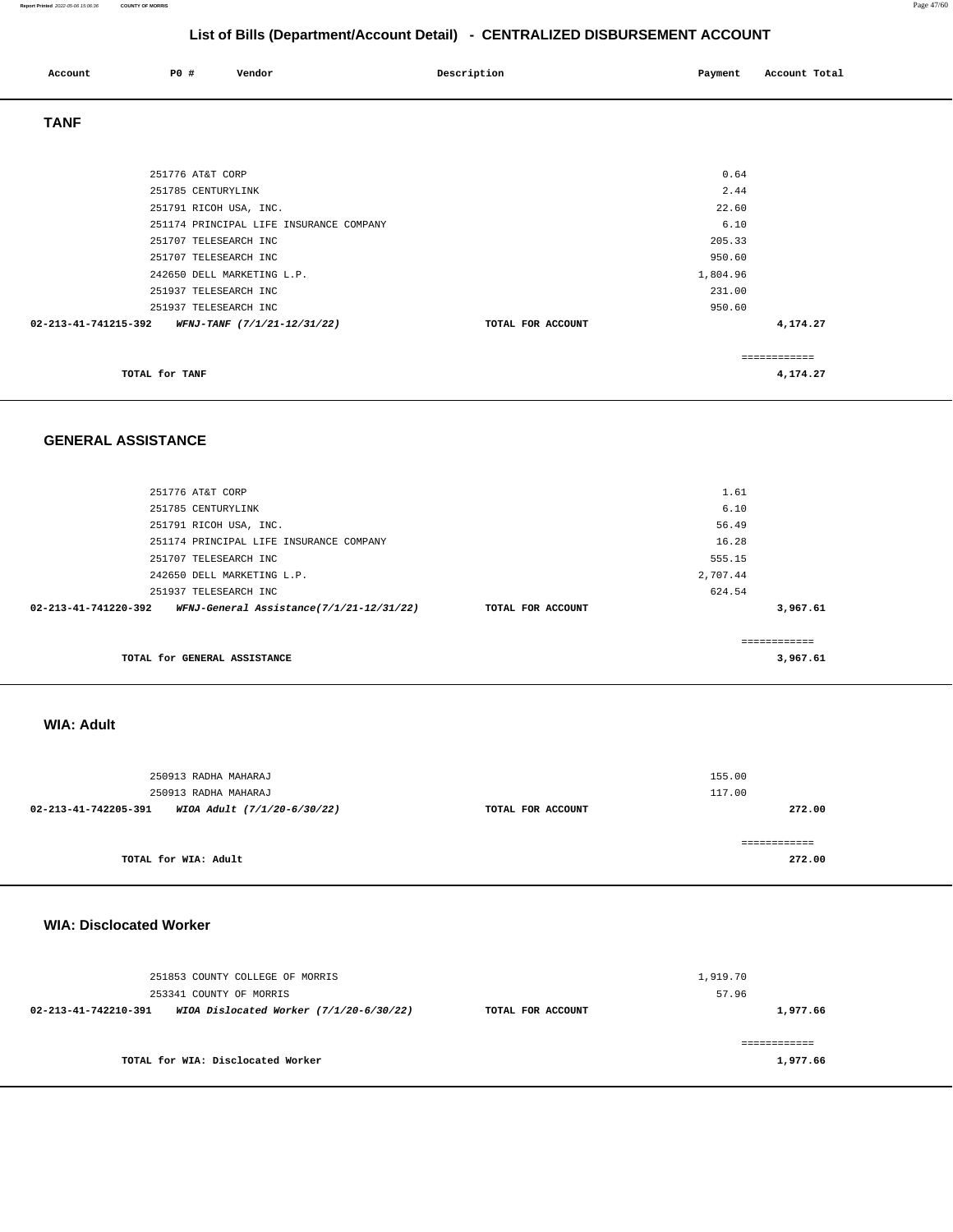#### **Report Printed** 2022-05-06 15:06:36 **COUNTY OF MORRIS** Page 47/60

## **List of Bills (Department/Account Detail) - CENTRALIZED DISBURSEMENT ACCOUNT**

| Account              | P0 #                   | Vendor                                  | Description       | Payment  | Account Total |
|----------------------|------------------------|-----------------------------------------|-------------------|----------|---------------|
| <b>TANF</b>          |                        |                                         |                   |          |               |
|                      |                        |                                         |                   |          |               |
|                      | 251776 AT&T CORP       |                                         |                   | 0.64     |               |
|                      | 251785 CENTURYLINK     |                                         |                   | 2.44     |               |
|                      | 251791 RICOH USA, INC. |                                         |                   | 22.60    |               |
|                      |                        | 251174 PRINCIPAL LIFE INSURANCE COMPANY |                   | 6.10     |               |
|                      | 251707 TELESEARCH INC  |                                         |                   | 205.33   |               |
|                      | 251707 TELESEARCH INC  |                                         |                   | 950.60   |               |
|                      |                        | 242650 DELL MARKETING L.P.              |                   | 1,804.96 |               |
|                      | 251937 TELESEARCH INC  |                                         |                   | 231.00   |               |
|                      | 251937 TELESEARCH INC  |                                         |                   | 950.60   |               |
| 02-213-41-741215-392 |                        | WFNJ-TANF (7/1/21-12/31/22)             | TOTAL FOR ACCOUNT |          | 4,174.27      |
|                      |                        |                                         |                   |          | ============  |
|                      | TOTAL for TANF         |                                         |                   |          | 4,174.27      |

#### **GENERAL ASSISTANCE**

| 251776 AT&T CORP                                                           |                   | 1.61     |             |
|----------------------------------------------------------------------------|-------------------|----------|-------------|
| 251785 CENTURYLINK                                                         |                   | 6.10     |             |
| 251791 RICOH USA, INC.                                                     |                   | 56.49    |             |
| 251174 PRINCIPAL LIFE INSURANCE COMPANY                                    |                   | 16.28    |             |
| 251707 TELESEARCH INC                                                      |                   | 555.15   |             |
| 242650 DELL MARKETING L.P.                                                 |                   | 2,707.44 |             |
| 251937 TELESEARCH INC                                                      |                   | 624.54   |             |
| WFNJ-General Assistance(7/1/21-12/31/22)<br>$02 - 213 - 41 - 741220 - 392$ | TOTAL FOR ACCOUNT |          | 3,967.61    |
|                                                                            |                   |          | ----------- |
| TOTAL for GENERAL ASSISTANCE                                               |                   |          | 3,967.61    |

#### **WIA: Adult**

|                      | 250913 RADHA MAHARAJ<br>250913 RADHA MAHARAJ |                   | 155.00<br>117.00       |
|----------------------|----------------------------------------------|-------------------|------------------------|
| 02-213-41-742205-391 | WIOA Adult (7/1/20-6/30/22)                  | TOTAL FOR ACCOUNT | 272.00                 |
|                      | TOTAL for WIA: Adult                         |                   | ============<br>272.00 |

#### **WIA: Disclocated Worker**

|                      | 251853 COUNTY COLLEGE OF MORRIS<br>253341 COUNTY OF MORRIS |                   | 1,919.70<br>57.96 |
|----------------------|------------------------------------------------------------|-------------------|-------------------|
| 02-213-41-742210-391 | WIOA Dislocated Worker $(7/1/20-6/30/22)$                  | TOTAL FOR ACCOUNT | 1,977.66          |
|                      | TOTAL for WIA: Disclocated Worker                          |                   | 1,977.66          |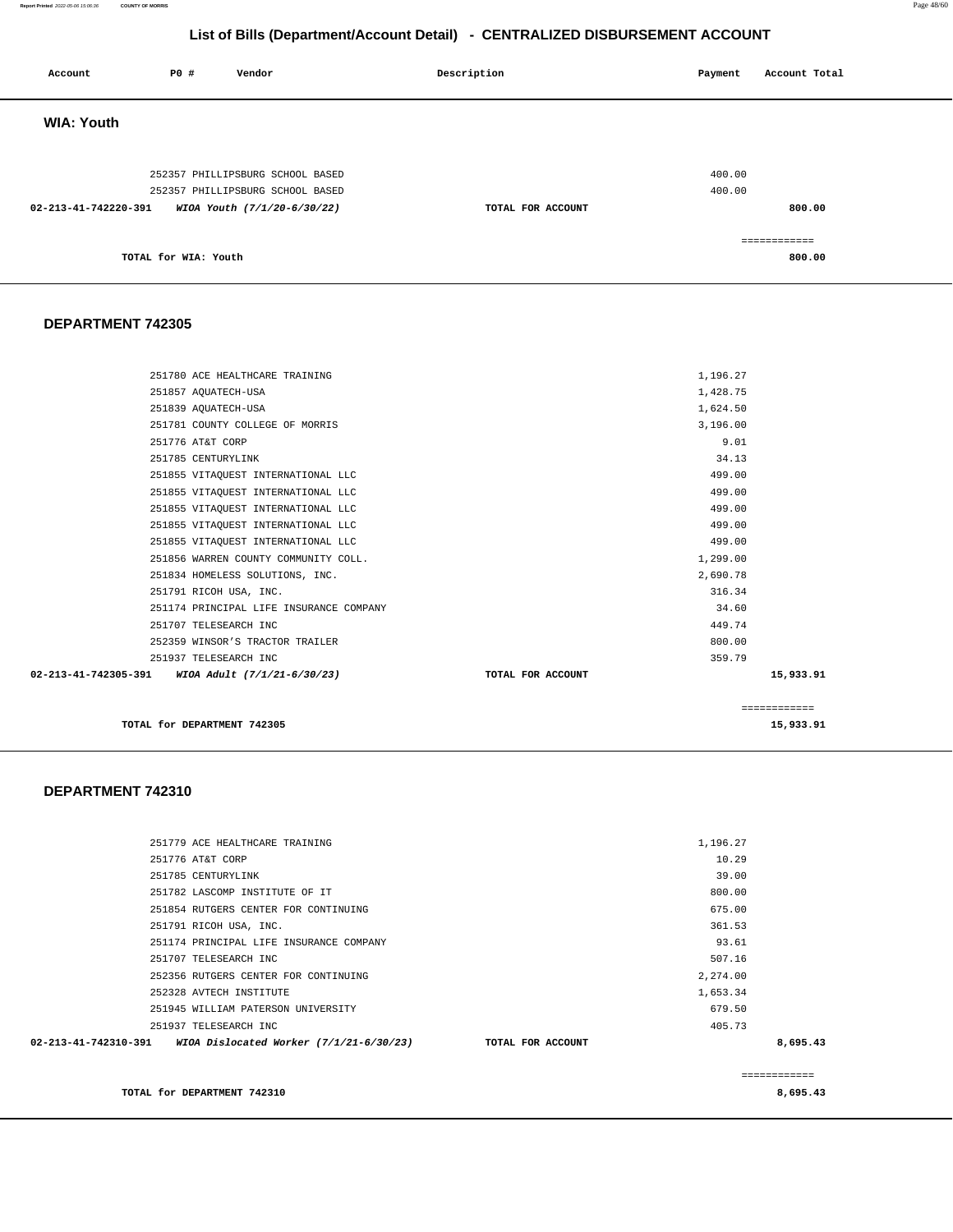**Report Printed** 2022-05-06 15:06:36 **COUNTY OF MORRIS** Page 48/60

## **List of Bills (Department/Account Detail) - CENTRALIZED DISBURSEMENT ACCOUNT**

| Account              | P0 #                 | Vendor                                                          | Description       | Payment | Account Total          |
|----------------------|----------------------|-----------------------------------------------------------------|-------------------|---------|------------------------|
| <b>WIA: Youth</b>    |                      |                                                                 |                   |         |                        |
|                      |                      | 252357 PHILLIPSBURG SCHOOL BASED                                |                   | 400.00  |                        |
| 02-213-41-742220-391 |                      | 252357 PHILLIPSBURG SCHOOL BASED<br>WIOA Youth (7/1/20-6/30/22) | TOTAL FOR ACCOUNT | 400.00  | 800.00                 |
|                      | TOTAL for WIA: Youth |                                                                 |                   |         | ============<br>800.00 |

#### **DEPARTMENT 742305**

|                                                                |                   | ============ |
|----------------------------------------------------------------|-------------------|--------------|
| $02 - 213 - 41 - 742305 - 391$ WIOA Adult $(7/1/21 - 6/30/23)$ | TOTAL FOR ACCOUNT | 15,933.91    |
| 251937 TELESEARCH INC                                          | 359.79            |              |
| 252359 WINSOR'S TRACTOR TRAILER                                | 800.00            |              |
| 251707 TELESEARCH INC                                          | 449.74            |              |
| 251174 PRINCIPAL LIFE INSURANCE COMPANY                        | 34.60             |              |
| 251791 RICOH USA, INC.                                         | 316.34            |              |
| 251834 HOMELESS SOLUTIONS, INC.                                | 2,690.78          |              |
| 251856 WARREN COUNTY COMMUNITY COLL.                           | 1,299.00          |              |
| 251855 VITAQUEST INTERNATIONAL LLC                             | 499.00            |              |
| 251855 VITAQUEST INTERNATIONAL LLC                             | 499.00            |              |
| 251855 VITAQUEST INTERNATIONAL LLC                             | 499.00            |              |
| 251855 VITAQUEST INTERNATIONAL LLC                             | 499.00            |              |
| 251855 VITAQUEST INTERNATIONAL LLC                             | 499.00            |              |
| 251785 CENTURYLINK                                             | 34.13             |              |
| 251776 AT&T CORP                                               | 9.01              |              |
| 251781 COUNTY COLLEGE OF MORRIS                                | 3,196.00          |              |
| 251839 AQUATECH-USA                                            | 1,624.50          |              |
| 251857 AQUATECH-USA                                            | 1,428.75          |              |
| 251780 ACE HEALTHCARE TRAINING                                 | 1,196.27          |              |
|                                                                |                   |              |

**TOTAL for DEPARTMENT 742305** 15,933.91

#### **DEPARTMENT 742310**

| 02-213-41-742310-391 | WIOA Dislocated Worker $(7/1/21 - 6/30/23)$ TOTAL FOR ACCOUNT |          | 8,695.43 |
|----------------------|---------------------------------------------------------------|----------|----------|
|                      | 251937 TELESEARCH INC                                         | 405.73   |          |
|                      | 251945 WILLIAM PATERSON UNIVERSITY                            | 679.50   |          |
|                      | 252328 AVTECH INSTITUTE                                       | 1,653.34 |          |
|                      | 252356 RUTGERS CENTER FOR CONTINUING                          | 2,274.00 |          |
|                      | 251707 TELESEARCH INC                                         | 507.16   |          |
|                      | 251174 PRINCIPAL LIFE INSURANCE COMPANY                       | 93.61    |          |
|                      | 251791 RICOH USA, INC.                                        | 361.53   |          |
|                      | 251854 RUTGERS CENTER FOR CONTINUING                          | 675.00   |          |
|                      | 251782 LASCOMP INSTITUTE OF IT                                | 800.00   |          |
|                      | 251785 CENTURYLINK                                            | 39.00    |          |
|                      | 251776 AT&T CORP                                              | 10.29    |          |
|                      | 251779 ACE HEALTHCARE TRAINING                                | 1,196.27 |          |
|                      |                                                               |          |          |

**TOTAL for DEPARTMENT 742310 8,695.43**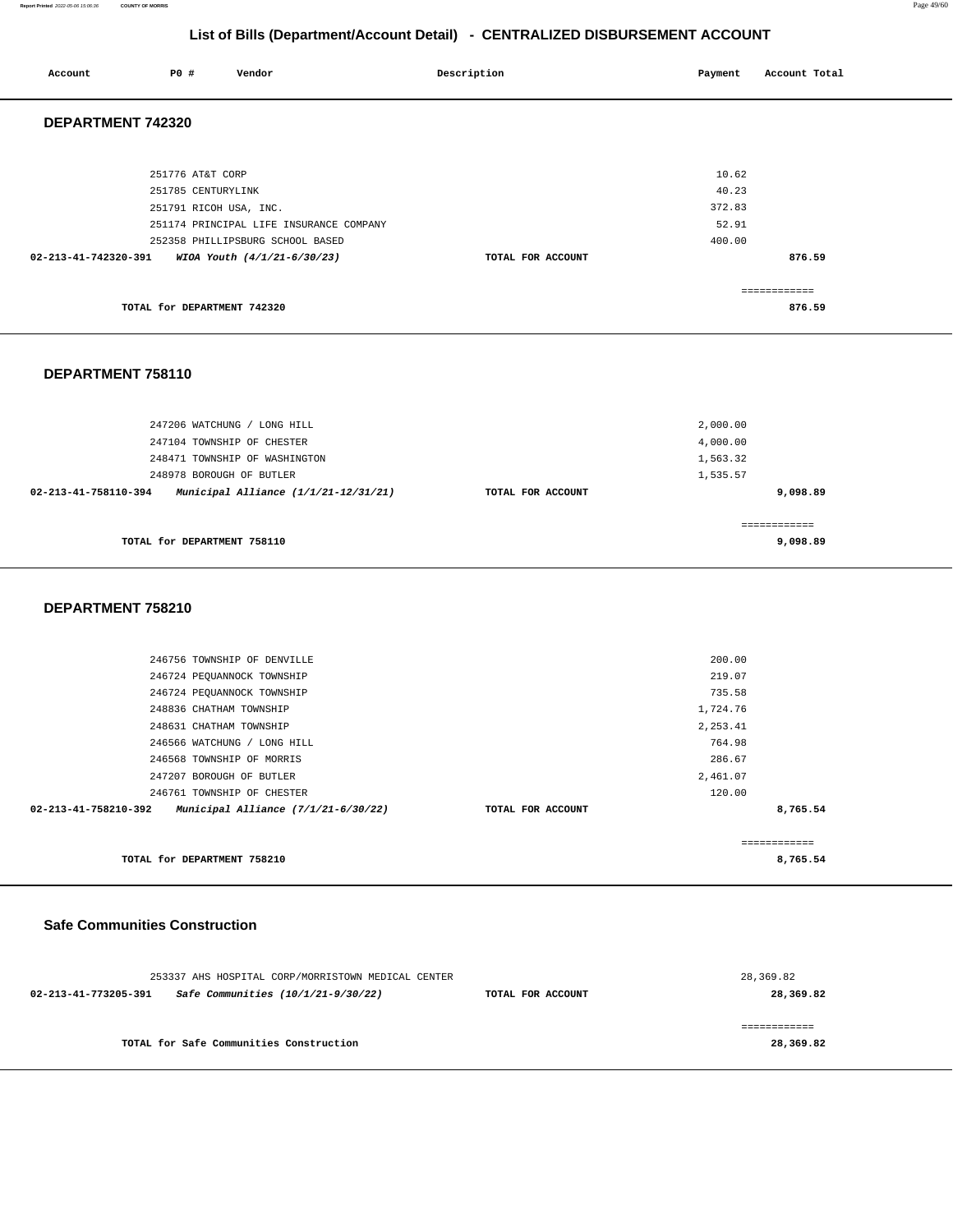**Report Printed** 2022-05-06 15:06:36 **COUNTY OF MORRIS** Page 49/60

## **List of Bills (Department/Account Detail) - CENTRALIZED DISBURSEMENT ACCOUNT**

| Account              | P0 #                                   | Vendor                                                          | Description       | Payment         | Account Total          |
|----------------------|----------------------------------------|-----------------------------------------------------------------|-------------------|-----------------|------------------------|
| DEPARTMENT 742320    |                                        |                                                                 |                   |                 |                        |
|                      | 251776 AT&T CORP<br>251785 CENTURYLINK |                                                                 |                   | 10.62<br>40.23  |                        |
|                      | 251791 RICOH USA, INC.                 | 251174 PRINCIPAL LIFE INSURANCE COMPANY                         |                   | 372.83<br>52.91 |                        |
| 02-213-41-742320-391 |                                        | 252358 PHILLIPSBURG SCHOOL BASED<br>WIOA Youth (4/1/21-6/30/23) | TOTAL FOR ACCOUNT | 400.00          | 876.59                 |
|                      | TOTAL for DEPARTMENT 742320            |                                                                 |                   |                 | ============<br>876.59 |

#### **DEPARTMENT 758110**

| 247206 WATCHUNG / LONG HILL<br>247104 TOWNSHIP OF CHESTER    |                   | 2,000.00<br>4,000.00      |
|--------------------------------------------------------------|-------------------|---------------------------|
| 248471 TOWNSHIP OF WASHINGTON                                |                   | 1,563.32                  |
| 248978 BOROUGH OF BUTLER                                     |                   | 1,535.57                  |
| Municipal Alliance (1/1/21-12/31/21)<br>02-213-41-758110-394 | TOTAL FOR ACCOUNT | 9,098.89                  |
| TOTAL for DEPARTMENT 758110                                  |                   | -------------<br>9,098.89 |

#### **DEPARTMENT 758210**

| TOTAL for DEPARTMENT 758210                                   |                   | 8,765.54      |  |
|---------------------------------------------------------------|-------------------|---------------|--|
|                                                               |                   | ------------- |  |
| Municipal Alliance $(7/1/21-6/30/22)$<br>02-213-41-758210-392 | TOTAL FOR ACCOUNT | 8,765.54      |  |
| 246761 TOWNSHIP OF CHESTER                                    |                   | 120.00        |  |
| 247207 BOROUGH OF BUTLER                                      |                   | 2,461.07      |  |
| 246568 TOWNSHIP OF MORRIS                                     |                   | 286.67        |  |
| 246566 WATCHUNG / LONG HILL                                   |                   | 764.98        |  |
| 248631 CHATHAM TOWNSHIP                                       |                   | 2, 253.41     |  |
| 248836 CHATHAM TOWNSHIP                                       |                   | 1,724.76      |  |
| 246724 PEQUANNOCK TOWNSHIP                                    |                   | 735.58        |  |
| 246724 PEQUANNOCK TOWNSHIP                                    |                   | 219.07        |  |
| 246756 TOWNSHIP OF DENVILLE                                   |                   | 200.00        |  |
|                                                               |                   |               |  |

#### **Safe Communities Construction**

| 253337 AHS HOSPITAL CORP/MORRISTOWN MEDICAL CENTER         |                   | 28,369.82 |
|------------------------------------------------------------|-------------------|-----------|
| Safe Communities (10/1/21-9/30/22)<br>02-213-41-773205-391 | TOTAL FOR ACCOUNT | 28,369.82 |
|                                                            |                   |           |
|                                                            |                   |           |
| TOTAL for Safe Communities Construction                    |                   | 28,369.82 |
|                                                            |                   |           |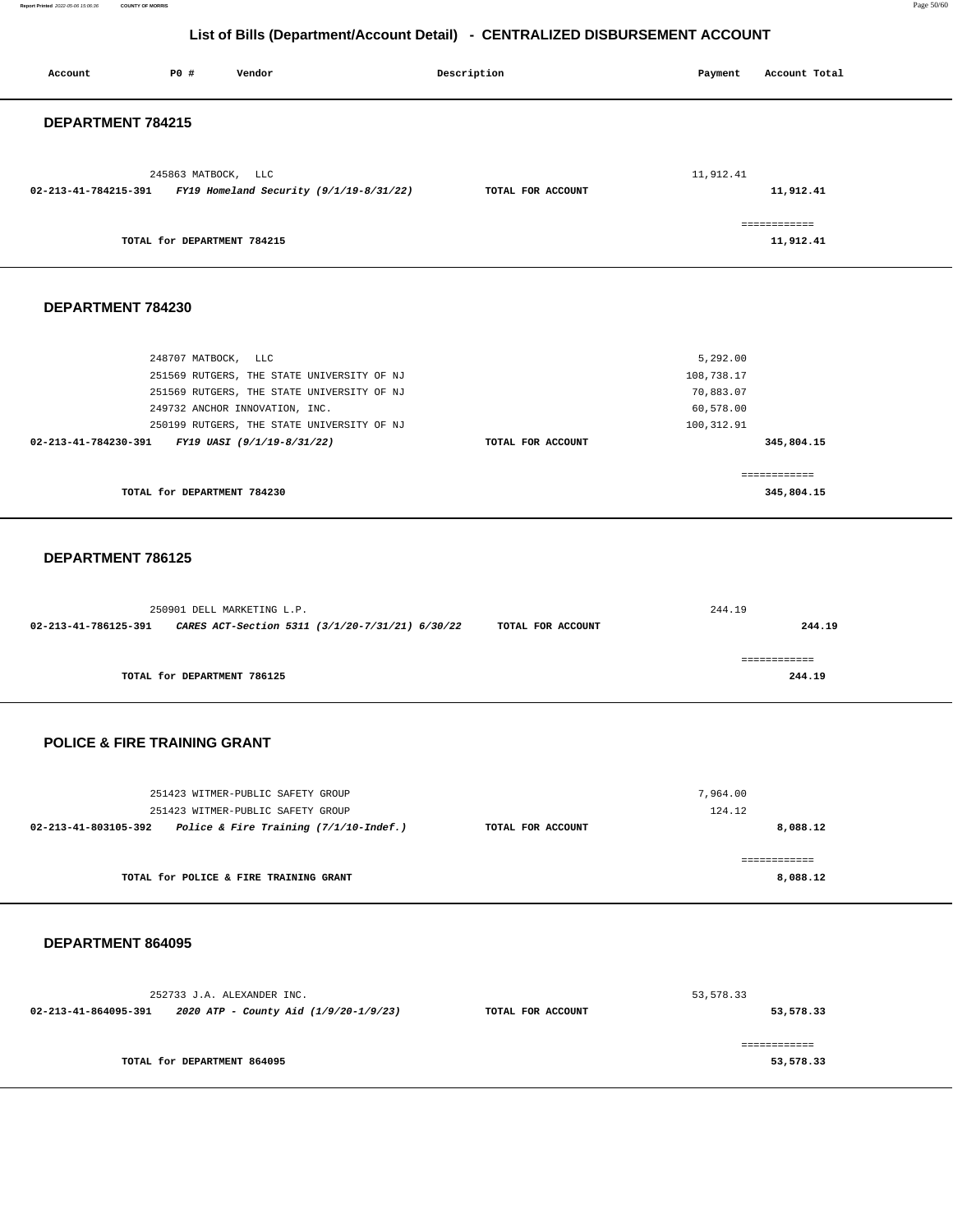**Report Printed** 2022-05-06 15:06:36 **COUNTY OF MORRIS** Page 50/60

## **List of Bills (Department/Account Detail) - CENTRALIZED DISBURSEMENT ACCOUNT**

| Account                                         | PO#                         | Vendor                                                                                                                                                                   | Description       |                   | Payment                                                        | Account Total              |  |
|-------------------------------------------------|-----------------------------|--------------------------------------------------------------------------------------------------------------------------------------------------------------------------|-------------------|-------------------|----------------------------------------------------------------|----------------------------|--|
| DEPARTMENT 784215                               |                             |                                                                                                                                                                          |                   |                   |                                                                |                            |  |
|                                                 | 245863 MATBOCK, LLC         | 02-213-41-784215-391 FY19 Homeland Security (9/1/19-8/31/22)                                                                                                             | TOTAL FOR ACCOUNT |                   | 11,912.41                                                      | 11,912.41                  |  |
|                                                 | TOTAL for DEPARTMENT 784215 |                                                                                                                                                                          |                   |                   |                                                                | ============<br>11,912.41  |  |
| DEPARTMENT 784230                               |                             |                                                                                                                                                                          |                   |                   |                                                                |                            |  |
| 02-213-41-784230-391 FY19 UASI (9/1/19-8/31/22) | 248707 MATBOCK, LLC         | 251569 RUTGERS, THE STATE UNIVERSITY OF NJ<br>251569 RUTGERS, THE STATE UNIVERSITY OF NJ<br>249732 ANCHOR INNOVATION, INC.<br>250199 RUTGERS, THE STATE UNIVERSITY OF NJ |                   | TOTAL FOR ACCOUNT | 5,292.00<br>108,738.17<br>70,883.07<br>60,578.00<br>100,312.91 | 345,804.15                 |  |
|                                                 | TOTAL for DEPARTMENT 784230 |                                                                                                                                                                          |                   |                   |                                                                | ------------<br>345,804.15 |  |
| DEPARTMENT 786125                               |                             |                                                                                                                                                                          |                   |                   |                                                                |                            |  |
| 02-213-41-786125-391                            |                             | 250901 DELL MARKETING L.P.<br>CARES ACT-Section 5311 (3/1/20-7/31/21) 6/30/22                                                                                            |                   | TOTAL FOR ACCOUNT | 244.19                                                         | 244.19                     |  |
|                                                 | TOTAL for DEPARTMENT 786125 |                                                                                                                                                                          |                   |                   |                                                                | ============<br>244.19     |  |
| <b>POLICE &amp; FIRE TRAINING GRANT</b>         |                             |                                                                                                                                                                          |                   |                   |                                                                |                            |  |
|                                                 |                             | 251423 WITMER-PUBLIC SAFETY GROUP<br>251423 WITMER-PUBLIC SAFETY GROUP<br>02-213-41-803105-392 Police & Fire Training (7/1/10-Indef.)                                    | TOTAL FOR ACCOUNT |                   | 7,964.00<br>124.12                                             | 8,088.12                   |  |
|                                                 |                             | TOTAL for POLICE & FIRE TRAINING GRANT                                                                                                                                   |                   |                   |                                                                | ============<br>8,088.12   |  |
| DEPARTMENT 864095                               |                             |                                                                                                                                                                          |                   |                   |                                                                |                            |  |
|                                                 |                             | 252733 J.A. ALEXANDER INC.<br>$02-213-41-864095-391$ 2020 ATP - County Aid (1/9/20-1/9/23)                                                                               | TOTAL FOR ACCOUNT |                   | 53,578.33                                                      | 53,578.33                  |  |
|                                                 | TOTAL for DEPARTMENT 864095 |                                                                                                                                                                          |                   |                   |                                                                | ============<br>53,578.33  |  |
|                                                 |                             |                                                                                                                                                                          |                   |                   |                                                                |                            |  |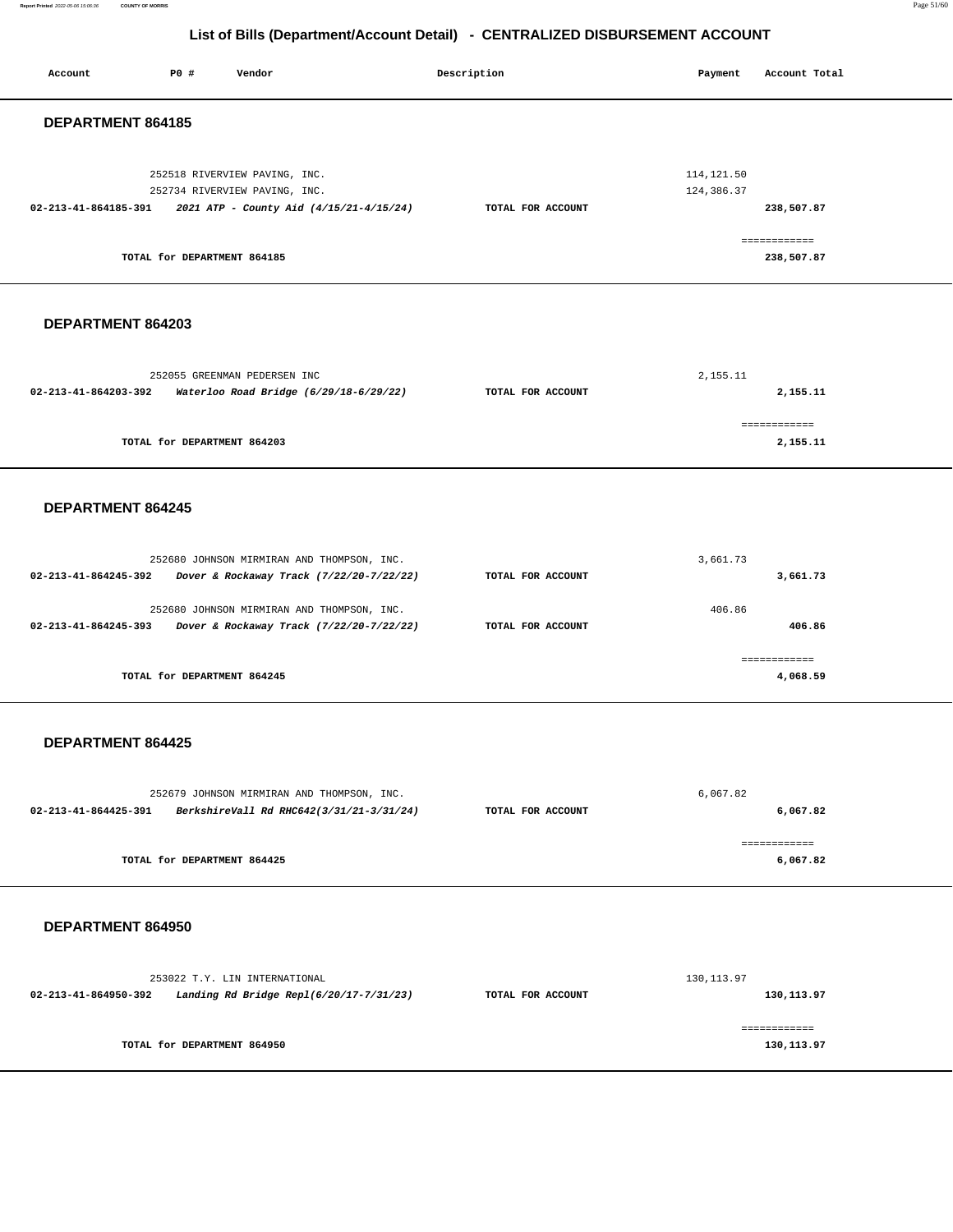**Report Printed** 2022-05-06 15:06:36 **COUNTY OF MORRIS** Page 51/60

| List of Bills (Department/Account Detail) - CENTRALIZED DISBURSEMENT ACCOUNT                                                                                     |                   |                                                                       |  |  |  |  |
|------------------------------------------------------------------------------------------------------------------------------------------------------------------|-------------------|-----------------------------------------------------------------------|--|--|--|--|
| P0 #<br>Account<br>Vendor                                                                                                                                        | Description       | Payment<br>Account Total                                              |  |  |  |  |
| DEPARTMENT 864185                                                                                                                                                |                   |                                                                       |  |  |  |  |
| 252518 RIVERVIEW PAVING, INC.<br>252734 RIVERVIEW PAVING, INC.<br>02-213-41-864185-391<br>2021 ATP - County Aid (4/15/21-4/15/24)<br>TOTAL for DEPARTMENT 864185 | TOTAL FOR ACCOUNT | 114, 121.50<br>124,386.37<br>238,507.87<br>============<br>238,507.87 |  |  |  |  |
| DEPARTMENT 864203                                                                                                                                                |                   |                                                                       |  |  |  |  |
| 252055 GREENMAN PEDERSEN INC<br>02-213-41-864203-392<br>Waterloo Road Bridge (6/29/18-6/29/22)                                                                   | TOTAL FOR ACCOUNT | 2,155.11<br>2,155.11                                                  |  |  |  |  |
| TOTAL for DEPARTMENT 864203                                                                                                                                      |                   | ------------<br>2,155.11                                              |  |  |  |  |
| DEPARTMENT 864245                                                                                                                                                |                   |                                                                       |  |  |  |  |
| 252680 JOHNSON MIRMIRAN AND THOMPSON, INC.<br>02-213-41-864245-392<br>Dover & Rockaway Track (7/22/20-7/22/22)                                                   | TOTAL FOR ACCOUNT | 3,661.73<br>3,661.73                                                  |  |  |  |  |
| 252680 JOHNSON MIRMIRAN AND THOMPSON, INC.<br>02-213-41-864245-393<br>Dover & Rockaway Track (7/22/20-7/22/22)                                                   | TOTAL FOR ACCOUNT | 406.86<br>406.86                                                      |  |  |  |  |
| TOTAL for DEPARTMENT 864245                                                                                                                                      |                   | ============<br>4,068.59                                              |  |  |  |  |
| DEPARTMENT 864425                                                                                                                                                |                   |                                                                       |  |  |  |  |
| 252679 JOHNSON MIRMIRAN AND THOMPSON, INC.<br>BerkshireVall Rd RHC642(3/31/21-3/31/24)<br>02-213-41-864425-391                                                   | TOTAL FOR ACCOUNT | 6,067.82<br>6,067.82<br>============                                  |  |  |  |  |

**TOTAL for DEPARTMENT 864425** 

 **DEPARTMENT 864950** 

253022 T.Y. LIN INTERNATIONAL **02-213-41-864950-392 Landing Rd Bridge Repl(6/20/17-7/31/23) TOTAL FOR ACCOUNT**  130,113.97 **130,113.97 TOTAL for DEPARTMENT 864950**  ============ **130,113.97** 

**6,067.82**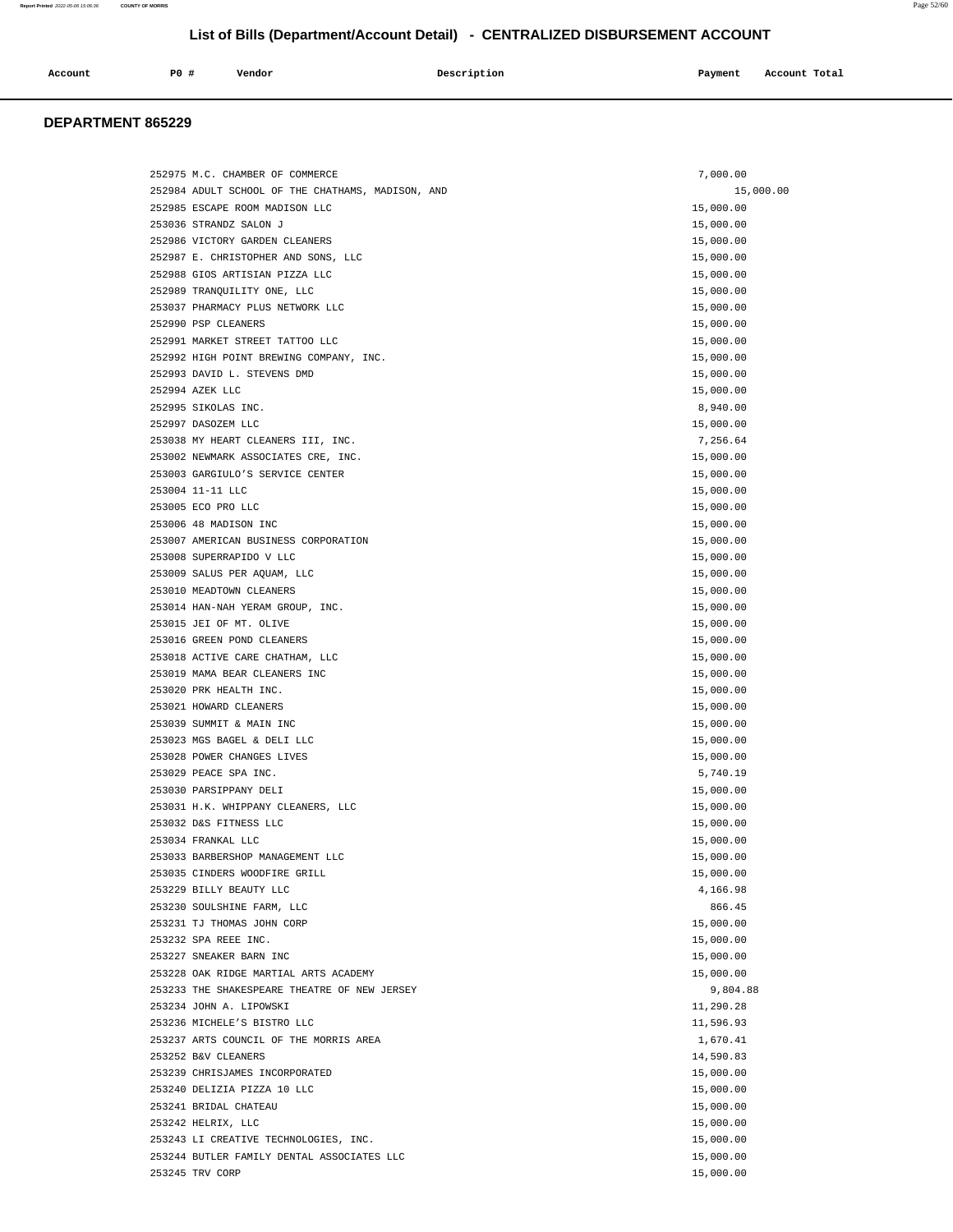| Account | P0 # | Vendor | Description | Payment | Account Total |
|---------|------|--------|-------------|---------|---------------|
|         |      |        |             |         |               |

## **DEPARTMENT 865229**

| 252975 M.C. CHAMBER OF COMMERCE                         | 7,000.00  |
|---------------------------------------------------------|-----------|
| 252984 ADULT SCHOOL OF THE CHATHAMS, MADISON, AND       | 15,000.00 |
| 252985 ESCAPE ROOM MADISON LLC                          | 15,000.00 |
| 253036 STRANDZ SALON J                                  | 15,000.00 |
| 252986 VICTORY GARDEN CLEANERS                          | 15,000.00 |
| 252987 E. CHRISTOPHER AND SONS, LLC                     | 15,000.00 |
| 252988 GIOS ARTISIAN PIZZA LLC                          | 15,000.00 |
| 252989 TRANQUILITY ONE, LLC                             | 15,000.00 |
| 253037 PHARMACY PLUS NETWORK LLC                        | 15,000.00 |
| 252990 PSP CLEANERS                                     | 15,000.00 |
| 252991 MARKET STREET TATTOO LLC                         | 15,000.00 |
| 252992 HIGH POINT BREWING COMPANY, INC.                 | 15,000.00 |
| 252993 DAVID L. STEVENS DMD                             | 15,000.00 |
| 252994 AZEK LLC                                         | 15,000.00 |
| 252995 SIKOLAS INC.                                     | 8,940.00  |
| 252997 DASOZEM LLC                                      | 15,000.00 |
| 253038 MY HEART CLEANERS III, INC.                      | 7,256.64  |
| 253002 NEWMARK ASSOCIATES CRE, INC.                     | 15,000.00 |
| 253003 GARGIULO'S SERVICE CENTER                        | 15,000.00 |
| 253004 11-11 LLC                                        | 15,000.00 |
| 253005 ECO PRO LLC                                      | 15,000.00 |
| 253006 48 MADISON INC                                   | 15,000.00 |
| 253007 AMERICAN BUSINESS CORPORATION                    | 15,000.00 |
| 253008 SUPERRAPIDO V LLC                                | 15,000.00 |
|                                                         |           |
| 253009 SALUS PER AQUAM, LLC<br>253010 MEADTOWN CLEANERS | 15,000.00 |
|                                                         | 15,000.00 |
| 253014 HAN-NAH YERAM GROUP, INC.                        | 15,000.00 |
| 253015 JEI OF MT. OLIVE                                 | 15,000.00 |
| 253016 GREEN POND CLEANERS                              | 15,000.00 |
| 253018 ACTIVE CARE CHATHAM, LLC                         | 15,000.00 |
| 253019 MAMA BEAR CLEANERS INC                           | 15,000.00 |
| 253020 PRK HEALTH INC.                                  | 15,000.00 |
| 253021 HOWARD CLEANERS                                  | 15,000.00 |
| 253039 SUMMIT & MAIN INC                                | 15,000.00 |
| 253023 MGS BAGEL & DELI LLC                             | 15,000.00 |
| 253028 POWER CHANGES LIVES                              | 15,000.00 |
| 253029 PEACE SPA INC.                                   | 5,740.19  |
| 253030 PARSIPPANY DELI                                  | 15,000.00 |
| 253031 H.K. WHIPPANY CLEANERS, LLC                      | 15,000.00 |
| 253032 D&S FITNESS LLC                                  | 15,000.00 |
| 253034 FRANKAL LLC                                      | 15,000.00 |
| 253033 BARBERSHOP MANAGEMENT LLC                        | 15,000.00 |
| 253035 CINDERS WOODFIRE GRILL                           | 15,000.00 |
| 253229 BILLY BEAUTY LLC                                 | 4,166.98  |
| 253230 SOULSHINE FARM, LLC                              | 866.45    |
| 253231 TJ THOMAS JOHN CORP                              | 15,000.00 |
| 253232 SPA REEE INC.                                    | 15,000.00 |
| 253227 SNEAKER BARN INC                                 | 15,000.00 |
| 253228 OAK RIDGE MARTIAL ARTS ACADEMY                   | 15,000.00 |
| 253233 THE SHAKESPEARE THEATRE OF NEW JERSEY            | 9,804.88  |
| 253234 JOHN A. LIPOWSKI                                 | 11,290.28 |
| 253236 MICHELE'S BISTRO LLC                             | 11,596.93 |
| 253237 ARTS COUNCIL OF THE MORRIS AREA                  | 1,670.41  |
| 253252 B&V CLEANERS                                     | 14,590.83 |
| 253239 CHRISJAMES INCORPORATED                          | 15,000.00 |
| 253240 DELIZIA PIZZA 10 LLC                             | 15,000.00 |
| 253241 BRIDAL CHATEAU                                   | 15,000.00 |
| 253242 HELRIX, LLC                                      | 15,000.00 |
| 253243 LI CREATIVE TECHNOLOGIES, INC.                   | 15,000.00 |
| 253244 BUTLER FAMILY DENTAL ASSOCIATES LLC              | 15,000.00 |
| 253245 TRV CORP                                         | 15,000.00 |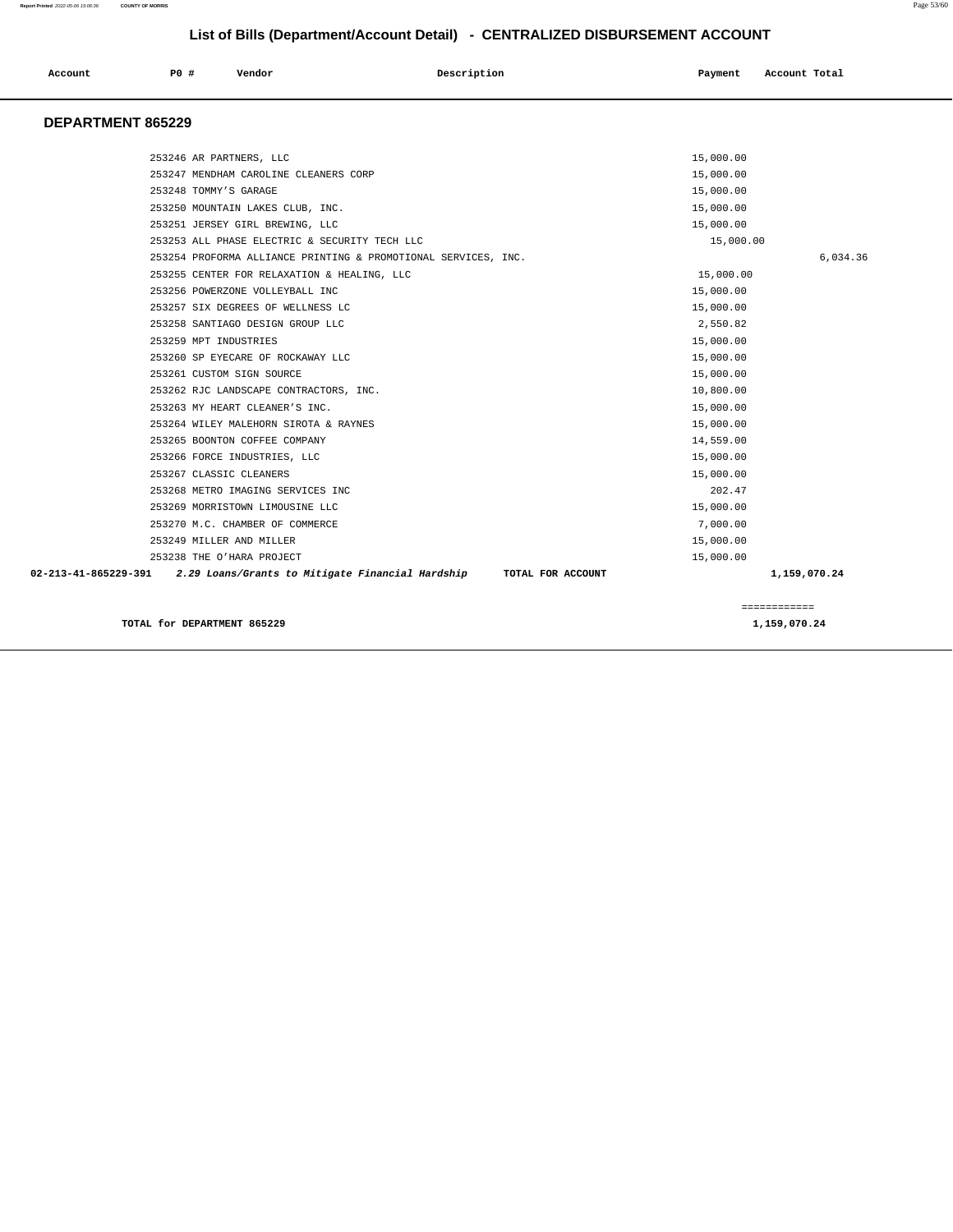#### **Report Printed** 2022-05-06 15:06:36 **COUNTY OF MORRIS** Page 53/60

| List of Bills (Department/Account Detail) - CENTRALIZED DISBURSEMENT ACCOUNT |                                                                |                   |                          |  |  |
|------------------------------------------------------------------------------|----------------------------------------------------------------|-------------------|--------------------------|--|--|
| Account                                                                      | <b>PO #</b><br>Vendor                                          | Description       | Payment<br>Account Total |  |  |
| DEPARTMENT 865229                                                            |                                                                |                   |                          |  |  |
|                                                                              | 253246 AR PARTNERS, LLC                                        |                   | 15,000.00                |  |  |
|                                                                              | 253247 MENDHAM CAROLINE CLEANERS CORP                          |                   | 15,000.00                |  |  |
|                                                                              | 253248 TOMMY'S GARAGE                                          |                   | 15,000.00                |  |  |
|                                                                              | 253250 MOUNTAIN LAKES CLUB, INC.                               |                   | 15,000.00                |  |  |
|                                                                              | 253251 JERSEY GIRL BREWING, LLC                                |                   | 15,000.00                |  |  |
|                                                                              | 253253 ALL PHASE ELECTRIC & SECURITY TECH LLC                  |                   | 15,000.00                |  |  |
|                                                                              | 253254 PROFORMA ALLIANCE PRINTING & PROMOTIONAL SERVICES, INC. |                   | 6,034.36                 |  |  |
|                                                                              | 253255 CENTER FOR RELAXATION & HEALING, LLC                    |                   | 15,000.00                |  |  |
|                                                                              | 253256 POWERZONE VOLLEYBALL INC                                |                   | 15,000.00                |  |  |
|                                                                              | 253257 SIX DEGREES OF WELLNESS LC                              |                   | 15,000.00                |  |  |
|                                                                              | 253258 SANTIAGO DESIGN GROUP LLC                               |                   | 2,550.82                 |  |  |
|                                                                              | 253259 MPT INDUSTRIES                                          |                   | 15,000.00                |  |  |
|                                                                              | 253260 SP EYECARE OF ROCKAWAY LLC                              |                   | 15,000.00                |  |  |
|                                                                              | 253261 CUSTOM SIGN SOURCE                                      |                   | 15,000.00                |  |  |
|                                                                              | 253262 RJC LANDSCAPE CONTRACTORS, INC.                         |                   | 10,800.00                |  |  |
|                                                                              | 253263 MY HEART CLEANER'S INC.                                 |                   | 15,000.00                |  |  |
|                                                                              | 253264 WILEY MALEHORN SIROTA & RAYNES                          |                   | 15,000.00                |  |  |
|                                                                              | 253265 BOONTON COFFEE COMPANY                                  |                   | 14,559.00                |  |  |
|                                                                              | 253266 FORCE INDUSTRIES, LLC                                   |                   | 15,000.00                |  |  |
|                                                                              | 253267 CLASSIC CLEANERS                                        |                   | 15,000.00                |  |  |
|                                                                              | 253268 METRO IMAGING SERVICES INC                              |                   | 202.47                   |  |  |
|                                                                              | 253269 MORRISTOWN LIMOUSINE LLC                                |                   | 15,000.00                |  |  |
|                                                                              | 253270 M.C. CHAMBER OF COMMERCE                                |                   | 7,000.00                 |  |  |
|                                                                              | 253249 MILLER AND MILLER                                       |                   | 15,000.00                |  |  |
|                                                                              | 253238 THE O'HARA PROJECT                                      |                   | 15,000.00                |  |  |
| 02-213-41-865229-391                                                         | 2.29 Loans/Grants to Mitigate Financial Hardship               | TOTAL FOR ACCOUNT | 1,159,070.24             |  |  |
|                                                                              |                                                                |                   | ============             |  |  |
|                                                                              | TOTAL for DEPARTMENT 865229                                    |                   | 1,159,070.24             |  |  |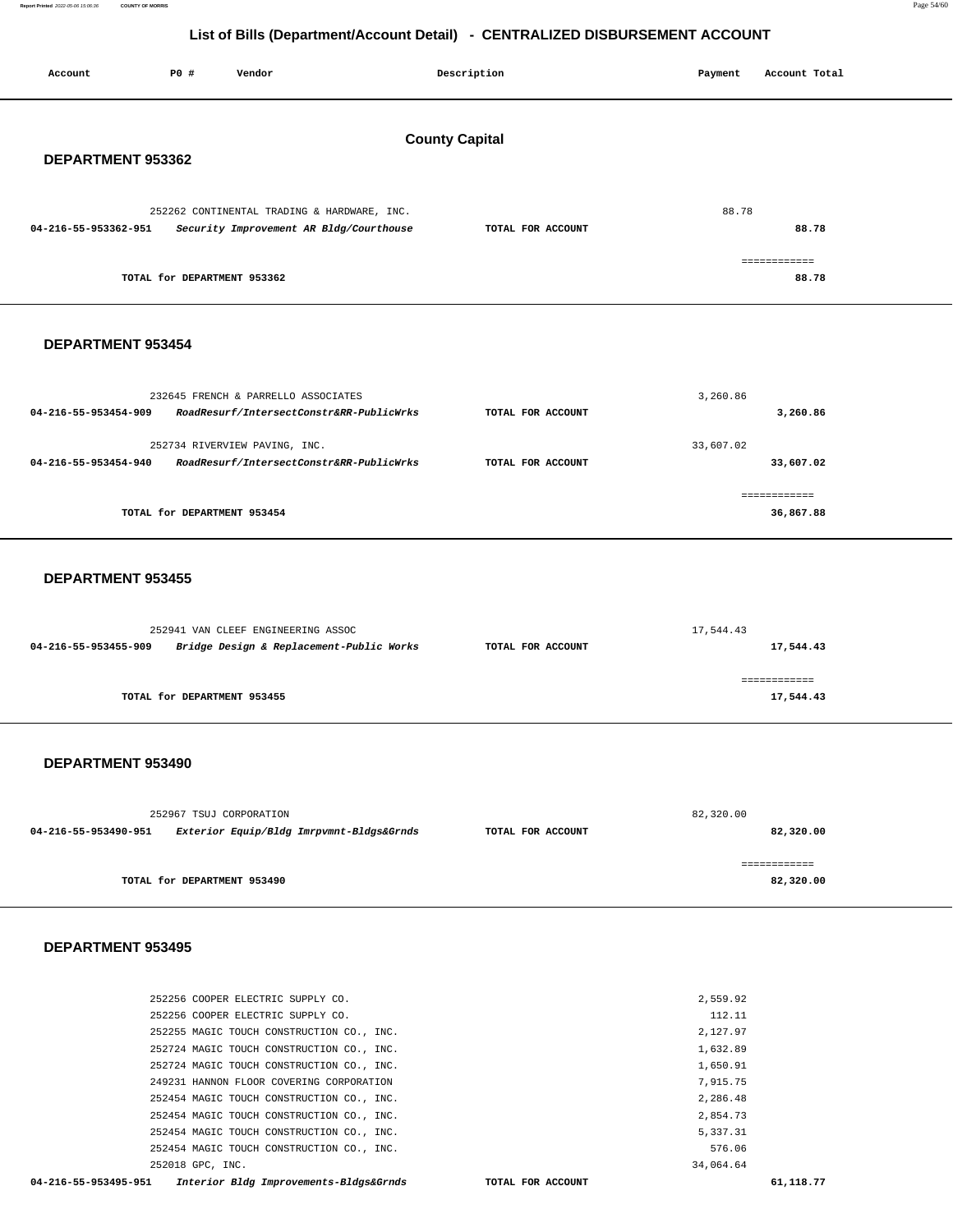**Report Printed** 2022-05-06 15:06:36 **COUNTY OF MORRIS** Page 54/60

## **List of Bills (Department/Account Detail) - CENTRALIZED DISBURSEMENT ACCOUNT**

| Account                                    | P0 # | Vendor                                      |                                          | Description       | Payment   | Account Total             |
|--------------------------------------------|------|---------------------------------------------|------------------------------------------|-------------------|-----------|---------------------------|
| <b>County Capital</b><br>DEPARTMENT 953362 |      |                                             |                                          |                   |           |                           |
| 04-216-55-953362-951                       |      | 252262 CONTINENTAL TRADING & HARDWARE, INC. | Security Improvement AR Bldg/Courthouse  | TOTAL FOR ACCOUNT | 88.78     | 88.78<br>============     |
|                                            |      | TOTAL for DEPARTMENT 953362                 |                                          |                   |           | 88.78                     |
| DEPARTMENT 953454                          |      |                                             |                                          |                   |           |                           |
| 04-216-55-953454-909                       |      | 232645 FRENCH & PARRELLO ASSOCIATES         | RoadResurf/IntersectConstr&RR-PublicWrks | TOTAL FOR ACCOUNT | 3,260.86  | 3,260.86                  |
| 04-216-55-953454-940                       |      | 252734 RIVERVIEW PAVING, INC.               | RoadResurf/IntersectConstr&RR-PublicWrks | TOTAL FOR ACCOUNT | 33,607.02 | 33,607.02                 |
|                                            |      | TOTAL for DEPARTMENT 953454                 |                                          |                   |           | ============<br>36,867.88 |
| DEPARTMENT 953455                          |      |                                             |                                          |                   |           |                           |
| 04-216-55-953455-909                       |      | 252941 VAN CLEEF ENGINEERING ASSOC          | Bridge Design & Replacement-Public Works | TOTAL FOR ACCOUNT | 17,544.43 | 17,544.43                 |
|                                            |      | TOTAL for DEPARTMENT 953455                 |                                          |                   |           | ============<br>17,544.43 |
| DEPARTMENT 953490                          |      |                                             |                                          |                   |           |                           |
| 04-216-55-953490-951                       |      | 252967 TSUJ CORPORATION                     | Exterior Equip/Bldg Imrpvmnt-Bldgs&Grnds | TOTAL FOR ACCOUNT | 82,320.00 | 82,320.00                 |
|                                            |      | TOTAL for DEPARTMENT 953490                 |                                          |                   |           | ============<br>82,320.00 |
| DEPARTMENT 953495                          |      |                                             |                                          |                   |           |                           |

| 04-216-55-953495-951<br>Interior Bldg Improvements-Bldgs&Grnds | TOTAL FOR ACCOUNT | 61,118.77 |
|----------------------------------------------------------------|-------------------|-----------|
| 252018 GPC, INC.                                               | 34,064.64         |           |
| 252454 MAGIC TOUCH CONSTRUCTION CO., INC.                      | 576.06            |           |
| 252454 MAGIC TOUCH CONSTRUCTION CO., INC.                      | 5,337.31          |           |
| 252454 MAGIC TOUCH CONSTRUCTION CO., INC.                      | 2.854.73          |           |
| 252454 MAGIC TOUCH CONSTRUCTION CO., INC.                      | 2,286.48          |           |
| 249231 HANNON FLOOR COVERING CORPORATION                       | 7,915.75          |           |
| 252724 MAGIC TOUCH CONSTRUCTION CO., INC.                      | 1,650.91          |           |
| 252724 MAGIC TOUCH CONSTRUCTION CO., INC.                      | 1,632.89          |           |
| 252255 MAGIC TOUCH CONSTRUCTION CO., INC.                      | 2,127.97          |           |
| 252256 COOPER ELECTRIC SUPPLY CO.                              | 112.11            |           |
| 252256 COOPER ELECTRIC SUPPLY CO.                              | 2,559.92          |           |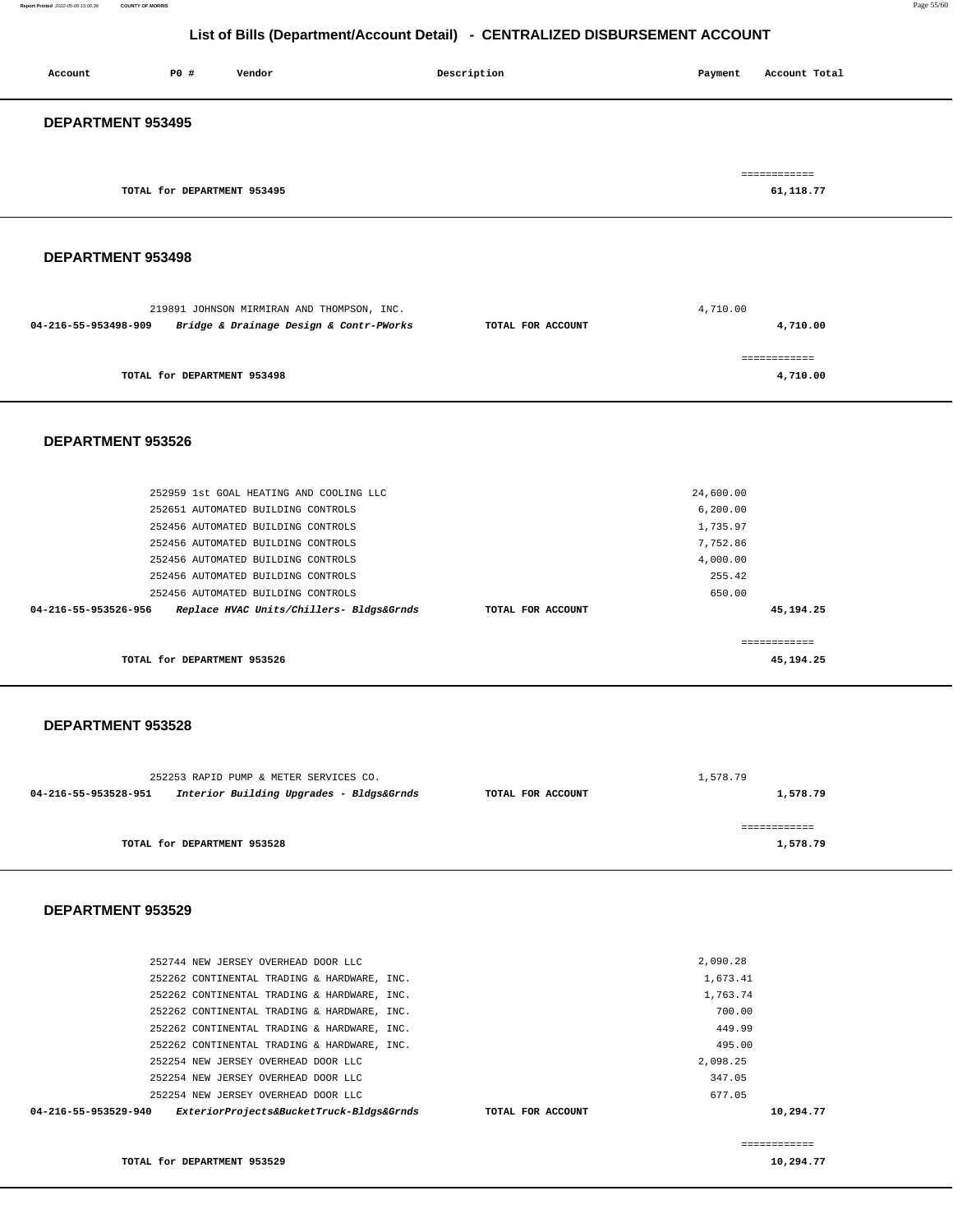#### **Report Printed** 2022-05-06 15:06:36 **COUNTY OF MORRIS** Page 55/60

## **List of Bills (Department/Account Detail) - CENTRALIZED DISBURSEMENT ACCOUNT**

| <b>DEPARTMENT 953495</b>                                 |  |
|----------------------------------------------------------|--|
|                                                          |  |
| ============<br>61,118.77<br>TOTAL for DEPARTMENT 953495 |  |

## **DEPARTMENT 953498**

|                      | 219891 JOHNSON MIRMIRAN AND THOMPSON, INC. |                   | 4,710.00     |
|----------------------|--------------------------------------------|-------------------|--------------|
| 04-216-55-953498-909 | Bridge & Drainage Design & Contr-PWorks    | TOTAL FOR ACCOUNT | 4,710.00     |
|                      |                                            |                   |              |
|                      |                                            |                   | ============ |
|                      | TOTAL for DEPARTMENT 953498                |                   | 4,710.00     |

#### **DEPARTMENT 953526**

|                      | TOTAL for DEPARTMENT 953526 |                                          |                   |           | 45, 194, 25 |
|----------------------|-----------------------------|------------------------------------------|-------------------|-----------|-------------|
|                      |                             |                                          |                   |           |             |
| 04-216-55-953526-956 |                             | Replace HVAC Units/Chillers- Bldgs&Grnds | TOTAL FOR ACCOUNT |           | 45, 194, 25 |
|                      |                             | 252456 AUTOMATED BUILDING CONTROLS       |                   | 650.00    |             |
|                      |                             | 252456 AUTOMATED BUILDING CONTROLS       |                   | 255.42    |             |
|                      |                             | 252456 AUTOMATED BUILDING CONTROLS       |                   | 4,000.00  |             |
|                      |                             | 252456 AUTOMATED BUILDING CONTROLS       |                   | 7,752.86  |             |
|                      |                             | 252456 AUTOMATED BUILDING CONTROLS       |                   | 1,735.97  |             |
|                      |                             | 252651 AUTOMATED BUILDING CONTROLS       |                   | 6, 200.00 |             |
|                      |                             | 252959 1st GOAL HEATING AND COOLING LLC  |                   | 24,600.00 |             |
|                      |                             |                                          |                   |           |             |

#### **DEPARTMENT 953528**

| 252253 RAPID PUMP & METER SERVICES CO.                           |                   | 1,578.79 |
|------------------------------------------------------------------|-------------------|----------|
| Interior Building Upgrades - Bldgs&Grnds<br>04-216-55-953528-951 | TOTAL FOR ACCOUNT | 1,578.79 |
|                                                                  |                   |          |
| TOTAL for DEPARTMENT 953528                                      |                   | 1,578.79 |

#### **DEPARTMENT 953529**

| ExteriorProjects&BucketTruck-Bldgs&Grnds<br>04-216-55-953529-940<br>TOTAL FOR ACCOUNT | 10,294.77 |
|---------------------------------------------------------------------------------------|-----------|
| 252254 NEW JERSEY OVERHEAD DOOR LLC                                                   | 677.05    |
| 252254 NEW JERSEY OVERHEAD DOOR LLC                                                   | 347.05    |
| 252254 NEW JERSEY OVERHEAD DOOR LLC                                                   | 2,098.25  |
| 252262 CONTINENTAL TRADING & HARDWARE, INC.                                           | 495.00    |
| 252262 CONTINENTAL TRADING & HARDWARE, INC.                                           | 449.99    |
| 252262 CONTINENTAL TRADING & HARDWARE, INC.                                           | 700.00    |
| 252262 CONTINENTAL TRADING & HARDWARE, INC.                                           | 1,763.74  |
| 252262 CONTINENTAL TRADING & HARDWARE, INC.                                           | 1,673.41  |
| 252744 NEW JERSEY OVERHEAD DOOR LLC                                                   | 2,090.28  |
|                                                                                       |           |

**TOTAL for DEPARTMENT 953529** 

============ **10,294.77**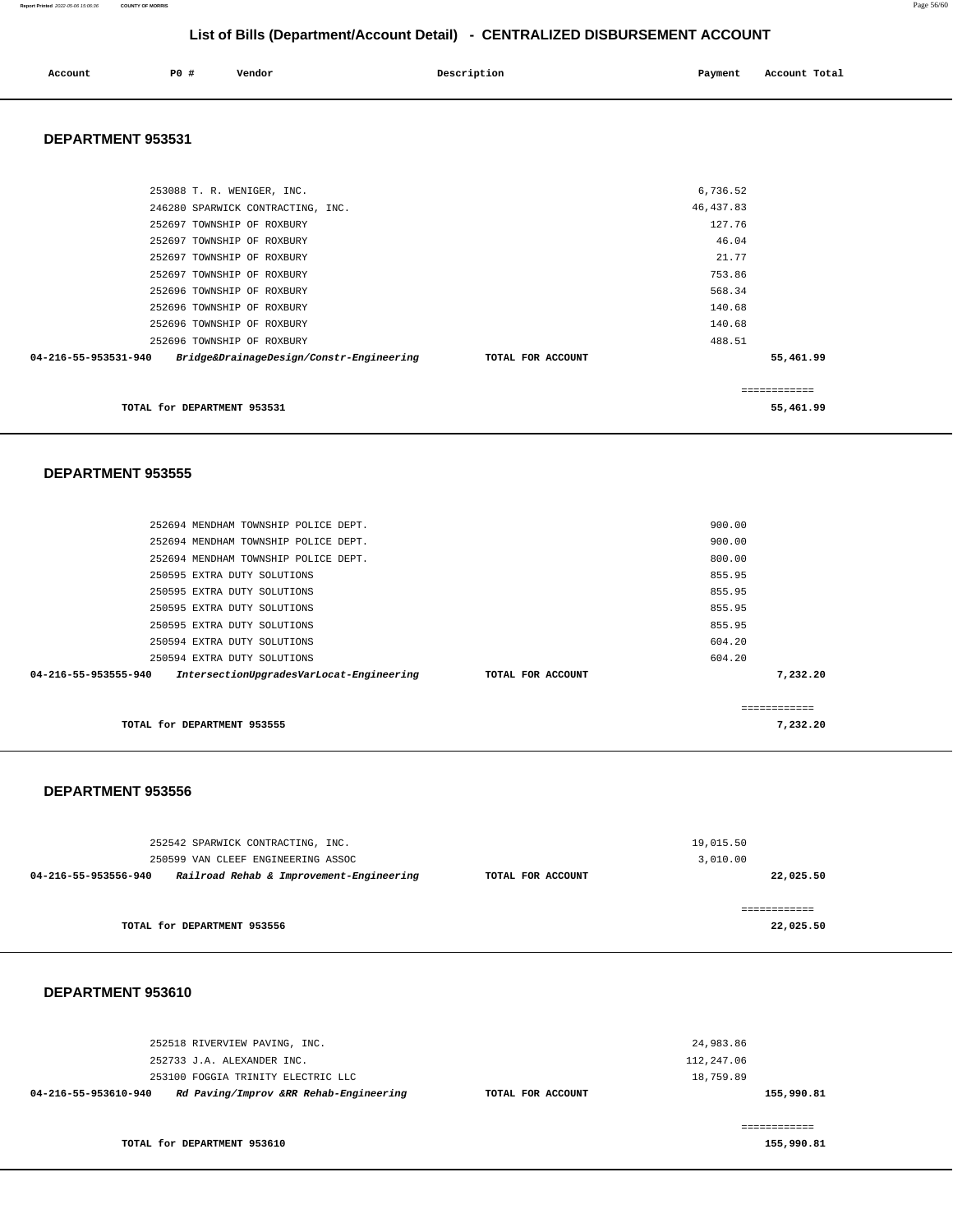| Account | <b>PO #</b> | Vendor | Description | Payment | Account Total |
|---------|-------------|--------|-------------|---------|---------------|
|         |             |        |             |         |               |

#### **DEPARTMENT 953531**

| TOTAL for DEPARTMENT 953531                                      |                   |            | 55,461.99    |
|------------------------------------------------------------------|-------------------|------------|--------------|
|                                                                  |                   |            | ------------ |
| Bridge&DrainageDesign/Constr-Engineering<br>04-216-55-953531-940 | TOTAL FOR ACCOUNT |            | 55,461.99    |
| 252696 TOWNSHIP OF ROXBURY                                       |                   | 488.51     |              |
| 252696 TOWNSHIP OF ROXBURY                                       |                   | 140.68     |              |
| 252696 TOWNSHIP OF ROXBURY                                       |                   | 140.68     |              |
| 252696 TOWNSHIP OF ROXBURY                                       |                   | 568.34     |              |
| 252697 TOWNSHIP OF ROXBURY                                       |                   | 753.86     |              |
| 252697 TOWNSHIP OF ROXBURY                                       |                   | 21.77      |              |
| 252697 TOWNSHIP OF ROXBURY                                       |                   | 46.04      |              |
| 252697 TOWNSHIP OF ROXBURY                                       |                   | 127.76     |              |
| 246280 SPARWICK CONTRACTING, INC.                                |                   | 46, 437.83 |              |
| 253088 T. R. WENIGER, INC.                                       |                   | 6,736.52   |              |
|                                                                  |                   |            |              |

#### **DEPARTMENT 953555**

| TOTAL for DEPARTMENT 953555                                                           | 7,232,20 |
|---------------------------------------------------------------------------------------|----------|
|                                                                                       |          |
| 04-216-55-953555-940<br>IntersectionUpgradesVarLocat-Engineering<br>TOTAL FOR ACCOUNT | 7,232.20 |
| 250594 EXTRA DUTY SOLUTIONS                                                           | 604.20   |
| 250594 EXTRA DUTY SOLUTIONS                                                           | 604.20   |
| 250595 EXTRA DUTY SOLUTIONS                                                           | 855.95   |
| 250595 EXTRA DUTY SOLUTIONS                                                           | 855.95   |
| 250595 EXTRA DUTY SOLUTIONS                                                           | 855.95   |
| 250595 EXTRA DUTY SOLUTIONS                                                           | 855.95   |
| 252694 MENDHAM TOWNSHIP POLICE DEPT.                                                  | 800.00   |
| 252694 MENDHAM TOWNSHIP POLICE DEPT.                                                  | 900.00   |
| 252694 MENDHAM TOWNSHIP POLICE DEPT.                                                  | 900.00   |
|                                                                                       |          |

#### **DEPARTMENT 953556**

| 252542 SPARWICK CONTRACTING, INC. | 19,015.50<br>3,010.00                                                          |                   |              |
|-----------------------------------|--------------------------------------------------------------------------------|-------------------|--------------|
| 04-216-55-953556-940              | 250599 VAN CLEEF ENGINEERING ASSOC<br>Railroad Rehab & Improvement-Engineering | TOTAL FOR ACCOUNT | 22,025.50    |
|                                   |                                                                                |                   | ============ |
|                                   | TOTAL for DEPARTMENT 953556                                                    |                   | 22,025.50    |

## **DEPARTMENT 953610**

| 252518 RIVERVIEW PAVING, INC.                                  |                   | 24,983.86  |
|----------------------------------------------------------------|-------------------|------------|
| 252733 J.A. ALEXANDER INC.                                     |                   | 112,247.06 |
| 253100 FOGGIA TRINITY ELECTRIC LLC                             |                   | 18,759.89  |
| Rd Paving/Improv &RR Rehab-Engineering<br>04-216-55-953610-940 | TOTAL FOR ACCOUNT | 155,990.81 |
|                                                                |                   |            |
| TOTAL for DEPARTMENT 953610                                    |                   | 155,990.81 |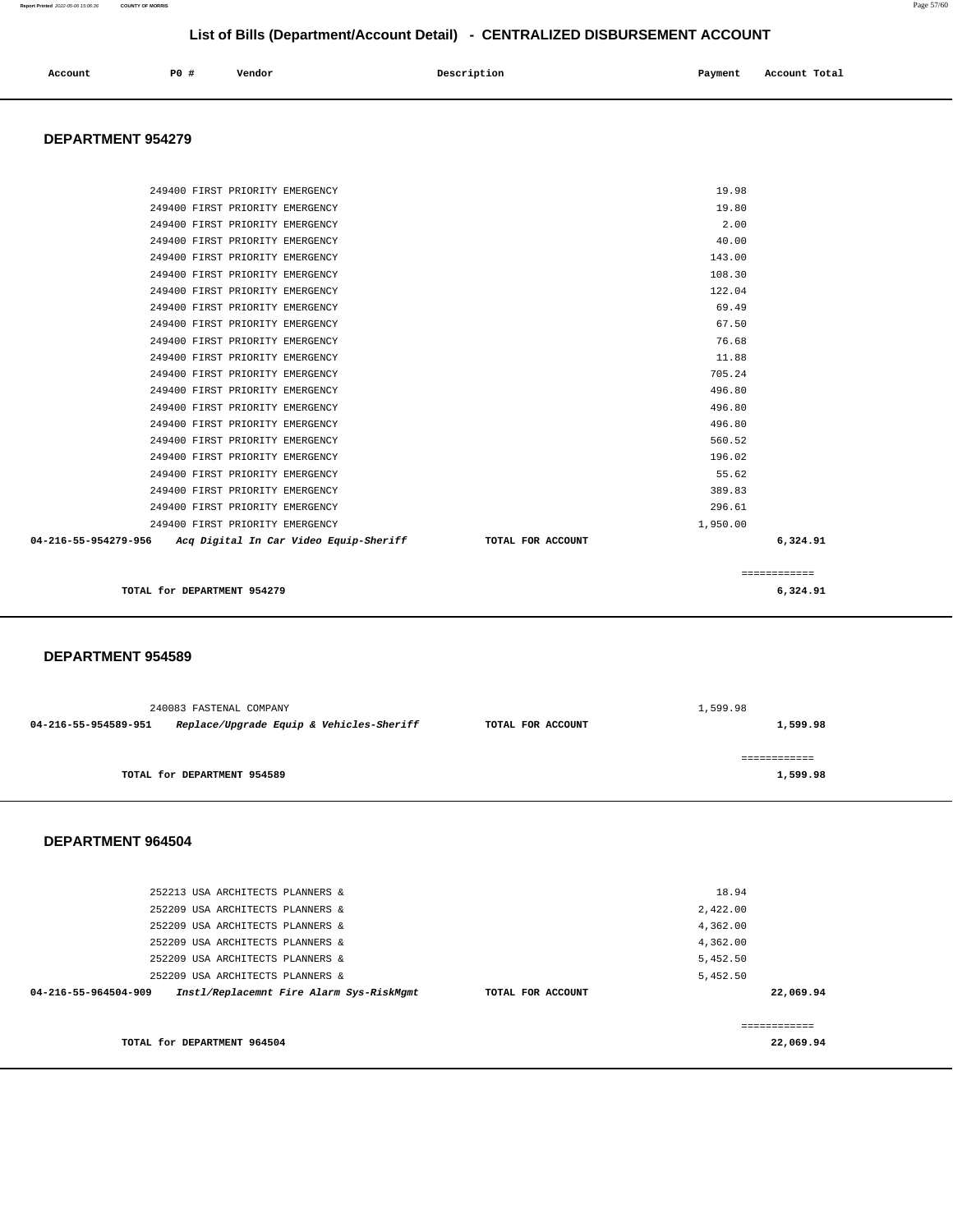| Account<br>. | P0 | $-1$<br>Vendor | Description | Payment | Account Total |
|--------------|----|----------------|-------------|---------|---------------|
|              |    |                |             |         |               |

#### **DEPARTMENT 954279**

| TOTAL for DEPARTMENT 954279                                 |                   | 6,324.91     |
|-------------------------------------------------------------|-------------------|--------------|
|                                                             |                   | ============ |
| 04-216-55-954279-956 Acq Digital In Car Video Equip-Sheriff | TOTAL FOR ACCOUNT | 6,324.91     |
| 249400 FIRST PRIORITY EMERGENCY                             | 1,950.00          |              |
| 249400 FIRST PRIORITY EMERGENCY                             | 296.61            |              |
| 249400 FIRST PRIORITY EMERGENCY                             | 389.83            |              |
| 249400 FIRST PRIORITY EMERGENCY                             | 55.62             |              |
| 249400 FIRST PRIORITY EMERGENCY                             | 196.02            |              |
| 249400 FIRST PRIORITY EMERGENCY                             | 560.52            |              |
| 249400 FIRST PRIORITY EMERGENCY                             | 496.80            |              |
| 249400 FIRST PRIORITY EMERGENCY                             | 496.80            |              |
| 249400 FIRST PRIORITY EMERGENCY                             | 496.80            |              |
| 249400 FIRST PRIORITY EMERGENCY                             | 705.24            |              |
| 249400 FIRST PRIORITY EMERGENCY                             | 11.88             |              |
| 249400 FIRST PRIORITY EMERGENCY                             | 76.68             |              |
| 249400 FIRST PRIORITY EMERGENCY                             | 67.50             |              |
| 249400 FIRST PRIORITY EMERGENCY                             | 69.49             |              |
| 249400 FIRST PRIORITY EMERGENCY                             | 122.04            |              |
| 249400 FIRST PRIORITY EMERGENCY                             | 108.30            |              |
| 249400 FIRST PRIORITY EMERGENCY                             | 143.00            |              |
| 249400 FIRST PRIORITY EMERGENCY                             | 40.00             |              |
| 249400 FIRST PRIORITY EMERGENCY                             | 2.00              |              |
| 249400 FIRST PRIORITY EMERGENCY                             | 19.80             |              |
| 249400 FIRST PRIORITY EMERGENCY                             | 19.98             |              |

#### **DEPARTMENT 954589**

|                      | 240083 FASTENAL COMPANY                  | 1,599.98          |          |
|----------------------|------------------------------------------|-------------------|----------|
| 04-216-55-954589-951 | Replace/Upgrade Equip & Vehicles-Sheriff | TOTAL FOR ACCOUNT | 1,599.98 |
|                      |                                          |                   |          |
|                      | TOTAL for DEPARTMENT 954589              |                   | 1,599.98 |

#### **DEPARTMENT 964504**

| 252213 USA ARCHITECTS PLANNERS &<br>252209 USA ARCHITECTS PLANNERS &<br>252209 USA ARCHITECTS PLANNERS &                                                                     |                   | 18.94<br>2,422.00<br>4,362.00                 |
|------------------------------------------------------------------------------------------------------------------------------------------------------------------------------|-------------------|-----------------------------------------------|
| 252209 USA ARCHITECTS PLANNERS &<br>252209 USA ARCHITECTS PLANNERS &<br>252209 USA ARCHITECTS PLANNERS &<br>Instl/Replacemnt Fire Alarm Sys-RiskMgmt<br>04-216-55-964504-909 | TOTAL FOR ACCOUNT | 4,362.00<br>5,452.50<br>5,452.50<br>22,069.94 |
| TOTAL for DEPARTMENT 964504                                                                                                                                                  |                   | 22,069.94                                     |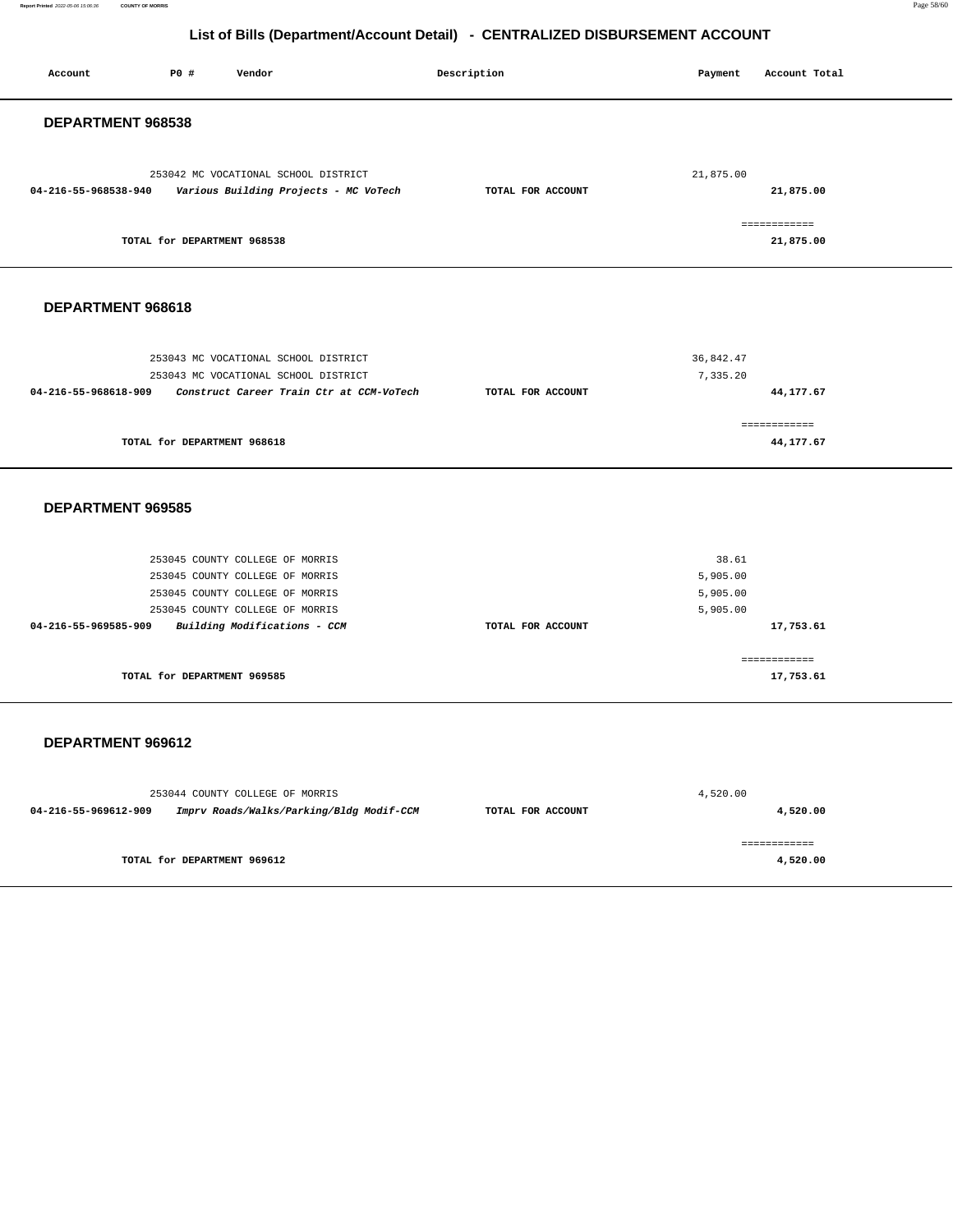**Report Printed** 2022-05-06 15:06:36 **COUNTY OF MORRIS** Page 58/60

## **List of Bills (Department/Account Detail) - CENTRALIZED DISBURSEMENT ACCOUNT**

| Account              | P0 #                        | Vendor                                                                                                                                                                   | Description       | Payment                                   | Account Total             |
|----------------------|-----------------------------|--------------------------------------------------------------------------------------------------------------------------------------------------------------------------|-------------------|-------------------------------------------|---------------------------|
| DEPARTMENT 968538    |                             |                                                                                                                                                                          |                   |                                           |                           |
| 04-216-55-968538-940 |                             | 253042 MC VOCATIONAL SCHOOL DISTRICT<br>Various Building Projects - MC VoTech                                                                                            | TOTAL FOR ACCOUNT | 21,875.00                                 | 21,875.00                 |
|                      | TOTAL for DEPARTMENT 968538 |                                                                                                                                                                          |                   |                                           | ============<br>21,875.00 |
| DEPARTMENT 968618    |                             |                                                                                                                                                                          |                   |                                           |                           |
| 04-216-55-968618-909 |                             | 253043 MC VOCATIONAL SCHOOL DISTRICT<br>253043 MC VOCATIONAL SCHOOL DISTRICT<br>Construct Career Train Ctr at CCM-VoTech                                                 | TOTAL FOR ACCOUNT | 36,842.47<br>7,335.20                     | 44,177.67                 |
|                      | TOTAL for DEPARTMENT 968618 |                                                                                                                                                                          |                   |                                           | ============<br>44,177.67 |
| DEPARTMENT 969585    |                             |                                                                                                                                                                          |                   |                                           |                           |
| 04-216-55-969585-909 |                             | 253045 COUNTY COLLEGE OF MORRIS<br>253045 COUNTY COLLEGE OF MORRIS<br>253045 COUNTY COLLEGE OF MORRIS<br>253045 COUNTY COLLEGE OF MORRIS<br>Building Modifications - CCM | TOTAL FOR ACCOUNT | 38.61<br>5,905.00<br>5,905.00<br>5,905.00 | 17,753.61                 |
|                      | TOTAL for DEPARTMENT 969585 |                                                                                                                                                                          |                   |                                           | ============<br>17,753.61 |
| DEPARTMENT 969612    |                             |                                                                                                                                                                          |                   |                                           |                           |
| 04-216-55-969612-909 |                             | 253044 COUNTY COLLEGE OF MORRIS<br>Imprv Roads/Walks/Parking/Bldg Modif-CCM                                                                                              | TOTAL FOR ACCOUNT | 4,520.00                                  | 4,520.00                  |
|                      | TOTAL for DEPARTMENT 969612 |                                                                                                                                                                          |                   |                                           | ============<br>4,520.00  |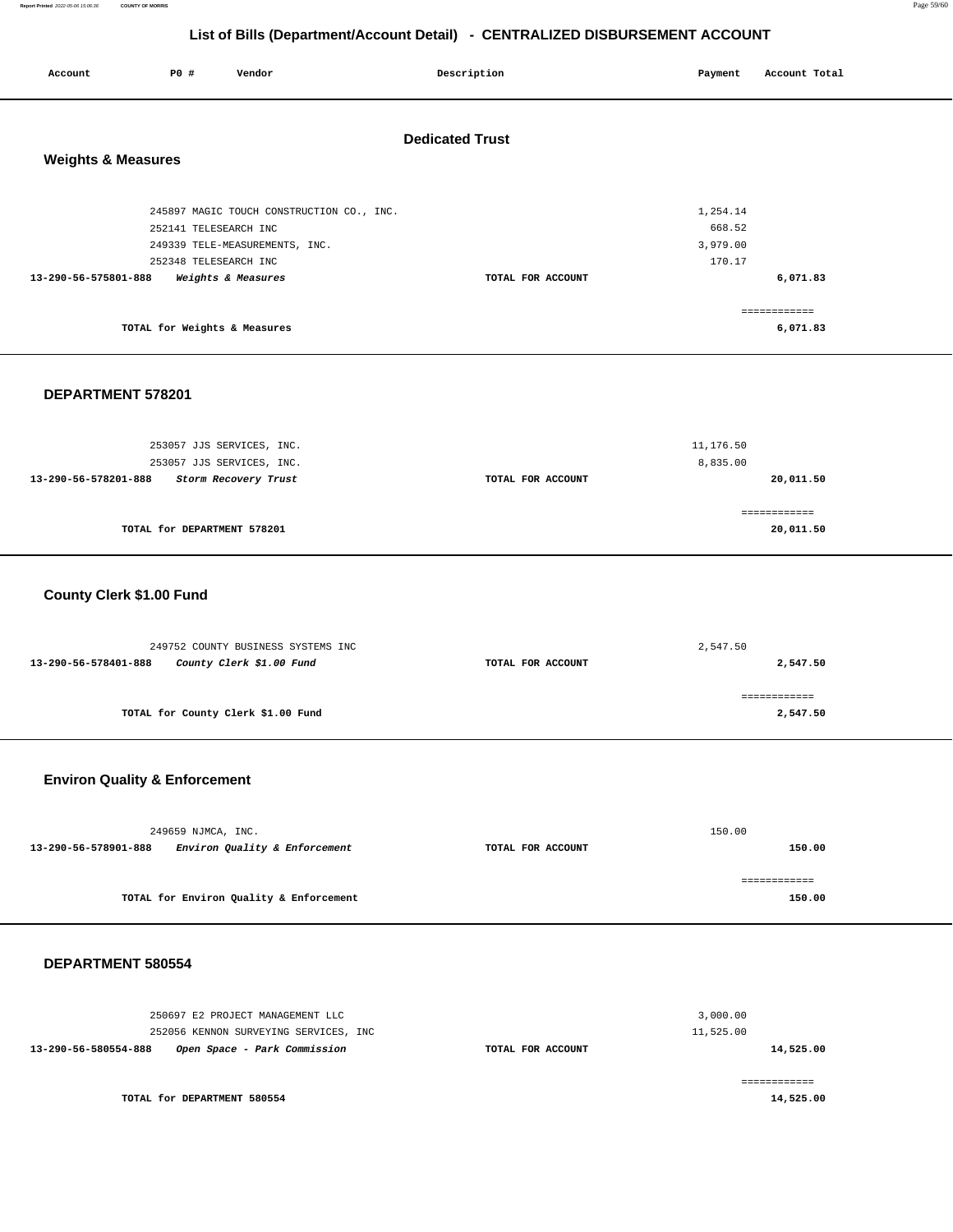**Report Printed** 2022-05-06 15:06:36 **COUNTY OF MORRIS** Page 59/60

## **List of Bills (Department/Account Detail) - CENTRALIZED DISBURSEMENT ACCOUNT**

| Account                       | P0 #                                           | Vendor                                                                                            | Description            | Payment                                  | Account Total            |  |
|-------------------------------|------------------------------------------------|---------------------------------------------------------------------------------------------------|------------------------|------------------------------------------|--------------------------|--|
| <b>Weights &amp; Measures</b> |                                                |                                                                                                   | <b>Dedicated Trust</b> |                                          |                          |  |
| 13-290-56-575801-888          | 252141 TELESEARCH INC<br>252348 TELESEARCH INC | 245897 MAGIC TOUCH CONSTRUCTION CO., INC.<br>249339 TELE-MEASUREMENTS, INC.<br>Weights & Measures | TOTAL FOR ACCOUNT      | 1,254.14<br>668.52<br>3,979.00<br>170.17 | 6,071.83                 |  |
|                               | TOTAL for Weights & Measures                   |                                                                                                   |                        |                                          | ============<br>6,071.83 |  |

## **DEPARTMENT 578201**

| 253057 JJS SERVICES, INC.                    | 11,176.50         |           |  |
|----------------------------------------------|-------------------|-----------|--|
| 253057 JJS SERVICES, INC.                    | 8,835.00          |           |  |
| 13-290-56-578201-888<br>Storm Recovery Trust | TOTAL FOR ACCOUNT | 20,011.50 |  |
|                                              |                   |           |  |
|                                              |                   |           |  |
| TOTAL for DEPARTMENT 578201                  |                   | 20,011.50 |  |
|                                              |                   |           |  |

## **County Clerk \$1.00 Fund**

|                   | 2,547.50     |  |
|-------------------|--------------|--|
| TOTAL FOR ACCOUNT | 2,547.50     |  |
|                   |              |  |
|                   | ------------ |  |
|                   | 2,547.50     |  |
|                   |              |  |

## **Environ Quality & Enforcement**

| 249659 NJMCA, INC.                                    |                   | 150.00 |
|-------------------------------------------------------|-------------------|--------|
| Environ Quality & Enforcement<br>13-290-56-578901-888 | TOTAL FOR ACCOUNT | 150.00 |
|                                                       |                   |        |
| TOTAL for Environ Quality & Enforcement               |                   | 150.00 |

#### **DEPARTMENT 580554**

| 250697 E2 PROJECT MANAGEMENT LLC<br>252056 KENNON SURVEYING SERVICES, INC |                   | 3,000.00<br>11,525.00 |
|---------------------------------------------------------------------------|-------------------|-----------------------|
| 13-290-56-580554-888<br>Open Space - Park Commission                      | TOTAL FOR ACCOUNT | 14,525.00             |
| TOTAL for DEPARTMENT 580554                                               |                   | 14,525.00             |